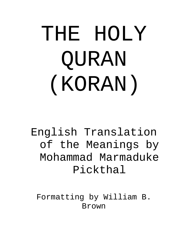# THE HOLY QURAN (KORAN)

English Translation of the Meanings by Mohammad Marmaduke Pickthal

Formatting by William B. Brown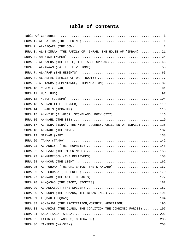### <span id="page-1-0"></span>**Table Of Contents**

|  | SURA 3. AL-E-IMRAN (THE FAMILY OF 'IMRAN, THE HOUSE OF 'IMRAN)  21     |     |
|--|------------------------------------------------------------------------|-----|
|  |                                                                        |     |
|  | SURA 5. AL-MAEDA (THE TABLE, THE TABLE SPREAD)  46                     |     |
|  |                                                                        |     |
|  |                                                                        |     |
|  |                                                                        |     |
|  | SURA 9. AT-TAWBA (REPENTANCE, DISPENSATION)  82                        |     |
|  |                                                                        |     |
|  |                                                                        |     |
|  |                                                                        |     |
|  |                                                                        |     |
|  |                                                                        |     |
|  | SURA 15. AL-HIJR (AL-HIJR, STONELAND, ROCK CITY)  116                  |     |
|  |                                                                        |     |
|  | SURA 17. AL-ISRA (ISRA', THE NIGHT JOURNEY, CHILDREN OF ISRAEL)  126   |     |
|  |                                                                        |     |
|  |                                                                        |     |
|  |                                                                        |     |
|  |                                                                        |     |
|  |                                                                        |     |
|  |                                                                        |     |
|  |                                                                        |     |
|  | SURA 25. AL-FURQAN (THE CRITERION, THE STANDARD)  167                  |     |
|  |                                                                        |     |
|  |                                                                        |     |
|  |                                                                        |     |
|  |                                                                        |     |
|  | SURA 30. AR-ROOM (THE ROMANS, THE BYZANTINES)  191                     |     |
|  |                                                                        |     |
|  | SURA 32. AS-SAJDA (THE PROSTRATION, WORSHIP, ADORATION)  196           |     |
|  | SURA 33. AL-AHZAB (THE CLANS, THE COALITION, THE COMBINED FORCES)  197 |     |
|  |                                                                        |     |
|  | SURA 35. FATIR (THE ANGELS, ORIGNATOR)  205                            |     |
|  |                                                                        | 208 |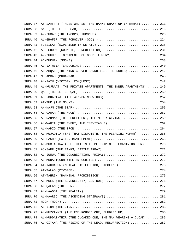|  | SURA 37. AS-SAAFFAT (THOSE WHO SET THE RANKS, DRAWN UP IN RANKS)  211   |  |
|--|-------------------------------------------------------------------------|--|
|  |                                                                         |  |
|  | SURA 39. AZ-ZUMAR (THE TROOPS, THRONGS)  220                            |  |
|  | SURA 40. AL-GHAFIR (THE FORGIVER (GOD) )  224                           |  |
|  | SURA 41. FUSSILAT (EXPLAINED IN DETAIL)  228                            |  |
|  | SURA 42. ASH-SHURA (COUNCIL, CONSULTATION)  231                         |  |
|  | SURA 43. AZ-ZUKHRUF (ORNAMENTS OF GOLD, LUXURY)  234                    |  |
|  |                                                                         |  |
|  |                                                                         |  |
|  | SURA 46. AL-AHQAF (THE WIND-CURVED SANDHILLS, THE DUNES)  242           |  |
|  |                                                                         |  |
|  |                                                                         |  |
|  | SURA 49. AL-HUJRAAT (THE PRIVATE APARTMENTS, THE INNER APARTMENTS)  249 |  |
|  |                                                                         |  |
|  | SURA 51. ADH-DHARIYAT (THE WINNOWING WINDS)  252                        |  |
|  |                                                                         |  |
|  |                                                                         |  |
|  |                                                                         |  |
|  | SURA 55. AR-RAHMAN (THE BENEFICENT, THE MERCY GIVING)  259              |  |
|  | SURA 56. AL-WAQIA (THE EVENT, THE INEVITABLE)  262                      |  |
|  |                                                                         |  |
|  | SURA 58. AL-MUJADILA (SHE THAT DISPUTETH, THE PLEADING WOMAN)  266      |  |
|  |                                                                         |  |
|  | SURA 60. AL-MUMTAHINA (SHE THAT IS TO BE EXAMINED, EXAMINING HER)  270  |  |
|  | SURA 61. AS-SAFF (THE RANKS, BATTLE ARRAY)  271                         |  |
|  | SURA 62. AL-JUMUA (THE CONGREGATION, FRIDAY)  272                       |  |
|  | SURA 63. AL-MUNAFIQOON (THE HYPOCRITES)  272                            |  |
|  | SURA 64. AT-TAGHABUN (MUTUAL DISILLUSION, HAGGLING)  273                |  |
|  |                                                                         |  |
|  | SURA 66. AT-TAHRIM (BANNING, PROHIBITION)  275                          |  |
|  | SURA 67. AL-MULK (THE SOVEREIGNTY, CONTROL)  276                        |  |
|  |                                                                         |  |
|  |                                                                         |  |
|  | SURA 70. AL-MAARIJ (THE ASCENDING STAIRWAYS)  281                       |  |
|  |                                                                         |  |
|  |                                                                         |  |
|  | SURA 73. AL-MUZZAMMIL (THE ENSHROUDED ONE, BUNDLED UP)  285             |  |
|  | SURA 74. AL-MUDDATHTHIR (THE CLOAKED ONE, THE MAN WEARING A CLOAK)  286 |  |
|  | SURA 75. AL-QIYAMA (THE RISING OF THE DEAD, RESURRECTION)  287          |  |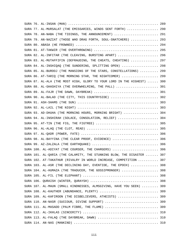|  | SURA 77. AL-MURSALAT (THE EMISSARIES, WINDS SENT FORTH)  290            |     |
|--|-------------------------------------------------------------------------|-----|
|  | SURA 78. AN-NABA (THE TIDINGS, THE ANNOUNCEMENT)  291                   |     |
|  | SURA 79. AN-NAZIAT (THOSE WHO DRAG FORTH, SOUL-SNATCHERS)  293          |     |
|  |                                                                         |     |
|  |                                                                         |     |
|  | SURA 82. AL-INFITAR (THE CLEAVING, BURSTING APART)  296                 |     |
|  | SURA 83. AL-MUTAFFIFIN (DEFRAUDING, THE CHEATS, CHEATING)  297          |     |
|  | SURA 84. AL-INSHIQAQ (THE SUNDERING, SPLITTING OPEN)  298               |     |
|  | SURA 85. AL-BUROOJ (THE MANSIONS OF THE STARS, CONSTELLATIONS)  299     |     |
|  | SURA 86. AT-TARIQ (THE MORNING STAR, THE NIGHTCOMER)  299               |     |
|  | SURA 87. AL-ALA (THE MOST HIGH, GLORY TO YOUR LORD IN THE HIGHEST)  300 |     |
|  | SURA 88. AL-GHASHIYA (THE OVERWHELMING, THE PALL)  301                  |     |
|  |                                                                         |     |
|  | SURA 90. AL-BALAD (THE CITY, THIS COUNTRYSIDE)  302                     |     |
|  |                                                                         |     |
|  |                                                                         |     |
|  | SURA 93. AD-DHUHA (THE MORNING HOURS, MORNING BRIGHT)  304              |     |
|  | SURA 94. AL-INSHIRAH (SOLACE, CONSOLATION, RELIEF)  304                 |     |
|  |                                                                         |     |
|  |                                                                         |     |
|  |                                                                         |     |
|  | SURA 98. AL-BAYYINA (THE CLEAR PROOF, EVIDENCE)  306                    |     |
|  |                                                                         |     |
|  | SURA 100. AL-ADIYAT (THE COURSER, THE CHARGERS)  306                    |     |
|  | SURA 101. AL-QARIA (THE CALAMITY, THE STUNNING BLOW, THE DISASTER  307  |     |
|  | SURA 102. AT-TAKATHUR (RIVALRY IN WORLD INCREASE, COMPETITION           | 307 |
|  | SURA 103. AL-ASR (THE DECLINING DAY, EVENTIDE, THE EPOCH)  308          |     |
|  | SURA 104. AL-HUMAZA (THE TRADUCER, THE GOSSIPMONGER)  308               |     |
|  |                                                                         |     |
|  |                                                                         |     |
|  | SURA 107. AL-MAUN (SMALL KINDNESSES, ALMSGIVING, HAVE YOU SEEN)  309    |     |
|  | SURA 108. AL-KAUTHER (ABUNDANCE, PLENTY)  309                           |     |
|  | SURA 109. AL-KAFIROON (THE DISBELIEVERS, ATHEISTS)  309                 |     |
|  | SURA 110. AN-NASR (SUCCOUR, DIVINE SUPPORT)  309                        |     |
|  | SURA 111. AL-MASADD (PALM FIBRE, THE FLAME)  309                        |     |
|  |                                                                         |     |
|  |                                                                         |     |
|  |                                                                         |     |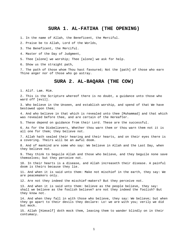#### <span id="page-4-0"></span>**SURA 1. AL-FATIHA (THE OPENING)**

1. In the name of Allah, the Beneficent, the Merciful.

2. Praise be to Allah, Lord of the Worlds,

3. The Beneficent, the Merciful.

4. Master of the Day of Judgment,

5. Thee [alone] we worship; Thee [alone] we ask for help.

6. Show us the straight path,

7. The path of those whom Thou hast favoured; Not the [path] of those who earn Thine anger nor of those who go astray.

#### <span id="page-4-1"></span>**SURA 2. AL-BAQARA (THE COW)**

1. Alif. Lam. Mim.

2. This is the Scripture whereof there is no doubt, a guidance unto those who ward off [evil].

3. Who believe in the Unseen, and establish worship, and spend of that We have bestowed upon them;

4. And who believe in that which is revealed unto thee [Muhammad] and that which was revealed before thee, and are certain of the Hereafter.

5. These depend on guidance from their Lord. These are the successful.

6. As for the Disbelievers, Whether thou warn them or thou warn them not it is all one for them; they believe not.

7. Allah hath sealed their hearing and their hearts, and on their eyes there is a covering. Theirs will be an awful doom.

8. And of mankind are some who say: We believe in Allah and the Last Day, when they believe not.

9. They think to beguile Allah and those who believe, and they beguile none save themselves; but they perceive not.

10. In their hearts is a disease, and Allah increaseth their disease. A painful doom is theirs because they lie.

11. And when it is said unto them: Make not mischief in the earth, they say: We are peacemakers only.

12. Are not they indeed the mischief-makers? But they perceive not.

13. And when it is said unto them: believe as the people believe, they say: shall we believe as the foolish believe? are not they indeed the foolish? But they know not.

14. And when they fall in with those who believe, they say: We believe; but when they go apart to their devils they declare: Lo! we are with you; verily we did but mock.

15. Allah [Himself] doth mock them, leaving them to wander blindly on in their contumacy.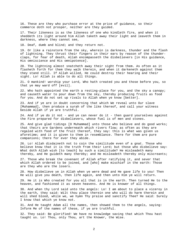16. These are they who purchase error at the price of guidance, so their commerce doth not prosper, neither are they guided.

17. Their likeness is as the likeness of one who kindleth fire, and when it sheddeth its light around him Allah taketh away their light and leaveth them in darkness, where they cannot see,

18. Deaf, dumb and blind; and they return not.

19. Or like a rainstorm from the sky, wherein is darkness, thunder and the flash of lightning. They thrust their fingers in their ears by reason of the thunderclaps, for fear of death, Allah encompasseth the disbelievers [in His guidance, His omniscience and His omnipotence].

20. The lightning almost snatcheth away their sight from them. As often as it flasheth forth for them they walk therein, and when it darkeneth against them they stand still. If Allah willed, He could destroy their hearing and their sight. Lo! Allah is able to do all things.

21. O mankind! worship your Lord, Who hath created you and those before you, so that ye may ward off [evil].

22. Who hath appointed the earth a resting-place for you, and the sky a canopy; and causeth water to pour down from the sky, thereby producing fruits as food for you. And do not set up rivals to Allah when ye know [better].

23. And if ye are in doubt concerning that which We reveal unto Our slave [Muhammad], then produce a surah of the like thereof, and call your witness beside Allah if ye are truthful.

24. And if ye do it not - and ye can never do it - then guard yourselves against the Fire prepared for disbelievers, whose fuel is of men and stones.

25. And give glad tidings [O Muhammad] unto those who believe and do good works; that theirs are Gardens underneath which rivers flow; as often as they are regaled with food of the fruit thereof, they say: this is what was given us aforetime; and it is given to them in resemblance. There for them are pure companions; there for ever they abide.

26. Lo! Allah disdaineth not to coin the similitude even of a gnat. Those who believe know that it is the truth from their Lord; but those who disbelieve say: What doth Allah wish [to teach] by such a similitude? He misleadeth many thereby, and He guideth many thereby; and He misleadeth thereby only miscreants;

27. Those who break the covenant of Allah after ratifying it, and sever that which Allah ordered to be joined, and [who] make mischief in the earth: Those are they who are the losers.

28. How disbelieve ye in Allah when ye were dead and He gave life to you! Then He will give you death, then life again, and then unto Him ye will return.

29. He it is Who created for you all that is in the earth. Then turned He to the heaven, and fashioned it as seven heavens. And He is knower of all things.

30. And when thy Lord said unto the angels: Lo! I am about to place a viceroy in the earth, they said: Wilt thou place therein one who will do harm therein and will shed blood, while we, we hymn Thy praise and sanctify Thee? He said: Surely I know that which ye know not.

31. And He taught Adam all the names, then showed them to the angels, saying: Inform Me of the names of these, if ye are truthful.

32. They said: Be glorified! We have no knowledge saving that which Thou hast taught us. Lo! Thou, only Thou, art the Knower, the Wise.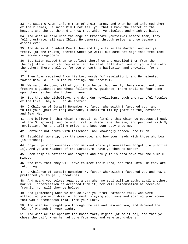33. He said: O Adam! Inform them of their names, and when he had informed them of their names, He said: Did I not tell you that I know the secret of the heavens and the earth? And I know that which ye disclose and which ye hide.

34. And when We said unto the angels: Prostrate yourselves before Adam, they fell prostrate, all save Iblis. He demurred through pride, and so became a disbeliever.

35. And We said: O Adam! Dwell thou and thy wife in the Garden, and eat ye freely [of the fruits] thereof where ye will; but come not nigh this tree lest ye become wrong-doers.

36. But Satan caused them to deflect therefrom and expelled them from the [happy] state in which they were; and We said: Fall down, one of you a foe unto the other! There shall be for you on earth a habitation and provision for a time.

37. Then Adam received from his Lord words [of revelation], and He relented toward him. Lo! He is the relenting, the Merciful.

38. We said: Go down, all of you, from hence; but verily there cometh unto you from Me a guidance; and whoso followeth My guidance, there shall no fear come upon them neither shall they grieve.

39. But they who disbelieve, and deny Our revelations, such are rightful Peoples of the Fire. They will abide therein.

40. O Children of Israel! Remember My favour wherewith I favoured you, and fulfil your [part of the] covenant, I shall fulfil My [part of the] covenant, and fear Me.

41. And believe in that which I reveal, confirming that which ye possess already [of the Scripture], and be not first to disbelieve therein, and part not with My revelations for a trifling price, and keep your duty unto Me.

42. Confound not truth with falsehood, nor knowingly conceal the truth.

43. Establish worship, pay the poor-due, and bow your heads with those who bow [in worship].

44. Enjoin ye righteousness upon mankind while ye yourselves forget [to practise it]? And ye are readers of the Scripture! Have ye then no sense?

45. Seek help in patience and prayer; and truly it is hard save for the humbleminded,

46. Who know that they will have to meet their Lord, and that unto Him they are returning.

47. O Children of Israel! Remember My favour wherewith I favoured you and how I preferred you to [all] creatures.

48. And guard yourselves against a day when no soul will in aught avail another, nor will intercession be accepted from it, nor will compensation be received from it, nor will they be helped.

49. And [remember] when We did deliver you from Pharaoh's folk, who were afflicting you with dreadful torment, slaying your sons and sparing your women: that was a tremendous trial from your Lord.

50. And when We brought you through the sea and rescued you, and drowned the folk of Pharaoh in your sight.

51. And when We did appoint for Moses forty nights [of solitude], and then ye chose the calf, when he had gone from you, and were wrong-doers.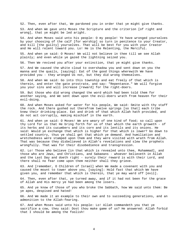52. Then, even after that, We pardoned you in order that ye might give thanks. 53. And when We gave unto Moses the Scripture and the criterion [of right and wrong], that ye might be led aright.

54. And when Moses said unto his people: O my people! Ye have wronged yourselves by your choosing of the calf [for worship] so turn in penitence to your Creator, and kill [the guilty] yourselves. That will be best for you with your Creator and He will relent toward you. Lo! He is the Relenting, the Merciful.

55. And when ye said: O Moses! We will not believe in thee till we see Allah plainly; and even while ye gazed the lightning seized you.

56. Then We revived you after your extinction, that ye might give thanks.

57. And We caused the white cloud to overshadow you and sent down on you the manna and the quails, [saying]: Eat of the good things wherewith We have provided you - they wronged Us not, but they did wrong themselves.

58. And when We said: Go into this township and eat freely of that which is therein, and enter the gate prostrate, and say: "Repentance." We will forgive you your sins and will increase [reward] for the right-doers.

59. But those who did wrong changed the word which had been told them for another saying, and We sent down upon the evil-doers wrath from heaven for their evil-doing.

60. And when Moses asked for water for his people, We said: Smite with thy staff the rock. And there gushed out therefrom twelve springs [so that] each tribe knew their drinking-place. Eat and drink of that which Allah hath provided, and do not act corruptly, making mischief in the earth.

61. And when ye said: O Moses! We are weary of one kind of food; so call upon thy Lord for us that He bring forth for us of that which the earth groweth - of its herbs and its cucumbers and its corn and its lentils and its onions. He said: Would ye exchange that which is higher for that which is lower? Go down to settled country, thus ye shall get that which ye demand. And humiliation and wretchedness were stamped upon them and they were visited with wrath from Allah. That was because they disbelieved in Allah's revelations and slew the prophets wrongfully. That was for their disobedience and transgression.

62. Lo! Those who believe [in that which is revealed unto thee, Muhammad], and those who are Jews, and Christians, and Sabaeans - whoever believeth in Allah and the Last Day and doeth right - surely their reward is with their Lord, and there shall no fear come upon them neither shall they grieve.

63. And [remember, O Children of Israel] when We made a covenant with you and caused the mount to tower above you, [saying]: Hold fast that which We have given you, and remember that which is therein, that ye may ward off [evil].

64. Then, even after that, ye turned away, and if it had not been for the grace of Allah and His mercy ye had been among the losers.

65. And ye know of those of you who broke the Sabbath, how We said unto them: Be ye apes, despised and hated!

66. And We made it an example to their own and to succeeding generations, and an admonition to the Allah-fearing.

67. And when Moses said unto his people: Lo! Allah commandeth you that ye sacrifice a cow, they said: Dost thou make game of us? He answered: Allah forbid that I should be among the foolish!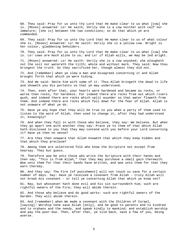68. They said: Pray for us unto thy Lord that He make clear to us what [cow] she is. [Moses] answered: Lo! He saith, Verily she is a cow neither with calf nor immature; [she is] between the two conditions; so do that which ye are commanded.

69. They said: Pray for us unto thy Lord that He make clear to us of what colour she is. [Moses] answered: Lo! He saith: Verily she is a yellow cow. Bright is her colour, gladdening beholders.

70. They said: Pray for us unto thy Lord that He make clear to us what [cow] she is. Lo! cows are much alike to us; and Lo! if Allah wills, we may be led aright.

71. [Moses] answered: Lo! He saith: Verily she is a cow unyoked; she plougheth not the soil nor watereth the tilth; whole and without mark. They said: Now thou bringest the truth. So they sacrificed her, though almost they did not.

72. And [remember] when ye slew a man and disagreed concerning it and Allah brought forth that which ye were hiding.

73. And We said: Smite him with some of it. Thus Allah bringeth the dead to life and showeth you His portents so that ye may understand.

74. Then, even after that, your hearts were hardened and became as rocks, or worse than rocks, for hardness. For indeed there are rocks from out which rivers gush, and indeed there are rocks which split asunder so that water floweth from them. And indeed there are rocks which fall down for the fear of Allah. Allah is not unaware of what ye do.

75. Have ye any hope that they will be true to you when a party of them used to listen to the word of Allah, then used to change it, after they had understood it, knowingly?

76. And when they fall in with those who believe, they say: We believe. But when they go apart one with another they say: Prate ye to them of that which Allah hath disclosed to you that they may contend with you before your Lord concerning it? Have ye then no sense?

77. Are they then unaware that Allah knoweth that which they keep hidden and that which they proclaim?

78. Among them are unlettered folk who know the Scripture not except from hearsay. They but guess.

79. Therefore woe be unto those who write the Scripture with their hands and then say, "This is from Allah," that they may purchase a small gain therewith. Woe unto them for that their hands have written, and woe unto them for that they earn thereby.

80. And they say: The Fire [of punishment] will not touch us save for a certain number of days. Say: Have ye received a covenant from Allah - truly Allah will not break His covenant - or tell ye concerning Allah that which ye know not?

81. Nay, but whosoever hath done evil and his sin surroundeth him; such are rightful owners of the Fire; they will abide therein.

82. And those who believe and do good works: such are rightful owners of the Garden. They will abide therein.

83. And [remember] when We made a covenant with the Children of Israel, [saying]: Worship none save Allah [only], and be good to parents and to kindred and to orphans and the needy, and speak kindly to mankind; and establish worship and pay the poor-due. Then, after that, ye slid back, save a few of you, being averse.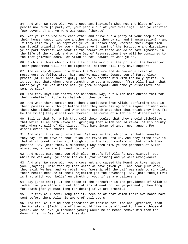84. And when We made with you a covenant [saying]: Shed not the blood of your people nor turn [a party of] your people out of your dwellings. Then ye ratified [Our covenant] and ye were witnesses [thereto].

85. Yet ye it is who slay each other and drive out a party of your people from their homes, supporting one another against them by sin and transgression? - and if they came to you as captives ye would ransom them, whereas their expulsion was itself unlawful for you - Believe ye in part of the Scripture and disbelieve ye in part thereof? And what is the reward of those who do so save ignominy in the life of the world, and on the Day of Resurrection they will be consigned to the most grievous doom. For Allah is not unaware of what ye do.

86. Such are those who buy the life of the world at the price of the Hereafter. Their punishment will not be lightened, neither will they have support.

87. And verily We gave unto Moses the Scripture and We caused a train of messengers to follow after him, and We gave unto Jesus, son of Mary, clear proofs [of Allah's sovereignty], and We supported him with the Holy spirit. Is it ever so, that, when there cometh unto you a messenger [from Allah] with that which ye yourselves desire not, ye grow arrogant, and some ye disbelieve and some ye slay?

88. And they say: Our hearts are hardened. Nay, but Allah hath cursed them for their unbelief. Little is that which they believe.

89. And when there cometh unto them a scripture from Allah, confirming that in their possession - though before that they were asking for a signal triumph over those who disbelieved - and when there cometh unto them that which they know [to be the truth] they disbelieve therein. The curse of Allah is on disbelievers.

90. Evil is that for which they sell their souls: that they should disbelieve in that which Allah hath revealed, grudging that Allah should reveal of His bounty unto whom He will of His slaves. They have incurred anger upon anger. For disbelievers is a shameful doom.

91. And when it is said unto them: Believe in that which Allah hath revealed, they say: We believe in that which was revealed unto us. And they disbelieve in that which cometh after it, though it is the truth confirming that which they possess. Say [unto them, O Muhammad]: Why then slew ye the prophets of Allah aforetime, if ye are [indeed] believers?

92. And Moses came unto you with clear proofs [of Allah's Sovereignty], yet, while he was away, ye chose the calf [for worship] and ye were wrong-doers.

93. And when We made with you a covenant and caused the Mount to tower above you, [saying]: Hold fast by that which We have given you, and hear [Our Word], they said: We hear and we rebel. And [worship of] the calf was made to sink into their hearts because of their rejection [of the covenant]. Say [unto them]: Evil is that which your belief enjoineth on you, if ye are believers.

94. Say [unto them]: If the abode of the Hereafter in the providence of Allah is indeed for you alone and not for others of mankind [as ye pretend], then long for death [for ye must long for death] if ye are truthful.

95. But they will never long for it, because of that which their own hands have sent before them. Allah is aware of evil-doers.

96. And thou wilt find them greediest of mankind for life and [greedier] than the idolaters. [Each] one of them would like to be allowed to live a thousand years. And to live [a thousand years] would be no means remove him from the doom. Allah is Seer of what they do.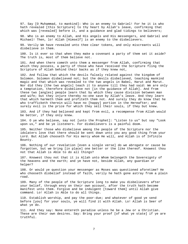97. Say [O Muhammad, to mankind]: Who is an enemy to Gabriel! For he it is who hath revealed [this Scripture] to thy heart by Allah's leave, confirming that which was [revealed] before it, and a guidance and glad tidings to believers;

98. Who is an enemy to Allah, and His angels and His messengers, and Gabriel and Michael! Then, lo! Allah [Himself] is an enemy to the disbelievers.

99. Verily We have revealed unto thee clear tokens, and only miscreants will disbelieve in them.

100. Is it ever so that when they make a covenant a party of them set it aside? The truth is, most of them believe not.

101. And when there cometh unto them a messenger from Allah, confirming that which they possess, a party of those who have received the Scripture fling the Scripture of Allah behind their backs as if they knew not,

102. And follow that which the devils falsely related against the kingdom of Solomon. Solomon disbelieved not; but the devils disbelieved, teaching mankind magic and that which was revealed to the two angels in Babel, Harut and Marut. Nor did they [the two angels] teach it to anyone till they had said: We are only a temptation, therefore disbelieve not [in the guidance of Allah]. And from these two [angles] people learn that by which they cause division between man and wife; but they injure thereby no-one save by Allah's leave. And they learn that which harmeth them and profiteth them not. And surely they do know that he who trafficketh therein will have no [happy] portion in the Hereafter; and surely evil is the price for which they sell their souls, if they but knew.

103. And if they had believed and kept from evil, a recompense from Allah would be better, if they only knew.

104. O ye who believe, say not [unto the Prophet]: "Listen to us" but say "Look upon us," and be ye listeners. For disbelievers is a painful doom.

105. Neither those who disbelieve among the people of the Scripture nor the idolaters love that there should be sent down unto you any good thing from your Lord. But Allah chooseth for His mercy whom He will, and Allah is of Infinite Bounty.

106. Nothing of our revelation [even a single verse] do we abrogate or cause be forgotten, but we bring [in place] one better or the like thereof. Knowest thou not that Allah is Able to do all things?

107. Knowest thou not that it is Allah unto Whom belongeth the Sovereignty of the heavens and the earth; and ye have not, beside Allah, any guardian or helper?

108. Or would ye question your messenger as Moses was questioned aforetime? He who chooseth disbelief instead of faith, verily he hath gone astray from a plain road.

109. Many of the people of the Scripture long to make you disbelievers after your belief, through envy on their own account, after the truth hath become manifest unto them. Forgive and be indulgent [toward them] until Allah give command. Lo! Allah is Able to do all things.

110. Establish worship, and pay the poor-due; and whatever of good ye send before [you] for your souls, ye will find it with Allah. Lo! Allah is Seer of what ye do.

111. And they say: None entereth paradise unless he be a Jew or a Christian. These are their own desires. Say: Bring your proof [of what ye state] if ye are truthful.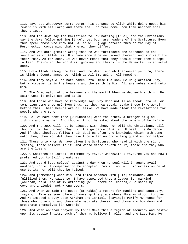112. Nay, but whosoever surrendereth his purpose to Allah while doing good, his reward is with his Lord; and there shall no fear come upon them neither shall they grieve.

113. And the Jews say the Christians follow nothing [true], and the Christians say the Jews follow nothing [true]; yet both are readers of the Scripture. Even thus speak those who know not. Allah will judge between them on the Day of Resurrection concerning that wherein they differ.

114. And who doth greater wrong than he who forbiddeth the approach to the sanctuaries of Allah lest His name should be mentioned therein, and striveth for their ruin. As for such, it was never meant that they should enter them except in fear. Theirs in the world is ignominy and theirs in the Hereafter is an awful doom.

115. Unto Allah belong the East and the West, and whithersoever ye turn, there is Allah's Countenance. Lo! Allah is All-Embracing, All-Knowing.

116. And they say: Allah hath taken unto Himself a son. Be He glorified! Nay, but whatsoever is in the heavens and the earth is His. All are subservient unto Him.

117. The Originator of the heavens and the earth! When He decreeth a thing, He saith unto it only: Be! and it is.

118. And those who have no knowledge say: Why doth not Allah speak unto us, or some sign come unto us? Even thus, as they now speak, spake those [who were] before them. Their hearts are all alike. We have made clear the revelations for people who are sure.

119. Lo! We have sent thee [O Muhammad] with the truth, a bringer of glad tidings and a warner. And thou wilt not be asked about the owners of hell-fire.

120. And the Jews will not be pleased with thee, nor will the Christians, till thou follow their creed. Say: Lo! the guidance of Allah [Himself] is Guidance. And if thou shouldst follow their desires after the knowledge which hath come unto thee, then wouldst thou have from Allah no protecting guardian nor helper.

121. Those unto whom We have given the Scripture, who read it with the right reading, those believe in it. And whoso disbelieveth in it, those are they who are the losers.

122. O Children of Israel! Remember My favour wherewith I favoured you and how I preferred you to [all] creatures.

123. And guard [yourselves] against a day when no soul will in aught avail another, nor will compensation be accepted from it, nor will intercession be of use to it; nor will they be helped.

124. And [remember] when his Lord tried Abraham with [His] commands, and he fulfilled them, He said: Lo! I have appointed thee a leader for mankind. [Abraham] said: And of my offspring [will there be leaders]? He said: My covenant includeth not wrong-doers.

125. And when We made the House [at Makka] a resort for mankind and sanctuary, [saying]: Take as your place of worship the place where Abraham stood [to pray]. And We imposed a duty upon Abraham and Ishmael, [saying]: Purify My house for those who go around and those who meditate therein and those who bow down and prostrate themselves [in worship].

126. And when Abraham prayed: My Lord! Make this a region of security and bestow upon its people fruits, such of them as believe in Allah and the Last Day, He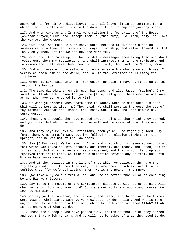answered: As for him who disbelieveth, I shall leave him in contentment for a while, then I shall compel him to the doom of Fire - a hapless journey's end!

127. And when Abraham and Ishmael were raising the foundations of the House, [Abraham prayed]: Our Lord! Accept from us [this duty]. Lo! Thou, only Thou, art the Hearer, the Knower.

128. Our Lord! And make us submissive unto Thee and of our seed a nation submissive unto Thee, and show us our ways of worship, and relent toward us. Lo! Thou, only Thou, art the Relenting, the Merciful.

129. Our Lord! And raise up in their midst a messenger from among them who shall recite unto them Thy revelations, and shall instruct them in the Scripture and in wisdom and shall make them grow. Lo! Thou, only Thou, art the Mighty, Wise.

130. And who forsaketh the religion of Abraham save him who befooleth himself? Verily We chose him in the world, and lo! in the Hereafter he is among the righteous.

131. When his Lord said unto him: Surrender! he said: I have surrendered to the Lord of the Worlds.

132. The same did Abraham enjoin upon his sons, and also Jacob, [saying]: O my sons! Lo! Allah hath chosen for you the [true] religion; therefore die not save as men who have surrendered [unto Him].

133. Or were ye present when death came to Jacob, when he said unto his sons: What will ye worship after me? They said: We shall worship thy god, the god of thy fathers, Abraham and Ishmael and Isaac, One Allah, and unto Him we have surrendered.

134. Those are a people who have passed away. Theirs is that which they earned, and yours is that which ye earn. And ye will not be asked of what they used to do.

135. And they say: Be Jews or Christians, then ye will be rightly guided. Say [unto them, O Muhammad]: Nay, but [we follow] the religion of Abraham, the upright, and he was not of the idolaters.

136. Say [O Muslims]: We believe in Allah and that which is revealed unto us and that which was revealed unto Abraham, and Ishmael, and Isaac, and Jacob, and the tribes, and that which Moses and Jesus received, and that which the prophets received from their Lord. We make no distinction between any of them, and unto Him we have surrendered.

137. And if they believe in the like of that which ye believe, then are they rightly guided. But if they turn away, then are they in schism, and Allah will suffice thee [for defence] against them. He is the Hearer, the Knower.

138. [We take our] colour from Allah, and who is better than Allah at colouring. We are His worshippers.

139. Say [unto the People of the Scripture]: Dispute ye with us concerning Allah when He is our Lord and your Lord? Ours are our works and yours your works. We look to Him alone.

140. Or say ye that Abraham, and Ishmael, and Isaac, and Jacob, and the tribes were Jews or Christians? Say: Do ye know best, or doth Allah? And who is more unjust than he who hideth a testimony which he hath received from Allah? Allah is not unaware of what ye do.

141. Those are a people who have passed away; theirs is that which they earned and yours that which ye earn. And ye will not be asked of what they used to do.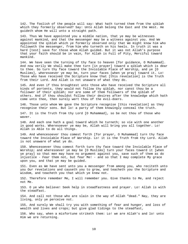142. The foolish of the people will say: What hath turned them from the qiblah which they formerly observed? Say: Unto Allah belong the East and the West. He guideth whom He will unto a straight path.

143. Thus We have appointed you a middle nation, that ye may be witnesses against mankind, and that the messenger may be a witness against you. And We appointed the qiblah which ye formerly observed only that We might know him who followeth the messenger, from him who turneth on his heels. In truth it was a hard [test] save for those whom Allah guided. But it was not Allah's purpose that your faith should be in vain, for Allah is Full of Pity, Merciful toward mankind.

144. We have seen the turning of thy face to heaven [for guidance, O Muhammad]. And now verily We shall make thee turn [in prayer] toward a qiblah which is dear to thee. So turn thy face toward the Inviolable Place of Worship, and ye [O Muslims], wheresoever ye may be, turn your faces [when ye pray] toward it. Lo! Those who have received the Scripture know that [this revelation] is the Truth from their Lord. And Allah is not unaware of what they do.

145. And even if thou broughtest unto those who have received the Scripture all kinds of portents, they would not follow thy qiblah, nor canst thou be a follower of their qiblah; nor are some of them followers of the qiblah of others. And if thou shouldst follow their desires after the knowledge which hath come unto thee, then surely wert thou of the evil-doers.

146. Those unto whom We gave the Scripture recognise [this revelation] as they recognise their sons. But lo! a party of them knowingly conceal the truth.

147. It is the Truth from thy Lord [O Muhammad], so be not thou of those who waver.

148. And each one hath a goal toward which he turneth; so vie with one another in good works. Wheresoever ye may be, Allah will bring you all together. Lo! Allah is Able to do all things.

149. And whencesoever thou comest forth [for prayer, O Muhammad] turn thy face toward the Inviolable Place of Worship. Lo! it is the Truth from thy Lord. Allah is not unaware of what ye do.

150. Whencesoever thou comest forth turn thy face toward the Inviolable Place of Worship; and wheresoever ye may be [O Muslims] turn your faces toward it [when ye pray] so that men may have no argument against you, save such of them as do injustice - Fear them not, but fear Me! - and so that I may complete My grace upon you, and that ye may be guided.

151. Even as We have sent unto you a messenger from among you, who reciteth unto you Our revelations and causeth you to grow, and teacheth you the Scripture and wisdom, and teacheth you that which ye knew not.

152. Therefore remember Me, I will remember you. Give thanks to Me, and reject not Me.

153. O ye who believe! Seek help in steadfastness and prayer. Lo! Allah is with the steadfast.

154. And call not those who are slain in the way of Allah "dead." Nay, they are living, only ye perceive not.

155. And surely We shall try you with something of fear and hunger, and loss of wealth and lives and crops; but give glad tidings to the steadfast,

156. Who say, when a misfortune striketh them: Lo! we are Allah's and lo! unto Him we are returning.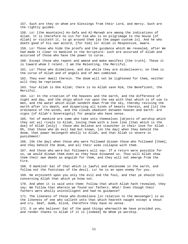157. Such are they on whom are blessings from their Lord, and mercy. Such are the rightly guided.

158. Lo! [the mountains] As-Safa and Al-Marwah are among the indications of Allah. It is therefore no sin for him who is on pilgrimage to the House [of Allah] or visiteth it, to go around them [as the pagan custom is]. And he who doeth good of his own accord, [for him] lo! Allah is Responsive, Aware.

159. Lo! Those who hide the proofs and the guidance which We revealed, after We had made it clear to mankind in the Scripture: such are accursed of Allah and accursed of those who have the power to curse.

160. Except those who repent and amend and make manifest [the truth]. These it is toward whom I relent. I am the Relenting, the Merciful.

161. Lo! Those who disbelieve, and die while they are disbelievers; on them is the curse of Allah and of angels and of men combined.

162. They ever dwell therein. The doom will not be lightened for them, neither will they be reprieved.

163. Your Allah is One Allah; there is no Allah save Him, the Beneficent, the Merciful.

164. Lo! In the creation of the heavens and the earth, and the difference of night and day, and the ships which run upon the sea with that which is of use to men, and the water which Allah sendeth down from the sky, thereby reviving the earth after its death, and dispersing all kinds of beasts therein, and [in] the ordinance of the winds, and the clouds obedient between heaven and earth: are signs [of Allah's Sovereignty] for people who have sense.

165. Yet of mankind are some who take unto themselves [objects of worship which they set as] rivals to Allah, loving them with a love like [that which is the due] of Allah [only] - those who believe are stauncher in their love for Allah - Oh, that those who do evil had but known, [on the day] when they behold the doom, that power belongeth wholly to Allah, and that Allah is severe in punishment!

166. [On the day] when those who were followed disown those who followed [them], and they behold the doom, and all their aims collapse with them.

167. And those who were but followers will say: If a return were possible for us, we would disown them even as they have disowned us. Thus will Allah show them their own deeds as anguish for them, and they will not emerge from the Fire.

168. O mankind! Eat of that which is lawful and wholesome in the earth, and follow not the footsteps of the devil. Lo! he is an open enemy for you.

169. He enjoineth upon you only the evil and the foul, and that ye should tell concerning Allah that which ye know not.

170. And when it is said unto them: Follow that which Allah hath revealed, they say: We follow that wherein we found our fathers. What! Even though their fathers were wholly unintelligent and had no guidance?

171. The likeness of those who disbelieve [in relation to the messenger] is as the likeness of one who calleth unto that which heareth naught except a shout and cry. Deaf, dumb, blind, therefore they have no sense.

172. O ye who believe! Eat of the good things wherewith We have provided you, and render thanks to Allah if it is [indeed] He Whom ye worship.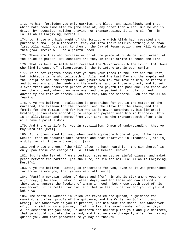173. He hath forbidden you only carrion, and blood, and swineflesh, and that which hath been immolated to [the name of] any other than Allah. But he who is driven by necessity, neither craving nor transgressing, it is no sin for him. Lo! Allah is Forgiving, Merciful.

174. Lo! those who hide aught of the Scripture which Allah hath revealed and purchase a small gain therewith, they eat into their bellies nothing else than fire. Allah will not speak to them on the Day of Resurrection, nor will He make them grow. Theirs will be a painful doom.

175. Those are they who purchase error at the price of guidance, and torment at the price of pardon. How constant are they in their strife to reach the Fire!

176. That is because Allah hath revealed the Scripture with the truth. Lo! those who find [a cause of] disagreement in the Scripture are in open schism.

177. It is not righteousness that ye turn your faces to the East and the West; but righteous is he who believeth in Allah and the Last Day and the angels and the Scripture and the prophets; and giveth wealth, for love of Him, to kinsfolk and to orphans and the needy and the wayfarer and to those who ask, and to set slaves free; and observeth proper worship and payeth the poor-due. And those who keep their treaty when they make one, and the patient in tribulation and adversity and time of stress. Such are they who are sincere. Such are the Allahfearing.

178. O ye who believe! Retaliation is prescribed for you in the matter of the murdered; the freeman for the freeman, and the slave for the slave, and the female for the female. And for him who is forgiven somewhat by his [injured] brother, prosecution according to usage and payment unto him in kindness. This is an alleviation and a mercy from your Lord. He who transgresseth after this will have a painful doom.

179. And there is life for you in retaliation, O men of understanding, that ye may ward off [evil].

180. It is prescribed for you, when death approacheth one of you, if he leave wealth, that he bequeath unto parents and near relatives in kindness. [This is] a duty for all those who ward off [evil].

181. And whoso changeth [the will] after he hath heard it - the sin thereof is only upon those who change it. Lo! Allah is Hearer, Knower.

182. But he who feareth from a testator some unjust or sinful clause, and maketh peace between the parties, [it shall be] no sin for him. Lo! Allah is Forgiving, Merciful.

183. O ye who believe! Fasting is prescribed for you, even as it was prescribed for those before you, that ye may ward off [evil];

184. [Fast] a certain number of days; and [for] him who is sick among you, or on a journey, [the same] number of other days; and for those who can afford it there is a ransom: the feeding of a man in need - but whoso doeth good of his own accord, it is better for him: and that ye fast is better for you if ye did but know -

185. The month of Ramadan in which was revealed the Qur'an, a guidance for mankind, and clear proofs of the guidance, and the Criterion [of right and wrong]. And whosoever of you is present, let him fast the month, and whosoever of you is sick or on a journey, [let him fast the same] number of other days. Allah desireth for you ease; He desireth not hardship for you; and [He desireth] that ye should complete the period, and that ye should magnify Allah for having guided you, and that peradventure ye may be thankful.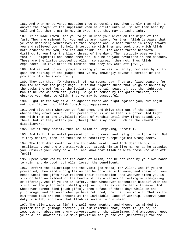186. And when My servants question thee concerning Me, then surely I am nigh. I answer the prayer of the suppliant when he crieth unto Me. So let them hear My call and let them trust in Me, in order that they may be led aright.

187. It is made lawful for you to go in unto your wives on the night of the fast. They are raiment for you and ye are raiment for them. Allah is Aware that ye were deceiving yourselves in this respect and He hath turned in mercy toward you and relieved you. So hold intercourse with them and seek that which Allah hath ordained for you, and eat and drink until the white thread becometh distinct to you from the black thread of the dawn. Then strictly observe the fast till nightfall and touch them not, but be at your devotions in the mosques. These are the limits imposed by Allah, so approach them not. Thus Allah expoundeth His revelation to mankind that they may ward off [evil].

188. And eat not up your property among yourselves in vanity, nor seek by it to gain the hearing of the judges that ye may knowingly devour a portion of the property of others wrongfully.

189. They ask thee, [O Muhammad], of new moons, say: They are fixed seasons for mankind and for the pilgrimage. It is not righteousness that ye go to houses by the backs thereof [as do the idolaters at certain seasons], but the righteous man is he who wardeth off [evil]. So go to houses by the gates thereof, and observe your duty to Allah, that ye may be successful.

190. Fight in the way of Allah against those who fight against you, but begin not hostilities. Lo! Allah loveth not aggressors.

191. And slay them wherever ye find them, and drive them out of the places whence they drove you out, for persecution is worse than slaughter. And fight not with them at the Inviolable Place of Worship until they first attack you there, but if they attack you [there] then slay them. Such is the reward of disbelievers.

192. But if they desist, then lo! Allah is Forgiving, Merciful.

193. And fight them until persecution is no more, and religion is for Allah. But if they desist, then let there be no hostility except against wrong-doers.

194. The forbidden month for the forbidden month, and forbidden things in retaliation. And one who attacketh you, attack him in like manner as he attacked you. Observe your duty to Allah, and know that Allah is with those who ward off [evil].

195. Spend your wealth for the cause of Allah, and be not cast by your own hands to ruin; and do good. Lo! Allah loveth the beneficent.

196. Perform the pilgrimage and the visit [to Makka] for Allah. And if ye are prevented, then send such gifts as can be obtained with ease, and shave not your heads until the gifts have reached their destination. And whoever among you is sick or hath an ailment of the head must pay a ransom of fasting or almsgiving or offering. And if ye are in safety, then whosoever contenteth himself with the visit for the pilgrimage [shall give] such gifts as can be had with ease. And whosoever cannot find [such gifts], then a fast of three days while on the pilgrimage, and of seven when ye have returned; that is, ten in all. That is for him whoso folk are not present at the Inviolable Place of Worship. Observe your duty to Allah, and know that Allah is severe in punishment.

197. The pilgrimage is [in] the well-known months, and whoever is minded to perform the pilgrimage therein [let him remember that] there is [to be] no lewdness nor abuse nor angry conversation on the pilgrimage. And whatsoever good ye do Allah knoweth it. So make provision for yourselves [Hereafter]; for the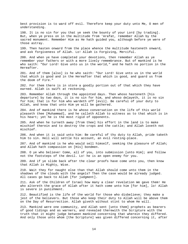best provision is to ward off evil. Therefore keep your duty unto Me, O men of understanding.

198. It is no sin for you that ye seek the bounty of your Lord [by trading]. But, when ye press on in the multitude from 'Arafat, remember Allah by the sacred monument. Remember Him as He hath guided you, although before ye were of those astray.

199. Then hasten onward from the place whence the multitude hasteneth onward, and ask forgiveness of Allah. Lo! Allah is Forgiving, Merciful.

200. And when ye have completed your devotions, then remember Allah as ye remember your fathers or with a more lively remembrance. But of mankind is he who saith: "Our Lord! Give unto us in the world," and he hath no portion in the Hereafter.

201. And of them [also] is he who saith: "Our Lord! Give unto us in the world that which is good and in the Hereafter that which is good, and guard us from the doom of Fire."

202. For them there is in store a goodly portion out of that which they have earned. Allah is swift at reckoning.

203. Remember Allah through the appointed days. Then whoso hasteneth [his departure] by two days, it is no sin for him, and whoso delayeth, it is no sin for him; that is for him who wardeth off [evil]. Be careful of your duty to Allah, and know that unto Him ye will be gathered.

204. And of mankind there is he whoso conversation on the life of this world pleaseth thee [Muhammad], and he calleth Allah to witness as to that which is in his heart; yet he is the most rigid of opponents.

205. And when he turneth away [from thee] his effort in the land is to make mischief therein and to destroy the crops and the cattle; and Allah loveth not mischief.

206. And when it is said unto him: Be careful of thy duty to Allah, pride taketh him to sin. Hell will settle his account, an evil resting-place.

207. And of mankind is he who would sell himself, seeking the pleasure of Allah; and Allah hath compassion on [His] bondmen.

208. O ye who believe! Come, all of you, into submission [unto Him]; and follow not the footsteps of the devil. Lo! he is an open enemy for you.

209. And if ye slide back after the clear proofs have come unto you, then know that Allah is Mighty, Wise.

210. Wait they for naught else than that Allah should come unto them in the shadows of the clouds with the angels? Then the case would be already judged. All cases go back to Allah [for judgment].

211. Ask of the Children of Israel how many a clear revelation We gave them! He who altereth the grace of Allah after it hath come unto him [for him], lo! Allah is severe in punishment.

212. Beautified is the life of the world for those who disbelieve; they make a jest of the believers. But those who keep their duty to Allah will be above them on the Day of Resurrection. Allah giveth without stint to whom He will.

213. Mankind were one community, and Allah sent [unto them] prophets as bearers of good tidings and as warners, and revealed therewith the Scripture with the truth that it might judge between mankind concerning that wherein they differed. And only those unto whom [the Scripture] was given differed concerning it, after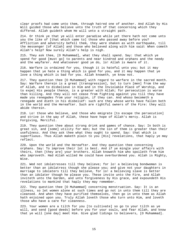clear proofs had come unto them, through hatred one of another. And Allah by His Will guided those who believe unto the truth of that concerning which they differed. Allah guideth whom He will unto a straight path.

214. Or think ye that ye will enter paradise while yet there hath not come unto you the like of [that which came to] those who passed away before you? Affliction and adversity befell them, they were shaken as with earthquake, till the messenger [of Allah] and those who believed along with him said: When cometh Allah's help? Now surely Allah's help is nigh.

215. They ask thee, [O Muhammad], what they shall spend. Say: that which ye spend for good [must go] to parents and near kindred and orphans and the needy and the wayfarer. And whatsoever good ye do, lo! Allah is Aware of it.

216. Warfare is ordained for you, though it is hateful unto you; but it may happen that ye hate a thing which is good for you, and it may happen that ye love a thing which is bad for you. Allah knoweth, ye know not.

217. They question thee [O Muhammad] with regard to warfare in the sacred month. Say: Warfare therein is a great [transgression], but to turn [men] from the way of Allah, and to disbelieve in Him and in the Inviolable Place of Worship, and to expel His people thence, is a greater with Allah; for persecution is worse than killing. And they will not cease from fighting against you till they have made you renegades from your religion, if they can. And whoso becometh a renegade and dieth in his disbelief: such are they whose works have fallen both in the world and the Hereafter. Such are rightful owners of the Fire: they will abide therein.

218. Lo! those who believe, and those who emigrate [to escape the persecution] and strive in the way of Allah, these have hope of Allah's mercy. Allah is Forgiving, Merciful.

219. They question thee about strong drink and games of chance. Say: In both is great sin, and [some] utility for men; but the sin of them is greater than their usefulness. And they ask thee what they ought to spend. Say: that which is superfluous. Thus Allah maketh plain to you [His] revelations, that haply ye may reflect.

220. Upon the world and the Hereafter. And they question thee concerning orphans. Say: To improve their lot is best. And if ye mingle your affairs with theirs, then [they are] your brothers. Allah knoweth him who spoileth from him who improveth. Had Allah willed He could have overburdened you. Allah is Mighty, Wise.

221. Wed not idolatresses till they believe; for lo! a believing bondwoman is better than an idolatress though she please you; and give not your daughters in marriage to idolaters till they believe, for lo! a believing slave is better than an idolater though he please you. These invite unto the Fire, and Allah inviteth unto the Garden, and unto forgiveness by His grace, and expoundeth His revelations to mankind that haply they may remember.

222. They question thee [O Muhammad] concerning menstruation. Say: It is an illness, so let women alone at such times and go not in unto them till they are cleansed. And when they have purified themselves, then go in unto them as Allah hath enjoined upon you. Truly Allah loveth those who turn unto Him, and loveth those who have a care for cleanness.

223. Your women are a tilth for you [to cultivate] so go to your tilth as ye will, and send [good deeds] before you for your souls, and fear Allah, and know that ye will [one day] meet Him. Give glad tidings to believers, [O Muhammad].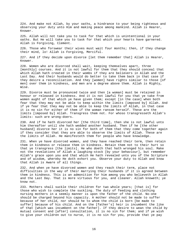224. And make not Allah, by your oaths, a hindrance to your being righteous and observing your duty unto Him and making peace among mankind. Allah is Hearer, Knower.

225. Allah will not take you to task for that which is unintentional in your oaths. But He will take you to task for that which your hearts have garnered. Allah is Forgiving, Clement.

226. Those who forswear their wives must wait four months; then, if they change their mind, lo! Allah is Forgiving, Merciful.

227. And if they decide upon divorce [let them remember that] Allah is Hearer, Knower.

228. Women who are divorced shall wait, keeping themselves apart, three [monthly] courses. And it is not lawful for them that they should conceal that which Allah hath created in their wombs if they are believers in Allah and the Last Day. And their husbands would do better to take them back in that case if they desire a reconciliation. And they [women] have rights similar to those [of men] over them in kindness, and men are a degree above them. Allah is Mighty, Wise.

229. Divorce must be pronounced twice and then [a woman] must be retained in honour or released in kindness. And it is not lawful for you that ye take from women aught of that which ye have given them; except [in the case] when both fear that they may not be able to keep within the limits [imposed by] Allah. And if ye fear that they may not be able to keep the limits of Allah, in that case it is no sin for either of them if the woman ransom herself. These are the limits [imposed by] Allah. Transgress them not. For whoso transgresseth Allah's limits: such are wrong-doers.

230. And if he hath divorced her [the third time], then she is not lawful unto him thereafter until she hath wedded another husband. Then if he [the other husband] divorce her it is no sin for both of them that they come together again if they consider that they are able to observe the limits of Allah. These are the limits of Allah. He manifesteth them for people who have knowledge.

231. When ye have divorced women, and they have reached their term, then retain them in kindness or release them in kindness. Retain them not to their hurt so that ye transgress [the limits]. He who doeth that hath wronged his soul. Make not the revelations of Allah a laughing-stock [by your behaviour], but remember Allah's grace upon you and that which He hath revealed unto you of the Scripture and of wisdom, whereby He doth exhort you. Observe your duty to Allah and know that Allah is Aware of all things.

232. And when ye have divorced women and they reach their term, place not difficulties in the way of their marrying their husbands if it is agreed between them in kindness. This is an admonition for him among you who believeth in Allah and the Last Day. That is more virtuous for you, and cleaner. Allah knoweth; ye know not.

233. Mothers shall suckle their children for two whole years; [that is] for those who wish to complete the suckling. The duty of feeding and clothing nursing mothers in a seemly manner is upon the father of the child. No-one should be charged beyond his capacity. A mother should not be made to suffer because of her child, nor should he to whom the child is born [be made to suffer] because of his child. And on the [father's] heir is incumbent the like of that [which was incumbent on the father]. If they desire to wean the child by mutual consent and [after] consultation, it is no sin for them; and if ye wish to give your children out to nurse, it is no sin for you, provide that ye pay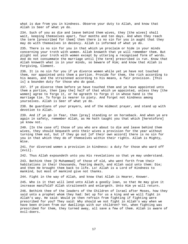what is due from you in kindness. Observe your duty to Allah, and know that Allah is Seer of what ye do.

234. Such of you as die and leave behind them wives, they [the wives] shall wait, keeping themselves apart, four months and ten days. And when they reach the term [prescribed for them] then there is no sin for you in aught that they may do with themselves in decency. Allah is informed of what ye do.

235. There is no sin for you in that which ye proclaim or hide in your minds concerning your troth with women. Allah knoweth that ye will remember them. But plight not your troth with women except by uttering a recognised form of words. And do not consummate the marriage until [the term] prescribed is run. Know that Allah knoweth what is in your minds, so beware of Him; and know that Allah is Forgiving, Clement.

236. It is no sin for you if ye divorce women while yet ye have not touched them, nor appointed unto them a portion. Provide for them, the rich according to his means, and the straitened according to his means, a fair provision. [This is] a bounden duty for those who do good.

237. If ye divorce them before ye have touched them and ye have appointed unto them a portion, then [pay the] half of that which ye appointed, unless they [the women] agree to forgo it, or he agreeth to forgo it in whose hand is the marriage tie. To forgo is nearer to piety. And forget not kindness among yourselves. Allah is Seer of what ye do.

238. Be guardians of your prayers, and of the midmost prayer, and stand up with devotion to Allah.

239. And if ye go in fear, then [pray] standing or on horseback. And when ye are again in safety, remember Allah, as He hath taught you that which [heretofore] ye knew not.

240. [In the case of] those of you who are about to die and leave behind them wives, they should bequeath unto their wives a provision for the year without turning them out, but if they go out [of their own accord] there is no sin for you in that which they do of themselves within their rights. Allah is Mighty, Wise.

241. For divorced women a provision in kindness: a duty for those who ward off [evil].

242. Thus Allah expoundeth unto you His revelations so that ye may understand.

243. Bethink thee [O Muhammad] of those of old, who went forth from their habitations in their thousands, fearing death, and Allah said unto them: Die; and then He brought them back to life. Lo! Allah is a Lord of Kindness to mankind, but most of mankind give not thanks.

244. Fight in the way of Allah, and know that Allah is Hearer, Knower.

245. Who is it that will lend unto Allah a goodly loan, so that He may give it increase manifold? Allah straiteneth and enlargeth. Unto Him ye will return.

246. Bethink thee of the leaders of the Children of Israel after Moses, how they said unto a prophet whom they had: Set up for us a king and we will fight in Allah's way. He said: Would ye then refrain from fighting if fighting were prescribed for you? They said: Why should we not fight in Allah's way when we have been driven from our dwellings with our children? Yet, when fighting was prescribed for them, they turned away, all save a few of them. Allah is aware of evil-doers.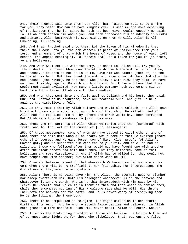247. Their Prophet said unto them: Lo! Allah hath raised up Saul to be a king for you. They said: How can he have kingdom over us when we are more deserving of the kingdom than he is, since he hath not been given wealth enough? He said: Lo! Allah hath chosen him above you, and hath increased him abundantly in wisdom and stature. Allah bestoweth His Sovereignty on whom He will. Allah is All-Embracing, All-Knowing.

248. And their Prophet said unto them: Lo! the token of his kingdom is that there shall come unto you the ark wherein is peace of reassurance from your Lord, and a remnant of that which the house of Moses and the house of Aaron left behind, the angels bearing it. Lo! herein shall be a token for you if [in truth] ye are believers.

249. And when Saul set out with the army, he said: Lo! Allah will try you by [the ordeal of] a river. Whosoever therefore drinketh thereof he is not of me, and whosoever tasteth it not he is of me, save him who taketh [thereof] in the hollow of his hand. But they drank thereof, all save a few of them. And after he had crossed [the river], he and those who believed with him, they said: We have no power this day against Goliath and his hosts. But those who knew that they would meet Allah exclaimed: How many a little company hath overcome a mighty host by Allah's leave! Allah is with the steadfast.

250. And when they went into the field against Goliath and his hosts they said: Our Lord! Bestow on us endurance, make our foothold sure, and give us help against the disbelieving folk.

251. So they routed them by Allah's leave and David slew Goliath; and Allah gave him the kingdom and wisdom, and taught him of that which He willeth. And if Allah had not repelled some men by others the earth would have been corrupted. But Allah is a Lord of Kindness to [His] creatures.

252. These are the portents of Allah which We recite unto thee [Muhammad] with truth, and lo! thou art of the number of [Our] messengers;

253. Of those messengers, some of whom We have caused to excel others, and of whom there are some unto whom Allah spake, while some of them He exalted [above others] in degree; and We gave Jesus, son of Mary, clear proofs [of Allah's Sovereignty] and We supported him with the holy Spirit. And if Allah had so wiled it, those who followed after them would not have fought one with another after the clear proofs had come unto them. But they differed, some of them believing and some disbelieving. And if Allah had so willed it, they would not have fought one with another; but Allah doeth what He will.

254. O ye who believe! spend of that wherewith We have provided you ere a day come when there will be no trafficking, nor friendship, nor intercession. The disbelievers, they are the wrong-doers.

255. Allah! There is no deity save Him, the Alive, the Eternal. Neither slumber nor sleep overtaketh Him. Unto Him belongeth whatsoever is in the heavens and whatsoever is in the earth. Who is he that intercedeth with Him save by His leave? He knoweth that which is in front of them and that which is behind them, while they encompass nothing of His knowledge save what He will. His throne includeth the heavens and the earth, and He is never weary of preserving them. He is the Sublime, the Tremendous.

256. There is no compulsion in religion. The right direction is henceforth distinct from error. And he who rejecteth false deities and believeth in Allah hath grasped a firm handhold which will never break. Allah is Hearer, Knower.

257. Allah is the Protecting Guardian of those who believe. He bringeth them out of darkness into light. As for those who disbelieve, their patrons are false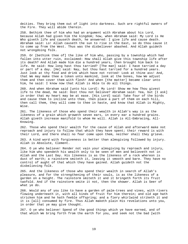deities. They bring them out of light into darkness. Such are rightful owners of the Fire. They will abide therein.

258. Bethink thee of him who had an argument with Abraham about his Lord, because Allah had given him the kingdom; how, when Abraham said: My Lord is He Who giveth life and causeth death, he answered: I give life and cause death. Abraham said: Lo! Allah causeth the sun to rise in the East, so do thou cause it to come up from the West. Thus was the disbeliever abashed. And Allah guideth not wrongdoing folk.

259. Or [bethink thee of] the like of him who, passing by a township which had fallen into utter ruin, exclaimed: How shall Allah give this township life after its death? And Allah made him die a hundred years, then brought him back to life. He said: How long hast thou tarried? [The man] said: I have tarried a day or part of a day. [He] said: Nay, but thou hast tarried for a hundred years. Just look at thy food and drink which have not rotted! Look at thine ass! And, that We may make thee a token unto mankind, look at the bones, how We adjust them and then cover them with flesh! And when [the matter] became clear unto him, he said: I know now that Allah is Able to do all things.

260. And when Abraham said [unto his Lord]: My Lord! Show me how Thou givest life to the dead, He said: Dost thou not believe? Abraham said: Yea, but [I ask] in order that my heart may be at ease. [His Lord] said: Take four of the birds and cause them to incline unto thee, then place a part of them on each hill, then call them, they will come to thee in haste, and know that Allah is Mighty, Wise.

261. The likeness of those who spend their wealth in Allah's way is as the likeness of a grain which groweth seven ears, in every ear a hundred grains. Allah giveth increase manifold to whom He will. Allah is All-Embracing, All-Knowing.

262. Those who spend their wealth for the cause of Allah and afterward make not reproach and injury to follow that which they have spent; their reward is with their Lord, and there shall no fear come upon them, neither shall they grieve.

263. A kind word with forgiveness is better than almsgiving followed by injury. Allah is Absolute, Clement.

264. O ye who believe! Render not vain your almsgiving by reproach and injury, like him who spendeth his wealth only to be seen of men and believeth not in Allah and the Last Day. His likeness is as the likeness of a rock whereon is dust of earth; a rainstorm smiteth it, leaving it smooth and bare. They have no control of aught of that which they have gained. Allah guideth not the disbelieving folk.

265. And the likeness of those who spend their wealth in search of Allah's pleasure, and for the strengthening of their souls, is as the likeness of a garden on a height. The rainstorm smiteth it and it bringeth forth its fruit twofold. And if the rainstorm smite it not, then the shower. Allah is Seer of what ye do.

266. Would any of you like to have a garden of palm-trees and vines, with rivers flowing underneath it, with all kinds of fruit for him therein; and old age hath stricken him and he hath feeble offspring; and a fiery whirlwind striketh it and it is [all] consumed by fire. Thus Allah maketh plain His revelations unto you, in order that ye may give thought.

267. O ye who believe! Spend of the good things which ye have earned, and of that which We bring forth from the earth for you, and seek not the bad [with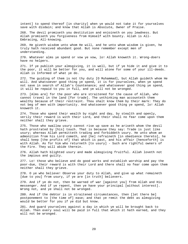intent] to spend thereof [in charity] when ye would not take it for yourselves save with disdain; and know that Allah is Absolute, Owner of Praise.

268. The devil promiseth you destitution and enjoineth on you lewdness. But Allah promiseth you forgiveness from Himself with bounty. Allah is All-Embracing, All-knowing.

269. He giveth wisdom unto whom He will, and he unto whom wisdom is given, he truly hath received abundant good. But none remember except men of understanding.

270. Whatever alms ye spend or vow ye vow, lo! Allah knoweth it. Wrong-doers have no helpers.

271. If ye publish your almsgiving, it is well, but if ye hide it and give it to the poor, it will be better for you, and will atone for some of your ill-deeds. Allah is Informed of what ye do.

272. The guiding of them is not thy duty [O Muhammad], but Allah guideth whom He will. And whatsoever good thing ye spend, it is for yourselves, when ye spend not save in search of Allah's Countenance; and whatsoever good thing ye spend, it will be repaid to you in full, and ye will not be wronged.

273. [Alms are] for the poor who are straitened for the cause of Allah, who cannot travel in the land [for trade]. The unthinking man accounteth them wealthy because of their restraint. Thou shalt know them by their mark: They do not beg of men with importunity. And whatsoever good thing ye spend, lo! Allah knoweth it.

274. Those who spend their wealth by night and day, by stealth and openly, verily their reward is with their Lord, and their shall no fear come upon them neither shall they grieve.

275. Those who swallow usury cannot rise up save as he ariseth whom the devil hath prostrated by [his] touch. That is because they say: Trade is just like usury; whereas Allah permitteth trading and forbiddeth usury. He unto whom an admonition from his Lord cometh, and [he] refraineth [in obedience thereto], he shall keep [the profits of] that which is past, and his affair [henceforth] is with Allah. As for him who returneth [to usury] - Such are rightful owners of the Fire. They will abide therein.

276. Allah hath blighted usury and made almsgiving fruitful. Allah loveth not the impious and guilty.

277. Lo! those who believe and do good works and establish worship and pay the poor-due, their reward is with their Lord and there shall no fear come upon them neither shall they grieve.

278. O ye who believe! Observe your duty to Allah, and give up what remaineth [due to you] from usury, if ye are [in truth] believers.

279. And if ye do not, then be warned of war [against you] from Allah and His messenger. And if ye repent, then ye have your principal [without interest]. Wrong not, and ye shall not be wronged.

280. And if the debtor is in straitened circumstances, then [let there be] postponement to [the time of] ease; and that ye remit the debt as almsgiving would be better for you if ye did but know.

281. And guard yourselves against a day in which ye will be brought back to Allah. Then every soul will be paid in full that which it hath earned, and they will not be wronged.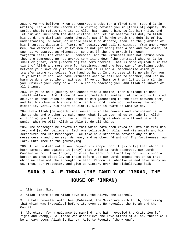282. O ye who believe! When ye contract a debt for a fixed term, record it in writing. Let a scribe record it in writing between you in [terms of] equity. No scribe should refuse to write as Allah hath taught him, so let him write, and let him who incurreth the debt dictate, and let him observe his duty to Allah his Lord, and diminish naught thereof. But if he who oweth the debt is of low understanding, or weak, or unable himself to dictate, then let the guardian of his interests dictate in [terms of] equity. And call to witness, from among your men, two witnesses. And if two men be not [at hand] then a man and two women, of such as ye approve as witnesses, so that if the one erreth [through forgetfulness] the other will remember. And the witnesses must not refuse when they are summoned. Be not averse to writing down [the contract] whether it be small or great, with [record of] the term thereof. That is more equitable in the sight of Allah and more sure for testimony, and the best way of avoiding doubt between you; save only in the case when it is actual merchandise which ye transfer among yourselves from hand to hand. In that case it is no sin for you if ye write it not. And have witnesses when ye sell one to another, and let no harm be done to scribe or witness. If ye do [harm to them] lo! it is a sin in you. Observe your duty to Allah. Allah is teaching you. And Allah is knower of all things.

283. If ye be on a journey and cannot find a scribe, then a pledge in hand [shall suffice]. And if one of you entrusteth to another let him who is trusted deliver up that which is entrusted to him [according to the pact between them] and let him observe his duty to Allah his Lord. Hide not testimony. He who hideth it, verily his heart is sinful. Allah is Aware of what ye do.

284. Unto Allah [belongeth] whatsoever is in the heavens and whatsoever is in the earth; and whether ye make known what is in your minds or hide it, Allah will bring you to account for it. He will forgive whom He will and He will punish whom He will. Allah is Able to do all things.

285. The messenger believeth in that which hath been revealed unto him from his Lord and [so do] believers. Each one believeth in Allah and His angels and His scriptures and His messengers - We make no distinction between any of His messengers - and they say: We hear, and we obey. [Grant us] Thy forgiveness, our Lord. Unto Thee is the journeying.

286. Allah tasketh not a soul beyond its scope. For it [is only] that which it hath earned, and against it [only] that which it hath deserved. Our Lord! Condemn us not if we forget, or miss the mark! Our Lord! Lay not on us such a burden as thou didst lay on those before us! Our Lord! Impose not on us that which we have not the strength to bear! Pardon us, absolve us and have mercy on us, Thou, our Protector, and give us victory over the disbelieving folk.

## <span id="page-24-0"></span>**SURA 3. AL-E-IMRAN (THE FAMILY OF 'IMRAN, THE**

#### **HOUSE OF 'IMRAN)**

1. Alim. Lam. Mim.

2. Allah! There is no Allah save Him, the Alive, the Eternal.

3. He hath revealed unto thee [Muhammad] the Scripture with truth, confirming that which was [revealed] before it, even as He revealed the Torah and the Gospel.

4. Aforetime, for a guidance to mankind; and hath revealed the Criterion [of right and wrong]. Lo! those who disbelieve the revelations of Allah, theirs will be a heavy doom. Allah is Mighty, Able to Requite [the wrong].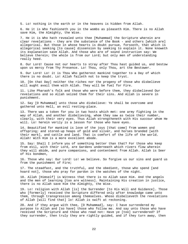5. Lo! nothing in the earth or in the heavens is hidden from Allah.

6. He it is Who fashioneth you in the wombs as pleaseth Him. There is no Allah save Him, the Almighty, the Wise.

7. He it is Who hath revealed unto thee [Muhammad] the Scripture wherein are clear revelations - they are the substance of the Book - and others [which are] allegorical. But those in whose hearts is doubt pursue, forsooth, that which is allegorical seeking [to cause] dissension by seeking to explain it. None knoweth its explanation save Allah. And those who are of sound instruction say: We believe therein; the whole is from our Lord; but only men of understanding really heed.

8. Our Lord! Cause not our hearts to stray after Thou hast guided us, and bestow upon us mercy from Thy Presence. Lo! Thou, only Thou, art the Bestower.

9. Our Lord! Lo! it is Thou Who gatherest mankind together to a Day of which there is no doubt. Lo! Allah faileth not to keep the tryst.

10. [On that Day] neither the riches nor the progeny of those who disbelieve will aught avail them with Allah. They will be fuel for Fire.

11. Like Pharaoh's folk and those who were before them, they disbelieved Our revelations and so Allah seized them for their sins. And Allah is severe in punishment.

12. Say [O Muhammad] unto those who disbelieve: Ye shall be overcome and gathered unto Hell, an evil resting-place.

13. There was a token for you in two hosts which met: one army fighting in the way of Allah, and another disbelieving, whom they saw as twice their number, clearly, with their very eyes. Thus Allah strengtheneth with His succour whom He will. Lo! herein verily is a lesson for those who have eyes.

14. Beautified for mankind is love of the joys [that come] from women and offspring; and stored-up heaps of gold and silver, and horses branded [with their mark], and cattle and land. That is comfort of the life of the world. Allah! With Him is a more excellent abode.

15. Say: Shall I inform you of something better than that? For those who keep from evil, with their Lord, are Gardens underneath which rivers flow wherein they will abide, and pure companions, and contentment from Allah. Allah is Seer of His bondmen,

16. Those who say: Our Lord! Lo! we believe. So forgive us our sins and guard us from the punishment of Fire;

17. The steadfast, and the truthful, and the obedient, those who spend [and hoard not], those who pray for pardon in the watches of the night.

18. Allah [Himself] is Witness that there is no Allah save Him. And the angels and the men of learning [too are witness]. Maintaining His creation in justice, there is no Allah save Him the Almighty, the Wise.

19. Lo! religion with Allah [is] the Surrender [to His Will and Guidance]. Those who [formerly] received the Scripture differed only after knowledge came unto them, through transgression among themselves. Whoso disbelieveth the revelations of Allah [will find that] lo! Allah is swift at reckoning.

20. And if they argue with thee, [O Muhammad], say: I have surrendered my purpose to Allah and [so have] those who follow me. And say unto those who have received the Scripture and those who read not: Have ye [too] surrendered? If they surrender, then truly they are rightly guided, and if they turn away, then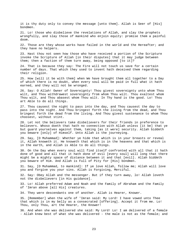it is thy duty only to convey the message [unto them]. Allah is Seer of [His] bondmen.

21. Lo! those who disbelieve the revelations of Allah, and slay the prophets wrongfully, and slay those of mankind who enjoin equity: promise them a painful doom.

22. Those are they whose works have failed in the world and the Hereafter; and they have no helpers.

23. Hast thou not seen how those who have received a portion of the Scripture invoke the Scripture of Allah [in their disputes] that it may judge between them; then a faction of them turn away, being opposed [to it]?

24. That is because they say: The Fire will not touch us save for a certain number of days. That which they used to invent hath deceived them regarding their religion.

25. How [will it be with them] when We have brought them all together to a Day of which there is no doubt, when every soul will be paid in full what it hath earned, and they will not be wronged.

26. Say: O Allah! Owner of Sovereignty! Thou givest sovereignty unto whom Thou wilt, and Thou withdrawest sovereignty from whom Thou wilt. Thou exaltest whom Thou wilt, and Thou abasest whom Thou wilt. In Thy hand is the good. Lo! Thou art Able to do all things.

27. Thou causest the night to pass into the day, and Thou causest the day to pass into the night. And Thou bringest forth the living from the dead, and Thou bringest forth the dead from the living. And Thou givest sustenance to whom Thou choosest, without stint.

28. Let not the believers take disbelievers for their friends in preference to believers. Whoso doeth that hath no connection with Allah unless [it be] that ye but guard yourselves against them, taking [as it were] security. Allah biddeth you beware [only] of Himself. Unto Allah is the journeying.

29. Say, [O Muhammad]: Whether ye hide that which is in your breasts or reveal it, Allah knoweth it. He knoweth that which is in the heavens and that which is in the earth, and Allah is Able to do all things.

30. On the Day when every soul will find itself confronted with all that it hath done of good and all that it hath done of evil [every soul] will long that there might be a mighty space of distance between it and that [evil]. Allah biddeth you beware of Him. And Allah is Full of Pity for [His] bondmen.

31. Say, [O Muhammad, to mankind]: If ye love Allah, follow me; Allah will love you and forgive you your sins. Allah is Forgiving, Merciful.

32. Say: Obey Allah and the messenger. But if they turn away, lo! Allah loveth not the disbelievers [in His guidance].

33. Lo! Allah preferred Adam and Noah and the Family of Abraham and the Family of 'Imran above [all His] creatures.

34. They were descendants one of another. Allah is Hearer, Knower.

35. [Remember] when the wife of 'Imran said: My Lord! I have vowed unto Thee that which is in my belly as a consecrated [offering]. Accept it from me. Lo! Thou, only Thou, art the Hearer, the Knower!

36. And when she was delivered she said: My Lord! Lo! I am delivered of a female - Allah knew best of what she was delivered - the male is not as the female; and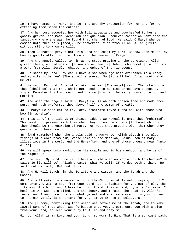lo! I have named her Mary, and lo! I crave Thy protection for her and for her offspring from Satan the outcast.

37. And her Lord accepted her with full acceptance and vouchsafed to her a goodly growth; and made Zachariah her guardian. Whenever Zachariah went into the sanctuary where she was, he found that she had food. He said: O Mary! Whence cometh unto thee this [food]? She answered: It is from Allah. Allah giveth without stint to whom He will.

38. Then Zachariah prayed unto his Lord and said: My Lord! Bestow upon me of Thy bounty goodly offspring. Lo! Thou art the Hearer of Prayer.

39. And the angels called to him as he stood praying in the sanctuary: Allah giveth thee glad tidings of [a son whose name is] John, [who cometh] to confirm a word from Allah lordly, chaste, a prophet of the righteous.

40. He said: My Lord! How can I have a son when age hath overtaken me already and my wife is barren? [The angel] answered: So [it will be]. Allah doeth what He will.

41. He said: My Lord! Appoint a token for me. [The angel] said: The token unto thee [shall be] that thou shalt not speak unto mankind three days except by signs. Remember thy Lord much, and praise [Him] in the early hours of night and morning.

42. And when the angels said: O Mary! Lo! Allah hath chosen thee and made thee pure, and hath preferred thee above [all] the women of creation.

43. O Mary! Be obedient to thy Lord, prostrate thyself and bow with those who bow [in worship].

44. This is of the tidings of things hidden. We reveal it unto thee [Muhammad]. Thou wast not present with them when they threw their pens [to know] which of them should be the guardian of Mary, nor wast thou present with them when they quarrelled [thereupon].

45. [And remember] when the angels said: O Mary! Lo! Allah giveth thee glad tidings of a word from him, whose name is the Messiah, Jesus, son of Mary, illustrious in the world and the Hereafter, and one of those brought near [unto Allah].

46. He will speak unto mankind in his cradle and in his manhood, and he is of the righteous.

47. She said: My Lord! How can I have a child when no mortal hath touched me? He said: So [it will be]. Allah createth what He will. If He decreeth a thing, He saith unto it only: Be! and it is.

48. And He will teach him the Scripture and wisdom, and the Torah and the Gospel,

49. And will make him a messenger unto the Children of Israel, [saying]: Lo! I come unto you with a sign from your Lord. Lo! I fashion for you out of clay the likeness of a bird, and I breathe into it and it is a bird, by Allah's leave. I heal him who was born blind, and the leper, and I raise the dead, by Allah's leave. And I announce unto you what ye eat and what ye store up in your houses. Lo! herein verily is a portent for you, if ye are to be believers.

50. And [I come] confirming that which was before me of the Torah, and to make lawful some of that which was forbidden unto you. I come unto you with a sign from your Lord, so keep your duty to Allah and obey me.

51. Lo! Allah is my Lord and your Lord, so worship Him. That is a straight path.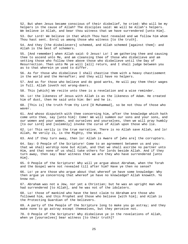52. But when Jesus became conscious of their disbelief, he cried: Who will be my helpers in the cause of Allah? The disciples said: We will be Allah's helpers. We believe in Allah, and bear thou witness that we have surrendered [unto Him].

53. Our Lord! We believe in that which Thou hast revealed and we follow him whom Thou hast sent. Enrol us among those who witness [to the truth].

54. And they [the disbelievers] schemed, and Allah schemed [against them]: and Allah is the best of schemers.

55. [And remember] when Allah said: O Jesus! Lo! I am gathering thee and causing thee to ascend unto Me, and am cleansing thee of those who disbelieve and am setting those who follow thee above those who disbelieve until the Day of Resurrection. Then unto Me ye will [all] return, and I shall judge between you as to that wherein ye used to differ.

56. As for those who disbelieve I shall chastise them with a heavy chastisement in the world and the Hereafter; and they will have no helpers.

57. And as for those who believe and do good works, He will pay them their wages in full. Allah loveth not wrong-doers.

58. This [which] We recite unto thee is a revelation and a wise reminder.

59. Lo! the likeness of Jesus with Allah is as the likeness of Adam. He created him of dust, then He said unto him: Be! and he is.

60. [This is] the truth from thy Lord [O Muhammad], so be not thou of those who waver.

61. And whoso disputeth with thee concerning him, after the knowledge which hath come unto thee, say [unto him]: Come! We will summon our sons and your sons, and our women and your women, and ourselves and yourselves, then we will pray humbly [to our Lord] and [solemnly] invoke the curse of Allah upon those who lie.

62. Lo! This verily is the true narrative. There is no Allah save Allah, and lo! Allah, He verily is, is the Mighty, the Wise.

63. And if they turn away, then lo! Allah is Aware of [who are] the corrupters.

64. Say: O People of the Scripture! Come to an agreement between us and you: that we shall worship none but Allah, and that we shall ascribe no partner unto Him, and that none of us shall take others for lords beside Allah. And if they turn away, then say: Bear witness that we are they who have surrendered [unto Him].

65. O People of the Scripture! Why will ye argue about Abraham, when the Torah and the Gospel were not revealed till after him? Have ye then no sense?

66. Lo! ye are those who argue about that whereof ye have some knowledge: Why then argue ye concerning that whereof ye have no knowledge? Allah knoweth. Ye know not.

67. Abraham was not a Jew, nor yet a Christian; but he was an upright man who had surrendered [to Allah], and he was not of the idolaters.

68. Lo! those of mankind who have the best claim to Abraham are those who followed him, and this Prophet and those who believe [with him]; and Allah is the Protecting Guardian of the believers.

69. A party of the People of the Scripture long to make you go astray; and they make none to go astray except themselves, but they perceive not.

70. O People of the Scripture! Why disbelieve ye in the revelations of Allah, when ye [yourselves] bear witness [to their truth]?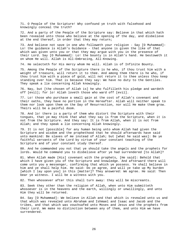71. O People of the Scripture! Why confound ye truth with falsehood and knowingly conceal the truth?

72. And a party of the People of the Scripture say: Believe in that which hath been revealed unto those who believe at the opening of the day, and disbelieve at the end thereof, in order that they may return;

73. And believe not save in one who followeth your religion - Say [O Muhammad]: Lo! the guidance is Allah's Guidance - that anyone is given the like of that which was given unto you or that they may argue with you in the presence of their Lord. Say [O Muhammad]: Lo! the bounty is in Allah's hand. He bestoweth it on whom He will. Allah is All-Embracing, All-Knowing.

74. He selecteth for His mercy whom He will. Allah is of Infinite Bounty.

75. Among the People of the Scripture there is he who, if thou trust him with a weight of treasure, will return it to thee. And among them there is he who, if thou trust him with a piece of gold, will not return it to thee unless thou keep standing over him. That is because they say: We have no duty to the Gentiles. They speak a lie concerning Allah knowingly.

76. Nay, but [the chosen of Allah is] he who fulfilleth his pledge and wardeth off [evil]; for lo! Allah loveth those who ward off [evil].

77. Lo! those who purchase a small gain at the cost of Allah's covenant and their oaths, they have no portion in the Hereafter. Allah will neither speak to them nor look upon them on the Day of Resurrection, nor will He make them grow. Theirs will be a painful doom.

78. And lo! there is a party of them who distort the Scripture with their tongues, that ye may think that what they say is from the Scripture, when it is not from the Scripture. And they say: It is from Allah, when it is not from Allah; and they speak a lie concerning Allah knowingly.

79. It is not [possible] for any human being unto whom Allah had given the Scripture and wisdom and the prophethood that he should afterwards have said unto mankind: Be slaves of me instead of Allah; but [what he said was]: Be ye faithful servants of the Lord by virtue of your constant teaching of the Scripture and of your constant study thereof.

80. And he commanded you not that ye should take the angels and the prophets for lords. Would he command you to disbelieve after ye had surrendered [to Allah]?

81. When Allah made [His] covenant with the prophets, [He said]: Behold that which I have given you of the Scripture and knowledge. And afterward there will come unto you a messenger, confirming that which ye possess. Ye shall believe in him and ye shall help him. He said: Do ye agree, and will ye take up My burden [which I lay upon you] in this [matter]? They answered: We agree. He said: Then bear ye witness. I will be a witness with you.

82. Then whosoever after this shall turn away: they will be miscreants.

83. Seek they other than the religion of Allah, when unto Him submitteth whosoever is in the heavens and the earth, willingly or unwillingly, and unto Him they will be returned.

84. Say [O Muhammad]: We believe in Allah and that which is revealed unto us and that which was revealed unto Abraham and Ishmael and Isaac and Jacob and the tribes, and that which was vouchsafed unto Moses and Jesus and the prophets from their Lord. We make no distinction between any of them, and unto Him we have surrendered.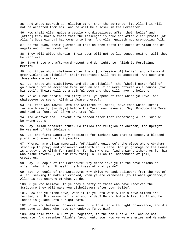85. And whoso seeketh as religion other than the Surrender [to Allah] it will not be accepted from him, and he will be a loser in the Hereafter.

86. How shall Allah guide a people who disbelieved after their belief and [after] they bore witness that the messenger is true and after clear proofs [of Allah's Sovereignty] had come unto them. And Allah guideth not wrongdoing folk.

87. As for such, their guerdon is that on them rests the curse of Allah and of angels and of men combined.

88. They will abide therein. Their doom will not be lightened, neither will they be reprieved;

89. Save those who afterward repent and do right. Lo! Allah is Forgiving, Merciful.

90. Lo! those who disbelieve after their [profession of] belief, and afterward grow violent in disbelief: their repentance will not be accepted. And such are those who are astray.

91. Lo! those who disbelieve, and die in disbelief, the [whole] earth full of gold would not be accepted from such an one if it were offered as a ransom [for his soul]. Theirs will be a painful doom and they will have no helpers.

92. Ye will not attain unto piety until ye spend of that which ye love. And whatsoever ye spend, Allah is Aware thereof.

93. All food was lawful unto the Children of Israel, save that which Israel forbade himself, [in days] before the Torah was revealed. Say: Produce the Torah and read it [unto us] if ye are truthful.

94. And whoever shall invent a falsehood after that concerning Allah, such will be wrong-doers.

95. Say: Allah speaketh truth. So follow the religion of Abraham, the upright. He was not of the idolaters.

96. Lo! the first Sanctuary appointed for mankind was that at Becca, a blessed place, a guidance to the peoples;

97. Wherein are plain memorials [of Allah's guidance]; the place where Abraham stood up to pray; and whosoever entereth it is safe. And pilgrimage to the House is a duty unto Allah for mankind, for him who can find a way thither. As for him who disbelieveth, [let him know that] lo! Allah is Independent of [all] creatures.

98. Say: O People of the Scripture! Why disbelieve ye in the revelations of Allah, when Allah [Himself] is Witness of what ye do?

99. Say: O People of the Scripture! Why drive ye back believers from the way of Allah, seeking to make it crooked, when ye are witnesses [to Allah's guidance]? Allah is not unaware of what ye do.

100. O ye who believe! If ye obey a party of those who have received the Scripture they will make you disbelievers after your belief.

101. How can ye disbelieve, when it is ye unto whom Allah's revelations are recited, and His messenger is in your midst? He who holdeth fast to Allah, he indeed is guided unto a right path.

102. O ye who believe! Observe your duty to Allah with right observance, and die not save as those who have surrendered [unto Him]

103. And hold fast, all of you together, to the cable of Allah, and do not separate. And remember Allah's favour unto you: How ye were enemies and He made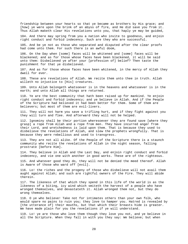friendship between your hearts so that ye became as brothers by His grace; and [how] ye were upon the brink of an abyss of fire, and He did save you from it. Thus Allah maketh clear His revelations unto you, that haply ye may be guided,

104. And there may spring from you a nation who invite to goodness, and enjoin right conduct and forbid indecency. Such are they who are successful.

105. And be ye not as those who separated and disputed after the clear proofs had come unto them. For such there is an awful doom,

106. On the Day when [some] faces will be whitened and [some] faces will be blackened; and as for those whose faces have been blackened, it will be said unto them: Disbelieved ye after your [profession of] belief? Then taste the punishment for that ye disbelieved.

107. And as for those whose faces have been whitened, in the mercy of Allah they dwell for ever.

108. These are revelations of Allah. We recite them unto thee in truth. Allah willeth no injustice to [His] creatures.

109. Unto Allah belongeth whatsoever is in the heavens and whatsoever is in the earth; and unto Allah all things are returned.

110. Ye are the best community that hath been raised up for mankind. Ye enjoin right conduct and forbid indecency; and ye believe in Allah. And if the People of the Scripture had believed it had been better for them. Some of them are believers; but most of them are evil-livers.

111. They will not harm you save a trifling hurt, and if they fight against you they will turn and flee. And afterward they will not be helped.

112. Ignominy shall be their portion wheresoever they are found save [where they grasp] a rope from Allah and a rope from men. They have incurred anger from their Lord, and wretchedness is laid upon them. That is because they used to disbelieve the revelations of Allah, and slew the prophets wrongfully. That is because they were rebellious and used to transgress.

113. They are not all alike. Of the People of the Scripture there is a staunch community who recite the revelations of Allah in the night season, falling prostrate [before Him].

114. They believe in Allah and the Last Day, and enjoin right conduct and forbid indecency, and vie one with another in good works. These are of the righteous.

115. And whatever good they do, they will not be denied the meed thereof. Allah is Aware of those who ward off [evil].

116. Lo! the riches and the progeny of those who disbelieve will not avail them aught against Allah; and such are rightful owners of the Fire. They will abide therein.

117. The likeness of that which they spend in this life of the world is as the likeness of a biting, icy wind which smiteth the harvest of a people who have wronged themselves, and devastateth it. Allah wronged them not, but they do wrong themselves.

118. O ye who believe! Take not for intimates others than your own folk, who would spare no pains to ruin you; they love to hamper you. Hatred is revealed by [the utterance of] their mouths, but that which their breasts hide is greater. We have made plain for you the revelations if ye will understand.

119. Lo! ye are those who love them though they love you not, and ye believe in all the Scripture. When they fall in with you they say: We believe; but when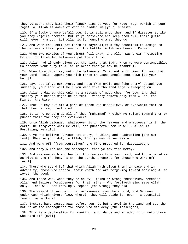they go apart they bite their finger-tips at you, for rage. Say: Perish in your rage! Lo! Allah is Aware of what is hidden in [your] breasts.

120. If a lucky chance befall you, it is evil unto them, and if disaster strike you they rejoice thereat. But if ye persevere and keep from evil their guile will never harm you. Lo! Allah is Surrounding what they do.

121. And when thou settedst forth at daybreak from thy housefolk to assign to the believers their positions for the battle, Allah was Hearer, Knower.

122. When two parties of you almost fell away, and Allah was their Protecting Friend. In Allah let believers put their trust.

123. Allah had already given you the victory at Badr, when ye were contemptible. So observe your duty to Allah in order that ye may be thankful.

124. When thou didst say unto the believers: Is it not sufficient for you that your Lord should support you with three thousand angels sent down [to your help]?

125. Nay, but if ye persevere, and keep from evil, and [the enemy] attack you suddenly, your Lord will help you with five thousand angels sweeping on.

126. Allah ordained this only as a message of good cheer for you, and that thereby your hearts might be at rest - Victory cometh only from Allah, the Mighty, the Wise -

127. That He may cut off a part of those who disbelieve, or overwhelm them so that they retire, frustrated.

128. It is no concern at all of thee [Muhammad] whether He relent toward them or punish them; for they are evil-doers.

129. Unto Allah belongeth whatsoever is in the heavens and whatsoever is in the earth. He forgiveth whom He will, and punisheth whom He will. Allah is Forgiving, Merciful.

130. O ye who believe! Devour not usury, doubling and quadrupling [the sum lent]. Observe your duty to Allah, that ye may be successful.

131. And ward off [from yourselves] the Fire prepared for disbelievers.

132. And obey Allah and the messenger, that ye may find mercy.

133. And vie one with another for forgiveness from your Lord, and for a paradise as wide as are the heavens and the earth, prepared for those who ward off [evil];

134. Those who spend [of that which Allah hath given them] in ease and in adversity, those who control their wrath and are forgiving toward mankind; Allah loveth the good;

135. And those who, when they do an evil thing or wrong themselves, remember Allah and implore forgiveness for their sins - Who forgiveth sins save Allah only? - and will not knowingly repeat [the wrong] they did.

136. The reward of such will be forgiveness from their Lord, and Gardens underneath which rivers flow, wherein they will abide for ever - a bountiful reward for workers!

137. Systems have passed away before you. Do but travel in the land and see the nature of the consequence for those who did deny [the messengers].

138. This is a declaration for mankind, a guidance and an admonition unto those who ward off [evil]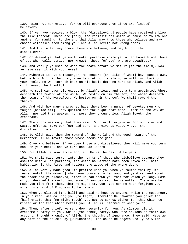139. Faint not nor grieve, for ye will overcome them if ye are [indeed] believers.

140. If ye have received a blow, the [disbelieving] people have received a blow the like thereof. These are [only] the vicissitudes which We cause to follow one another for mankind, to the end that Allah may know those who believe and may choose witnesses from among you; and Allah loveth not wrong-doers.

141. And that Allah may prove those who believe, and may blight the disbelievers.

142. Or deemed ye that ye would enter paradise while yet Allah knoweth not those of you who really strive, nor knoweth those [of you] who are steadfast?

143. And verily ye used to wish for death before ye met it [in the field]. Now ye have seen it with your eyes!

144. Muhammad is but a messenger, messengers [the like of whom] have passed away before him. Will it be that, when he dieth or is slain, ye will turn back on your heels? He who turneth back on his heels doth no hurt to Allah, and Allah will reward the thankful.

145. No soul can ever die except by Allah's leave and at a term appointed. Whoso desireth the reward of the world, We bestow on him thereof; and whoso desireth the reward of the Hereafter, We bestow on him thereof. We shall reward the thankful.

146. And with how many a prophet have there been a number of devoted men who fought [beside him]. They quailed not for aught that befell them in the way of Allah, nor did they weaken, nor were they brought low. Allah loveth the steadfast.

147. Their cry was only that they said: Our Lord! forgive us for our sins and wasted efforts, make our foothold sure, and give us victory over the disbelieving folk.

148. So Allah gave them the reward of the world and the good reward of the Hereafter. Allah loveth those whose deeds are good.

149. O ye who believe! if ye obey those who disbelieve, they will make you turn back on your heels, and ye turn back as losers.

150. But Allah is your Protector, and He is the Best of Helpers.

151. We shall cast terror into the hearts of those who disbelieve because they ascribe unto Allah partners, for which no warrant hath been revealed. Their habitation is the Fire, and hapless the abode of the wrong-doers.

152. Allah verily made good His promise unto you when ye routed them by His leave, until [the moment] when your courage failed you, and ye disagreed about the order and ye disobeyed, after He had shown you that for which ye long. Some of you desired the world, and some of you desired the Hereafter. Therefore He made you flee from them, that He might try you. Yet now He hath forgiven you. Allah is a Lord of Kindness to believers.

153. When ye climbed [the hill] and paid no heed to anyone, while the messenger, in your rear, was calling you [to fight]. Therefor He rewarded you grief for [his] grief, that [He might teach] you not to sorrow either for that which ye missed or for that which befell you. Allah is Informed of what ye do.

154. Then, after grief, He sent down security for you. As slumber did it overcome a party of you, while [the other] party, who were anxious on their own account, thought wrongly of Allah, the thought of ignorance. They said: Have we any part in the cause? Say [O Muhammad]: The cause belongeth wholly to Allah.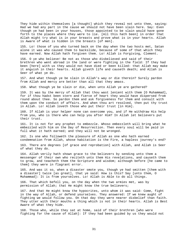They hide within themselves [a thought] which they reveal not unto thee, saying: Had we had any part in the cause we should not have been slain here. Say: Even though ye had been in your houses, those appointed to be slain would have gone forth to the places where they were to lie. [All this hath been] in order that Allah might try what is in your breasts and prove what is in your hearts. Allah is Aware of what is hidden in the breasts [of men].

155. Lo! those of you who turned back on the day when the two hosts met, Satan alone it was who caused them to backslide, because of some of that which they have earned. Now Allah hath forgiven them. Lo! Allah is Forgiving, Clement.

156. O ye who believe! Be not as those who disbelieved and said of their brethren who went abroad in the land or were fighting in the field: If they had been [here] with us they would not have died or been killed: that Allah may make it anguish in their hearts. Allah giveth life and causeth death; and Allah is Seer of what ye do.

157. And what though ye be slain in Allah's way or die therein? Surely pardon from Allah and mercy are better than all that they amass.

158. What though ye be slain or die, when unto Allah ye are gathered?

159. It was by the mercy of Allah that thou wast lenient with them [O Muhammad], for if thou hadst been stern and fierce of heart they would have dispersed from round about thee. So pardon them and ask forgiveness for them and consult with them upon the conduct of affairs. And when thou art resolved, then put thy trust in Allah. Lo! Allah loveth those who put their trust [in Him].

160. If Allah is your helper none can overcome you, and if He withdraw His help from you, who is there who can help you after Him? In Allah let believers put their trust.

161. It is not for any prophet to embezzle. Whoso embezzleth will bring what he embezzled with him on the Day of Resurrection. Then every soul will be paid in full what it hath earned; and they will not be wronged.

162. Is one who followeth the pleasure of Allah as one who hath earned condemnation from Allah, whose habitation is the Fire, a hapless journey's end?

163. There are degrees [of grace and reprobation] with Allah, and Allah is Seer of what they do.

164. Allah verily hath shown grace to the believers by sending unto them a messenger of their own who reciteth unto them His revelations, and causeth them to grow, and teacheth them the Scripture and wisdom; although before [he came to them] they were in flagrant error.

165. And was it so, when a disaster smote you, though ye had smitten [them with a disaster] twice [as great], that ye said: How is this? Say [unto them, O Muhammad]: It is from yourselves. Lo! Allah is Able to do all things.

166. That which befell you, on the day when the two armies met, was by permission of Allah; that He might know the true believers;

167. And that He might know the hypocrites, unto whom it was said: Come, fight in the way of Allah, or defend yourselves. They answered: If we knew aught of fighting we would follow you. On that day they were nearer disbelief than faith. They utter with their mouths a thing which is not in their hearts. Allah is Best Aware of what they hide.

168. Those who, while they sat at home, said of their brethren [who were fighting for the cause of Allah]: If they had been guided by us they would not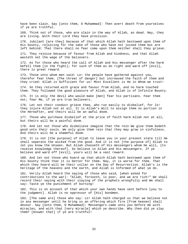have been slain. Say [unto them, O Muhammad]: Then avert death from yourselves if ye are truthful.

169. Think not of those, who are slain in the way of Allah, as dead. Nay, they are living. With their Lord they have provision.

170. Jubilant [are they] because of that which Allah hath bestowed upon them of His bounty, rejoicing for the sake of those who have not joined them but are left behind: That there shall no fear come upon them neither shall they grieve.

171. They rejoice because of favour from Allah and kindness, and that Allah wasteth not the wage of the believers.

172. As for those who heard the call of Allah and His messenger after the harm befell them [in the fight]; for such of them as do right and ward off [evil], there is great reward.

173. Those unto whom men said: Lo! the people have gathered against you, therefor fear them. [The threat of danger] but increased the faith of them and they cried: Allah is Sufficient for us! Most Excellent is He in Whom we trust!

174. So they returned with grace and favour from Allah, and no harm touched them. They followed the good pleasure of Allah, and Allah is of Infinite Bounty.

175. It is only the devil who would make [men] fear his partisans. Fear them not; fear Me, if ye are true believers.

176. Let not their conduct grieve thee, who run easily to disbelief, for lo! they injure Allah not at all. It is Allah's Will to assign them no portion in the Hereafter, and theirs will be an awful doom.

177. Those who purchase disbelief at the price of faith harm Allah not at all, but theirs will be a painful doom.

178. And let not those who disbelieve imagine that the rein We give them bodeth good unto their souls. We only give them rein that they may grow in sinfulness. And theirs will be a shameful doom.

179. It is not [the purpose] of Allah to leave you in your present state till He shall separate the wicked from the good. And it is not [the purpose of] Allah to let you know the Unseen. But Allah chooseth of His messengers whom He will, [to receive knowledge thereof]. So believe in Allah and His messengers. If ye believe and ward off [evil], yours will be a vast reward.

180. And let not those who hoard up that which Allah hath bestowed upon them of His bounty think that it is better for them. Nay, it is worse for them. That which they hoard will be their collar on the Day of Resurrection. Allah's is the heritage of the heavens and the earth, and Allah is Informed of what ye do.

181. Verily Allah heard the saying of those who said, [when asked for contributions to the war]: "Allah, forsooth, is poor, and we are rich!" We shall record their saying with their slaying of the prophets wrongfully and We shall say: Taste ye the punishment of burning!

182. This is on account of that which your own hands have sent before [you to the judgment]. Allah is no oppressor of [His] bondmen.

183. [The same are] those who say: Lo! Allah hath charged us that we believe not in any messenger until he bring us an offering which fire [from heaven] shall devour. Say [unto them, O Muhammad]: Messengers came unto you before me with miracles, and with that [very miracle] which ye describe. Why then did ye slay them? [Answer that] if ye are truthful!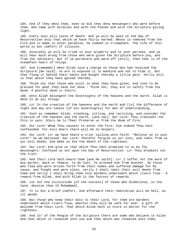184. And if they deny thee, even so did they deny messengers who were before thee, who came with miracles and with the Psalms and with the Scripture giving light.

185. Every soul will taste of death. And ye will be paid on the Day of Resurrection only that which ye have fairly earned. Whoso is removed from the Fire and is made to enter paradise, he indeed is triumphant. The life of this world is but comfort of illusion.

186. Assuredly ye will be tried in your property and in your persons, and ye will hear much wrong from those who were given the Scripture before you, and from the idolaters. But if ye persevere and ward off [evil], then that is of the steadfast heart of things.

187. And [remember] when Allah laid a charge on those who had received the Scripture [He said]: Ye are to expound it to mankind and not to hide it. But they flung it behind their backs and bought thereby a little gain. Verily evil is that which they have gained thereby.

188. Think not that those who exult in what they have given, and love to be praised for what they have not done - Think not, they are in safety from the doom. A painful doom is theirs.

189. Unto Allah belongeth the Sovereignty of the heavens and the earth. Allah is Able to do all things.

190. Lo! In the creation of the heavens and the earth and [in] the difference of night and day are tokens [of His Sovereignty] for men of understanding,

191. Such as remember Allah, standing, sitting, and reclining, and consider the creation of the heavens and the earth, [and say]: Our Lord! Thou createdst not this in vain. Glory be to Thee! Preserve us from the doom of Fire.

192. Our Lord! Whom Thou causest to enter the Fire: him indeed Thou hast confounded. For evil-doers there will be no helpers.

193. Our Lord! Lo! we have heard a crier calling unto Faith: "Believe ye in your Lord!" So we believed. Our Lord! Therefor forgive us our sins, and remit from us our evil deeds, and make us die the death of the righteous.

194. Our Lord! And give us that which Thou hast promised to us by Thy messengers. Confound us not upon the Day of Resurrection. Lo! Thou breakest not the tryst.

195. And their Lord hath heard them [and He saith]: Lo! I suffer not the work of any worker, male or female, to be lost. Ye proceed one from another. So those who fled and were driven forth from their homes and suffered damage for My cause, and fought and were slain, verily I shall remit their evil deeds from them and verily I shall bring them into Gardens underneath which rivers flow - A reward from Allah. And with Allah is the fairest of rewards.

196. Let not the vicissitude [of the success] of those who disbelieve, in the land, deceive thee [O Muhammad].

197. It is but a brief comfort. And afterward their habitation will be hell, an ill abode.

198. But those who keep their duty to their Lord, for them are Gardens underneath which rivers flow, wherein they will be safe for ever. A gift of welcome from their Lord. That which Allah hath in store is better for the righteous.

199. And lo! of the People of the Scripture there are some who believe in Allah and that which is revealed unto you and that which was revealed unto them,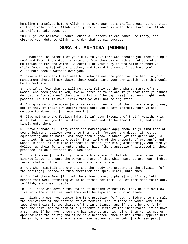humbling themselves before Allah. They purchase not a trifling gain at the price of the revelations of Allah. Verily their reward is with their Lord. Lo! Allah is swift to take account.

200. O ye who believe! Endure, outdo all others in endurance, be ready, and observe your duty to Allah, in order that ye may succeed.

## **SURA 4. AN-NISA (WOMEN)**

1. O mankind! Be careful of your duty to your Lord Who created you from a single soul and from it created its mate and from them twain hath spread abroad a multitude of men and women. Be careful of your duty toward Allah in Whom ye claim [your rights] of one another, and toward the wombs [that bare you]. Lo! Allah hath been a watcher over you.

2. Give unto orphans their wealth. Exchange not the good for the bad [in your management thereof] nor absorb their wealth into your own wealth. Lo! that would be a great sin.

3. And if ye fear that ye will not deal fairly by the orphans, marry of the women, who seem good to you, two or three or four; and if ye fear that ye cannot do justice [to so many] then one [only] or [the captives] that your right hands possess. Thus it is more likely that ye will not do injustice.

4. And give unto the women [whom ye marry] free gift of their marriage portions; but if they of their own accord remit unto you a part thereof, then ye are welcome to absorb it [in your wealth].

5. Give not unto the foolish [what is in] your [keeping of their] wealth, which Allah hath given you to maintain; but feed and clothe them from it, and speak kindly unto them.

6. Prove orphans till they reach the marriageable age; then, if ye find them of sound judgment, deliver over unto them their fortune; and devour it not by squandering and in haste lest they should grow up Whoso [of the guardians] is rich, let him abstain generously [from taking of the property of orphans]; and whoso is poor let him take thereof in reason [for his guardianship]. And when ye deliver up their fortune unto orphans, have [the transaction] witnessed in their presence. Allah sufficeth as a Reckoner.

7. Unto the men [of a family] belongeth a share of that which parents and near kindred leave, and unto the women a share of that which parents and near kindred leave, whether it be little or much - a legal share.

8. And when kinsfolk and orphans and the needy are present at the division [of the heritage], bestow on them therefrom and speak kindly unto them.

9. And let those fear [in their behaviour toward orphans] who if they left behind them weak offspring would be afraid for them. So let them mind their duty to Allah, and speak justly.

10. Lo! Those who devour the wealth of orphans wrongfully, they do but swallow fire into their bellies, and they will be exposed to burning flame.

11. Allah chargeth you concerning [the provision for] your children: to the male the equivalent of the portion of two females, and if there be women more than two, then theirs is two-thirds of the inheritance, and if there be one [only] then the half. And to each of his parents a sixth of the inheritance, if he have a son; and if he have no son and his parents are his heirs, then to his mother appertaineth the third; and if he have brethren, then to his mother appertaineth the sixth, after any legacy he may have bequeathed, or debt [hath been paid].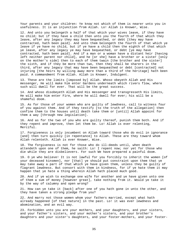Your parents and your children: Ye know not which of them is nearer unto you in usefulness. It is an injunction from Allah. Lo! Allah is Knower, Wise.

12. And unto you belongeth a half of that which your wives leave, if they have no child; but if they have a child then unto you the fourth of that which they leave, after any legacy they may have bequeathed, or debt [they may have contracted, hath been paid]. And unto them belongeth the fourth of that which ye leave if ye have no child, but if ye have a child then the eighth of that which ye leave, after any legacy ye may have bequeathed, or debt [ye may have contracted, hath been paid]. And if a man or a woman have a distant heir [having left neither parent nor child], and he [or she] have a brother or a sister [only on the mother's side] then to each of them twain [the brother and the sister] the sixth, and if they be more than two, then they shall be sharers in the third, after any legacy that may have been bequeathed or debt [contracted] not injuring [the heirs by willing away more than a third of the heritage] hath been paid. A commandment from Allah. Allah is Knower, Indulgent.

13. These are the limits [imposed by] Allah. Whoso obeyeth Allah and His messenger, He will make him enter Gardens underneath which rivers flow, where such will dwell for ever. That will be the great success.

14. And whoso disobeyeth Allah and His messenger and transgresseth His limits, He will make him enter Fire, where he will dwell for ever; his will be a shameful doom.

15. As for those of your women who are guilty of lewdness, call to witness four of you against them. And if they testify [to the truth of the allegation] then confine them to the houses until death take them or [until] Allah appoint for them a way [through new legislation].

16. And as for the two of you who are guilty thereof, punish them both. And if they repent and improve, then let them be. Lo! Allah is ever relenting, Merciful.

17. Forgiveness is only incumbent on Allah toward those who do evil in ignorance [and] then turn quickly [in repentance] to Allah. These are they toward whom Allah relenteth. Allah is ever Knower, Wise.

18. The forgiveness is not for those who do ill-deeds until, when death attendeth upon one of them, he saith: Lo! I repent now; nor yet for those who die while they are disbelievers. For such We have prepared a painful doom.

19. O ye who believe! It is not lawful for you forcibly to inherit the women [of your deceased kinsmen], nor [that] ye should put constraint upon them that ye may take away a part of that which ye have given them, unless they be guilty of flagrant lewdness. But consort with them in kindness, for if ye hate them it may happen that ye hate a thing wherein Allah hath placed much good.

20. And if ye wish to exchange one wife for another and ye have given unto one of them a sum of money [however great], take nothing from it. Would ye take it by the way of calumny and open wrong?

21. How can ye take it [back] after one of you hath gone in unto the other, and they have taken a strong pledge from you?

22. And marry not those women whom your fathers married, except what hath already happened [of that nature] in the past. Lo! it was ever lewdness and abomination, and an evil way.

23. Forbidden unto you are your mothers, and your daughters, and your sisters, and your father's sisters, and your mother's sisters, and your brother's daughters and your sister's daughters, and your foster-mothers, and your foster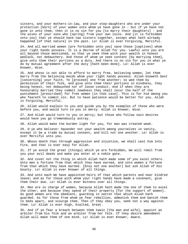sisters, and your mothers-in-law, and your step-daughters who are under your protection [born] of your women unto whom ye have gone in - but if ye have not gone in unto them, then it is no sin for you [to marry their daughters] - and the wives of your sons who [spring] from your own loins. And [it is forbidden unto you] that ye should have two sisters together, except what hath already happened [of that nature] in the past. Lo! Allah is ever Forgiving, Merciful.

24. And all married women [are forbidden unto you] save those [captives] whom your right hands possess. It is a decree of Allah for you. Lawful unto you are all beyond those mentioned, so that ye seek them with your wealth in honest wedlock, not debauchery. And those of whom ye seek content [by marrying them], give unto them their portions as a duty. And there is no sin for you in what ye do by mutual agreement after the duty [hath been done]. Lo! Allah is ever Knower, Wise.

25. And whoso is not able to afford to marry free, believing women, let them marry from the believing maids whom your right hands possess. Allah knoweth best [concerning] your faith. Ye [proceed] one from another; so wed them by permission of their folk, and give unto them their portions in kindness, they being honest, not debauched nor of loose conduct. And if when they are honourably married they commit lewdness they shall incur the half of the punishment [prescribed] for free women [in that case]. This is for him among you who feareth to commit sin. But to have patience would be better for you. Allah is Forgiving, Merciful.

26. Allah would explain to you and guide you by the examples of those who were before you, and would turn to you in mercy. Allah is Knower, Wise.

27. And Allah would turn to you in mercy; but those who follow vain desires would have you go tremendously astray.

28. Allah would make the burden light for you, for man was created weak.

29. O ye who believe! Squander not your wealth among yourselves in vanity, except it be a trade by mutual consent, and kill not one another. Lo! Allah is ever Merciful unto you.

30. Whoso doeth that through aggression and injustice, we shall cast him into Fire, and that is ever easy for Allah.

31. If ye avoid the great [things] which ye are forbidden, We will remit from you your evil deeds and make you enter at a noble gate.

32. And covet not the thing in which Allah hath made some of you excel others. Unto men a fortune from that which they have earned, and unto women a fortune from that which they have earned. [Envy not one another] but ask Allah of His bounty. Lo! Allah is ever Knower of all things.

33. And unto each We have appointed heirs of that which parents and near kindred leave; and as for those with whom your right hands have made a covenant, give them their due. Lo! Allah is ever Witness over all things.

34. Men are in charge of women, because Allah hath made the one of them to excel the other, and because they spend of their property [for the support of women]. So good women are the obedient, guarding in secret that which Allah hath guarded. As for those from whom ye fear rebellion, admonish them and banish them to beds apart, and scourge them. Then if they obey you, seek not a way against them. Lo! Allah is ever High, Exalted, Great.

35. And if ye fear a breach between them twain [the man and wife], appoint an arbiter from his folk and an arbiter from her folk. If they desire amendment Allah will make them of one mind. Lo! Allah is ever Knower, Aware.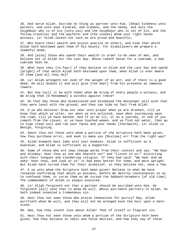36. And serve Allah. Ascribe no thing as partner unto Him. [Show] kindness unto parents, and unto near kindred, and orphans, and the needy, and unto the neighbour who is of kin [unto you] and the neighbour who is not of kin, and the fellow-traveller and the wayfarer and [the slaves] whom your right hands possess. Lo! Allah loveth not such as are proud and boastful,

37. Who hoard their wealth and enjoin avarice on others, and hide that which Allah hath bestowed upon them of His bounty. For disbelievers We prepare a shameful doom;

38. And [also] those who spend their wealth in order to be seen of men, and believe not in Allah nor the Last Day. Whoso taketh Satan for a comrade, a bad comrade hath he.

39. What have they [to fear] if they believe in Allah and the Last Day and spend [aright] of that which Allah hath bestowed upon them, when Allah is ever Aware of them [and all they do]?

40. Lo! Allah wrongeth not even of the weight of an ant; and if there is a good deed, He will double it and will give [the doer] from His presence an immense reward.

41. But how [will it be with them] when We bring of every people a witness, and We bring thee [O Muhammad] a witness against these?

42. On that day those who disbelieved and disobeyed the messenger will wish that they were level with the ground, and they can hide no fact from Allah.

43. O ye who believe! Draw not near unto prayer when ye are drunken, till ye know that which ye utter, nor when ye are polluted, save when journeying upon the road, till ye have bathed. And if ye be ill, or on a journey, or one of you cometh from the closet, or ye have touched women, and ye find not water, then go to high clean soil and rub your faces and your hands [therewith]. Lo! Allah is Benign, Forgiving.

44. Seest thou not those unto whom a portion of the Scripture hath been given, how they purchase error, and seek to make you [Muslims] err from the right way?

45. Allah knoweth best [who are] your enemies. Allah is sufficient as a Guardian, and Allah is sufficient as a Supporter.

46. Some of those who are Jews change words from their context and say: "We hear and disobey; hear thou as one who heareth not" and "Listen to us!" distorting with their tongues and slandering religion. If they had said: "We hear and we obey: hear thou, and look at us" it had been better for them, and more upright. But Allah hath cursed them for their disbelief, so they believe not, save a few.

47. O ye unto whom the Scripture hath been given! Believe in what We have revealed confirming that which ye possess, before We destroy countenances so as to confound them, or curse them as We cursed the Sabbath-breakers [of old time]. The commandment of Allah is always executed.

48. Lo! Allah forgiveth not that a partner should be ascribed unto Him. He forgiveth [all] save that to whom He will. Whoso ascribeth partners to Allah, he hath indeed invented a tremendous sin.

49. Hast thou not seen those who praise themselves for purity? Nay, Allah purifieth whom He will, and they will not be wronged even the hair upon a datestone.

50. See, how they invent lies about Allah! That of itself is flagrant sin.

51. Hast thou not seen those unto whom a portion of the Scripture hath been given, how they believe in idols and false deities, and how they say of those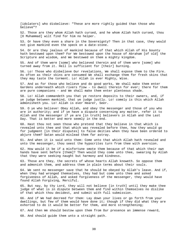[idolaters] who disbelieve: "These are more rightly guided than those who believe"?

52. Those are they whom Allah hath cursed, and he whom Allah hath cursed, thou [O Muhammad] wilt find for him no helper.

53. Or have they even a share in the Sovereignty? Then in that case, they would not give mankind even the speck on a date-stone.

54. Or are they jealous of mankind because of that which Allah of His bounty hath bestowed upon them? For We bestowed upon the house of Abraham [of old] the Scripture and wisdom, and We bestowed on them a mighty kingdom.

55. And of them were [some] who believed therein and of them were [some] who turned away from it. Hell is sufficient for [their] burning.

56. Lo! Those who disbelieve Our revelations, We shall expose them to the Fire. As often as their skins are consumed We shall exchange them for fresh skins that they may taste the torment. Lo! Allah is ever Mighty, Wise.

57. And as for those who believe and do good works, We shall make them enter Gardens underneath which rivers flow - to dwell therein for ever; there for them are pure companions - and We shall make them enter plenteous shade.

58. Lo! Allah commandeth you that ye restore deposits to their owners, and, if ye judge between mankind, that ye judge justly. Lo! comely is this which Allah admonisheth you. Lo! Allah is ever Hearer, Seer.

59. O ye who believe! Obey Allah, and obey the messenger and those of you who are in authority; and if ye have a dispute concerning any matter, refer it to Allah and the messenger if ye are [in truth] believers in Allah and the Last Day. That is better and more seemly in the end.

60. Hast thou not seen those who pretend that they believe in that which is revealed unto thee and that which was revealed before thee, how they would go for judgment [in their disputes] to false deities when they have been ordered to abjure them? Satan would mislead them far astray.

61. And when it is said unto them: Come unto that which Allah hath revealed and unto the messenger, thou seest the hypocrites turn from thee with aversion.

62. How would it be if a misfortune smote them because of that which their own hands have sent before [them]? Then would they come unto thee, swearing by Allah that they were seeking naught but harmony and kindness.

63. Those are they, the secrets of whose hearts Allah knoweth. So oppose them and admonish them, and address them in plain terms about their souls.

64. We sent no messenger save that he should be obeyed by Allah's leave. And if, when they had wronged themselves, they had but come unto thee and asked forgiveness of Allah, and asked forgiveness of the messenger, they would have found Allah Forgiving, Merciful.

65. But nay, by thy Lord, they will not believe [in truth] until they make thee judge of what is in dispute between them and find within themselves no dislike of that which thou decidest, and submit with full submission.

66. And if We had decreed for them: Lay down your lives or go forth from your dwellings, but few of them would have done it; though if they did what they are exhorted to do it would be better for them, and more strengthening;

67. And then We should bestow upon them from Our presence an immense reward,

68. And should guide them unto a straight path.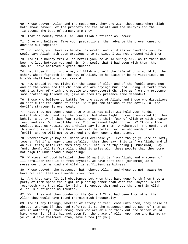69. Whoso obeyeth Allah and the messenger, they are with those unto whom Allah hath shown favour, of the prophets and the saints and the martyrs and the righteous. The best of company are they!

70. That is bounty from Allah, and Allah sufficeth as Knower.

71. O ye who believe! Take your precautions, then advance the proven ones, or advance all together.

72. Lo! among you there is he who loitereth; and if disaster overtook you, he would say: Allah hath been gracious unto me since I was not present with them.

73. And if a bounty from Allah befell you, he would surely cry, as if there had been no love between you and him: Oh, would that I had been with them, then should I have achieved a great success!

74. Let those fight in the way of Allah who sell the life of this world for the other. Whoso fighteth in the way of Allah, be he slain or be he victorious, on him We shall bestow a vast reward.

75. How should ye not fight for the cause of Allah and of the feeble among men and of the women and the children who are crying: Our Lord! Bring us forth from out this town of which the people are oppressors! Oh, give us from thy presence some protecting friend! Oh, give us from Thy presence some defender!

76. Those who believe do battle for the cause of Allah; and those who disbelieve do battle for the cause of idols. So fight the minions of the devil. Lo! the devil's strategy is ever weak.

77. Hast thou not seen those unto whom it was said: Withhold your hands, establish worship and pay the poordue, but when fighting was prescribed for them behold! a party of them fear mankind even as their fear of Allah or with greater fear, and say: Our Lord! Why hast Thou ordained fighting for us? If only Thou wouldst give us respite yet a while! Say [unto them, O Muhammad]: The comfort of this world is scant; the Hereafter will be better for him who wardeth off [evil]; and ye will not be wronged the down upon a date-stone.

78. Wheresoever ye may be, death will overtake you, even though ye were in lofty towers. Yet if a happy thing befalleth them they say: This is from Allah; and if an evil thing befalleth them they say: This is of thy doing [O Muhammad]. Say [unto them]: All is from Allah. What is amiss with these people that they come not nigh to understand a happening?

79. Whatever of good befalleth thee [O man] it is from Allah, and whatever of ill befalleth thee it is from thyself. We have sent thee [Muhammad] as a messenger unto mankind and Allah is sufficient as Witness.

80. Whoso obeyeth the messenger hath obeyed Allah, and whoso turneth away: We have not sent thee as a warder over them.

81. And they say: [It is] obedience; but when they have gone forth from thee a party of them spend the night in planning other than what thou sayest. Allah recordeth what they plan by night. So oppose them and put thy trust in Allah. Allah is sufficient as Trustee.

82. Will they not then ponder on the Qur'an? If it had been from other than Allah they would have found therein much incongruity.

83. And if any tidings, whether of safety or fear, come unto them, they noise it abroad, whereas if they had referred it to the messenger and to such of them as are in authority, those among them who are able to think out the matter would have known it. If it had not been for the grace of Allah upon you and His mercy ye would have followed Satan, save a few [of you].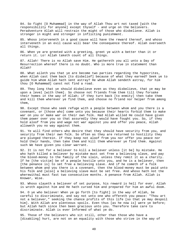84. So fight [O Muhammad] in the way of Allah Thou art not taxed [with the responsibility for anyone] except thyself - and urge on the believers. Peradventure Allah will restrain the might of those who disbelieve. Allah is stronger in might and stronger in inflicting punishment.

85. Whoso interveneth in a good cause will have the reward thereof, and whoso interveneth in an evil cause will bear the consequence thereof. Allah overseeth all things.

86. When ye are greeted with a greeting, greet ye with a better than it or return it. Lo! Allah taketh count of all things.

87. Allah! There is no Allah save Him. He gathereth you all unto a Day of Resurrection whereof there is no doubt. Who is more true in statement than Allah?

88. What aileth you that ye are become two parties regarding the hypocrites, when Allah cast them back [to disbelief] because of what they earned? Seek ye to guide him whom Allah hath sent astray? He whom Allah sendeth astray, for him thou [O Muhammad] canst not find a road.

89. They long that ye should disbelieve even as they disbelieve, that ye may be upon a level [with them]. So choose not friends from them till they forsake their homes in the way of Allah; if they turn back [to enmity] then take them and kill them wherever ye find them, and choose no friend nor helper from among them,

90. Except those who seek refuge with a people between whom and you there is a covenant, or [those who] come unto you because their hearts forbid them to make war on you or make war on their own folk. Had Allah willed He could have given them power over you so that assuredly they would have fought you. So, if they hold aloof from you and wage not war against you and offer you peace, Allah alloweth you no way against them.

91. Ye will find others who desire that they should have security from you, and security from their own folk. So often as they are returned to hostility they are plunged therein. If they keep not aloof from you nor offer you peace nor hold their hands, then take them and kill them wherever ye find them. Against such We have given you clear warrant.

92. It is not for a believer to kill a believer unless [it be] by mistake. He who hath killed a believer by mistake must set free a believing slave, and pay the blood-money to the family of the slain, unless they remit it as a charity. If he [the victim] be of a people hostile unto you, and he is a believer, then [the penance is] to set free a believing slave. And if he cometh of a folk between whom and you there is a covenant, then the blood-money must be paid unto his folk and [also] a believing slave must be set free. And whoso hath not the wherewithal must fast two consecutive months. A penance from Allah. Allah is Knower, Wise.

93. Whoso slayeth a believer of set purpose, his reward is hell for ever. Allah is wroth against him and He hath cursed him and prepared for him an awful doom.

94. O ye who believe! When ye go forth [to fight] in the way of Allah, be careful to discriminate, and say not unto one who offereth you peace: "Thou art not a believer," seeking the chance profits of this life [so that ye may despoil him]. With Allah are plenteous spoils. Even thus [as he now is] were ye before; but Allah hath since then been gracious unto you. Therefore take care to discriminate. Allah is ever Informed of what ye do.

95. Those of the believers who sit still, other than those who have a [disabling] hurt, are not on an equality with those who strive in the way of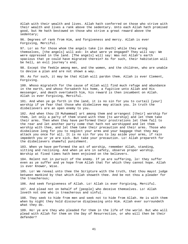Allah with their wealth and lives. Allah hath conferred on those who strive with their wealth and lives a rank above the sedentary. Unto each Allah hath promised good, but He hath bestowed on those who strive a great reward above the sedentary;

96. Degrees of rank from Him, and forgiveness and mercy. Allah is ever Forgiving, Merciful.

97. Lo! as for those whom the angels take [in death] while they wrong themselves, [the angels] will ask: In what were ye engaged? They will say: We were oppressed in the land. [The angels] will say: Was not Allah's earth spacious that ye could have migrated therein? As for such, their habitation will be hell, an evil journey's end;

98. Except the feeble among men, and the women, and the children, who are unable to devise a plan and are not shown a way.

99. As for such, it may be that Allah will pardon them. Allah is ever Clement, Forgiving.

100. Whoso migrateth for the cause of Allah will find much refuge and abundance in the earth, and whoso forsaketh his home, a fugitive unto Allah and His messenger, and death overtaketh him, his reward is then incumbent on Allah. Allah is ever Forgiving, Merciful.

101. And when ye go forth in the land, it is no sin for you to curtail [your] worship if ye fear that those who disbelieve may attack you. In truth the disbelievers are an open enemy to you.

102. And when thou [O Muhammad] art among them and arrangest [their] worship for them, let only a party of them stand with thee [to worship] and let them take their arms. Then when they have performed their prostrations let them fall to the rear and let another party come that hath not worshipped and let them worship with thee, and let them take their precaution and their arms. Those who disbelieve long for you to neglect your arms and your baggage that they may attack you once for all. It is no sin for you to lay aside your arms, if rain impedeth you or ye are sick. But take your precaution. Lo! Allah prepareth for the disbelievers shameful punishment.

103. When ye have performed the act of worship, remember Allah, standing, sitting and reclining. And when ye are in safety, observe proper worship. Worship at fixed times hath been enjoined on the believers.

104. Relent not in pursuit of the enemy. If ye are suffering, lo! they suffer even as ye suffer and ye hope from Allah that for which they cannot hope. Allah is ever Knower, Wise.

105. Lo! We reveal unto thee the Scripture with the truth, that thou mayst judge between mankind by that which Allah showeth thee. And be not thou a pleader for the treacherous;

106. And seek forgiveness of Allah. Lo! Allah is ever Forgiving, Merciful.

107. And plead not on behalf of [people] who deceive themselves. Lo! Allah loveth not one who is treacherous and sinful.

108. They seek to hide from men and seek not to hide from Allah. He is with them when by night they hold discourse displeasing unto Him. Allah ever surroundeth what they do.

109. Ho! ye are they who pleaded for them in the life of the world. But who will plead with Allah for them on the Day of Resurrection, or who will then be their defender?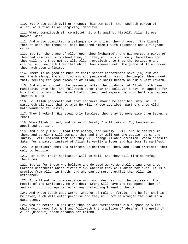110. Yet whoso doeth evil or wrongeth his own soul, then seeketh pardon of Allah, will find Allah Forgiving, Merciful.

111. Whoso committeth sin committeth it only against himself. Allah is ever Knower, Wise.

112. And whoso committeth a delinquency or crime, then throweth [the blame] thereof upon the innocent, hath burdened himself with falsehood and a flagrant crime.

113. But for the grace of Allah upon thee [Muhammad], and His mercy, a party of them had resolved to mislead thee, but they will mislead only themselves and they will hurt thee not at all. Allah revealeth unto thee the Scripture and wisdom, and teacheth thee that which thou knewest not. The grace of Allah toward thee hath been infinite.

114. There is no good in much of their secret conferences save [in] him who enjoineth almsgiving and kindness and peace-making among the people. Whoso doeth that, seeking the good pleasure of Allah, We shall bestow on him a vast reward.

115. And whoso opposeth the messenger after the guidance [of Allah] hath been manifested unto him, and followeth other than the believer's way, We appoint for him that unto which he himself hath turned, and expose him unto hell - a hapless journey's end!

116. Lo! Allah pardoneth not that partners should be ascribed unto Him. He pardoneth all save that to whom He will. Whoso ascribeth partners unto Allah hath wandered far astray.

117. They invoke in His stead only females; they pray to none else than Satan, a rebel

118. Whom Allah cursed, and he said: Surely I will take of Thy bondmen an appointed portion,

119. And surely I will lead them astray, and surely I will arouse desires in them, and surely I will command them and they will cut the cattle' ears, and surely I will command them and they will change Allah's creation. Whoso chooseth Satan for a patron instead of Allah is verily a loser and his loss is manifest.

120. He promiseth them and stirreth up desires in them, and Satan promiseth them only to beguile.

121. For such, their habitation will be hell, and they will find no refuge therefrom.

122. But as for those who believe and do good works We shall bring them into Gardens underneath which rivers flow, wherein they will abide for ever. It is a promise from Allah in truth; and who can be more truthful than Allah in utterance?

123. It will not be in accordance with your desires, nor the desires of the People of the Scripture. He who doeth wrong will have the recompense thereof, and will not find against Allah any protecting friend or helper.

124. And whoso doeth good works, whether of male or female, and he [or she] is a believer, such will enter paradise and they will not be wronged the dint in a date-stone.

125. Who is better in religion than he who surrendereth his purpose to Allah while doing good [to men] and followeth the tradition of Abraham, the upright? Allah [Himself] chose Abraham for friend.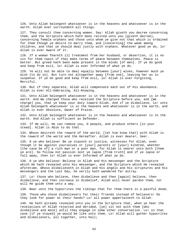126. Unto Allah belongeth whatsoever is in the heavens and whatsoever is in the earth. Allah ever surroundeth all things.

127. They consult thee concerning women. Say: Allah giveth you decree concerning them, and the Scripture which hath been recited unto you [giveth decree], concerning female orphans and those unto whom ye give not that which is ordained for them though ye desire to marry them, and [concerning] the weak among children, and that ye should deal justly with orphans. Whatever good ye do, lo! Allah is ever Aware of it.

128. If a woman feareth ill treatment from her husband, or desertion, it is no sin for them twain if they make terms of peace between themselves. Peace is better. But greed hath been made present in the minds [of men]. If ye do good and keep from evil, lo! Allah is ever Informed of what ye do.

129. Ye will not be able to deal equally between [your] wives, however much ye wish [to do so]. But turn not altogether away [from one], leaving her as in suspense. If ye do good and keep from evil, lo! Allah is ever Forgiving, Merciful.

130. But if they separate, Allah will compensate each out of His abundance. Allah is ever All-Embracing, All-Knowing.

131. Unto Allah belongeth whatsoever is in the heavens and whatsoever is in the earth. And We charged those who received the Scripture before you, and [We charge] you, that ye keep your duty toward Allah. And if ye disbelieve, lo! unto Allah belongeth whatsoever is in the heavens and whatsoever is in the earth, and Allah is ever Absolute, Owner of Praise.

132. Unto Allah belongeth whatsoever is in the heavens and whatsoever is in the earth. And Allah is sufficient as Defender.

133. If He will, He can remove you, O people, and produce others [in your stead]. Allah is Able to do that.

134. Whoso desireth the reward of the world, [let him know that] with Allah is the reward of the world and the Hereafter. Allah is ever Hearer, Seer.

135. O ye who believe! Be ye staunch in justice, witnesses for Allah, even though it be against yourselves or [your] parents or [your] kindred, whether [the case be of] a rich man or a poor man, for Allah is nearer unto both [them ye are]. So follow not passion lest ye lapse [from truth] and if ye lapse or fall away, then lo! Allah is ever Informed of what ye do.

136. O ye who believe! Believe in Allah and His messenger and the Scripture which He hath revealed unto His messenger, and the Scripture which He revealed aforetime. Whoso disbelieveth in Allah and His angels and His scriptures and His messengers and the Last Day, he verily hath wandered far astray.

137. Lo! those who believe, then disbelieve and then [again] believe, then disbelieve, and then increase in disbelief, Allah will never pardon them, nor will He guide them unto a way.

138. Bear unto the hypocrites the tidings that for them there is a painful doom;

139. Those who chose disbelievers for their friends instead of believers! Do they look for power at their hands? Lo! all power appertaineth to Allah.

140. He hath already revealed unto you in the Scripture that, when ye hear the revelations of Allah rejected and derided, [ye] sit not with them [who disbelieve and mock] until they engage in some other conversation. Lo! in that case [if ye stayed] ye would be like unto them. Lo! Allah will gather hypocrites and disbelievers, all together, into hell;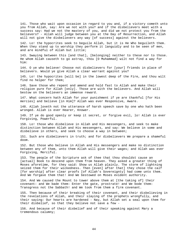141. Those who wait upon occasion in regard to you and, if a victory cometh unto you from Allah, say: Are we not with you? and if the disbelievers meet with a success say: Had we not the mastery of you, and did we not protect you from the believers? - Allah will judge between you at the Day of Resurrection, and Allah will not give the disbelievers any way [of success] against the believers.

142. Lo! the hypocrites seek to beguile Allah, but it is He Who beguileth them. When they stand up to worship they perform it languidly and to be seen of men, and are mindful of Allah but little;

143. Swaying between this [and that], [belonging] neither to these nor to those. He whom Allah causeth to go astray, thou [O Muhammad] wilt not find a way for him:

144. O ye who believe! Choose not disbelievers for [your] friends in place of believers. Would ye give Allah a clear warrant against you?

145. Lo! the hypocrites [will be] in the lowest deep of the Fire, and thou wilt find no helper for them;

146. Save those who repent and amend and hold fast to Allah and make their religion pure for Allah [only]. Those are with the believers. And Allah will bestow on the believers an immense reward.

147. What concern hath Allah for your punishment if ye are thankful [for His mercies] and believe [in Him]? Allah was ever Responsive, Aware.

148. Allah loveth not the utterance of harsh speech save by one who hath been wronged. Allah is ever Hearer, Knower.

149. If ye do good openly or keep it secret, or forgive evil, lo! Allah is ever Forgiving, Powerful.

150. Lo! those who disbelieve in Allah and His messengers, and seek to make distinction between Allah and His messengers, and say: We believe in some and disbelieve in others, and seek to choose a way in between;

151. Such are disbelievers in truth; and for disbelievers We prepare a shameful doom.

152. But those who believe in Allah and His messengers and make no distinction between any of them, unto them Allah will give their wages; and Allah was ever Forgiving, Merciful.

153. The people of the Scripture ask of thee that thou shouldst cause an [actual] Book to descend upon them from heaven. They asked a greater thing of Moses aforetime, for they said: Show us Allah plainly. The storm of lightning seized them for their wickedness. Then [even] after that] they chose the calf [for worship] after clear proofs [of Allah's Sovereignty] had come unto them. And We forgave them that! And We bestowed on Moses evident authority.

154. And We caused the Mount to tower above them at [the taking of] their covenant: and We bade them: Enter the gate, prostrate! and We bode them: Transgress not the Sabbath! and We took from them a firm covenant.

155. Then because of their breaking of their covenant, and their disbelieving in the revelations of Allah, and their slaying of the prophets wrongfully, and their saying: Our hearts are hardened - Nay, but Allah set a seal upon them for their disbelief, so that they believe not save a few -

156. And because of their disbelief and of their speaking against Mary a tremendous calumny;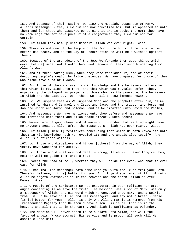157. And because of their saying: We slew the Messiah, Jesus son of Mary, Allah's messenger - they slew him not nor crucified him, but it appeared so unto them; and lo! those who disagree concerning it are in doubt thereof; they have no knowledge thereof save pursuit of a conjecture; they slew him not for certain.

158. But Allah took him up unto Himself. Allah was ever Mighty, Wise.

159. There is not one of the People of the Scripture but will believe in him before his death, and on the Day of Resurrection he will be a witness against them -

160. Because of the wrongdoing of the Jews We forbade them good things which were [before] made lawful unto them, and because of their much hindering from Allah's way,

161. And of their taking usury when they were forbidden it, and of their devouring people's wealth by false pretences, We have prepared for those of them who disbelieve a painful doom.

162. But those of them who are firm in knowledge and the believers believe in that which is revealed unto thee, and that which was revealed before thee, especially the diligent in prayer and those who pay the poor-due, the believers in Allah and the Last Day. Upon these We shall bestow immense reward.

163. Lo! We inspire thee as We inspired Noah and the prophets after him, as We inspired Abraham and Ishmael and Isaac and Jacob and the tribes, and Jesus and Job and Jonah and Aaron and Solomon, and as We imparted unto David the Psalms;

164. And messengers We have mentioned unto thee before and messengers We have not mentioned unto thee; and Allah spake directly unto Moses;

165. Messengers of good cheer and of warning, in order that mankind might have no argument against Allah after the messengers. Allah was ever Mighty, Wise.

166. But Allah [Himself] testifieth concerning that which He hath revealeth unto thee; in His knowledge hath He revealed it; and the angels also testify. And Allah is sufficient Witness.

167. Lo! those who disbelieve and hinder [others] from the way of Allah, they verily have wandered far astray.

168. Lo! those who disbelieve and deal in wrong, Allah will never forgive them, neither will He guide them unto a road,

169. Except the road of hell, wherein they will abide for ever. And that is ever easy for Allah.

170. O mankind! The messenger hath come unto you with the Truth from your Lord. Therefor believe; [it is] better for you. But if ye disbelieve, still, lo! unto Allah belongeth whatsoever is in the heavens and the earth. Allah is ever Knower, Wise.

171. O People of the Scripture! Do not exaggerate in your religion nor utter aught concerning Allah save the truth. The Messiah, Jesus son of Mary, was only a messenger of Allah, and His word which He conveyed unto Mary, and a spirit from Him. So believe in Allah and His messengers, and say not "Three" - Cease! [it is] better for you! - Allah is only One Allah. Far is it removed from His Transcendent Majesty that He should have a son. His is all that is in the heavens and all that is in the earth. And Allah is sufficient as Defender.

172. The Messiah will never scorn to be a slave unto Allah, nor will the favoured angels. Whoso scorneth His service and is proud, all such will He assemble unto Him;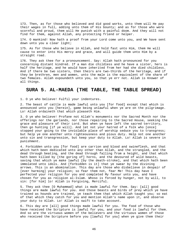173. Then, as for those who believed and did good works, unto them will He pay their wages in full, adding unto them of His bounty; and as for those who were scornful and proud, them will He punish with a painful doom. And they will not find for them, against Allah, any protecting friend or helper.

174. O mankind! Now hath a proof from your Lord come unto you, and We have sent down unto you a clear light;

175. As for those who believe in Allah, and hold fast unto Him, them He will cause to enter into His mercy and grace, and will guide them unto Him by a straight road.

176. They ask thee for a pronouncement. Say: Allah hath pronounced for you concerning distant kindred. If a man die childless and he have a sister, hers is half the heritage, and he would have inherited from her had she died childless. And if there be two sisters, then theirs are two-thirds of the heritage, and if they be brethren, men and women, unto the male is the equivalent of the share of two females. Allah expoundeth unto you, so that ye err not. Allah is Knower of all things.

## **SURA 5. AL-MAEDA (THE TABLE, THE TABLE SPREAD)**

1. O ye who believe! Fulfil your indentures.

2. The beast of cattle is made lawful unto you [for food] except that which is announced unto you [herein], game being unlawful when ye are on the pilgrimage. Lo! Allah ordaineth that which pleaseth Him.

3. O ye who believe! Profane not Allah's monuments nor the Sacred Month nor the offerings nor the garlands, nor those repairing to the Sacred House, seeking the grace and pleasure of their Lord. But when ye have left the sacred territory, then go hunting [if ye will]. And let not your hatred of a folk who [once] stopped your going to the inviolable place of worship seduce you to transgress; but help ye one another unto righteousness and pious duty. Help not one another unto sin and transgression, but keep your duty to Allah. Lo! Allah is severe in punishment.

4. Forbidden unto you [for food] are carrion and blood and swineflesh, and that which hath been dedicated unto any other than Allah, and the strangled, and the dead through beating, and the dead through falling from a height, and that which hath been killed by [the goring of] horns, and the devoured of wild beasts, saving that which ye make lawful [by the death-stroke], and that which hath been immolated unto idols. And [forbidden is it] that ye swear by the divining arrows. This is an abomination. This day are those who disbelieve in despair of [ever harming] your religion; so fear them not, fear Me! This day have I perfected your religion for you and completed My favour unto you, and have chosen for you as religion al-Islam. Whoso is forced by hunger, not by will, to sin: [for him] lo! Allah is Forgiving, Merciful.

5. They ask thee [O Muhammad] what is made lawful for them. Say: [all] good things are made lawful for you. And those beasts and birds of prey which ye have trained as hounds are trained, ye teach them that which Allah taught you; so eat of that which they catch for you and mention Allah's name upon it, and observe your duty to Allah. Lo! Allah is swift to take account.

6. This day are [all] good things made lawful for you. The food of those who have received the Scripture is lawful for you, and your food is lawful for them. And so are the virtuous women of the believers and the virtuous women of those who received the Scripture before you [lawful for you] when ye give them their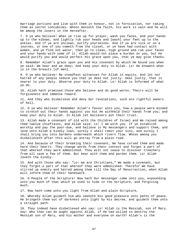marriage portions and live with them in honour, not in fornication, nor taking them as secret concubines. Whoso denieth the faith, his work is vain and he will be among the losers in the Hereafter.

7. O ye who believe! When ye rise up for prayer, wash you faces, and your hands up to the elbows, and lightly rub your heads and [wash] your feet up to the ankles. And if ye are unclean, purify yourselves. And if ye are sick or on a journey, or one of you cometh from the closet, or ye have had contact with women, and ye find not water, then go to clean, high ground and rub your faces and your hands with some of it. Allah would not place a burden on you, but He would purify you and would perfect His grace upon you, that ye may give thanks.

8. Remember Allah's grace upon you and His covenant by which He bound you when ye said: We hear and we obey; And keep your duty to Allah. Lo! He knoweth what is in the breasts [of men].

9. O ye who believe! Be steadfast witnesses for Allah in equity, and let not hatred of any people seduce you that ye deal not justly. Deal justly, that is nearer to your duty. Observe your duty to Allah. Lo! Allah is Informed of what ye do.

10. Allah hath promised those who believe and do good works: Theirs will be forgiveness and immense reward.

11. And they who disbelieve and deny Our revelations, such are rightful owners of hell.

12. O ye who believe! Remember Allah's favour unto you, how a people were minded to stretch out their hands against you but He withheld their hands from you; and keep your duty to Allah. In Allah let believers put their trust.

13. Allah made a covenant of old with the Children of Israel and We raised among them twelve chieftains, and Allah said: Lo! I am with you. If ye establish worship and pay the poor-due, and believe in My messengers and support them, and lend unto Allah a kindly loan, surely I shall remit your sins, and surely I shall bring you into Gardens underneath which rivers flow. Whoso among you disbelieveth after this will go astray from a plain road.

14. And because of their breaking their covenant, We have cursed them and made hard their hearts. They change words from their context and forget a part of that whereof they were admonished. Thou wilt not cease to discover treachery from all save a few of them. But bear with them and pardon them. Lo! Allah loveth the kindly.

15. And with those who say: "Lo! we are Christians," We made a covenant, but they forgot a part of that whereof they were admonished. Therefor We have stirred up enmity and hatred among them till the Day of Resurrection, when Allah will inform them of their handiwork.

16. O People of the Scripture! Now hath Our messenger come unto you, expounding unto you much of that which ye used to hide in the Scripture, and forgiving much.

17. Now hath come unto you light from Allah and plain Scripture,

18. Whereby Allah guideth him who seeketh His good pleasure unto paths of peace. He bringeth them out of darkness unto light by His decree, and guideth them unto a straight path.

19. They indeed have disbelieved who say: Lo! Allah is the Messiah, son of Mary. Say: Who then can do aught against Allah, if He had willed to destroy the Messiah son of Mary, and his mother and everyone on earth? Allah's is the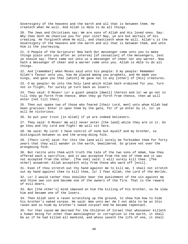Sovereignty of the heavens and the earth and all that is between them. He createth what He will. And Allah is Able to do all things.

20. The Jews and Christians say: We are sons of Allah and His loved ones. Say: Why then doth He chastise you for your sins? Nay, ye are but mortals of His creating. He forgiveth whom He will, and chastiseth whom He will. Allah's is the Sovereignty of the heavens and the earth and all that is between them, and unto Him is the journeying.

21. O People of the Scripture! Now hath Our messenger come unto you to make things plain unto you after an interval [of cessation] of the messengers, lest ye should say: There came not unto us a messenger of cheer nor any warner. Now hath a messenger of cheer and a warner come unto you. Allah is Able to do all things.

22. And [remember] when Moses said unto his people: O my people! Remember Allah's favour unto you, how He placed among you prophets, and He made you kings, and gave you that [which] He gave not to any [other] of [His] creatures.

23. O my people! Go into the holy land which Allah hath ordained for you. Turn not in flight, for surely ye turn back as losers:

24. They said: O Moses! Lo! a giant people [dwell] therein and lo! we go not in till they go forth from thence. When they go forth from thence, then we will enter [not till then].

25. Then out spake two of those who feared [their Lord, men] unto whom Allah had been gracious: Enter in upon them by the gate, for if ye enter by it, lo! ye will be victorious.

26. So put your trust [in Allah] if ye are indeed believers.

27. They said: O Moses! We will never enter [the land] while they are in it. So go thou and thy Lord and fight! We will sit here.

28. He said: My Lord! I have control of none but myself and my brother, so distinguish between us and the wrong-doing folk.

29. [Their Lord] said: For this the land will surely be forbidden them for forty years that they will wander in the earth, bewildered. So grieve not over the wrongdoing folk.

30. But recite unto them with truth the tale of the two sons of Adam, how they offered each a sacrifice, and it was accepted from the one of them and it was not accepted from the other. [The one] said: I will surely kill thee. [The other] answered: Allah accepteth only from those who ward off [evil].

31. Even if thou stretch out thy hand against me to kill me, I shall not stretch out my hand against thee to kill thee, lo! I fear Allah, the Lord of the Worlds.

32. Lo! I would rather thou shouldst bear the punishment of the sin against me and thine own sin and become one of the owners of the fire. That is the reward of evil-doers.

33. But [the other's] mind imposed on him the killing of his brother, so he slew him and became one of the losers.

34. Then Allah sent a raven scratching up the ground, to show him how to hide his brother's naked corpse. He said: Woe unto me! Am I not able to be as this raven and so hide my brother's naked corpse? And he became repentant.

35. For that cause We decreed for the Children of Israel that whosoever killeth a human being for other than manslaughter or corruption in the earth, it shall be as if he had killed all mankind, and whoso saveth the life of one, it shall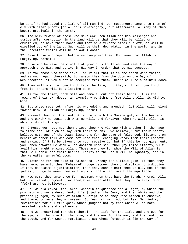be as if he had saved the life of all mankind. Our messengers came unto them of old with clear proofs [of Allah's Sovereignty], but afterwards lo! many of them became prodigals in the earth.

36. The only reward of those who make war upon Allah and His messenger and strive after corruption in the land will be that they will be killed or crucified, or have their hands and feet on alternate sides cut off, or will be expelled out of the land. Such will be their degradation in the world, and in the Hereafter theirs will be an awful doom;

37. Save those who repent before ye overpower them. For know that Allah is Forgiving, Merciful.

38. O ye who believe! Be mindful of your duty to Allah, and seek the way of approach unto Him, and strive in His way in order that ye may succeed.

39. As for those who disbelieve, lo! if all that is in the earth were theirs, and as much again therewith, to ransom them from the doom on the Day of Resurrection, it would not be accepted from them. Theirs will be a painful doom.

40. They will wish to come forth from the Fire, but they will not come forth from it. Theirs will be a lasting doom.

41. As for the thief, both male and female, cut off their hands. It is the reward of their own deeds, an exemplary punishment from Allah. Allah is Mighty, Wise.

42. But whoso repenteth after his wrongdoing and amendeth, lo! Allah will relent toward him. Lo! Allah is Forgiving, Merciful.

43. Knowest thou not that unto Allah belongeth the Sovereignty of the heavens and the earth? He punisheth whom He will, and forgiveth whom He will. Allah is Able to do all things.

44. O Messenger! Let not them grieve thee who vie one with another in the race to disbelief, of such as say with their mouths: "We believe," but their hearts believe not, and of the Jews: listeners for the sake of falsehood, listeners on behalf of other folk who come not unto thee, changing words from their context and saying: If this be given unto you, receive it, but if this be not given unto you, then beware! He whom Allah doometh unto sin, thou [by thine efforts] wilt avail him naught against Allah. Those are they for whom the Will of Allah is that He cleanse not their hearts. Theirs in the world will be ignominy, and in the Hereafter an awful doom;

45. Listeners for the sake of falsehood! Greedy for illicit gain! If then they have recourse unto thee [Muhammad] judge between them or disclaim jurisdiction. If thou disclaimest jurisdiction, then they cannot harm thee at all. But if thou judgest, judge between them with equity. Lo! Allah loveth the equitable.

46. How come they unto thee for judgment when they have the Torah, wherein Allah hath delivered judgment [for them]? Yet even after that they turn away. Such [folk] are not believers.

47. Lo! We did reveal the Torah, wherein is guidance and a light, by which the prophets who surrendered [unto Allah] judged the Jews, and the rabbis and the priests [judged] by such of Allah's Scripture as they were bidden to observe, and thereunto were they witnesses. So fear not mankind, but fear Me. And My revelations for a little gain. Whoso judgeth not by that which Allah hath revealed: such are disbelievers.

48. And We prescribed for them therein: The life for the life, and the eye for the eye, and the nose for the nose, and the ear for the ear, and the tooth for the tooth, and for wounds retaliation. But whoso forgoeth it [in the way of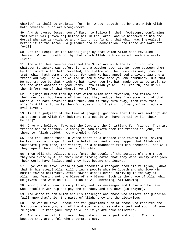charity] it shall be expiation for him. Whoso judgeth not by that which Allah hath revealed: such are wrong-doers.

49. And We caused Jesus, son of Mary, to follow in their footsteps, confirming that which was [revealed] before him in the Torah, and We bestowed on him the Gospel wherein is guidance and a light, confirming that which was [revealed] before it in the Torah - a guidance and an admonition unto those who ward off [evil].

50. Let the People of the Gospel judge by that which Allah hath revealed therein. Whoso judgeth not by that which Allah hath revealed: such are evillivers.

51. And unto thee have We revealed the Scripture with the truth, confirming whatever Scripture was before it, and a watcher over it. So judge between them by that which Allah hath revealed, and follow not their desires away from the truth which hath come unto thee. For each We have appointed a divine law and a traced-out way. Had Allah willed He could have made you one community. But that He may try you by that which He hath given you [He hath made you as ye are]. So vie one with another in good works. Unto Allah ye will all return, and He will then inform you of that wherein ye differ.

52. So judge between them by that which Allah hath revealed, and follow not their desires, but beware of them lest they seduce thee from some part of that which Allah hath revealed unto thee. And if they turn away, then know that Allah's Will is to smite them for some sin of theirs. Lo! many of mankind are evil-livers.

53. Is it a judgment of the time of [pagan] ignorance that they are seeking? Who is better than Allah for judgment to a people who have certainty [in their belief]?

54. O ye who believe! Take not the Jews and the Christians for friends. They are friends one to another. He among you who taketh them for friends is [one] of them. Lo! Allah guideth not wrongdoing folk.

55. And thou seest those in whose heart is a disease race toward them, saying: We fear lest a change of fortune befall us. And it may happen that Allah will vouchsafe [unto thee] the victory, or a commandment from His presence. Then will they repent them of their secret thoughts.

56. Then will the believers say [unto the people of the Scripture]: are these they who swore by Allah their most binding oaths that they were surely with you? Their works have failed, and they have become the losers.

57. O ye who believe! Whoso of you becometh a renegade from his religion, [know that in his stead] Allah will bring a people whom He loveth and who love Him, humble toward believers, stern toward disbelievers, striving in the way of Allah, and fearing not the blame of any blamer. Such is the grace of Allah which He giveth unto whom He will. Allah is All-Embracing, All-Knowing.

58. Your guardian can be only Allah; and His messenger and those who believe, who establish worship and pay the poordue, and bow down [in prayer].

59. And whoso taketh Allah and His messenger and those who believe for guardian [will know that], lo! the party of Allah, they are the victorious.

60. O Ye who believe! Choose not for guardians such of those who received the Scripture before you, and of the disbelievers, as make a jest and sport of your religion. But keep your duty to Allah if ye are true believers.

61. And when ye call to prayer they take it for a jest and sport. That is because they are a folk who understand not.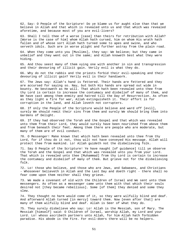62. Say: O People of the Scripture! Do ye blame us for aught else than that we believe in Allah and that which is revealed unto us and that which was revealed aforetime, and because most of you are evil-livers?

63. Shall I tell thee of a worse [case] than theirs for retribution with Allah? [Worse is the case of him] whom Allah hath cursed, him on whom His wrath hath fallen and of whose sort Allah hath turned some to apes and swine, and who serveth idols. Such are in worse plight and further astray from the plain road.

64. When they come unto you [Muslims], they say: We believe; but they came in unbelief and they went out in the same; and Allah knoweth best what they were hiding.

65. And thou seest many of them vying one with another in sin and transgression and their devouring of illicit gain. Verily evil is what they do.

66. Why do not the rabbis and the priests forbid their evil-speaking and their devouring of illicit gain? Verily evil is their handiwork.

67. The Jews say: Allah's hand is fettered. Their hands are fettered and they are accursed for saying so. Nay, but both His hands are spread out wide in bounty. He bestoweth as He will. That which hath been revealed unto thee from thy Lord is certain to increase the contumacy and disbelief of many of them, and We have cast among them enmity and hatred till the Day of Resurrection. As often as they light a fire for war, Allah extinguisheth it. Their effort is for corruption in the land, and Allah loveth not corrupters.

68. If only the People of the Scripture would believe and ward off [evil], surely We should remit their sins from them and surely We should bring them into Gardens of Delight.

69. If they had observed the Torah and the Gospel and that which was revealed unto them from their Lord, they would surely have been nourished from above them and from beneath their feet. Among them there are people who are moderate, but many of them are of evil conduct.

70. O Messenger! Make known that which hath been revealed unto thee from thy Lord, for if thou do it not, thou wilt not have conveyed His message. Allah will protect thee from mankind. Lo! Allah guideth not the disbelieving folk.

71. Say O People of the Scripture! Ye have naught [of guidance] till ye observe the Torah and the Gospel and that which was revealed unto you from your Lord. That which is revealed unto thee [Muhammad] from thy Lord is certain to increase the contumacy and disbelief of many of them. But grieve not for the disbelieving folk.

72. Lo! those who believe, and those who are Jews, and Sabaeans, and Christians - Whosoever believeth in Allah and the Last Day and doeth right - there shall no fear come upon them neither shall they grieve.

73. We made a covenant of old with the Children of Israel and We sent unto them messengers. As often as a messenger came unto them with that which their souls desired not [they became rebellious]. Some [of them] they denied and some they slew.

74. They thought no harm would come of it, so they were wilfully blind and deaf. And afterward Allah turned [in mercy] toward them. Now [even after that] are many of them wilfully blind and deaf. Allah is Seer of what they do.

75. They surely disbelieve who say: Lo! Allah is the Messiah, son of Mary. The Messiah [himself] said: O Children of Israel, worship Allah, my Lord and your Lord. Lo! whoso ascribeth partners unto Allah, for him Allah hath forbidden paradise. His abode is the Fire. For evil-doers there will be no helpers.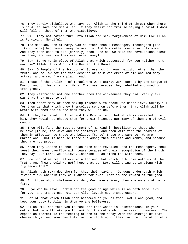76. They surely disbelieve who say: Lo! Allah is the third of three; when there is no Allah save the One Allah. If they desist not from so saying a painful doom will fall on those of them who disbelieve.

77. Will they not rather turn unto Allah and seek forgiveness of Him? For Allah is Forgiving, Merciful.

78. The Messiah, son of Mary, was no other than a messenger, messengers [the like of whom] had passed away before him. And his mother was a saintly woman. And they both used to eat [earthly] food. See how We make the revelations clear for them, and see how they are turned away!

79. Say: Serve ye in place of Allah that which possesseth for you neither hurt nor use? Allah it is Who is the Hearer, the Knower.

80. Say: O People of the Scripture! Stress not in your religion other than the truth, and follow not the vain desires of folk who erred of old and led many astray, and erred from a plain road.

81. Those of the Children of Israel who went astray were cursed by the tongue of David, and of Jesus, son of Mary. That was because they rebelled and used to transgress.

82. They restrained not one another from the wickedness they did. Verily evil was that they used to do!

83. Thou seest many of them making friends with those who disbelieve. Surely ill for them is that which they themselves send on before them: that Allah will be wroth with them and in the doom they will abide.

84. If they believed in Allah and the Prophet and that which is revealed unto him, they would not choose them for their friends. But many of them are of evil conduct.

85. Thou wilt find the most vehement of mankind in hostility to those who believe [to be] the Jews and the idolaters. And thou wilt find the nearest of them in affection to those who believe [to be] those who say: Lo! We are Christians. That is because there are among them priests and monks, and because they are not proud.

86. When they listen to that which hath been revealed unto the messengers, thou seest their eyes overflow with tears because of their recognition of the Truth. They say: Our Lord, we believe. Inscribe us as among the witnesses.

87. How should we not believe in Allah and that which hath come unto us of the Truth. And [how should we not] hope that our Lord will bring us in along with righteous folk?

88. Allah hath rewarded them for that their saying - Gardens underneath which rivers flow, wherein they will abide for ever. That is the reward of the good.

89. But those who disbelieve and deny Our revelations, they are owners of hellfire.

90. O ye who believe! Forbid not the good things which Allah hath made lawful for you, and transgress not, Lo! Allah loveth not transgressors.

91. Eat of that which Allah hath bestowed on you as food lawful and good, and keep your duty to Allah in Whom ye are believers.

92. Allah will not take you to task for that which is unintentional in your oaths, but He will take you to task for the oaths which ye swear in earnest. The expiation thereof is the feeding of ten of the needy with the average of that wherewith ye feed your own folk, or the clothing of them, or the liberation of a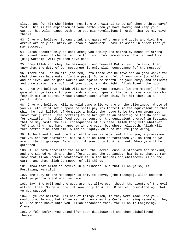slave, and for him who findeth not [the wherewithal to do so] then a three days' fast. This is the expiation of your oaths when ye have sworn; and keep your oaths. Thus Allah expoundeth unto you His revelations in order that ye may give thanks.

93. O ye who believe! Strong drink and games of chance and idols and divining arrows are only an infamy of Satan's handiwork. Leave it aside in order that ye may succeed.

94. Satan seeketh only to cast among you enmity and hatred by means of strong drink and games of chance, and to turn you from remembrance of Allah and from [His] worship. Will ye then have done?

95. Obey Allah and obey the messenger, and beware! But if ye turn away, then know that the duty of Our messenger is only plain conveyance [of the message].

96. There shall be no sin [imputed] unto those who believe and do good works for what they may have eaten [in the past]. So be mindful of your duty [to Allah], and believe, and do good works; and again: be mindful of your duty, and believe; and once again: be mindful of your duty, and do right. Allah loveth the good.

97. O ye who believe! Allah will surely try you somewhat [in the matter] of the game which ye take with your hands and your spears, that Allah may know him who feareth Him in secret. Whoso transgresseth after this, for him there is a painful doom.

98. O ye who believe! Kill no wild game while ye are on the pilgrimage. Whoso of you killeth it of set purpose he shall pay its forfeit in the equivalent of that which he hath killed, of domestic animals, the judge to be two men among you known for justice, [the forfeit] to be brought as an offering to the Ka'bah; or, for expiation, he shall feed poor persons, or the equivalent thereof in fasting, that he may taste the evil consequences of his deed. Allah forgiveth whatever [of this kind] may have happened in the past, but whoso relapseth, Allah will take retribution from him. Allah is Mighty, Able to Requite [the wrong].

99. To hunt and to eat the fish of the sea is made lawful for you, a provision for you and for seafarers; but to hunt on land is forbidden you so long as ye are on the pilgrimage. Be mindful of your duty to Allah, unto Whom ye will be gathered.

100. Allah hath appointed the Ka'bah, the Sacred House, a standard for mankind, and the Sacred Month and the offerings and the garlands. That is so that ye may know that Allah knoweth whatsoever is in the heavens and whatsoever is in the earth, and that Allah is Knower of all things.

101. Know that Allah is severe in punishment, but that Allah [also] is Forgiving, Merciful.

102. The duty of the messenger is only to convey [the message]. Allah knoweth what ye proclaim and what ye hide.

103. Say: The evil and the good are not alike even though the plenty of the evil attract thee. So be mindful of your duty to Allah, O men of understanding, that ye may succeed.

104. O ye who believe! Ask not of things which, if they were made unto you, would trouble you; but if ye ask of them when the Qur'an is being revealed, they will be made known unto you. Allah pardoneth this, for Allah is Forgiving, Clement.

105. A folk before you asked [for such disclosures] and then disbelieved therein.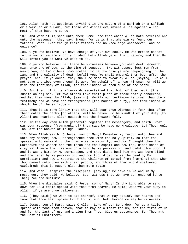106. Allah hath not appointed anything in the nature of a Bahirah or a Sa'ibah or a Wasilah or a Hami, but those who disbelieve invent a lie against Allah. Most of them have no sense.

107. And when it is said unto them: Come unto that which Allah hath revealed and unto the messenger, they say: Enough for us is that wherein we found our fathers. What! Even though their fathers had no knowledge whatsoever, and no guidance?

108. O ye who believe! Ye have charge of your own souls. He who erreth cannot injure you if ye are rightly guided. Unto Allah ye will all return; and then He will inform you of what ye used to do.

109. O ye who believe! Let there be witnesses between you when death draweth nigh unto one of you, at the time of bequest - two witnesses, just men from among you, or two others from another tribe, in case ye are campaigning in the land and the calamity of death befall you. Ye shall empanel them both after the prayer, and, if ye doubt, they shall be made to swear by Allah [saying]: We will not take a bribe, even though it were [on behalf of] a near kinsman nor will we hide the testimony of Allah, for then indeed we should be of the sinful.

110. But then, if it is afterwards ascertained that both of them merit [the suspicion of] sin, let two others take their place of those nearly concerned, and let them swear by Allah, [saying]: Verily our testimony is truer than their testimony and we have not transgressed [the bounds of duty], for them indeed we should be of the evil-doers.

111. Thus it is more likely that they will bear true witness or fear that after their oaths the oaths [of others] will be taken. So be mindful of your duty [to Allah] and hearken. Allah guideth not the froward folk.

112. In the day when Allah gathereth together the messengers, and saith: What was your response [from mankind]? they say: We have no knowledge. Lo! Thou, only Thou art the Knower of Things Hidden,

113. When Allah saith: O Jesus, son of Mary! Remember My favour unto thee and unto thy mother; how I strengthened thee with the holy Spirit, so that thou spakest unto mankind in the cradle as in maturity; and how I taught thee the Scripture and Wisdom and the Torah and the Gospel; and how thou didst shape of clay as it were the likeness of a bird by My permission, and didst blow upon it and it was a bird by My permission, and thou didst heal him who was born blind and the leper by My permission; and how thou didst raise the dead by My permission; and how I restrained the Children of Israel from [harming] thee when thou camest unto them with clear proofs, and those of them who disbelieved exclaimed: This is naught else than mere magic;

114. And when I inspired the disciples, [saying]: Believe in Me and in My messenger, they said: We believe. Bear witness that we have surrendered [unto Thee] "we are muslims".

115. When the disciples said: O Jesus, son of Mary! Is thy Lord able to send down for us a table spread with food from heaven? He said: Observe your duty to Allah, if ye are true believers.

116. [They said:] We wish to eat thereof, that we may satisfy our hearts and know that thou hast spoken truth to us, and that thereof we may be witnesses.

117. Jesus, son of Mary, said: O Allah, Lord of us! Send down for us a table spread with food from heaven, that it may be a feast for us, for the first of us and for the last of us, and a sign from Thee. Give us sustenance, for Thou art the Best of Sustainers.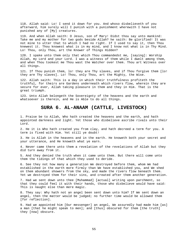118. Allah said: Lo! I send it down for you. And whoso disbelieveth of you afterward, him surely will I punish with a punishment wherewith I have not punished any of [My] creatures.

119. And when Allah saith: O Jesus, son of Mary! Didst thou say unto mankind: Take me and my mother for two gods beside Allah? he saith: Be glorified! It was not mine to utter that to which I had no right. If I used to say it, then Thou knewest it. Thou knowest what is in my mind, and I know not what is in Thy Mind. Lo! Thou, only Thou, art the Knower of Things Hidden?

120. I spake unto them only that which Thou commandedst me, [saying]: Worship Allah, my Lord and your Lord. I was a witness of them while I dwelt among them, and when Thou tookest me Thou wast the Watcher over them. Thou art Witness over all things.

121. If Thou punish them, lo! they are Thy slaves, and if Thou forgive them [lo! they are Thy slaves]. Lo! Thou, only Thou, art the Mighty, the Wise.

122. Allah saith: This is a day in which their truthfulness profiteth the truthful, for theirs are Gardens underneath which rivers flow, wherein they are secure for ever, Allah taking pleasure in them and they in Him. That is the great triumph.

123. Unto Allah belongeth the Sovereignty of the heavens and the earth and whatsoever is therein, and He is Able to do all things.

## **SURA 6. AL-ANAAM (CATTLE, LIVESTOCK)**

1. Praise be to Allah, Who hath created the heavens and the earth, and hath appointed darkness and light. Yet those who disbelieve ascribe rivals unto their Lord.

2. He it is Who hath created you from clay, and hath decreed a term for you. A term is fixed with Him. Yet still ye doubt!

3. He is Allah in the heavens and in the earth. He knoweth both your secret and your utterance, and He knoweth what ye earn.

4. Never came there unto them a revelation of the revelations of Allah but they did turn away from it.

5. And they denied the truth when it came unto them. But there will come unto them the tidings of that which they used to deride.

6. See they not how many a generation We destroyed before them, whom We had established in the earth more firmly than We have established you, and We shed on them abundant showers from the sky, and made the rivers flow beneath them. Yet we destroyed them for their sins, and created after them another generation.

7. Had we sent down unto thee [Muhammad] [actual] writing upon parchment, so that they could feel it with their hands, those who disbelieve would have said: This is naught else than mere magic.

8. They say: Why hath not an angel been sent down unto him? If We sent down an angel, then the matter would be judged; no further time would be allowed them [for reflection].

9. Had we appointed him [Our messenger] an angel, We assuredly had made him [as] a man [that he might speak to men]; and [thus] obscured for them [the truth] they [now] obscure.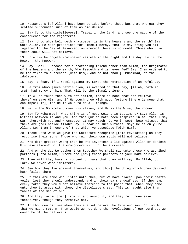10. Messengers [of Allah] have been derided before thee, but that whereat they scoffed surrounded such of them as did deride.

11. Say [unto the disbelievers]: Travel in the land, and see the nature of the consequence for the rejecters!

12. Say: Unto whom belongeth whatsoever is in the heavens and the earth? Say: Unto Allah. He hath prescribed for Himself mercy, that He may bring you all together to the Day of Resurrection whereof there is no doubt. Those who ruin their souls will not believe.

13. Unto Him belongeth whatsoever resteth in the night and the day. He is the Hearer, the Knower.

14. Say: Shall I choose for a protecting friend other than Allah, the Originator of the heavens and the earth, Who feedeth and is never fed? Say: I am ordered to be the first to surrender [unto Him]. And be not thou [O Muhammad] of the idolaters.

15. Say: I fear, if I rebel against my Lord, the retribution of an Awful Day.

16. He from whom [such retribution] is averted on that day, [Allah] hath in truth had mercy on him. That will be the signal triumph.

17. If Allah touch thee with affliction, there is none that can relieve therefrom save Him, and if He touch thee with good fortune [there is none that can impair it]; for He is Able to do all things.

18. He is the Omnipotent over His slaves, and He is the Wise, the Knower.

19. Say [O Muhammad]: What thing is of most weight in testimony? Say: Allah is Witness between me and you. And this Qur'an hath been inspired in me, that I may warn therewith you and whomsoever it may reach. Do ye in sooth bear witness that there are gods beside Allah? Say: I bear no such witness. Say: He is only One Allah. Lo! I am innocent of that which ye associate [with Him].

20. Those unto whom We gave the Scripture recognise [this revelation] as they recognise their sons. Those who ruin their own souls will not believe.

21. Who doth greater wrong than he who inventeth a lie against Allah or denieth His revelations? Lo! the wrongdoers will not be successful.

22. And on the day We gather them together We shall say unto those who ascribed partners [unto Allah]: Where are [now] those partners of your make-believe?

23. Then will they have no contention save that they will say: By Allah, our Lord, we never were idolaters.

24. See how they lie against themselves, and [how] the thing which they devised hath failed them!

25. Of them are some who listen unto thee, but We have placed upon their hearts veils, lest they should understand, and in their ears a deafness. If they saw every token they would not believe therein; to the point that, when they come unto thee to argue with thee, the disbelievers say: This is naught else than fables of the men of old.

26. And they forbid [men] from it and avoid it, and they ruin none save themselves, though they perceive not.

27. If thou couldst see when they are set before the Fire and say: Oh, would that we might return! Then would we not deny the revelations of our Lord but we would be of the believers!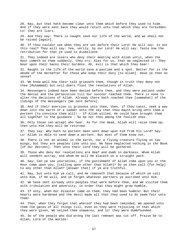28. Nay, but that hath become clear unto them which before they used to hide. And if they were sent back they would return unto that which they are forbidden. Lo! they are liars.

29. And they say: There is naught save our life of the world, and we shall not be raised [again].

30. If thou couldst see when they are set before their Lord! He will say: Is not this real? They will say: Yea, verily, by our Lord! He will say: Taste now the retribution for that ye used to disbelieve.

31. They indeed are losers who deny their meeting with Allah until, when the Hour cometh on them suddenly, they cry: Alas for us, that we neglected it! They bear upon their backs their burdens. Ah, evil is that which they bear!

32. Naught is the life of the world save a pastime and a spot. Better far is the abode of the Hereafter for those who keep their duty [to Allah]. Have ye then no sense?

33. We know well how their talk grieveth thee, though in truth they deny not thee [Muhammad] but evil-doers flout the revelations of Allah.

34. Messengers indeed have been denied before thee, and they were patient under the denial and the persecution till Our succour reached them. There is none to alter the decisions of Allah. Already there hath reached thee [somewhat] of the tidings of the messengers [We sent before].

35. And if their aversion is grievous unto thee, then, if thou canst, seek a way down into the earth or a ladder unto the sky that thou mayst bring unto them a portent [to convince them all]! - If Allah willed, He could have brought them all together to the guidance - So be not thou among the foolish ones.

36. Only those can accept who hear. As for the dead, Allah will raise them up; then unto Him they will be returned.

37. They say: Why hath no portent been sent down upon him from his Lord? Say: Lo! Allah is Able to send down a portent. But most of them know not.

38. There is not an animal in the earth, nor a flying creature flying on two wings, but they are peoples like unto you. We have neglected nothing in the Book [of Our decrees]. Then unto their Lord they will be gathered.

39. Those who deny Our revelations are deaf and dumb in darkness. Whom Allah will sendeth astray, and whom He will He placeth on a straight path.

40. Say: Can ye see yourselves, if the punishment of Allah come upon you or the Hour come upon you, [calling upon other than Allah]? Do ye then call [for help] to any other than Allah? [Answer that] if ye are truthful.

41. Nay, but unto Him ye call, and He removeth that because of which ye call unto Him, if He will, and ye forget whatever partners ye ascribed unto Him.

42. We have sent already unto peoples that were before thee, and We visited them with tribulation and adversity, in order that they might grow humble.

43. If only, when Our disaster came on them, they had been humble! But their hearts were hardened and the devil made all that they used to do seem fair unto them!

44. Then, when they forgot that whereof they had been reminded, We opened unto them the gates of all things till, even as they were rejoicing in that which they were given, We seized them unawares, and lo! they were dumbfounded.

45. So of the people who did wrong the last remnant was cut off. Praise be to Allah, Lord of the Worlds!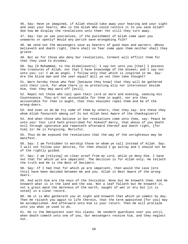46. Say: Have ye imagined, if Allah should take away your hearing and your sight and seal your hearts, Who is the Allah Who could restore it to you save Allah? See how We display the revelations unto them! Yet still they turn away.

47. Say: Can ye see yourselves, if the punishment of Allah come upon you unawares or openly? Would any perish save wrongdoing folk?

48. We send not the messengers save as bearers of good news and warners. Whoso believeth and doeth right, there shall no fear come upon them neither shall they grieve.

49. But as for those who deny Our revelations, torment will afflict them for that they used to disobey.

50. Say [O Muhammad, to the disbelievers]: I say not unto you [that] I possess the treasures of Allah, nor that I have knowledge of the Unseen; and I say not unto you: Lo! I am an angel. I follow only that which is inspired in me. Say: Are the blind man and the seer equal? Will ye not then take thought?

51. Warn hereby those who fear [because they know] that they will be gathered unto their Lord, for whom there is no protecting ally nor intercessor beside Him, that they may ward off [evil].

52. Repel not those who call upon their Lord at morn and evening, seeking His Countenance. Thou art not accountable for them in aught, nor are they accountable for thee in aught, that thou shouldst repel them and be of the wrong-doers.

53. And even so do We try some of them by others, that they say: Are these they whom Allah favoureth among us? Is not Allah best Aware of the thanksgivers?

54. And when those who believe in Our revelations come unto thee, say: Peace be unto you! Your Lord hath prescribed for Himself mercy, that whoso of you doeth evil through ignorance and repenteth afterward thereof and doeth right, [for him] lo! He is Forgiving, Merciful.

55. Thus do We expound the revelations that the way of the unrighteous may be manifest.

56. Say: I am forbidden to worship those on whom ye call instead of Allah. Say: I will not follow your desires, for then should I go astray and I should not be of the rightly guided.

57. Say: I am [relying] on clear proof from my Lord, while ye deny Him. I have not that for which ye are impatient. The decision is for Allah only. He telleth the truth and He is the Best of Deciders.

58. Say: If I had that for which ye are impatient, then would the case [ere this] have been decided between me and you. Allah is Best Aware of the wrongdoers.

59. And with Him are the keys of the Invisible. None but He knoweth them. And He knoweth what is in the land and the sea. Not a leaf falleth but He knoweth it, not a grain amid the darkness of the earth, naught of wet or dry but [it is noted] in a clear record.

60. He it is Who gathereth you at night and knoweth that which ye commit by day. Then He raiseth you again to life therein, that the term appointed [for you] may be accomplished. And afterward unto Him is your return. Then He will proclaim unto you what ye used to do.

61. He is the Omnipotent over His slaves. He sendeth guardians over you until, when death cometh unto one of you, Our messengers receive him, and they neglect not.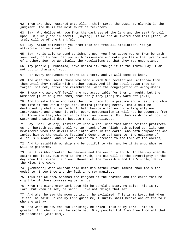62. Then are they restored unto Allah, their Lord, the Just. Surely His is the judgment. And He is the most swift of reckoners.

63. Say: Who delivereth you from the darkness of the land and the sea? Ye call upon Him humbly and in secret, [saying]: If we are delivered from this [fear] we truly will be of the thankful.

64. Say: Allah delivereth you from this and from all affliction. Yet ye attribute partners unto Him.

65. Say: He is able to send punishment upon you from above you or from beneath your feet, or to bewilder you with dissension and make you taste the tyranny one of another. See how We display the revelations so that they may understand.

66. Thy people [O Muhammad] have denied it, though it is the Truth. Say: I am not put in charge of you.

67. For every announcement there is a term, and ye will come to know.

68. And when thou seest those who meddle with Our revelations, withdraw from them until they meddle with another topic. And if the devil cause thee to forget, sit not, after the remembrance, with the congregation of wrong-doers.

69. Those who ward off [evil] are not accountable for them in aught, but the Reminder [must be given them] that haply they [too] may ward off [evil].

70. And forsake those who take their religion for a pastime and a jest, and whom the life of the world beguileth. Remind [mankind] hereby lest a soul be destroyed by what it earneth. It hath beside Allah no protecting ally nor intercessor, and though it offer every compensation it will not be accepted from it. Those are they who perish by their own deserts. For them is drink of boiling water and a painful doom, because they disbelieved.

71. Say: Shall we cry, instead of unto Allah, unto that which neither profiteth us nor hurteth us, and shall we turn back after Allah hath guided us, like one bewildered whom the devils have infatuated in the earth, who hath companions who invite him to the guidance [saying]: Come unto us? Say: Lo! the guidance of Allah is Guidance, and we are ordered to surrender to the Lord of the Worlds,

72. And to establish worship and be dutiful to Him, and He it is unto Whom ye will be gathered.

73. He it is Who created the heavens and the earth in truth. In the day when He saith: Be! it is. His Word is the Truth, and His will be the Sovereignty on the day when the trumpet is blown. Knower of the Invisible and the Visible, He is the Wise, the Aware.

74. [Remember] when Abraham said unto his father Azar: Takest thou idols for gods? Lo! I see thee and thy folk in error manifest.

75. Thus did We show Abraham the kingdom of the heavens and the earth that he might be of those possessing certainty:

76. When the night grew dark upon him he beheld a star. He said: This is my Lord. But when it set, he said: I love not things that set.

77. And when he saw the moon uprising, he exclaimed: This is my Lord. But when it set, he said: Unless my Lord guide me, I surely shall become one of the folk who are astray.

78. And when he saw the sun uprising, he cried: This is my Lord! This is greater! And when it set he exclaimed: O my people! Lo! I am free from all that ye associate [with Him].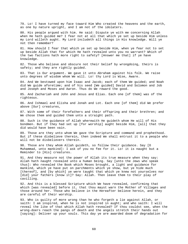79. Lo! I have turned my face toward Him Who created the heavens and the earth, as one by nature upright, and I am not of the idolaters.

80. His people argued with him. He said: Dispute ye with me concerning Allah when He hath guided me? I fear not at all that which ye set up beside Him unless my Lord willeth aught. My Lord includeth all things in His knowledge. Will ye not then remember?

81. How should I fear that which ye set up beside Him, when ye fear not to set up beside Allah that for which He hath revealed unto you no warrant? Which of the two factions hath more right to safety? [Answer me that] if ye have knowledge.

82. Those who believe and obscure not their belief by wrongdoing, theirs is safety; and they are rightly guided.

83. That is Our argument. We gave it unto Abraham against his folk. We raise unto degrees of wisdom whom We will. Lo! thy Lord is Wise, Aware.

84. And We bestowed upon him Isaac and Jacob; each of them We guided; and Noah did We guide aforetime; and of his seed [We guided] David and Solomon and Job and Joseph and Moses and Aaron. Thus do We reward the good.

85. And Zachariah and John and Jesus and Elias. Each one [of them] was of the righteous.

86. And Ishmael and Elisha and Jonah and Lot. Each one [of them] did We prefer above [Our] creatures,

87. With some of their forefathers and their offspring and their brethren; and We chose them and guided them unto a straight path.

88. Such is the guidance of Allah wherewith He guideth whom He will of His bondmen. But if they had set up [for worship] aught beside Him, [all] that they did would have been vain.

89. Those are they unto whom We gave the Scripture and command and prophethood. But if these disbelieve therein, then indeed We shall entrust it to a people who will not be disbelievers therein.

90. Those are they whom Allah guideth, so follow their guidance. Say [O Muhammad, unto mankind]: I ask of you no fee for it. Lo! it is naught but a Reminder to [His] creatures.

91. And they measure not the power of Allah its true measure when they say: Allah hath naught revealed unto a human being. Say [unto the Jews who speak thus]: Who revealed the Book which Moses brought, a light and guidance for mankind, which ye have put on parchments which ye show, but ye hide much [thereof], and [by which] ye were taught that which ye knew not yourselves nor [did] your fathers [know it]? Say: Allah. Then leave them to their play of cavilling.

92. And this is a blessed Scripture which We have revealed, confirming that which [was revealed] before it, that thou mayst warn the Mother of Villages and those around her. Those who believe in the Hereafter believe herein, and they are careful of their worship.

93. Who is guilty of more wrong than he who forgeth a lie against Allah, or saith: I am inspired, when he is not inspired in aught; and who saith: I will reveal the like of that which Allah hath revealed? If thou couldst see, when the wrong-doers reach the pangs of death and the angels stretch their hands out [saying]: Deliver up your souls. This day ye are awarded doom of degradation for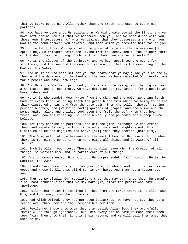that ye spake concerning Allah other than the truth, and used to scorn His portents.

94. Now have ye come unto Us solitary as We did create you at the first, and ye have left behind you all that We bestowed upon you, and We behold not with you those your intercessors, of whom ye claimed that they possessed a share in you. Now is the bond between you severed, and that which ye presumed hath failed you.

95. Lo! Allah [it is] Who splitteth the grain of corn and the date-stone [for sprouting]. He bringeth forth the living from the dead, and is the bringer-forth of the dead from the living. Such is Allah. How then are ye perverted?

96. He is the Cleaver of the Daybreak, and He hath appointed the night for stillness, and the sun and the moon for reckoning. That is the measuring of the Mighty, the Wise.

97. And He it is Who hath set for you the stars that ye may guide your course by them amid the darkness of the land and the sea. We have detailed Our revelations for a people who have knowledge.

98. And He it is Who hath produced you from a single being, and [hath given you] a habitation and a repository. We have detailed Our revelations for a people who have understanding.

99. He it is Who sendeth down water from the sky, and therewith We bring forth buds of every kind; We bring forth the green blade from which We bring forth the thick-clustered grain; and from the date-palm, from the pollen thereof, spring pendant bunches; and [We bring forth] gardens of grapes, and the olive and the pomegranate, alike and unlike. Look upon the fruit thereof, when they bear fruit, and upon its ripening. Lo! herein verily are portents for a people who believe.

100. Yet they ascribe as partners unto Him the jinn, although He did create them, and impute falsely, without knowledge, sons and daughters unto Him. Glorified be He and High Exalted above [all] that they ascribe [unto Him].

101. The Originator of the heavens and the earth! How can He have a child, when there is for Him no consort, when He created all things and is Aware of all things?

102. Such is Allah, your Lord. There is no Allah save Him, the Creator of all things, so worship Him. And He taketh care of all things.

103. Vision comprehendeth Him not, but He comprehendeth [all] vision. He is the Subtile, the Aware.

104. Proofs have come unto you from your Lord, so whoso seeth, it is for his own good, and whoso is blind is blind to his own hurt. And I am not a keeper over you.

105. Thus do We display Our revelations that they may say [unto thee, Muhammad]: "Thou hast studied," and that We may make [it] clear for people who have knowledge.

106. Follow that which is inspired in thee from thy Lord; there is no Allah save Him; and turn away from the idolaters.

107. Had Allah willed, they had not been idolatrous. We have not set thee as a keeper over them, nor art thou responsible for them.

108. Revile not those unto whom they pray beside Allah lest they wrongfully revile Allah through ignorance. Thus unto every nation have We made their deed seem fair. Then unto their Lord is their return, and He will tell them what they used to do.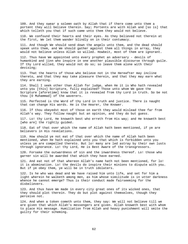109. And they swear a solemn oath by Allah that if there come unto them a portent they will believe therein. Say; Portents are with Allah and [so is] that which telleth you that if such came unto them they would not believe.

110. We confound their hearts and their eyes. As they believed not therein at the first, We let them wander blindly on in their contumacy.

111. And though We should send down the angels unto them, and the dead should speak unto them, and We should gather against them all things in array, they would not believe unless Allah so willed. Howbeit, most of them are ignorant.

112. Thus have We appointed unto every prophet an adversary - devils of humankind and jinn who inspire in one another plausible discourse through guile. If thy Lord willed, they would not do so; so leave them alone with their devising;

113. That the hearts of those who believe not in the Hereafter may incline thereto, and that they may take pleasure therein, and that they may earn what they are earning.

114. Shall I seek other than Allah for judge, when He it is Who hath revealed unto you [this] Scripture, fully explained? Those unto whom We gave the Scripture [aforetime] know that it is revealed from thy Lord in truth. So be not thou [O Muhammad] of the waverers.

115. Perfected is the Word of thy Lord in truth and justice. There is naught that can change His words. He is the Hearer, the Knower.

116. If thou obeyedst most of those on earth they would mislead thee far from Allah's way. They follow naught but an opinion, and they do but guess.

117. Lo! thy Lord, He knoweth best who erreth from His way; and He knoweth best [who are] the rightly guided.

118. Eat of that over which the name of Allah hath been mentioned, if ye are believers in His revelations.

119. How should ye not eat of that over which the name of Allah hath been mentioned, when He hath explained unto you that which is forbidden unto you unless ye are compelled thereto. But lo! many are led astray by their own lusts through ignorance. Lo! thy Lord, He is Best Aware of the transgressors.

120. Forsake the outwardness of sin and the inwardness thereof. Lo! those who garner sin will be awarded that which they have earned.

121. And eat not of that whereon Allah's name hath not been mentioned, for lo! it is abomination. Lo! the devils do inspire their minions to dispute with you. But if ye obey them, ye will be in truth idolaters.

122. Is he who was dead and We have raised him unto life, and set for him a light wherein he walketh among men, as him whose similitude is in utter darkness whence he cannot emerge? Thus is their conduct made fairseeming for the disbelievers.

123. And thus have We made in every city great ones of its wicked ones, that they should plot therein. They do but plot against themselves, though they perceive not.

124. And when a token cometh unto them, they say: We will not believe till we are given that which Allah's messengers are given. Allah knoweth best with whom to place His message. Humiliation from Allah and heavy punishment will smite the guilty for their scheming.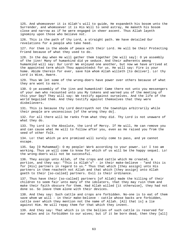125. And whomsoever it is Allah's will to guide, He expandeth his bosom unto the Surrender, and whomsoever it is His Will to send astray, He maketh his bosom close and narrow as if he were engaged in sheer ascent. Thus Allah layeth ignominy upon those who believe not.

126. This is the path of thy Lord, a straight path. We have detailed Our revelations for a people who take heed.

127. For them is the abode of peace with their Lord. He will be their Protecting Friend because of what they used to do.

128. In the day when He will gather them together [He will say]: O ye assembly of the jinn! Many of humankind did ye seduce. And their adherents among humankind will say: Our Lord! We enjoyed one another, but now we have arrived at the appointed term which Thou appointedst for us. He will say: Fire is your home. Abide therein for ever, save him whom Allah willeth [to deliver]. Lo! thy Lord is Wise, Aware.

129. Thus We let some of the wrong-doers have power over others because of what they are wont to earn.

130. O ye assembly of the jinn and humankind! Came there not unto you messengers of your own who recounted unto you My tokens and warned you of the meeting of this your Day? They will say: We testify against ourselves. And the life of the world beguiled them. And they testify against themselves that they were disbelievers.

131. This is because thy Lord destroyeth not the townships arbitrarily while their people are unconscious [of the wrong they do].

132. For all there will be ranks from what they did. Thy Lord is not unaware of what they do.

133. Thy Lord is the Absolute, the Lord of Mercy. If He will, He can remove you and can cause what He will to follow after you, even as He raised you from the seed of other folk.

134. Lo! that which ye are promised will surely come to pass, and ye cannot escape.

135. Say [O Muhammad]: O my people! Work according to your power. Lo! I too am working. Thus ye will come to know for which of us will be the happy sequel. Lo! the wrong-doers will not be successful.

136. They assign unto Allah, of the crops and cattle which He created, a portion, and they say: "This is Allah's" - in their make-believe - "and this is for [His] partners in regard to us." Thus that which [they assign] unto His partners in them reacheth not Allah and that which [they assign] unto Allah goeth to their [so-called] partners. Evil is their ordinance.

137. Thus have their [so-called] partners [of Allah] made the killing of their children to seem fair unto many of the idolaters, that they may ruin them and make their faith obscure for them. Had Allah willed [it otherwise], they had not done so. So leave them alone with their devices.

138. And they say: Such cattle and crops are forbidden. No-one is to eat of them save whom we will - in their make-believe - cattle whose backs are forbidden, cattle over which they mention not the name of Allah. [All that is] a lie against Him. He will repay them for that which they invent.

139. And they say: That which is in the bellies of such cattle is reserved for our males and is forbidden to our wives; but if it be born dead, then they [all]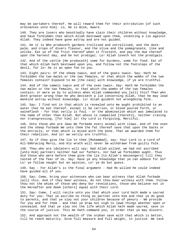may be partakers thereof. He will reward them for their attribution [of such ordinances unto Him]. Lo, He is Wise, Aware.

140. They are losers who besottedly have slain their children without knowledge, and have forbidden that which Allah bestowed upon them, inventing a lie against Allah. They indeed have gone astray and are not guided.

141. He it is Who produceth gardens trellised and untrellised, and the datepalm, and crops of divers flavour, and the olive and the pomegranate, like and unlike. Eat ye of the fruit thereof when it fruiteth, and pay the due thereof upon the harvest day, and be not prodigal. Lo! Allah loveth not the prodigals.

142. And of the cattle [He produceth] some for burdens, some for food. Eat of that which Allah hath bestowed upon you, and follow not the footsteps of the devil, for lo! he is an open foe to you.

143. Eight pairs: Of the sheep twain, and of the goats twain. Say: Hath He forbidden the two males or the two females, or that which the wombs of the two females contain? Expound to me [the case] with knowledge, if ye are truthful.

144. And of the camels twain and of the oxen twain. Say: Hath He forbidden the two males or the two females, or that which the wombs of the two females contain; or were ye by to witness when Allah commanded you [all] this? Then who doth greater wrong than he who deviseth a lie concerning Allah, that he may lead mankind astray without knowledge. Lo! Allah guideth not wrongdoing folk.

145. Say: I find not in that which is revealed unto me aught prohibited to an eater that he eat thereof, except it be carrion, or blood poured forth, or swineflesh - for that verily is foul - or the abomination which was immolated to the name of other than Allah. But whoso is compelled [thereto], neither craving nor transgressing, [for him] lo! thy Lord is Forgiving, Merciful.

146. Unto those who are Jews We forbade every animal with claws. And of the oxen and the sheep forbade We unto them the fat thereof save that upon the backs or the entrails, or that which is mixed with the bone. That we awarded them for their rebellion. And lo! we verily are truthful.

147. So if they give the lie to thee [Muhammad], say: Your Lord is a Lord of All-Embracing Mercy, and His wrath will never be withdrawn from guilty folk.

148. They who are idolaters will say: Had Allah willed, we had not ascribed [unto Him] partners neither had our fathers, nor had we forbidden aught. Thus did those who were before them give the lie [to Allah's messengers] till they tasted of the fear of Us. Say: Have ye any knowledge that ye can adduce for Us? Lo! ye follow naught but an opinion, Lo! ye do but guess.

149. Say - For Allah's is the final argument - Had He willed He could indeed have guided all of you.

150. Say: Come, bring your witnesses who can bear witness that Allah forbade [all] this. And if they bear witness, do not thou bear witness with them. Follow thou not the whims of those who deny Our revelations, those who believe not in the Hereafter and deem [others] equal with their Lord.

151. Say: Come, I will recite unto you that which your Lord hath made a sacred duty for you: That ye ascribe no thing as partner unto Him and that ye do good to parents, and that ye slay not your children because of penury - We provide for you and for them - and that ye draw not nigh to lewd things whether open or concealed. And that ye slay not the life which Allah hath made sacred, save in the course of justice. This He hath command you, in order that ye may discern.

152. And approach not the wealth of the orphan save with that which is better, till he reach maturity. Give full measure and full weight, in justice. We task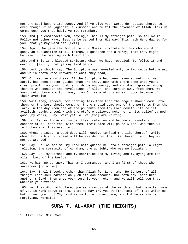not any soul beyond its scope. And if ye give your word, do justice thereunto, even though it be [against] a kinsman; and fulfil the covenant of Allah. This He commandeth you that haply ye may remember.

153. And [He commandeth you, saying]: This is My straight path, so follow it. Follow not other ways, lest ye be parted from His way. This hath He ordained for you, that ye may ward off [evil].

154. Again, We gave the Scripture unto Moses, complete for him who would do good, an explanation of all things, a guidance and a mercy, that they might believe in the meeting with their Lord.

155. And this is a blessed Scripture which We have revealed. So follow it and ward off [evil], that ye may find mercy.

156. Lest ye should say: The Scripture was revealed only to two sects before us, and we in sooth were unaware of what they read;

157. Or lest ye should say: If the Scripture had been revealed unto us, we surely had been better guided than are they. Now hath there come unto you a clear proof from your Lord, a guidance and mercy; and who doeth greater wrong than he who denieth the revelations of Allah, and turneth away from them? We award unto those who turn away from Our revelations an evil doom because of their aversion.

158. Wait they, indeed, for nothing less than that the angels should come unto them, or thy Lord should come, or there should come one of the portents from thy Lord? In the day when one of the portents from thy Lord cometh, its belief availeth naught a soul which theretofore believed not, nor in its belief earned good [by works]. Say: Wait ye! Lo! We [too] are waiting.

159. Lo! As for those who sunder their religion and become schismatics, no concern at all hast thou with them. Their case will go to Allah, Who then will tell them what they used to do.

160. Whoso bringeth a good deed will receive tenfold the like thereof, while whoso bringeth an ill-deed will be awarded but the like thereof; and they will not be wronged.

161. Say: Lo! As for me, my Lord hath guided me unto a straight path, a right religion, the community of Abraham, the upright, who was no idolater.

162. Say: Lo! my worship and my sacrifice and my living and my dying are for Allah, Lord of the Worlds.

163. He hath no partner. This am I commanded, and I am first of those who surrender [unto Him].

164. Say: Shall I seek another than Allah for Lord, when He is Lord of all things? Each soul earneth only on its own account, nor doth any laden bear another's load. Then unto your Lord is your return and He will tell you that wherein ye differed.

165. He it is Who hath placed you as viceroys of the earth and hath exalted some of you in rank above others, that He may try you by [the test of] that which He hath given you. Lo! Thy Lord is swift in prosecution, and Lo! He verily is Forgiving, Merciful.

## **SURA 7. AL-ARAF (THE HEIGHTS)**

1. Alif. Lam. Mim. Sad.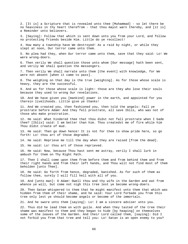2. [It is] a Scripture that is revealed unto thee [Muhammad] - so let there be no heaviness in thy heart therefrom - that thou mayst warn thereby, and [it is] a Reminder unto believers.

3. [Saying]: Follow that which is sent down unto you from your Lord, and follow no protecting friends beside Him. Little do ye recollect!

4. How many a township have We destroyed! As a raid by night, or while they slept at noon, Our terror came unto them.

5. No plea had they, when Our terror came unto them, save that they said: Lo! We were wrong-doers.

6. Then verily We shall question those unto whom [Our message] hath been sent, and verily We shall question the messengers.

7. Then verily We shall narrate unto them [the event] with knowledge, for We were not absent [when it came to pass].

8. The weighing on that day is the true [weighing]. As for those whose scale is heavy, they are the successful.

9. And as for those whose scale is light: those are they who lose their souls because they used to wrong Our revelations.

10. And We have given you [mankind] power in the earth, and appointed for you therein livelihoods. Little give ye thanks!

11. And We created you, then fashioned you, then told the angels: Fall ye prostrate before Adam! And they fell prostrate, all save Iblis, who was not of those who make prostration.

12. He said: What hindered thee that thou didst not fall prostrate when I bade thee? [Iblis] said: I am better than him. Thou createdst me of fire while him Thou didst create of mud.

13. He said: Then go down hence! It is not for thee to show pride here, so go forth! Lo! thou art of those degraded.

14. He said: Reprieve me till the day when they are raised [from the dead].

15. He said: Lo! thou art of those reprieved.

16. He said: Now, because Thou hast sent me astray, verily I shall lurk in ambush for them on Thy Right Path.

17. Then I shall come upon them from before them and from behind them and from their right hands and from their left hands, and Thou wilt not find most of them beholden [unto Thee].

18. He said: Go forth from hence, degraded, banished. As for such of them as follow thee, surely I will fill hell with all of you.

19. And [unto man]: O Adam! Dwell thou and thy wife in the Garden and eat from whence ye will, but come not nigh this tree lest ye become wrong-doers.

20. Then Satan whispered to them that he might manifest unto them that which was hidden from them of their shame, and he said: Your Lord forbade you from this tree only lest ye should become angels or become of the immortals.

21. And he swore unto them [saying]: Lo! I am a sincere adviser unto you.

22. Thus did he lead them on with guile. And when they tasted of the tree their shame was manifest to them and they began to hide [by heaping] on themselves some of the leaves of the Garden. And their Lord called them, [saying]: Did I not forbid you from that tree and tell you: Lo! Satan is an open enemy to you?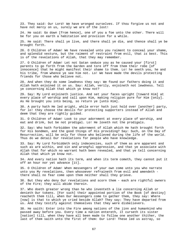23. They said: Our Lord! We have wronged ourselves. If thou forgive us not and have not mercy on us, surely we are of the lost!

24. He said: Go down [from hence], one of you a foe unto the other. There will be for you on earth a habitation and provision for a while.

25. He said: There shall ye live, and there shall ye die, and thence shall ye be brought forth.

26. O Children of Adam! We have revealed unto you raiment to conceal your shame, and splendid vesture, but the raiment of restraint from evil, that is best. This is of the revelations of Allah, that they may remember.

27. O Children of Adam! Let not Satan seduce you as he caused your [first] parents to go forth from the Garden and tore off from them their robe [of innocence] that he might manifest their shame to them. Lo! he seeth you, he and his tribe, from whence ye see him not. Lo! We have made the devils protecting friends for those who believe not.

28. And when they do some lewdness they say: We found our fathers doing it and Allah hath enjoined it on us. Say: Allah, verily, enjoineth not lewdness. Tell ye concerning Allah that which ye know not?

29. Say: My Lord enjoineth justice. And set your faces upright [toward Him] at every place of worship and call upon Him, making religion pure for Him [only]. As He brought you into being, so return ye [unto Him].

30. A party hath He led aright, while error hath just hold over [another] party, for lo! they choose the devils for protecting supporters instead of Allah and deem that they are rightly guided.

31. O Children of Adam! Look to your adornment at every place of worship, and eat and drink, but be not prodigal. Lo! He loveth not the prodigals.

32. Say: Who hath forbidden the adornment of Allah which He hath brought forth for His bondmen, and the good things of His providing? Say: Such, on the Day of Resurrection, will be only for those who believed during the life of the world. Thus do we detail Our revelations for people who have knowledge.

33. Say: My Lord forbiddeth only indecencies, such of them as are apparent and such as are within, and sin and wrongful oppression, and that ye associate with Allah that for which no warrant hath been revealed, and that ye tell concerning Allah that which ye know not.

34. And every nation hath its term, and when its term cometh, they cannot put it off an hour nor yet advance [it].

35. O Children of Adam! When messengers of your own come unto you who narrate unto you My revelations, then whosoever refraineth from evil and amendeth there shall no fear come upon them neither shall they grieve.

36. But they who deny Our revelations and scorn them - each are rightful owners of the Fire; they will abide therein.

37. Who doeth greater wrong than he who inventeth a lie concerning Allah or denieth Our tokens. [For such] their appointed portion of the Book [of destiny] reacheth them till, when Our messengers come to gather them, they say: Where [now] is that to which ye cried beside Allah? They say: They have departed from us. And they testify against themselves that they were disbelievers.

38. He saith: Enter into the Fire among nations of the jinn and humankind who passed away before you. Every time a nation entereth, it curseth its sister [nation] till, when they have all been made to follow one another thither, the last of them saith unto the first of them: Our Lord! These led us astray, so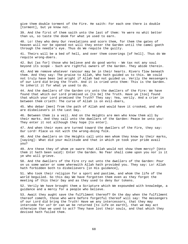give them double torment of the Fire. He saith: For each one there is double [torment], but ye know not.

39. And the first of them saith unto the last of them: Ye were no whit better than us, so taste the doom for what ye used to earn.

40. Lo! they who deny Our revelations and scorn them, for them the gates of heaven will nor be opened not will they enter the Garden until the camel goeth through the needle's eye. Thus do We requite the guilty.

41. Theirs will be a bed of hell, and over them coverings [of hell]. Thus do We requite wrong-doers.

42. But [as for] those who believe and do good works - We tax not any soul beyond its scope - Such are rightful owners of the Garden. They abide therein.

43. And We remove whatever rancour may be in their hearts. Rivers flow beneath them. And they say: The praise to Allah, Who hath guided us to this. We could not truly have been led aright if Allah had not guided us. Verily the messengers of our Lord did bring the Truth. And it is cried unto them: This is the Garden. Ye inherit it for what ye used to do.

44. And the dwellers of the Garden cry unto the dwellers of the Fire: We have found that which our Lord promised us [to be] the Truth. Have ye [too] found that which your Lord promised the Truth? They say: Yea, verily. And a crier in between them crieth: The curse of Allah is on evil-doers,

45. Who debar [men] from the path of Allah and would have it crooked, and who are disbelievers in the Last Day.

46. Between them is a veil. And on the Heights are men who know them all by their marks. And they call unto the dwellers of the Garden: Peace be unto you! They enter it not although they hope [to enter].

47. And when their eyes are turned toward the dwellers of the Fire, they say: Our Lord! Place us not with the wrong-doing folk.

48. And the dwellers on the Heights call unto men whom they know by their marks, [saying]: What did your multitude and that in which ye took your pride avail you?

49. Are these they of whom ye swore that Allah would not show them mercy? [Unto them it hath been said]: Enter the Garden. No fear shall come upon you nor is it ye who will grieve.

50. And the dwellers of the Fire cry out unto the dwellers of the Garden: Pour on us some water or some wherewith Allah hath provided you. They say: Lo! Allah hath forbidden both to disbelievers [in His guidance],

51. Who took their religion for a sport and pastime, and whom the life of the world beguiled. So this day We have forgotten them even as they forgot the meeting of this their Day and as they used to deny Our tokens.

52. Verily We have brought them a Scripture which We expounded with knowledge, a guidance and a mercy for a people who believe.

53. Await they aught save the fulfilment thereof? On the day when the fulfilment thereof cometh, those who were before forgetful thereof will say: The messengers of our Lord did bring the Truth! Have we any intercessors, that they may intercede for us? Or can we be returned [to life on earth], that we may act otherwise than we used to act? They have lost their souls, and that which they devised hath failed them.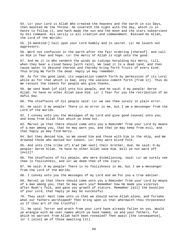54. Lo! your Lord is Allah Who created the heavens and the earth in six Days, then mounted He the Throne. He covereth the night with the day, which is in haste to follow it, and hath made the sun and the moon and the stars subservient by His command. His verily is all creation and commandment. Blessed be Allah, the Lord of the Worlds!

55. [O mankind!] Call upon your Lord humbly and in secret. Lo! He loveth not aggressors.

56. Work not confusion in the earth after the fair ordering [thereof]. and call on Him in fear and hope. Lo! the mercy of Allah is nigh unto the good.

57. And He it is Who sendeth the winds as tidings heralding His mercy, till, when they bear a cloud heavy [with rain], We lead it to a dead land, and then cause water to descend thereon and thereby bring forth fruits of every kind. Thus bring We forth the dead. Haply ye may remember.

58. As for the good land, its vegetation cometh forth by permission of its Lord; while as for that which is bad, only the useless cometh forth [from it]. Thus do We recount the tokens for people who give thanks.

59. We sent Noah [of old] unto his people, and he said: O my people! Serve Allah. Ye have no other Allah save Him. Lo! I fear for you the retribution of an Awful Day.

60. The chieftains of his people said: Lo! we see thee surely in plain error.

61. He said: O my people! There is no error in me, but I am a messenger from the Lord of the Worlds.

62. I convey unto you the messages of my Lord and give good counsel unto you, and know from Allah that which ye know not.

63. Marvel ye that there should come unto you a Reminder from your Lord by means of a man among you, that he may warn you, and that ye may keep from evil, and that haply ye may find mercy.

64. But they denied him, so We saved him and those with him in the ship, and We drowned those who denied Our tokens. Lo! they were blind folk.

65. And unto [the tribe of] A'ad [We sent] their brother, Hud. He said: O my people! Serve Allah. Ye have no other Allah save Him. Will ye not ward off [evil]?

66. The chieftains of his people, who were disbelieving, said: Lo! we surely see thee in foolishness, and lo! we deem thee of the liars.

67. He said: O my people! There is no foolishness in me, but I am a messenger from the Lord of the Worlds.

68. I convey unto you the messages of my Lord and am for you a true adviser.

69. Marvel ye that there should come unto you a Reminder from your Lord by means of a man among you, that he may warn you? Remember how He made you viceroys after Noah's folk, and gave you growth of stature. Remember [all] the bounties of your Lord, that haply ye may be successful.

70. They said: Hast come unto us that we should serve Allah alone, and forsake what our fathers worshipped? Then bring upon us that wherewith thou threatenest us if thou art of the truthful!

71. He said: Terror and wrath from your Lord have already fallen on you. Would ye wrangle with me over names which ye have named, ye and your fathers, for which no warrant from Allah hath been revealed? Then await [the consequence], lo! I [also] am of those awaiting [it].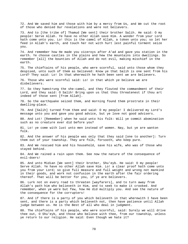72. And We saved him and those with him by a mercy from Us, and We cut the root of those who denied Our revelations and were not believers.

73. And to [the tribe of] Thamud [We sent] their brother Salih. He said: O my people! Serve Allah. Ye have no other Allah save Him. A wonder from your Lord hath come unto you. Lo! this is the camel of Allah, a token unto you; so let her feed in Allah's earth, and touch her not with hurt lest painful torment seize you.

74. And remember how He made you viceroys after A'ad and gave you station in the earth. Ye choose castles in the plains and hew the mountains into dwellings. So remember [all] the bounties of Allah and do not evil, making mischief in the earth.

75. The chieftains of his people, who were scornful, said unto those whom they despised, unto such of them as believed: Know ye that Salih is one sent from his Lord? They said: Lo! In that wherewith he hath been sent we are believers.

76. Those who were scornful said: Lo! in that which ye believe we are disbelievers.

77. So they hamstrung the she-camel, and they flouted the commandment of their Lord, and they said: O Salih! Bring upon us that thou threatenest if thou art indeed of those sent [from Allah].

78. So the earthquake seized them, and morning found them prostrate in their dwelling-place.

79. And [Salih] turned from them and said: O my people! I delivered my Lord's message unto you and gave you good advice, but ye love not good advisers.

80. And Lot! [Remember] when he said unto his folk: Will ye commit abomination such as no creature ever did before you?

81. Lo! ye come with lust unto men instead of women. Nay, but ye are wanton folk.

82. And the answer of his people was only that they said [one to another]: Turn them out of your township. They are folk, forsooth, who keep pure.

83. And We rescued him and his household, save his wife, who was of those who stayed behind.

84. And We rained a rain upon them. See now the nature of the consequence of evil-doers!

85. And unto Midian [We sent] their brother, Shu'eyb. He said: O my people! Serve Allah. Ye have no other Allah save Him. Lo! a clear proof hath come unto you from your Lord; so give full measure and full weight and wrong not mankind in their goods, and work not confusion in the earth after the fair ordering thereof. That will be better for you, if ye are believers.

86. Lurk not on every road to threaten [wayfarers], and to turn away from Allah's path him who believeth in Him, and to seek to make it crooked. And remember, when ye were but few, how He did multiply you. And see the nature of the consequence for the corrupters!

87. And if there is a party of you which believeth in that wherewith I have been sent, and there is a party which believeth not, then have patience until Allah judge between us. He is the Best of all who deal in judgment.

88. The chieftains of his people, who were scornful, said: Surely we will drive thee out, O Shu'eyb, and those who believe with thee, from our township, unless ye return to our religion. He said: Even though we hate it?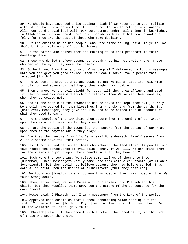89. We should have invented a lie against Allah if we returned to your religion after Allah hath rescued us from it. It is not for us to return to it unless Allah our Lord should [so] will. Our Lord comprehendeth all things in knowledge. In Allah do we put our trust. Our Lord! Decide with truth between us and our folk, for Thou art the best of those who make decision.

90. But the chieftains of his people, who were disbelieving, said: If ye follow Shu'eyb, then truly ye shall be the losers.

91. So the earthquake seized them and morning found them prostrate in their dwelling-place.

92. Those who denied Shu'eyb became as though they had not dwelt there. Those who denied Shu'eyb, they were the losers.

93. So he turned from them and said: O my people! I delivered my Lord's messages unto you and gave you good advice; then how can I sorrow for a people that rejected [truth]?

94. And We sent no prophet unto any township but We did afflict its folk with tribulation and adversity that haply they might grow humble.

95. Then changed We the evil plight for good till they grew affluent and said: Tribulation and distress did touch our fathers. Then We seized them unawares, when they perceived not.

96. And if the people of the townships had believed and kept from evil, surely We should have opened for them blessings from the sky and from the earth. But [unto every messenger] they gave the lie, and so We seized them on account of what they used to earn.

97. Are the people of the townships then secure from the coming of Our wrath upon them as a night-raid while they sleep?

98. Or are the people of the townships then secure from the coming of Our wrath upon them in the daytime while they play?

99. Are they then secure from Allah's scheme? None deemeth himself secure from Allah's scheme save folk that perish.

100. Is it not an indication to those who inherit the land after its people [who thus reaped the consequence of evil-doing] that, if We will, We can smite them for their sins and print upon their hearts so that they hear not?

101. Such were the townships. We relate some tidings of them unto thee [Muhammad]. Their messengers verily came unto them with clear proofs [of Allah's Sovereignty], but they could not believe because they had before denied. Thus doth Allah print upon the hearts of disbelievers [that they hear not].

102. We found no [loyalty to any] covenant in most of them. Nay, most of them We found wrong-doers.

103. Then, after them, We sent Moses with our tokens unto Pharaoh and his chiefs, but they repelled them. Now, see the nature of the consequence for the corrupters!

104. Moses said: O Pharaoh! Lo! I am a messenger from the Lord of the Worlds,

105. Approved upon condition that I speak concerning Allah nothing but the truth. I come unto you [lords of Egypt] with a clear proof from your Lord. So let the Children of Israel go with me.

106. [Pharaoh] said: If thou comest with a token, then produce it, if thou art of those who speak the truth.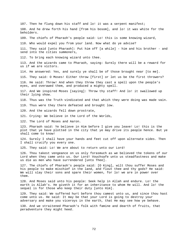107. Then he flung down his staff and lo! it was a serpent manifest; 108. And he drew forth his hand [from his bosom], and lo! it was white for the beholders. 109. The chiefs of Pharaoh's people said: Lo! this is some knowing wizard, 110. Who would expel you from your land. Now what do ye advise? 111. They said [unto Pharaoh]: Put him off [a while] - him and his brother - and send into the cities summoners, 112. To bring each knowing wizard unto thee. 113. And the wizards came to Pharaoh, saying: Surely there will be a reward for us if we are victors. 114. He answered: Yes, and surely ye shall be of those brought near [to me]. 115. They said: O Moses! Either throw [first] or let us be the first throwers? 116. He said: Throw! And when they threw they cast a spell upon the people's eyes, and overawed them, and produced a mighty spell. 117. And We inspired Moses [saying]: Throw thy staff! And lo! it swallowed up their lying show. 118. Thus was the Truth vindicated and that which they were doing was made vain. 119. Thus were they there defeated and brought low. 120. And the wizards fell down prostrate, 121. Crying: We believe in the Lord of the Worlds, 122. The Lord of Moses and Aaron. 123. Pharaoh said: Ye believe in Him before I give you leave! Lo! this is the plot that ye have plotted in the city that ye may drive its people hence. But ye shall come to know! 124. Surely I shall have your hands and feet cut off upon alternate sides. Then I shall crucify you every one. 125. They said: Lo! We are about to return unto our Lord! 126. Thou takest vengeance on us only forasmuch as we believed the tokens of our Lord when they came unto us. Our Lord! Vouchsafe unto us steadfastness and make us die as men who have surrendered [unto Thee]. 127. The chiefs of Pharaoh's people said: [O King], wilt thou suffer Moses and his people to make mischief in the land, and flout thee and thy gods? He said: We will slay their sons and spare their women, for lo! we are in power over them. 128. And Moses said unto his people: Seek help in Allah and endure. Lo! the earth is Allah's. He giveth it for an inheritance to whom He will. And lo! the sequel is for those who keep their duty [unto Him]. 129. They said: We suffered hurt before thou camest unto us, and since thou hast come unto us. He said: It may be that your Lord is going to destroy your adversary and make you viceroys in the earth, that He may see how ye behave. 130. And we straitened Pharaoh's folk with famine and dearth of fruits, that peradventure they might heed.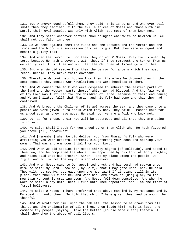131. But whenever good befell them, they said: This is ours; and whenever evil smote them they ascribed it to the evil auspices of Moses and those with him. Surely their evil auspice was only with Allah. But most of them knew not.

132. And they said: Whatever portent thou bringest wherewith to bewitch us, we shall not put faith in thee.

133. So We sent against them the flood and the locusts and the vermin and the frogs and the blood - a succession of clear signs. But they were arrogant and became a guilty folk.

134. And when the terror fell on them they cried: O Moses! Pray for us unto thy Lord, because He hath a covenant with thee. If thou removest the terror from us we verily will trust thee and will let the Children of Israel go with thee.

135. But when We did remove from them the terror for a term which they must reach, behold! they broke their covenant.

136. Therefore We took retribution from them; therefore We drowned them in the sea: because they denied Our revelations and were heedless of them.

137. And We caused the folk who were despised to inherit the eastern parts of the land and the western parts thereof which We had blessed. And the fair word of thy Lord was fulfilled for the Children of Israel because of their endurance; and We annihilated [all] that Pharaoh and his folk had done and that they had contrived.

138. And We brought the Children of Israel across the sea, and they came unto a people who were given up to idols which they had. They said: O Moses! Make for us a god even as they have gods. He said: Lo! ye are a folk who know not.

139. Lo! as for these, their way will be destroyed and all that they are doing is in vain.

140. He said: Shall I seek for you a god other than Allah when He hath favoured you above [all] creatures?

141. And [remember] when We did deliver you from Pharaoh's folk who were afflicting you with dreadful torment, slaughtering your sons and sparing your women. That was a tremendous trial from your Lord.

142. And when We did appoint for Moses thirty nights [of solitude], and added to them ten, and he completed the whole time appointed by his Lord of forty nights; and Moses said unto his brother, Aaron: Take my place among the people. Do right, and follow not the way of mischief-makers.

143. And when Moses came to Our appointed tryst and his Lord had spoken unto him, he said: My Lord! Show me [Thy Self], that I may gaze upon Thee. He said: Thou wilt not see Me, but gaze upon the mountain! If it stand still in its place, then thou wilt see Me. And when his Lord revealed [His] glory to the mountain He sent it crashing down. And Moses fell down senseless. And when he woke he said: Glory unto Thee! I turn unto Thee repentant, and I am the first of [true] believers.

144. He said: O Moses! I have preferred thee above mankind by My messages and by My speaking [unto thee]. So hold that which I have given thee, and be among the thankful.

145. And We wrote for him, upon the tablets, the lesson to be drawn from all things and the explanation of all things, then [bade him]: Hold it fast; and command thy people [saying]: Take the better [course made clear] therein. I shall show thee the abode of evil-livers.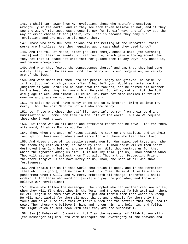146. I shall turn away from My revelations those who magnify themselves wrongfully in the earth, and if they see each token believe it not, and if they see the way of righteousness choose it nor for [their] way, and if they see the way of error choose if for [their] way. That is because they deny Our revelations and are used to disregard them.

147. Those who deny Our revelations and the meeting of the Hereafter, their works are fruitless. Are they requited aught save what they used to do?

148. And the folk of Moses, after [he left them], chose a calf [for worship], [made] out of their ornaments, of saffron hue, which gave a lowing sound. Saw they not that it spake not unto them nor guided them to any way? They chose it, and became wrong-doers.

149. And when they feared the consequences thereof and saw that they had gone astray, they said: Unless our Lord have mercy on us and forgive us, we verily are of the lost.

150. And when Moses returned unto his people, angry and grieved, he said: Evil is that [course] which ye took after I had left you. Would ye hasten on the judgment of your Lord? And he cast down the tablets, and he seized his brother by the head, dragging him toward him. He said: Son of my mother! Lo! the folk did judge me weak and almost killed me. Oh, make not mine enemies to triumph over me and place me not among the evil-doers.

151. He said: My Lord! Have mercy on me and on my brother; bring us into Thy mercy, Thou the Most Merciful of all who show mercy.

152. Lo! Those who chose the calf [for worship], terror from their Lord and humiliation will come upon them in the life of the world. Thus do We requite those who invent a lie.

153. But those who do ill-deeds and afterward repent and believe - lo! for them, afterward, Allah is Forgiving, Merciful.

154. Then, when the anger of Moses abated, he took up the tablets, and in their inscription there was guidance and mercy for all those who fear their Lord.

155. And Moses chose of his people seventy men for Our appointed tryst and, when the trembling came on them, he said: My Lord! If Thou hadst willed Thou hadst destroyed them long before, and me with them. Wilt thou destroy us for that which the ignorant among us did? It is but Thy trial [of us]. Thou sendest whom Thou wilt astray and guidest whom Thou wilt: Thou art our Protecting Friend, therefore forgive us and have mercy on us, Thou, the Best of all who show forgiveness.

156. And ordain for us in this world that which is good, and in the Hereafter [that which is good], Lo! We have turned unto Thee. He said: I smite with My punishment whom I will, and My mercy embraceth all things, therefore I shall ordain it for those who ward off [evil] and pay the poor-due, and those who believe Our revelations;

157. Those who follow the messenger, the Prophet who can neither read nor write, whom they will find described in the Torah and the Gospel [which are] with them. He will enjoin on them that which is right and forbid them that which is wrong. He will make lawful for them all good things and prohibit for them only the foul; and he will relieve them of their burden and the fetters that they used to wear. Then those who believe in him, and honour him, and help him, and follow the light which is sent down with him: they are the successful.

158. Say [O Muhammad]: O mankind! Lo! I am the messenger of Allah to you all - [the messenger of] Him unto Whom belongeth the Sovereignty of the heavens and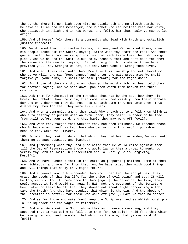the earth. There is no Allah save Him. He quickeneth and He giveth death. So believe in Allah and His messenger, the Prophet who can neither read nor write, who believeth in Allah and in His Words, and follow him that haply ye may be led aright.

159. And of Moses' folk there is a community who lead with truth and establish justice therewith.

160. We divided them into twelve tribes, nations; and We inspired Moses, when his people asked him for water, saying: Smite with thy staff the rock! And there gushed forth therefrom twelve springs, so that each tribe knew their drinkingplace. And we caused the white cloud to overshadow them and sent down for them the manna and the quails [saying]: Eat of the good things wherewith we have provided you. They wronged Us not, but they were wont to wrong themselves.

161. And when it was said unto them: Dwell in this township and eat therefrom whence ye will, and say "Repentance," and enter the gate prostrate; We shall forgive you your sins; We shall increase [reward] for the right-doers.

162. But those of them who did wrong changed the word which had been told them for another saying, and We sent down upon them wrath from heaven for their wrongdoing.

163. Ask them [O Muhammad] of the township that was by the sea, how they did break the Sabbath, how their big fish came unto them visibly upon their Sabbath day and on a day when they did not keep Sabbath came they not unto them. Thus did We try them for that they were evil-livers.

164. And when a community among them said: Why preach ye to a folk whom Allah is about to destroy or punish with an awful doom, they said: In order to be free from guilt before your Lord, and that haply they may ward off [evil].

165. And when they forgot that whereof they had been reminded, We rescued those who forbade wrong, and visited those who did wrong with dreadful punishment because they were evil-livers.

166. So when they took pride in that which they had been forbidden, We said unto them: Be ye apes despised and loathed!

167. And [remember] when thy Lord proclaimed that He would raise against them till the Day of Resurrection those who would lay on them a cruel torment. Lo! verily thy Lord is swift in prosecution and lo! verily He is Forgiving, Merciful.

168. And We have sundered them in the earth as [separate] nations. Some of them are righteous, and some far from that. And We have tried them with good things and evil things that haply they might return.

169. And a generation hath succeeded them who inherited the scriptures. They grasp the goods of this low life [as the price of evil-doing] and say: It will be forgiven us. And if there came to them [again] the offer of the like, they would accept it [and would sin again]. Hath not the covenant of the Scripture been taken on their behalf that they should not speak aught concerning Allah save the truth? And they have studied that which is therein. And the abode of the Hereafter is better, for those who ward off [evil]. Have ye then no sense?

170. And as for those who make [men] keep the Scripture, and establish worship lo! We squander not the wages of reformers.

171. And when We shook the Mount above them as it were a covering, and they supposed that it was going to fall upon them [and We said]: Hold fast that which We have given you, and remember that which is therein, that ye may ward off [evil].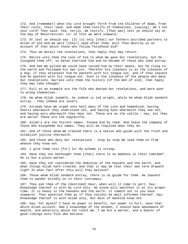172. And [remember] when thy Lord brought forth from the Children of Adam, from their reins, their seed, and made them testify of themselves, [saying]: Am I not your Lord? They said: Yea, verily. We testify. [That was] lest ye should say at the Day of Resurrection: Lo! of this we were unaware;

173. Or lest ye should say: [It is] only [that] our fathers ascribed partners to Allah of old and we were [their] seed after them. Wilt Thou destroy us on account of that which those who follow falsehood did?

174. Thus we detail the revelations, that haply they may return.

175. Recite unto them the tale of him to whom We gave Our revelations, but he sloughed them off, so Satan overtook him and he became of those who lead astray.

176. And had We willed We could have raised him by their means, but he clung to the earth and followed his own lust. Therefor his likeness is as the likeness of a dog: if thou attackest him he panteth with his tongue out, and if thou leavest him he panteth with his tongue out. Such is the likeness of the people who deny Our revelations. Narrate unto them the history [of the men of old], that haply they may take thought.

177. Evil as an example are the folk who denied Our revelations, and were wont to wrong themselves.

178. He whom Allah leadeth, he indeed is led aright, while he whom Allah sendeth astray - they indeed are losers.

179. Already have We urged unto hell many of the jinn and humankind, having hearts wherewith they understand not, and having eyes wherewith they see not, and having ears wherewith they hear not. These are as the cattle - nay, but they are worse! These are the neglectful.

180. Allah's are the fairest names. Invoke Him by them. And leave the company of those who blaspheme His names. They will be requited what they do.

181. And of those whom We created there is a nation who guide with the Truth and establish justice therewith.

182. And those who deny Our revelations - step by step We lead them on from whence they know not.

183. I give them rein [for] lo! My scheme is strong.

184. Have they not bethought them [that] there is no madness in their comrade? He is but a plain warner.

185. Have they not considered the dominion of the heavens and the earth, and what things Allah hath created, and that it may be that their own term draweth nigh? In what fact after this will they believe?

186. Those whom Allah sendeth astray, there is no guide for them. He leaveth them to wander blindly on in their contumacy.

187. They ask thee of the [destined] Hour, when will it come to port. Say: Knowledge thereof is with my Lord only. He alone will manifest it at its proper time. It is heavy in the heavens and the earth. It cometh not to you save unawares. They question thee as if thou couldst be well informed thereof. Say: Knowledge thereof is with Allah only, but most of mankind know not.

188. Say: For myself I have no power to benefit, nor power to hurt, save that which Allah willeth. Had I knowledge of the Unseen, I should have abundance of wealth, and adversity would not touch me. I am but a warner, and a bearer of good tidings unto folk who believe.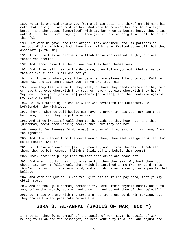189. He it is Who did create you from a single soul, and therefrom did make his mate that he might take rest in her. And when he covered her she bore a light burden, and she passed [unnoticed] with it, but when it became heavy they cried unto Allah, their Lord, saying: If thou givest unto us aright we shall be of the thankful. 190. But when He gave unto them aright, they ascribed unto Him partners in respect of that which He had given them. High is He Exalted above all that they associate [with Him]. 191. Attribute they as partners to Allah those who created naught, but are themselves created, 192. And cannot give them help, nor can they help themselves? 193. And if ye call them to the Guidance, they follow you not. Whether ye call them or are silent is all one for you. 194. Lo! those on whom ye call beside Allah are slaves like unto you. Call on them now, and let them answer you, if ye are truthful! 195. Have they feet wherewith they walk, or have they hands wherewith they hold, or have they eyes wherewith they see, or have they ears wherewith they hear? Say: Call upon your [so-called] partners [of Allah], and then contrive against me, spare me not! 196. Lo! my Protecting Friend is Allah Who revealeth the Scripture. He befriendeth the righteous. 197. They on whom ye call beside Him have no power to help you, nor can they help you, nor can they help themselves. 198. And if ye [Muslims] call them to the guidance they hear not; and thou [Muhammad] seest them looking toward thee, but they see not. 199. Keep to forgiveness [O Muhammad], and enjoin kindness, and turn away from the ignorant. 200. And if a slander from the devil wound thee, then seek refuge in Allah. Lo! He is Hearer, Knower. 201. Lo! those who ward off [evil], when a glamour from the devil troubleth them, they do but remember [Allah's Guidance] and behold them seers! 202. Their brethren plunge them further into error and cease not. 203. And when thou bringest not a verse for them they say: Why hast thou not chosen it? Say: I follow only that which is inspired in me from my Lord. This [Qur'an] is insight from your Lord, and a guidance and a mercy for a people that believe. 204. And when the Qur'an is recited, give ear to it and pay heed, that ye may obtain mercy. 205. And do thou [O Muhammad] remember thy Lord within thyself humbly and with awe, below thy breath, at morn and evening. And be not thou of the neglectful. 206. Lo! those who are with thy Lord are not too proud to do Him service, but they praise Him and prostrate before Him. **SURA 8. AL-ANFAL (SPOILS OF WAR, BOOTY)** 

1. They ask thee [O Muhammad] of the spoils of war. Say: The spoils of war belong to Allah and the messenger, so keep your duty to Allah, and adjust the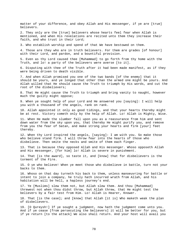matter of your difference, and obey Allah and His messenger, if ye are [true] believers.

2. They only are the [true] believers whose hearts feel fear when Allah is mentioned, and when His revelations are recited unto them they increase their faith, and who trust in their Lord;

3. Who establish worship and spend of that We have bestowed on them.

4. Those are they who are in truth believers. For them are grades [of honour] with their Lord, and pardon, and a bountiful provision.

5. Even as thy Lord caused thee [Muhammad] to go forth from thy home with the Truth, and lo! a party of the believers were averse [to it].

6. Disputing with thee of the Truth after it had been made manifest, as if they were being driven to death visible.

7. And when Allah promised you one of the two bands [of the enemy] that it should be yours, and ye longed that other than the armed one might be yours. And Allah willed that He should cause the Truth to triumph by His words, and cut the root of the disbelievers;

8. That He might cause the Truth to triumph and bring vanity to naught, however much the guilty might oppose;

9. When ye sought help of your Lord and He answered you [saying]: I will help you with a thousand of the angels, rank on rank.

10. Allah appointed it only as good tidings, and that your hearts thereby might be at rest. Victory cometh only by the help of Allah. Lo! Allah is Mighty, Wise.

11. When He made the slumber fall upon you as a reassurance from him and sent down water from the sky upon you, that thereby He might purify you, and remove from you the fear of Satan, and make strong your hearts and firm [your] feet thereby.

12. When thy Lord inspired the angels, [saying]: I am with you. So make those who believe stand firm. I will throw fear into the hearts of those who disbelieve. Then smite the necks and smite of them each finger.

13. That is because they opposed Allah and His messenger. Whoso opposeth Allah and His messenger, [for him] lo! Allah is severe in punishment.

14. That [is the award], so taste it, and [know] that for disbelievers is the torment of the Fire.

15. O ye who believe! When ye meet those who disbelieve in battle, turn not your backs to them.

16. Whoso on that day turneth his back to them, unless manoeuvring for battle or intent to join a company, he truly hath incurred wrath from Allah, and his habitation will be hell, a hapless journey's end.

17. Ye [Muslims] slew them not, but Allah slew them. And thou [Muhammad] threwest not when thou didst throw, but Allah threw, that He might test the believers by a fair test from Him. Lo! Allah is Hearer, Knower.

18. That [is the case]; and [know] that Allah [it is] Who maketh weak the plan of disbelievers.

19. [O Qureysh!] If ye sought a judgment, now hath the judgment come unto you. And if ye cease [from persecuting the believers] it will be better for you, but if ye return [to the attack] We also shall return. And your host will avail you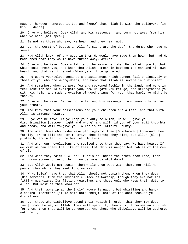naught, however numerous it be, and [know] that Allah is with the believers [in His Guidance].

20. O ye who believe! Obey Allah and His messenger, and turn not away from him when ye hear [him speak].

21. Be not as those who say, we hear, and they hear not.

22. Lo! the worst of beasts in Allah's sight are the deaf, the dumb, who have no sense.

23. Had Allah known of any good in them He would have made them hear, but had He made them hear they would have turned away, averse.

24. O ye who believe! Obey Allah, and the messenger when He calleth you to that which quickeneth you, and know that Allah cometh in between the man and his own heart, and that He it is unto Whom ye will be gathered.

25. And guard yourselves against a chastisement which cannot fall exclusively on those of you who are wrong-doers, and know that Allah is severe in punishment.

26. And remember, when ye were few and reckoned feeble in the land, and were in fear lest men should extirpate you, how He gave you refuge, and strengthened you with His help, and made provision of good things for you, that haply ye might be thankful.

27. O ye who believe! Betray not Allah and His messenger, nor knowingly betray your trusts.

28. And know that your possessions and your children are a test, and that with Allah is immense reward.

29. O ye who believe! If ye keep your duty to Allah, He will give you discrimination [between right and wrong] and will rid you of your evil thoughts and deeds, and will forgive you. Allah is of Infinite Bounty.

30. And when those who disbelieve plot against thee [O Muhammad] to wound thee fatally, or to kill thee or to drive thee forth; they plot, but Allah [also] plotteth; and Allah is the best of plotters.

31. And when Our revelations are recited unto them they say: We have heard. If we wish we can speak the like of this. Lo! this is naught but fables of the men of old.

32. And when they said: O Allah! If this be indeed the truth from Thee, then rain down stones on us or bring on us some painful doom!

33. But Allah would not punish them while thou wast with them, nor will He punish them while they seek forgiveness.

34. What [plea] have they that Allah should not punish them, when they debar [His servants] from the Inviolable Place of Worship, though they are not its fitting guardians. Its fitting guardians are those only who keep their duty to Allah. But most of them know not.

35. And their worship at the [holy] House is naught but whistling and handclapping. Therefore [it is said unto them]: Taste of the doom because ye disbelieve.

36. Lo! those who disbelieve spend their wealth in order that they may debar [men] from the way of Allah. They will spend it, then it will become an anguish for them, then they will be conquered. And those who disbelieve will be gathered unto hell,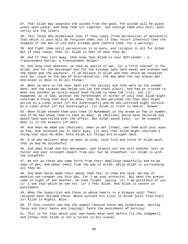37. That Allah may separate the wicked from the good, The wicked will He place piece upon piece, and heap them all together, and consign them unto hell. Such verily are the losers.

38. Tell those who disbelieve that if they cease [from persecution of believers] that which is past will be forgiven them; but if they return [thereto] then the example of the men of old hath already gone [before them, for a warning].

39. And fight them until persecution is no more, and religion is all for Allah. But if they cease, then lo! Allah is Seer of what they do.

40. And if they turn away, then know that Allah is your Befriender - a Transcendent Patron, a Transcendent Helper!

41. And know that whatever ye take as spoils of war, lo! a fifth thereof is for Allah, and for the messenger and for the kinsman [who hath need] and orphans and the needy and the wayfarer, if ye believe in Allah and that which We revealed unto Our slave on the Day of Discrimination, the day when the two armies met. And Allah is Able to do all things.

42. When ye were on the near bank [of the valley] and they were on the yonder bank, and the caravan was below you [on the coast plain]. And had ye trysted to meet one another ye surely would have failed to keep the tryst, but [it happened, as it did, without the forethought of either of you] that Allah might conclude a thing that must be done; that he who perished [on that day] might perish by a clear proof [of His Sovereignty] and he who survived might survive by a clear proof [of His Sovereignty]. Lo! Allah in truth is Hearer, Knower.

43. When Allah showed them unto thee [O Muhammad] in thy dream as few in number, and if He had shown them to thee as many, ye [Muslims] would have faltered and would have quarrelled over the affair. But Allah saved [you]. Lo! He knoweth what is in the breasts [of men].

44. And when He made you [Muslims], when ye met [them], see them with your eyes as few, and lessened you in their eyes, [it was] that Allah might conclude a thing that must be done. Unto Allah all things are brought back.

45. O ye who believe! When ye meet an army, hold firm and think of Allah much, that ye may be successful.

46. And obey Allah and His messenger, and dispute not one with another lest ye falter and your strength depart from you; but be steadfast! Lo! Allah is with the steadfast.

47. Be not as those who came forth from their dwellings boastfully and to be seen of men, and debar [men] from the way of Allah, while Allah is surrounding all they do.

48. And when Satan made their deeds seem fair to them and said: No-one of mankind can conquer you this day, for I am your protector. But when the armies came in sight of one another, he took flight, saying: Lo! I am guiltless of you. Lo! I see that which ye see not. Lo! I fear Allah. And Allah is severe in punishment.

49. When the hypocrites and those in whose hearts is a disease said: Their religion hath deluded these. Whoso putteth his trust in Allah [will find that] lo! Allah is Mighty, Wise.

50. If thou couldst see how the angels receive those who disbelieve, smiting faces and their backs and [saying]: Taste the punishment of burning!

51. This is for that which your own hands have sent before [to the Judgment], and [know] that Allah is not a tyrant to His slaves.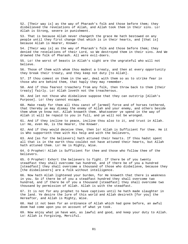52. [Their way is] as the way of Pharaoh's folk and those before them; they disbelieved the revelations of Allah, and Allah took them in their sins. Lo! Allah is Strong, severe in punishment.

53. That is because Allah never changeth the grace He hath bestowed on any people until they first change that which is in their hearts, and [that is] because Allah is Hearer, Knower.

54. [Their way is] as the way of Pharaoh's folk and those before them; they denied the revelations of their Lord, so We destroyed them in their sins. And We drowned the folk of Pharaoh. All were evil-doers.

55. Lo! the worst of beasts in Allah's sight are the ungrateful who will not believe.

56. Those of them with whom thou madest a treaty, and then at every opportunity they break their treaty, and they keep not duty [to Allah].

57. If thou comest on them in the war, deal with them so as to strike fear in those who are behind them, that haply they may remember.

58. And if thou fearest treachery from any folk, then throw back to them [their treaty] fairly. Lo! Allah loveth not the treacherous.

59. And let not those who disbelieve suppose that they can outstrip [Allah's Purpose]. Lo! they cannot escape.

60. Make ready for them all thou canst of [armed] force and of horses tethered, that thereby ye may dismay the enemy of Allah and your enemy, and others beside them whom ye know not. Allah knoweth them. Whatsoever ye spend in the way of Allah it will be repaid to you in full, and ye will not be wronged.

61. And if they incline to peace, incline thou also to it, and trust in Allah. Lo! He, even He, is the Hearer, the Knower.

62. And if they would deceive thee, then lo! Allah is Sufficient for thee. He it is Who supporteth thee with His help and with the believers,

63. And [as for the believers] hath attuned their hearts. If thou hadst spent all that is in the earth thou couldst not have attuned their hearts, but Allah hath attuned them. Lo! He is Mighty, Wise.

64. O Prophet! Allah is Sufficient for thee and those who follow thee of the believers.

65. O Prophet! Exhort the believers to fight. If there be of you twenty steadfast they shall overcome two hundred, and if there be of you a hundred [steadfast] they shall overcome a thousand of those who disbelieve, because they [the disbelievers] are a folk without intelligence.

66. Now hath Allah lightened your burden, for He knoweth that there is weakness in you. So if there be of you a steadfast hundred they shall overcome two hundred, and if there be of you a thousand [steadfast] they shall overcome two thousand by permission of Allah. Allah is with the steadfast.

67. It is not for any prophet to have captives until he hath made slaughter in the land. Ye desire the lure of this world and Allah desireth [for you] the Hereafter, and Allah is Mighty, Wise.

68. Had it not been for an ordinance of Allah which had gone before, an awful doom had come upon you on account of what ye took.

69. Now enjoy what ye have won, as lawful and good, and keep your duty to Allah. Lo! Allah is Forgiving, Merciful.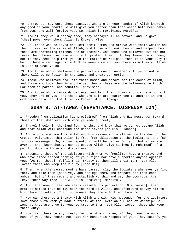70. O Prophet! Say unto those captives who are in your hands: If Allah knoweth any good in your hearts He will give you better than that which hath been taken from you, and will forgive you. Lo! Allah is Forgiving, Merciful.

71. And if they would betray thee, they betrayed Allah before, and He gave [thee] power over them. Allah is Knower, Wise.

72. Lo! those who believed and left their homes and strove with their wealth and their lives for the cause of Allah, and those who took them in and helped them: these are protecting friends one of another. And those who believed but did not leave their homes, ye have no duty to protect them till they leave their homes; but if they seek help from you in the matter of religion then it is your duty to help [them] except against a folk between whom and you there is a treaty. Allah is Seer of what ye do.

73. And those who disbelieve are protectors one of another - If ye do not so, there will be confusion in the land, and great corruption.

74. Those who believed and left their homes and strove for the cause of Allah, and those who took them in and helped them - these are the believers in truth. For them is pardon, and bountiful provision.

75. And those who afterwards believed and left their homes and strove along with you, they are of you; and those who are akin are nearer one to another in the ordinance of Allah. Lo! Allah is Knower of all things.

## **SURA 9. AT-TAWBA (REPENTANCE, DISPENSATION)**

1. Freedom from obligation [is proclaimed] from Allah and His messenger toward those of the idolaters with whom ye made a treaty.

2. Travel freely in the land four months, and know that ye cannot escape Allah and that Allah will confound the disbelievers [in His Guidance].

3. And a proclamation from Allah and His messenger to all men on the day of the Greater Pilgrimage that Allah is free from obligation to the idolaters, and [so is] His messenger. So, if ye repent, it will be better for you; but if ye are averse, then know that ye cannot escape Allah. Give tidings [O Muhammad] of a painful doom to those who disbelieve,

4. Excepting those of the idolaters with whom ye [Muslims] have a treaty, and who have since abated nothing of your right nor have supported anyone against you. [As for these], fulfil their treaty to them till their term. Lo! Allah loveth those who keep their duty [unto Him].

5. Then, when the sacred months have passed, slay the idolaters wherever ye find them, and take them [captive], and besiege them, and prepare for them each ambush. But if they repent and establish worship and pay the poor-due, then leave their way free. Lo! Allah is Forgiving, Merciful.

6. And if anyone of the idolaters seeketh thy protection [O Muhammad], then protect him so that he may hear the Word of Allah, and afterward convey him to his place of safety. That is because they are a folk who know not.

7. How can there be a treaty with Allah and with His messenger for the idolaters save those with whom ye made a treaty at the Inviolable Place of Worship? So long as they are true to you, be true to them. Lo! Allah loveth those who keep their duty.

8. How [can there be any treaty for the others] when, if they have the upper hand of you, they regard not pact nor honour in respect of you? They satisfy you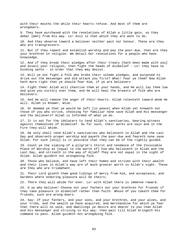with their mouths the while their hearts refuse. And most of them are wrongdoers.

9. They have purchased with the revelations of Allah a little gain, so they debar [men] from His way. Lo! evil is that which they are wont to do.

10. And they observe toward a believer neither pact nor honour. These are they who are transgressors.

11. But if they repent and establish worship and pay the poor-due, then are they your brethren in religion. We detail Our revelations for a people who have knowledge.

12. And if they break their pledges after their treaty [hath been made with you] and assail your religion, then fight the heads of disbelief - Lo! they have no binding oaths - in order that they may desist.

13. Will ye not fight a folk who broke their solemn pledges, and purposed to drive out the messenger and did attack you first? What! Fear ye them? Now Allah hath more right that ye should fear Him, if ye are believers

14. Fight them! Allah will chastise them at your hands, and He will lay them low and give you victory over them, and He will heal the breasts of folk who are believers.

15. And He will remove the anger of their hearts. Allah relenteth toward whom He will. Allah is Knower, Wise.

16. Or deemed ye that ye would be left [in peace] when Allah yet knoweth not those of you who strive, choosing for familiar none save Allah and His messenger and the believers? Allah is Informed of what ye do.

17. It is not for the idolaters to tend Allah's sanctuaries, bearing witness against themselves of disbelief. As for such, their works are vain and in the Fire they will abide.

18. He only shall tend Allah's sanctuaries who believeth in Allah and the Last Day and observeth proper worship and payeth the poor-due and feareth none save Allah. For such [only] is it possible that they can be of the rightly guided.

19. Count ye the slaking of a pilgrim's thirst and tendance of the Inviolable Place of Worship as [equal to the worth of] him who believeth in Allah and the Last Day, and striveth in the way of Allah? They are not equal in the sight of Allah. Allah guideth not wrongdoing folk.

20. Those who believe, and have left their homes and striven with their wealth and their lives in Allah's way are of much greater worth in Allah's sight. These are they who are triumphant.

21. Their Lord giveth them good tidings of mercy from Him, and acceptance, and Gardens where enduring pleasure will be theirs;

22. There they will abide for ever. Lo! with Allah there is immense reward.

23. O ye who believe! Choose not your fathers nor your brethren for friends if they take pleasure in disbelief rather than faith. Whoso of you taketh them for friends, such are wrong-doers.

24. Say: If your fathers, and your sons, and your brethren, and your wives, and your tribe, and the wealth ye have acquired, and merchandise for which ye fear that there will no sale, and dwellings ye desire are dearer to you than Allah and His messenger and striving in His way: then wait till Allah bringeth His command to pass. Allah guideth not wrongdoing folk.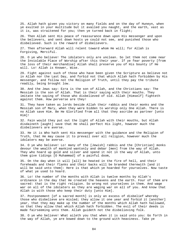25. Allah hath given you victory on many fields and on the day of Huneyn, when ye exulted in your multitude but it availed you naught, and the earth, vast as it is, was straitened for you; then ye turned back in flight;

26. Then Allah sent His peace of reassurance down upon His messenger and upon the believers, and sent down hosts ye could not see, and punished those who disbelieved. Such is the reward of disbelievers.

27. Then afterward Allah will relent toward whom He will; for Allah is Forgiving, Merciful.

28. O ye who believe! The idolaters only are unclean. So let them not come near the Inviolable Place of Worship after this their year. If ye fear poverty [from the loss of their merchandise] Allah shall preserve you of His bounty if He will. Lo! Allah is Knower, Wise.

29. Fight against such of those who have been given the Scripture as believe not in Allah nor the Last Day, and forbid not that which Allah hath forbidden by His messenger, and follow not the Religion of Truth, until they pay the tribute readily, being brought low.

30. And the Jews say: Ezra is the son of Allah, and the Christians say: The Messiah is the son of Allah. That is their saying with their mouths. They imitate the saying of those who disbelieved of old. Allah [Himself] fighteth against them. How perverse are they!

31. They have taken as lords beside Allah their rabbis and their monks and the Messiah son of Mary, when they were bidden to worship only One Allah. There is no Allah save Him. Be He Glorified from all that they ascribe as partner [unto Him]!

32. Fain would they put out the light of Allah with their mouths, but Allah disdaineth [aught] save that He shall perfect His light, however much the disbelievers are averse.

33. He it is Who hath sent His messenger with the guidance and the Religion of Truth, that He may cause it to prevail over all religion, however much the idolaters may be averse.

34. O ye who believe! Lo! many of the [Jewish] rabbis and the [Christian] monks devour the wealth of mankind wantonly and debar [men] from the way of Allah. They who hoard up gold and silver and spend it not in the way of Allah, unto them give tidings [O Muhammad] of a painful doom,

35. On the day when it will [all] be heated in the fire of hell, and their foreheads and their flanks and their backs will be branded therewith [and it will be said unto them]: Here is that which ye hoarded for yourselves. Now taste of what ye used to hoard.

36. Lo! the number of the months with Allah is twelve months by Allah's ordinance in the day that He created the heavens and the earth. Four of them are sacred: that is the right religion. So wrong not yourselves in them. And wage war on all of the idolaters as they are waging war on all of you. And know that Allah is with those who keep their duty [unto Him].

37. Postponement [of a sacred month] is only an excess of disbelief whereby those who disbelieve are misled; they allow it one year and forbid it [another] year, that they may make up the number of the months which Allah hath hallowed, so that they allow that which Allah hath forbidden. The evil of their deeds is made fairseeming unto them. Allah guideth not the disbelieving folk.

38. O ye who believe! What aileth you that when it is said unto you: Go forth in the way of Allah, ye are bowed down to the ground with heaviness. Take ye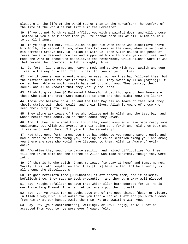pleasure in the life of the world rather than in the Hereafter? The comfort of the life of the world is but little in the Hereafter.

39. If ye go not forth He will afflict you with a painful doom, and will choose instead of you a folk other than you. Ye cannot harm Him at all. Allah is Able to do all things.

40. If ye help him not, still Allah helped him when those who disbelieve drove him forth, the second of two; when they two were in the cave, when he said unto his comrade: Grieve not. Lo! Allah is with us. Then Allah caused His peace of reassurance to descend upon him and supported him with hosts ye cannot see, and made the word of those who disbelieved the nethermost, while Allah's Word it was that became the uppermost. Allah is Mighty, Wise.

41. Go forth, light-armed and heavy-armed, and strive with your wealth and your lives in the way of Allah! That is best for you if ye but knew.

42. Had it been a near adventure and an easy journey they had followed thee, but the distance seemed too far for them. Yet will they swear by Allah [saying]: If we had been able we would surely have set out with you. They destroy their souls, and Allah knoweth that they verily are liars.

43. Allah forgive thee [O Muhammad]! Wherefor didst thou grant them leave ere those who told the truth were manifest to thee and thou didst know the liars?

44. Those who believe in Allah and the Last Day ask no leave of thee lest they should strive with their wealth and their lives. Allah is Aware of those who keep their duty [unto Him].

45. They alone ask leave of thee who believe not in Allah and the Last Day, and whose hearts feel doubt, so in their doubt they waver.

46. And if they had wished to go forth they would assuredly have made ready some equipment, but Allah was averse to their being sent forth and held them back and it was said [unto them]: Sit ye with the sedentary!

47. Had they gone forth among you they had added to you naught save trouble and had hurried to and fro among you, seeking to cause sedition among you; and among you there are some who would have listened to them. Allah is Aware of evildoers.

48. Aforetime they sought to cause sedition and raised difficulties for thee till the Truth came and the decree of Allah was made manifest, though they were loth.

49. Of them is he who saith: Grant me leave [to stay at home] and tempt me not. Surely it is into temptation that they [thus] have fallen. Lo! hell verily is all around the disbelievers.

50. If good befalleth thee [O Muhammad] it afflicteth them, and if calamity befalleth thee, they say: We took precaution, and they turn away well pleased.

51. Say: Naught befalleth us save that which Allah hath decreed for us. He is our Protecting Friend. In Allah let believers put their trust!

52. Say: Can ye await for us aught save one of two good things [death or victory in Allah's way]? while we await for you that Allah will afflict you with a doom from Him or at our hands. Await then! Lo! We are awaiting with you.

53. Say: Pay [your contribution], willingly or unwillingly, it will not be accepted from you. Lo! ye were ever froward folk.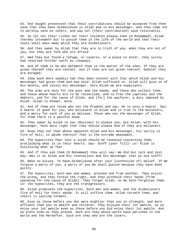54. And naught preventeth that their contributions should be accepted from them save that they have disbelieved in Allah and in His messenger, and they come not to worship save as idlers, and pay not [their contribution] save reluctantly.

55. So let not their riches nor their children please thee [O Muhammad]. Allah thereby intendeth but to punish them in the life of the world and that their souls shall pass away while they are disbelievers.

56. And they swear by Allah that they are in truth of you, when they are not of you, but they are folk who are afraid.

57. Had they but found a refuge, or caverns, or a place to enter, they surely had resorted thither swift as runaways.

58. And of them is he who defameth thee in the matter of the alms. If they are given thereof they are content, and if they are not given thereof, behold! they are enraged.

59. [How much more seemly] had they been content with that which Allah and His messenger had given them and had said: Allah sufficeth us. Allah will give us of His bounty, and [also] His messenger. Unto Allah we are suppliants.

60. The alms are only for the poor and the needy, and those who collect them, and those whose hearts are to be reconciled, and to free the captives and the debtors, and for the cause of Allah, and [for] the wayfarer; a duty imposed by Allah. Allah is Knower, Wise.

61. And of them are those who vex the Prophet and say: He is only a hearer. Say: A hearer of good for you, who believeth in Allah and is true to the believers, and a mercy for such of you as believe. Those who vex the messenger of Allah, for them there is a painful doom.

62. They swear by Allah to you [Muslims] to please you, but Allah, with His messenger, hath more right that they should please Him if they are believers.

63. Know they not that whoso opposeth Allah and His messenger, his verily is fire of hell, to abide therein? That is the extreme abasement.

64. The hypocrites fear lest a surah should be revealed concerning them, proclaiming what is in their hearts. Say: Scoff [your fill]! Lo! Allah is disclosing what ye fear.

65. And if thou ask them [O Muhammad] they will say: We did but talk and jest. Say: Was it at Allah and His revelations and His messenger that ye did scoff?

66. Make no excuse. Ye have disbelieved after your [confession of] belief. If We forgive a party of you, a party of you We shall punish because they have been guilty.

67. The hypocrites, both men and women, proceed one from another. They enjoin the wrong, and they forbid the right, and they withhold their hands [from spending for the cause of Allah]. They forget Allah, so He hath forgotten them. Lo! the hypocrites, they are the transgressors.

68. Allah promiseth the hypocrites, both men and women, and the disbelievers fire of hell for their abode. It will suffice them. Allah curseth them, and theirs is lasting torment.

69. Even as those before you who were mightier than you in strength, and more affluent than you in wealth and children. They enjoyed their lot awhile, so ye enjoy your lot awhile even as those before you did enjoy their lot awhile. And ye prate even as they prated. Such are they whose works have perished in the world and the Hereafter. Such are they who are the losers.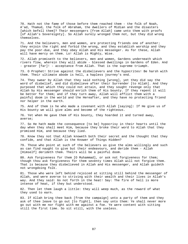70. Hath not the fame of those before them reached them - the folk of Noah, A'ad, Thamud, the folk of Abraham, the dwellers of Midian and the disasters [which befell them]? Their messengers [from Allah] came unto them with proofs [of Allah's Sovereignty]. So Allah surely wronged them not, but they did wrong themselves.

71. And the believers, men and women, are protecting friends one of another; they enjoin the right and forbid the wrong, and they establish worship and they pay the poor-due, and they obey Allah and His messenger. As for these, Allah will have mercy on them. Lo! Allah is Mighty, Wise.

72. Allah promiseth to the believers, men and women, Gardens underneath which rivers flow, wherein they will abide - blessed dwellings in Gardens of Eden. And - greater [far]! - acceptance from Allah. That is the supreme triumph.

73. O Prophet! Strive against the disbelievers and the hypocrites! Be harsh with them. Their ultimate abode is hell, a hapless journey's end.

74. They swear by Allah that they said nothing [wrong], yet they did say the word of disbelief, and did disbelieve after their Surrender [to Allah]. And they purposed that which they could not attain, and they sought revenge only that Allah by His messenger should enrich them of His bounty. If they repent it will be better for them; and if they turn away, Allah will afflict them with a painful doom in the world and the Hereafter, and they have no protecting friend nor helper in the earth.

75. And of them is he who made a covenant with Allah [saying]: If He give us of His bounty we will give alms and become of the righteous.

76. Yet when He gave them of His bounty, they hoarded it and turned away, averse;

77. So He hath made the consequence [to be] hypocrisy in their hearts until the day when they shall meet Him, because they broke their word to Allah that they promised Him, and because they lied.

78. Know they not that Allah knoweth both their secret and the thought that they confide, and that Allah is the Knower of Things Hidden?

79. Those who point at such of the believers as give the alms willingly and such as can find naught to give but their endeavours, and deride them - Allah [Himself] derideth them. Theirs will be a painful doom.

80. Ask forgiveness for them [O Muhammad], or ask not forgiveness for them; though thou ask forgiveness for them seventy times Allah will not forgive them. That is because they disbelieved in Allah and His messenger, and Allah guideth not wrongdoing folk.

81. Those who were left behind rejoiced at sitting still behind the messenger of Allah, and were averse to striving with their wealth and their lives in Allah's way. And they said: Go not forth in the heat! Say: The fire of hell is more intense of heat, if they but understood.

82. Then let them laugh a little: they will weep much, as the reward of what they used to earn.

83. If Allah bring thee back [from the campaign] unto a party of them and they ask of thee leave to go out [to fight], then say unto them: Ye shall never more go out with me nor fight with me against a foe. Ye were content with sitting still the first time. So sit still, with the useless.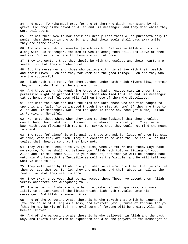84. And never [O Muhammad] pray for one of them who dieth, nor stand by his grave. Lo! they disbelieved in Allah and His messenger, and they died while they were evil-doers.

85. Let not their wealth nor their children please thee! Allah purposeth only to punish them thereby in the world, and that their souls shall pass away while they are disbelievers.

86. And when a surah is revealed [which saith]: Believe in Allah and strive along with His messenger, the men of wealth among them still ask leave of thee and say: Suffer us to be with those who sit [at home].

87. They are content that they should be with the useless and their hearts are sealed, so that they apprehend not.

88. But the messenger and those who believe with him strive with their wealth and their lives. Such are they for whom are the good things. Such are they who are the successful.

89. Allah hath made ready for them Gardens underneath which rivers flow, wherein they will abide. That is the supreme triumph.

90. And those among the wandering Arabs who had an excuse came in order that permission might be granted them. And those who lied to Allah and His messenger sat at home. A painful doom will fall on those of them who disbelieve.

91. Not unto the weak nor unto the sick nor unto those who can find naught to spend is any fault [to be imputed though they stay at home] if they are true to Allah and His messenger. Not unto the good is there any road [of blame]. Allah is Forgiving, Merciful.

92. Nor unto those whom, when they came to thee [asking] that thou shouldst mount them, thou didst tell: I cannot find whereon to mount you. They turned back with eyes flowing with tears, for sorrow that they could not find the means to spend.

93. The road [of blame] is only against those who ask for leave of thee [to stay at home] when they are rich. They are content to be with the useless. Allah hath sealed their hearts so that they know not.

94. They will make excuse to you [Muslims] when ye return unto them. Say: Make no excuse, for we shall not believe you. Allah hath told us tidings of you. Allah and His messenger will see your conduct, and then ye will be brought back unto Him Who knoweth the Invisible as well as the Visible, and He will tell you what ye used to do.

95. They will swear by Allah unto you, when ye return unto them, that ye may let them be. Let them be, for lo! they are unclean, and their abode is hell as the reward for what they used to earn.

96. They swear unto you, that ye may accept them. Though ye accept them. Allah verily accepteth not wrongdoing folk.

97. The wandering Arabs are more hard in disbelief and hypocrisy, and more likely to be ignorant of the limits which Allah hath revealed unto His messenger. And Allah is Knower, Wise.

98. And of the wandering Arabs there is he who taketh that which he expendeth [for the cause of Allah] as a loss, and awaiteth [evil] turns of fortune for you [that he may be rid of it]. The evil turn of fortune will be theirs. Allah is Hearer, Knower.

99. And of the wandering Arabs there is he who believeth in Allah and the Last Day, and taketh that which he expendeth and also the prayers of the messenger as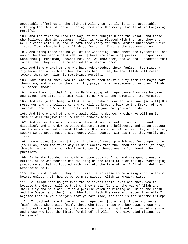acceptable offerings in the sight of Allah. Lo! verily it is an acceptable offering for them. Allah will bring them into His mercy. Lo! Allah is Forgiving, Merciful.

100. And the first to lead the way, of the Muhajirin and the Ansar, and those who followed them in goodness - Allah is well pleased with them and they are well pleased with Him, and He hath made ready for them Gardens underneath which rivers flow, wherein they will abide for ever. That is the supreme triumph.

101. And among those around you of the wandering Arabs there are hypocrites, and among the townspeople of Al-Madinah [there are some who] persist in hypocrisy whom thou [O Muhammad] knowest not. We, We know them, and We shall chastise them twice; then they will be relegated to a painful doom.

102. And [there are] others who have acknowledged their faults. They mixed a righteous action with another that was bad. It may be that Allah will relent toward them. Lo! Allah is Forgiving, Merciful.

103. Take alms of their wealth, wherewith thou mayst purify them and mayst make them grow, and pray for them. Lo! thy prayer is an assuagement for them. Allah is Hearer, Knower.

104. Know they not that Allah is He Who accepteth repentance from His bondmen and taketh the alms, and that Allah is He Who is the Relenting, the Merciful.

105. And say [unto them]: Act! Allah will behold your actions, and [so will] His messenger and the believers, and ye will be brought back to the Knower of the Invisible and the Visible, and He will tell you what ye used to do.

106. And [there are] others who await Allah's decree, whether He will punish them or will forgive them. Allah is Knower, Wise.

107. And as for those who chose a place of worship out of opposition and disbelief, and in order to cause dissent among the believers, and as an outpost for those who warred against Allah and His messenger aforetime, they will surely swear: We purposed naught save good. Allah beareth witness that they verily are liars.

108. Never stand [to pray] there. A place of worship which was found upon duty [to Allah] from the first day is more worthy that thou shouldst stand [to pray] therein, wherein are men who love to purify themselves. Allah loveth the purifiers.

109. Is he who founded his building upon duty to Allah and His good pleasure better; or he who founded his building on the brink of a crumbling, overhanging precipice so that it toppled with him into the fire of hell? Allah guideth not wrongdoing folk.

110. The building which they built will never cease to be a misgiving in their hearts unless their hearts be torn to pieces. Allah is Knower, Wise.

111. Lo! Allah hath bought from the believers their lives and their wealth because the Garden will be theirs: they shall fight in the way of Allah and shall slay and be slain. It is a promise which is binding on Him in the Torah and the Gospel and the Qur'an. Who fulfilleth His covenant better than Allah? Rejoice then in your bargain that ye have made, for that is the supreme triumph.

112. [Triumphant] are those who turn repentant [to Allah], those who serve [Him], those who praise [Him], those who fast, those who bow down, those who fall prostrate [in worship], those who enjoin the right and who forbid the wrong and those who keep the limits [ordained] of Allah - And give glad tidings to believers!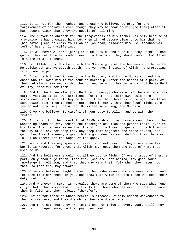113. It is not for the Prophet, and those who believe, to pray for the forgiveness of idolaters even though they may be near of kin [to them] after it hath become clear that they are people of hell-fire.

114. The prayer of Abraham for the forgiveness of his father was only because of a promise he had promised him, but when it had become clear unto him that he [his father] was an enemy to Allah he [Abraham] disowned him. Lo! Abraham was soft of heart, long-suffering.

115. It was never Allah's [part] that He should send a folk astray after He had guided them until He had made clear unto them what they should avoid. Lo! Allah is Aware of all things.

116. Lo! Allah! Unto Him belongeth the Sovereignty of the heavens and the earth. He quickeneth and He giveth death. And ye have, instead of Allah, no protecting friend nor helper.

117. Allah hath turned in mercy to the Prophet, and to the Muhajirin and the Ansar who followed him in the hour of hardship. After the hearts of a party of them had almost swerved aside, then turned He unto them in mercy. Lo! He is Full of Pity, Merciful for them.

118. And to the three also [did He turn in mercy] who were left behind, when the earth, vast as it is, was straitened for them, and their own souls were straitened for them till they bethought them that there is no refuge from Allah save toward Him. Then turned He unto them in mercy that they [too] might turn [repentant unto Him]. Lo! Allah! He is the Relenting, the Merciful.

119. O ye who believe! Be careful of your duty to Allah, and be with the truthful.

120. It is not for the townsfolk of Al-Madinah and for those around them of the wandering Arabs so stay behind the messenger of Allah and prefer their lives to his life. That is because neither thirst nor toil nor hunger afflicteth them in the way of Allah, nor step they any step that angereth the disbelievers, nor gain they from the enemy a gain, but a good deed is recorded for them therefor. Lo! Allah loseth not the wages of the good.

121. Nor spend they any spending, small or great, nor do they cross a valley, but it is recorded for them, that Allah may repay them the best of what they used to do.

122. And the believers should not all go out to fight. Of every troop of them, a party only should go forth, that they [who are left behind] may gain sound knowledge in religion, and that they may warn their folk when they return to them, so that they may beware.

123. O ye who believe! Fight those of the disbelievers who are near to you, and let them find harshness in you, and know that Allah is with those who keep their duty [unto Him].

124. And whenever a surah is revealed there are some of them who say: Which one of you hath thus increased in faith? As for those who believe, it hath increased them in faith and they rejoice [therefor].

125. But as for those in whose hearts is disease, it only addeth wickedness to their wickedness, and they die while they are disbelievers.

126. See they not that they are tested once or twice in every year? Still they turn not in repentance, neither pay they heed.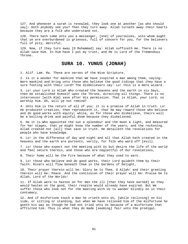127. And whenever a surah is revealed, they look one at another [as who should say]: Doth anybody see you? Then they turn away. Allah turneth away their hearts because they are a folk who understand not.

128. There hath come unto you a messenger, [one] of yourselves, unto whom aught that ye are overburdened is grievous, full of concern for you, for the believers full of pity, merciful.

129. Now, if they turn away [O Muhammad] say: Allah sufficeth me. There is no Allah save Him. In Him have I put my trust, and He is Lord of the Tremendous Throne.

## **SURA 10. YUNUS (JONAH)**

1. Alif. Lam. Ra. These are verses of the Wise Scripture.

2. Is it a wonder for mankind that We have inspired a man among them, saying: Warn mankind and bring unto those who believe the good tidings that they have a sure footing with their Lord? The disbelievers say: Lo! this is a mere wizard.

3. Lo! your Lord is Allah Who created the heavens and the earth in six Days, then He established Himself upon the Throne, directing all things. There is no intercessor [with Him] save after His permission. That is Allah, your Lord, so worship Him. Oh, will ye not remind?

4. Unto Him is the return of all of you; it is a promise of Allah in truth. Lo! He produceth creation, then reproduceth it, that He may reward those who believe and do good works with equity; while, as for those who disbelieve, theirs will be a boiling drink and painful doom because they disbelieved.

5. He it is Who appointed the sun a splendour and the moon a light, and measured for her stages, that ye might know the number of the years, and the reckoning. Allah created not [all] that save in truth. He detaileth the revelations for people who have knowledge.

6. Lo! in the difference of day and night and all that Allah hath created in the heavens and the earth are portents, verily, for folk who ward off [evil].

7. Lo! those who expect not the meeting with Us but desire the life of the world and feel secure therein, and those who are neglectful of Our revelations,

8. Their home will be the Fire because of what they used to earn.

9. Lo! those who believe and do good works, their Lord guideth them by their faith. Rivers will flow beneath them in the Gardens of Delight,

10. Their prayer therein will be: Glory be to Thee, O Allah! and their greeting therein will be: Peace. And the conclusion of their prayer will be: Praise be to Allah, Lord of the Worlds!

11. If Allah were to hasten on for men the ill [that they have earned] as they would hasten on the good, their respite would already have expired. But We suffer those who look not for the meeting with Us to wander blindly on in their contumacy.

12. And if misfortune touch a man he crieth unto Us, [while reclining] on his side, or sitting or standing, but when We have relieved him of the misfortune he goeth his way as though he had not cried unto Us because of a misfortune that afflicted him. Thus is what they do made [seeming] fair unto the prodigal.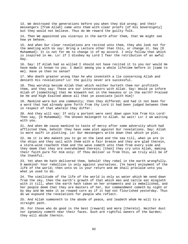13. We destroyed the generations before you when they did wrong; and their messengers [from Allah] came unto them with clear proofs [of His Sovereignty] but they would not believe. Thus do We reward the guilty folk.

14. Then We appointed you viceroys in the earth after them, that We might see how ye behave.

15. And when Our clear revelations are recited unto them, they who look not for the meeting with Us say: Bring a Lecture other than this, or change it. Say [O Muhammad]: It is not for me to change it of my accord. I only follow that which is inspired in me. Lo! if I disobey my Lord I fear the retribution of an awful Day.

16. Say: If Allah had so willed I should not have recited it to you nor would He have made it known to you. I dwelt among you a whole lifetime before it [came to me]. Have ye then no sense?

17. Who doeth greater wrong than he who inventeth a lie concerning Allah and denieth His revelations? Lo! the guilty never are successful.

18. They worship beside Allah that which neither hurteth them nor profiteth them, and they say: These are our intercessors with Allah. Say: Would ye inform Allah of [something] that He knoweth not in the heavens or in the earth? Praised be He and High Exalted above all that ye associate [with Him]!

19. Mankind were but one community; then they differed; and had it not been for a word that had already gone forth from thy Lord it had been judged between them in respect of that wherein they differ.

20. And they will say: If only a portent were sent down upon him from his Lord! Then say, [O Muhammad]: The Unseen belongeth to Allah. So wait! Lo! I am waiting with you.

21. And when We cause mankind to taste of mercy after some adversity which had afflicted them, behold! they have some plot against Our revelations. Say: Allah is more swift in plotting. Lo! Our messengers write down that which ye plot.

22. He it is Who maketh you to go on the land and the sea till, when ye are in the ships and they sail with them with a fair breeze and they are glad therein, a storm-wind reacheth them and the wave cometh unto them from every side and they deem that they are overwhelmed therein; [then] they cry unto Allah, making their faith pure for Him only: If Thou deliver us from this, we truly will be of the thankful.

23. Yet when He hath delivered them, behold! they rebel in the earth wrongfully. O mankind! Your rebellion is only against yourselves. [Ye have] enjoyment of the life of the world; then unto Us is your return and We shall proclaim unto you what ye used to do.

24. The similitude of the life of the world is only as water which We send down from the sky, then the earth's growth of that which men and cattle eat mingleth with it till, when the earth hath taken on her ornaments and is embellished, and her people deem that they are masters of her, Our commandment cometh by night or by day and We make it as reaped corn as if it had not flourished yesterday. Thus do we expound the revelations for people who reflect.

25. And Allah summoneth to the abode of peace, and leadeth whom He will to a straight path.

26. For those who do good is the best [reward] and more [thereto]. Neither dust nor ignominy cometh near their faces. Such are rightful owners of the Garden; they will abide therein.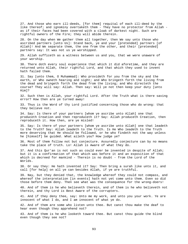27. And those who earn ill-deeds, [for them] requital of each ill-deed by the like thereof; and ignominy overtaketh them - They have no protector from Allah as if their faces had been covered with a cloak of darkest night. Such are rightful owners of the Fire; they will abide therein.

28. On the day when We gather them all together, then We say unto those who ascribed partners [unto Us]: Stand back, ye and your [pretended] partners [of Allah]! And We separate them, the one from the other, and their [pretended] partners say: It was not us ye worshipped.

29. Allah sufficeth as a witness between us and you, that we were unaware of your worship.

30. There doth every soul experience that which it did aforetime, and they are returned unto Allah, their rightful Lord, and that which they used to invent hath failed them.

31. Say [unto them, O Muhammad]: Who provideth for you from the sky and the earth, or Who owneth hearing and sight; and Who bringeth forth the living from the dead and bringeth forth the dead from the living; and Who directeth the course? They will say: Allah. Then say: Will ye not then keep your duty [unto Him]?

32. Such then is Allah, your rightful Lord. After the Truth what is there saving error? How then are ye turned away!

33. Thus is the Word of thy Lord justified concerning those who do wrong: that they believe not.

34. Say: Is there of your partners [whom ye ascribe unto Allah] one that produceth Creation and then reproduceth it? Say: Allah produceth Creation, then reproduceth it. How then, are ye misled!

35. Say: Is there of your partners [whom ye ascribe unto Allah] one that leadeth to the Truth? Say: Allah leadeth to the Truth. Is He Who leadeth to the Truth more deserving that He should be followed, or he who findeth not the way unless he [himself] be guided. What aileth you? How judge ye?

36. Most of them follow not but conjecture. Assuredly conjecture can by no means take the place of truth. Lo! Allah is Aware of what they do.

37. And this Qur'an is not such as could ever be invented in despite of Allah; but it is a confirmation of that which was before it and an exposition of that which is decreed for mankind - Therein is no doubt - from the Lord of the Worlds.

38. Or say they: He hath invented it? Say: Then bring a surah like unto it, and call [for help] on all ye can besides Allah, if ye are truthful.

39. Nay, but they denied that, the knowledge whereof they could not compass, and whereof the interpretation [in events] hath not yet come unto them. Even so did those before them deny. Then see what was the consequence for the wrong-doers!

40. And of them is he who believeth therein, and of them is he who believeth not therein, and thy Lord is Best Aware of the corrupters.

41. And if they deny thee, say: Unto me my work, and unto you your work. Ye are innocent of what I do, and I am innocent of what ye do.

42. And of them are some who listen unto thee. But canst thou make the deaf to hear even though they apprehend not?

43. And of them is he who looketh toward thee. But canst thou guide the blind even though they see not?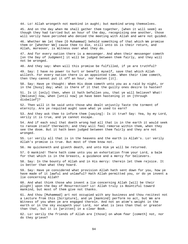44. Lo! Allah wrongeth not mankind in aught; but mankind wrong themselves.

45. And on the day when He shall gather them together, [when it will seem] as though they had tarried but an hour of the day, recognising one another, those will verily have perished who denied the meeting with Allah and were not guided.

46. Whether We let thee [O Muhammad] behold something of that which We promise them or [whether We] cause thee to die, still unto Us is their return, and Allah, moreover, is Witness over what they do.

47. And for every nation there is a messenger. And when their messenger cometh [on the Day of Judgment] it will be judged between them fairly, and they will not be wronged.

48. And they say: When will this promise be fulfilled, if ye are truthful?

49. Say: I have no power to hurt or benefit myself, save that which Allah willeth. For every nation there is an appointed time. When their time cometh, then they cannot put it off an hour, nor hasten [it].

50. Say: Have ye thought: When His doom cometh unto you as a raid by night, or in the [busy] day; what is there of it that the guilty ones desire to hasten?

51. Is it [only] then, when it hath befallen you, that ye will believe? What! [Believe] now, when [until now] ye have been hastening it on [through disbelief]?

52. Then will it be said unto those who dealt unjustly Taste the torment of eternity. Are ye requited aught save what ye used to earn?

53. And they ask thee to inform them [saying]: Is it true? Say: Yea, by my Lord, verily it is true, and ye cannot escape.

54. And if each soul that doeth wrong had all that is in the earth it would seek to ransom itself therewith; and they will feel remorse within them, when they see the doom. But it hath been judged between them fairly and they are not wronged.

55. Lo! verily all that is in the heavens and the earth is Allah's. Lo! verily Allah's promise is true. But most of them know not.

56. He quickeneth and giveth death, and unto Him ye will be returned.

57. O mankind! There hath come unto you an exhortation from your Lord, a balm for that which is in the breasts, a guidance and a mercy for believers.

58. Say: In the bounty of Allah and in His mercy: therein let them rejoice. It is better than what they hoard.

59. Say: Have ye considered what provision Allah hath sent down for you, how ye have made of it lawful and unlawful? Hath Allah permitted you, or do ye invent a lie concerning Allah?

60. And what think those who invent a lie concerning Allah [will be their plight] upon the Day of Resurrection? Lo! Allah truly is Bountiful toward mankind, but most of them give not thanks.

61. And thou [Muhammad] art not occupied with any business and thou recitest not a Lecture from this [Scripture], and ye [mankind] perform no act, but We are Witness of you when ye are engaged therein. And not an atom's weight in the earth or in the sky escapeth your Lord, nor what is less than that or greater than that, but it is [written] in a clear Book.

62. Lo! verily the friends of Allah are [those] on whom fear [cometh] not, nor do they grieve?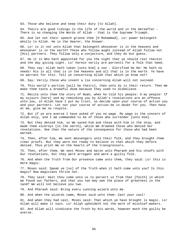63. Those who believe and keep their duty [to Allah].

64. Theirs are good tidings in the life of the world and in the Hereafter - There is no changing the Words of Allah - that is the Supreme Triumph.

65. And let not their speech grieve thee [O Muhammad]. Lo! power belongeth wholly to Allah. He is the Hearer, the Knower.

66. Lo! is it not unto Allah that belongeth whosoever is in the heavens and whosoever is in the earth? Those who follow aught instead of Allah follow not [His] partners. They follow only a conjecture, and they do but guess.

67. He it is Who hath appointed for you the night that ye should rest therein and the day giving sight. Lo! herein verily are portents for a folk that heed.

68. They say: Allah hath taken [unto Him] a son - Glorified be He! He hath no needs! His is all that is in the heavens and all that is in the earth. Ye have no warrant for this. Tell ye concerning Allah that which ye know not?

69. Say: Verily those who invent a lie concerning Allah will not succeed.

70. This world's portion [will be theirs], then unto Us is their return. Then We make them taste a dreadful doom because they used to disbelieve.

71. Recite unto them the story of Noah, when he told his people: O my people! If my sojourn [here] and my reminding you by Allah's revelations are an offence unto you, in Allah have I put my trust, so decide upon your course of action you and your partners. Let not your course of action be in doubt for you. Then have at me, give me no respite.

72. But if ye are averse I have asked of you no wage. My wage is the concern of Allah only, and I am commanded to be of those who surrender [unto Him].

73. But they denied him, so We saved him and those with him in the ship, and made them viceroys [in the earth], while We drowned those who denied Our revelations. See then the nature of the consequence for those who had been warned.

74. Then, after him, We sent messengers unto their folk, and they brought them clear proofs. But they were not ready to believe in that which they before denied. Thus print We on the hearts of the transgressors.

75. Then, after them, We sent Moses and Aaron unto Pharaoh and his chiefs with Our revelations, but they were arrogant and were a guilty folk.

76. And when the Truth from Our presence came unto them, they said: Lo! this is mere magic.

77. Moses said: Speak ye [so] of the Truth when it hath come unto you? Is this magic? Now magicians thrive not.

78. They said: Hast thou come unto us to pervert us from that [faith] in which we found our fathers, and that you two may own the place of greatness in the land? We will not believe you two.

79. And Pharaoh said: Bring every cunning wizard unto me.

80. And when the wizards came, Moses said unto them: Cast your cast!

81. And when they had cast, Moses said: That which ye have brought is magic. Lo! Allah will make it vain. Lo! Allah upholdeth not the work of mischief-makers.

82. And Allah will vindicate the Truth by His words, however much the guilty be averse.

95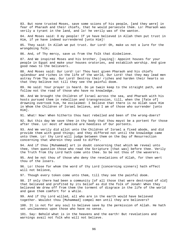83. But none trusted Moses, save some scions of his people, [and they were] in fear of Pharaoh and their chiefs, that he would persecute them. Lo! Pharaoh was verily a tyrant in the land, and lo! he verily was of the wanton.

84. And Moses said: O my people! If ye have believed in Allah then put trust in Him, if ye have indeed surrendered [unto Him]!

85. They said: In Allah we put trust. Our Lord! Oh, make us not a lure for the wrongdoing folk;

86. And, of Thy mercy, save us from the folk that disbelieve.

87. And We inspired Moses and his brother, [saying]: Appoint houses for your people in Egypt and make your houses oratories, and establish worship. And give good news to the believers.

88. And Moses said: Our Lord! Lo! Thou hast given Pharaoh and his chiefs splendour and riches in the life of the world, Our Lord! that they may lead men astray from Thy way. Our Lord! Destroy their riches and harden their hearts so that they believe not till they see the painful doom.

89. He said: Your prayer is heard. Do ye twain keep to the straight path, and follow not the road of those who have no knowledge.

90. And We brought the Children of Israel across the sea, and Pharaoh with his hosts pursued them in rebellion and transgression, till, when the [fate of] drowning overtook him, he exclaimed: I believe that there is no Allah save Him in Whom the Children of Israel believe, and I am of those who surrender [unto Him].

91. What! Now! When hitherto thou hast rebelled and been of the wrong-doers?

92. But this day We save thee in thy body that thou mayst be a portent for those after thee. Lo! most of mankind are heedless of Our portents.

93. And We verily did allot unto the Children of Israel a fixed abode, and did provide them with good things; and they differed not until the knowledge came unto them. Lo! thy Lord will judge between them on the Day of Resurrection concerning that wherein they used to differ.

94. And if thou [Muhammad] art in doubt concerning that which We reveal unto thee, then question those who read the Scripture [that was] before thee. Verily the Truth from thy Lord hath come unto thee. So be not thou of the waverers.

95. And be not thou of those who deny the revelations of Allah, for then wert thou of the losers.

96. Lo! those for whom the word of thy Lord [concerning sinners] hath effect will not believe,

97. Though every token come unto them, till they see the painful doom.

98. If only there had been a community [of all those that were destroyed of old] that believed and profited by its belief as did the folk of Jonah! When they believed We drew off from them the torment of disgrace in the life of the world and gave them comfort for a while.

99. And if thy Lord willed, all who are in the earth would have believed together. Wouldst thou [Muhammad] compel men until they are believers?

100. It is not for any soul to believe save by the permission of Allah. He hath set uncleanness upon those who have no sense.

101. Say: Behold what is in the heavens and the earth! But revelations and warnings avail not folk who will not believe.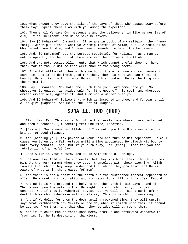102. What expect they save the like of the days of those who passed away before them? Say: Expect then! I am with you among the expectant.

103. Then shall We save Our messengers and the believers, in like manner [as of old]. It is incumbent upon Us to save believers.

104. Say [O Muhammad]: O mankind! If ye are in doubt of my religion, then [know that] I worship not those whom ye worship instead of Allah, but I worship Allah Who causeth you to die, and I have been commanded to be of the believers.

105. And, [O Muhammad] set thy purpose resolutely for religion, as a man by nature upright, and be not of those who ascribe partners [to Allah].

106. And cry not, beside Allah, unto that which cannot profit thee nor hurt thee, for if thou didst so then wert thou of the wrong-doers.

107. If Allah afflicteth thee with some hurt, there is none who can remove it save Him; and if He desireth good for thee, there is none who can repel His bounty. He striketh with it whom He will of his bondmen. He is the Forgiving, the Merciful.

108. Say: O mankind! Now hath the Truth from your Lord come unto you. So whosoever is guided, is guided only for [the good of] his soul, and whosoever erreth erreth only against it. And I am not a warder over you.

109. And [O Muhammad] follow that which is inspired in thee, and forbear until Allah give judgment. And He is the Best of Judges.

## **SURA 11. HUD (HUD)**

1. Alif. Lam. Ra. [This is] a Scripture the revelations whereof are perfected and then expounded. [It cometh] from One Wise, Informed,

2. [Saying]: Serve none but Allah. Lo! I am unto you from Him a warner and a bringer of good tidings.

3. And [bidding you]: Ask pardon of your Lord and turn to Him repentant. He will cause you to enjoy a fair estate until a time appointed. He giveth His bounty unto every bountiful one. But if ye turn away, lo! [then] I fear for you the retribution of an awful Day.

4. Unto Allah is your return, and He is Able to do all things.

5. Lo! now they fold up their breasts that they may hide [their thoughts] from Him. At the very moment when they cover themselves with their clothing, Allah knoweth that which they keep hidden and that which they proclaim. Lo! He is Aware of what is in the breasts [of men].

6. And there is not a beast in the earth but the sustenance thereof dependeth on Allah. He knoweth its habitation and its repository. All is in a clear Record.

7. And He it is Who created the heavens and the earth in six Days - and His Throne was upon the water - that He might try you, which of you is best in conduct. Yet if thou [O Muhammad] sayest: Lo! ye will be raised again after death! those who disbelieve will surely say: This is naught but mere magic.

8. And if We delay for them the doom until a reckoned time, they will surely say: What withholdeth it? Verily on the day when it cometh unto them, it cannot be averted from them, and that which they derided will surround them.

9. And if we cause man to taste some mercy from Us and afterward withdraw it from him, lo! he is despairing, thankless.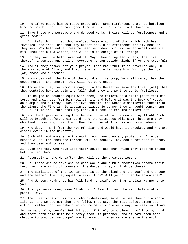10. And if We cause him to taste grace after some misfortune that had befallen him, he saith: The ills have gone from me. Lo! he is exultant, boastful;

11. Save those who persevere and do good works. Theirs will be forgiveness and a great reward.

12. A likely thing, that thou wouldst forsake aught of that which hath been revealed unto thee, and that thy breast should be straitened for it, because they say: Why hath not a treasure been sent down for him, or an angel come with him? Thou art but a warner, and Allah is in charge of all things.

13. Or they say: He hath invented it. Say: Then bring ten surahs, the like thereof, invented, and call on everyone ye can beside Allah, if ye are truthful!

14. And if they answer not your prayer, then know that it is revealed only in the knowledge of Allah; and that there is no Allah save Him. Will ye then be [of] those who surrender?

15. Whoso desireth the life of the world and its pomp, We shall repay them their deeds herein, and therein they will not be wronged.

16. Those are they for whom is naught in the Hereafter save the Fire. [All] that they contrive here is vain and [all] that they are wont to do is fruitless.

17. Is he [to be counted equal with them] who relieth on a clear proof from his Lord, and a witness from Him reciteth it, and before it was the Book of Moses, an example and a mercy? Such believe therein, and whoso disbelieveth therein of the clans, the Fire is his appointed place. So be not thou in doubt concerning it. Lo! it is the Truth from thy Lord; but most of mankind believe not.

18. Who doeth greater wrong than he who inventeth a lie concerning Allah? Such will be brought before their Lord, and the witnesses will say: These are they who lied concerning their Lord. Now the curse of Allah is upon wrong-doers,

19. Who debar [men] from the way of Allah and would have it crooked, and who are disbelievers in the Hereafter.

20. Such will not escape in the earth, nor have they any protecting friends beside Allah. For them the torment will be double. They could not bear to hear, and they used not to see.

21. Such are they who have lost their souls, and that which they used to invent hath failed them.

22. Assuredly in the Hereafter they will be the greatest losers.

23. Lo! those who believe and do good works and humble themselves before their Lord: such are rightful owners of the Garden; they will abide therein.

24. The similitude of the two parties is as the blind and the deaf and the seer and the hearer. Are they equal in similitude? Will ye not then be admonished?

25. And We sent Noah unto his folk [and he said]: Lo! I am a plain warner unto you.

26. That ye serve none, save Allah. Lo! I fear for you the retribution of a painful Day.

27. The chieftains of his folk, who disbelieved, said: We see thee but a mortal like us, and we see not that any follow thee save the most abject among us, without reflection. We behold in you no merit above us - nay, we deem you liars.

28. He said: O my people! Bethink you, if I rely on a clear proof from my Lord and there hath come unto me a mercy from His presence, and it hath been made obscure to you, can we compel you to accept it when ye are averse thereto?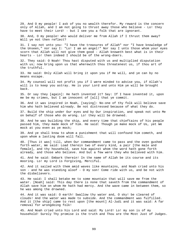29. And O my people! I ask of you no wealth therefor. My reward is the concern only of Allah, and I am not going to thrust away those who believe - Lo! they have to meet their Lord! - but I see you a folk that are ignorant. 30. And, O my people! who would deliver me from Allah if I thrust them away? Will ye not then reflect? 31. I say not unto you: "I have the treasures of Allah" nor "I have knowledge of the Unseen," nor say I: "Lo! I am an angel!" Nor say I unto those whom your eyes scorn that Allah will not give them good - Allah knoweth best what is in their hearts - Lo! then indeed I should be of the wrong-doers. 32. They said: O Noah! Thou hast disputed with us and multiplied disputation with us; now bring upon us that wherewith thou threatenest us, if thou art of the truthful. 33. He said: Only Allah will bring it upon you if He will, and ye can by no means escape. 34. My counsel will not profit you if I were minded to advise you, if Allah's will is to keep you astray. He is your Lord and unto Him ye will be brought back. 35. Or say they [again]: He hath invented it? Say: If I have invented it, upon me be my crimes, but I am innocent of [all] that ye commit. 36. And it was inspired in Noah, [saying]: No-one of thy folk will believe save him who hath believed already. Be not distressed because of what they do. 37. Build the ship under Our eyes and by Our inspiration, and speak not unto Me on behalf of those who do wrong. Lo! they will be drowned. 38. And he was building the ship, and every time that chieftains of his people passed him, they made mock of him. He said: Though ye make mock of Us, yet We mock at you even as ye mock; 39. And ye shall know to whom a punishment that will confound him cometh, and upon whom a lasting doom will fall. 40. [Thus it was] till, when Our commandment came to pass and the oven gushed forth water, We said: Load therein two of every kind, a pair [the male and female], and thy household, save him against whom the word hath gone forth already, and those who believe. And but a few were they who believed with him. 41. And he said: Embark therein! In the name of Allah be its course and its mooring. Lo! my Lord is Forgiving, Merciful. 42. And it sailed with them amid waves like mountains, and Noah cried unto his son - and he was standing aloof - O my son! Come ride with us, and be not with the disbelievers. 43. He said: I shall betake me to some mountain that will save me from the water. [Noah] said: This day there is none that saveth from the commandment of Allah save him on whom He hath had mercy. And the wave came in between them, so he was among the drowned. 44. And it was said: O earth! Swallow thy water and, O sky! be cleared of clouds! And the water was made to subside. And the commandment was fulfilled. And it [the ship] came to rest upon [the mount] Al-Judi and it was said: A far removal for wrongdoing folk! 45. And Noah cried unto his Lord and said: My Lord! Lo! my son is of my household! Surely Thy promise is the truth and Thou are the Most Just of Judges.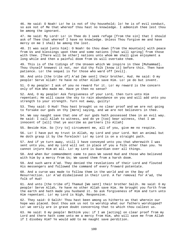46. He said: O Noah! Lo! he is not of thy household; lo! he is of evil conduct, so ask not of Me that whereof thou hast no knowledge. I admonish thee lest thou be among the ignorant.

47. He said: My Lord! Lo! in Thee do I seek refuge [from the sin] that I should ask of Thee that whereof I have no knowledge. Unless Thou forgive me and have mercy on me I shall be among the lost.

48. It was said [unto him]: O Noah! Go thou down [from the mountain] with peace from Us and blessings upon thee and some nations [that will spring] from those with thee. [There will be other] nations unto whom We shall give enjoyment a long while and then a painful doom from Us will overtake them.

49. This is of the tidings of the Unseen which We inspire in thee [Muhammad]. Thou thyself knewest it not, nor did thy folk [know it] before this. Then have patience. Lo! the sequel is for those who ward off [evil].

50. And unto [the tribe of] A'ad [We sent] their brother, Hud. He said: O my people! Serve Allah! Ye have no other Allah save Him. Lo! ye do but invent.

51. O my people! I ask of you no reward for it. Lo! my reward is the concern only of Him Who made me. Have ye then no sense?

52. And, O my people! Ask forgiveness of your Lord, then turn unto Him repentant; He will cause the sky to rain abundance on you and will add unto you strength to your strength. Turn not away, guilty!

53. They said: O Hud! Thou hast brought us no clear proof and we are not going to forsake our gods on thy [mere] saying, and we are not believers in thee.

54. We say naught save that one of our gods hath possessed thee in an evil way. He said: I call Allah to witness, and do ye [too] bear witness, that I am innocent of [all] that ye ascribe as partners [to Allah]

55. Beside Him. So [try to] circumvent me, all of you, give me no respite.

56. Lo! I have put my trust in Allah, my Lord and your Lord. Not an animal but He doth grasp it by the forelock! Lo! my Lord is on a straight path.

57. And if ye turn away, still I have conveyed unto you that wherewith I was sent unto you, and my Lord will set in place of you a folk other than you. Ye cannot injure Him at all. Lo! my Lord is Guardian over all things.

58. And when Our commandment came to pass We saved Hud and those who believed with him by a mercy from Us; We saved them from a harsh doom.

59. And such were A'ad. They denied the revelations of their Lord and flouted His messengers and followed the command of every froward potentate.

60. And a curse was made to follow them in the world and on the Day of Resurrection. Lo! A'ad disbelieved in their Lord. A far removal for A'ad, the folk of Hud!

61. And unto [the tribe of] Thamud [We sent] their brother Salih. He said: O my people! Serve Allah, Ye have no other Allah save Him. He brought you forth from the earth and hath made you husband it. So ask forgiveness of Him and turn unto Him repentant. Lo! my Lord is Nigh, Responsive.

62. They said: O Salih! Thou hast been among us hitherto as that wherein our hope was placed. Dost thou ask us not to worship what our fathers worshipped? Lo! we verily are in grave doubt concerning that to which thou callest us.

63. He said: O my people! Bethink you: if I am [acting] on clear proof from my Lord and there hath come unto me a mercy from Him, who will save me from Allah if I disobey Him? Ye would add to me naught save perdition.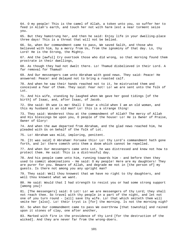64. O my people! This is the camel of Allah, a token unto you, so suffer her to feed in Allah's earth, and touch her not with harm lest a near torment seize you. 65. But they hamstrung her, and then he said: Enjoy life in your dwelling-place three days! This is a threat that will not be belied. 66. So, when Our commandment came to pass, We saved Salih, and those who believed with him, by a mercy from Us, from the ignominy of that day. Lo, thy Lord! He is the Strong, the Mighty. 67. And the [awful] Cry overtook those who did wrong, so that morning found them prostrate in their dwellings, 68. As though they had not dwelt there. Lo! Thamud disbelieved in their Lord. A far removal for Thamud! 69. And Our messengers cam unto Abraham with good news. They said: Peace! He answered: Peace! and delayed not to bring a roasted calf. 70. And when he saw their hands reached not to it, he mistrusted them and conceived a fear of them. They said: Fear not! Lo! we are sent unto the folk of Lot. 71. And his wife, standing by laughed when We gave her good tidings [of the birth] of Isaac, and, after Isaac, of Jacob. 72. She said: Oh woe is me! Shall I bear a child when I am an old woman, and this my husband is an old man? Lo! this is a strange thing! 73. They said: Wonderest thou at the commandment of Allah? The mercy of Allah and His blessings be upon you, O people of the house! Lo! He is Owner of Praise, Owner of Glory! 74. And when the awe departed from Abraham, and the glad news reached him, he pleaded with Us on behalf of the folk of Lot. 75. Lo! Abraham was mild, imploring, penitent. 76. [It was said] O Abraham! Forsake this! Lo! thy Lord's commandment hath gone forth, and lo! there cometh unto them a doom which cannot be repelled. 77. And when Our messengers came unto Lot, he was distressed and knew not how to protect them. He said: This is a distressful day. 78. And his people came unto him, running towards him - and before then they used to commit abominations - He said: O my people! Here are my daughters! They are purer for you. Beware of Allah, and degrade me not in [the person of] my guests. Is there not among you any upright man? 79. They said: Well thou knowest that we have no right to thy daughters, and well thou knowest what we want. 80. He said: Would that I had strength to resist you or had some strong support [among you]! 81. [The messengers] said: O Lot! Lo! we are messengers of thy Lord; they shall not reach thee. So travel with thy people in a part of the night, and let not one of you turn round - [all] save thy wife. Lo! that which smiteth them will smite her [also]. Lo! their tryst is [for] the morning. Is not the morning nigh? 82. So when Our commandment came to pass We overthrew [that township] and rained upon it stones of clay, one after another, 83. Marked with fire in the providence of thy Lord [for the destruction of the wicked]. And they are never far from the wrong-doers.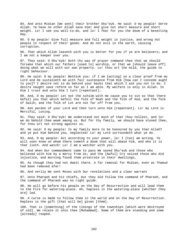84. And unto Midian [We sent] their brother Shu'eyb. He said: O my people! Serve Allah. Ye have no other Allah save Him! And give not short measure and short weight. Lo! I see you well-to-do, and lo! I fear for you the doom of a besetting Day.

85. O my people! Give full measure and full weight in justice, and wrong not people in respect of their goods. And do not evil in the earth, causing corruption.

86. That which Allah leaveth with you is better for you if ye are believers; and I am not a keeper over you.

87. They said: O Shu'eyb! Doth thy way of prayer command thee that we should forsake that which our fathers [used to] worship, or that we [should leave off] doing what we will with our own property. Lo! thou art the mild, the guide to right behaviour.

88. He said: O my people! Bethink you: if I am [acting] on a clear proof from my Lord and He sustaineth me with fair sustenance from Him [how can I concede aught to you]? I desire not to do behind your backs that which I ask you not to do. I desire naught save reform so far as I am able. My welfare is only in Allah. In Him I trust and unto Him I turn [repentant].

89. And, O my people! Let not the schism with me cause you to sin so that there befall you that which befell the folk of Noah and the folk of Hud, and the folk of Salih; and the folk of Lot are not far off from you.

90. Ask pardon of your Lord and then turn unto Him [repentant]. Lo! my Lord is Merciful, Loving.

91. They said: O Shu'eyb! We understand not much of that thou tellest, and lo! we do behold thee weak among us. But for thy family, we should have stoned thee, for thou art not strong against us.

92. He said: O my people! Is my family more to be honoured by you than Allah? and ye put Him behind you, neglected! Lo! my Lord surroundeth what ye do.

93. And, O my people! Act according to your power, lo! I [too] am acting. Ye will soon know on whom there cometh a doom that will abase him, and who it is that lieth. And watch! Lo! I am a watcher with you.

94. And when Our commandment came to pass We saved Shu'eyb and those who believed with him by a mercy from Us; and the [Awful] Cry seized those who did injustice, and morning found them prostrate in their dwellings,

95. As though they had not dwelt there. A far removal for Midian, even as Thamud had been removed afar!

96. And verily We sent Moses with Our revelations and a clear warrant

97. Unto Pharaoh and his chiefs, but they did follow the command of Pharaoh, and the command of Pharaoh was no right guide.

98. He will go before his people on the Day of Resurrection and will lead them to the Fire for watering-place. Ah, hapless is the watering-place [whither they are] led.

99. A curse is made to follow them in the world and on the Day of Resurrection. Hapless is the gift [that will be] given [them].

100. That is [something] of the tidings of the townships [which were destroyed of old]. We relate it unto thee [Muhammad]. Some of them are standing and some [already] reaped.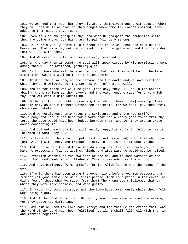101. We wronged them not, but they did wrong themselves; and their gods on whom they call beside Allah availed them naught when came thy Lord's command; they added to them naught save ruin.

102. Even thus is the grasp of thy Lord when He graspeth the townships while they are doing wrong. Lo! His grasp is painful, very strong.

103. Lo! herein verily there is a portent for those who fear the doom of the Hereafter. That is a day unto which mankind will be gathered, and that is a day that will be witnessed.

104. And We defer it only to a term already reckoned.

105. On the day when it cometh no soul will speak except by His permission; some among them will be wretched, [others] glad.

106. As for those who will be wretched [on that day] they will be in the Fire; sighing and wailing will be their portion therein,

107. Abiding there so long as the heavens and the earth endure save for that which thy Lord willeth. Lo! thy Lord is Doer of what He will.

108. And as for those who will be glad [that day] they will be in the Garden, abiding there so long as the heavens and the earth endure save for that which thy Lord willeth: a gift unfailing.

109. So be not thou in doubt concerning that which these [folk] worship. They worship only as their fathers worshipped aforetime. Lo! we shall pay them their whole due unabated.

110. And we verily gave unto Moses the Scripture, and there was strife thereupon; and had it not been for a Word that had already gone forth from thy Lord, the case would have been judged between them, and lo! they are in grave doubt concerning it.

111. And lo! unto each thy Lord will verily repay his works in full. Lo! He is Informed of what they do.

112. So tread thou the straight path as thou art commanded, and those who turn [unto Allah] with thee, and transgress not. Lo! He is Seer of what ye do.

113. And incline not toward those who do wrong lest the Fire touch you, and ye have no protecting friends against Allah, and afterward ye would not be helped.

114. Establish worship at the two ends of the day and in some watches of the night. Lo! good deeds annul ill-deeds. This is reminder for the mindful.

115. And have patience, [O Muhammad], for lo! Allah loseth not the wages of the good.

116. If only there had been among the generations before you men possessing a remnant [of good sense] to warn [their people] from corruption in the earth, as did a few of those whom We saved from them! The wrong-doers followed that by which they were made sapless, and were guilty.

117. In truth thy Lord destroyed not the townships tyrannously while their folk were doing right.

118. And if thy Lord had willed, He verily would have made mankind one nation, yet they cease not differing,

119. Save him on whom thy Lord hath mercy; and for that He did create them. And the Word of thy Lord hath been fulfilled: Verily I shall fill hell with the jinn and mankind together.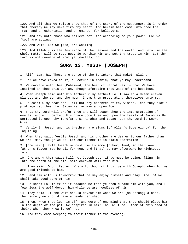120. And all that We relate unto thee of the story of the messengers is in order that thereby We may make firm thy heart. And herein hath come unto thee the Truth and an exhortation and a reminder for believers.

121. And say unto those who believe not: Act according to your power. Lo! We [too] are acting.

122. And wait! Lo! We [too] are waiting.

123. And Allah's is the Invisible of the heavens and the earth, and unto Him the whole matter will be returned. So worship Him and put thy trust in Him. Lo! thy Lord is not unaware of what ye [mortals] do.

## **SURA 12. YUSUF (JOSEPH)**

1. Alif. Lam. Ra. These are verse of the Scripture that maketh plain.

2. Lo! We have revealed it, a Lecture in Arabic, that ye may understand.

3. We narrate unto thee [Muhammad] the best of narratives in that We have inspired in thee this Qur'an, though aforetime thou wast of the heedless.

4. When Joseph said unto his father: O my father! Lo! I saw in a dream eleven planets and the sun and the moon, I saw them prostrating themselves unto me.

5. He said: O my dear son! Tell not thy brethren of thy vision, lest they plot a plot against thee. Lo! Satan is for man an open foe.

6. Thus thy Lord will prefer thee and will teach thee the interpretation of events, and will perfect His grace upon thee and upon the family of Jacob as He perfected it upon thy forefathers, Abraham and Isaac. Lo! thy Lord is Knower, Wise.

7. Verily in Joseph and his brethren are signs [of Allah's Sovereignty] for the inquiring.

8. When they said: Verily Joseph and his brother are dearer to our father than we are, many though we be. Lo! our father is in plain aberration.

9. [One said]: Kill Joseph or cast him to some [other] land, so that your father's favour may be all for you, and [that] ye may afterward be righteous folk.

10. One among them said: Kill not Joseph but, if ye must be doing, fling him into the depth of the pit; some caravan will find him.

11. They said: O our father! Why wilt thou not trust us with Joseph, when lo! we are good friends to him?

12. Send him with us to-morrow that he may enjoy himself and play. And lo! we shall take good care of him.

13. He said: Lo! in truth it saddens me that ye should take him with you, and I fear less the wolf devour him while ye are heedless of him.

14. They said: If the wolf should devour him when we are [so strong] a band, then surely we should have already perished.

15. Then, when they led him off, and were of one mind that they should place him in the depth of the pit, We inspired in him: Thou wilt tell them of this deed of theirs when they know [thee] not.

16. And they came weeping to their father in the evening.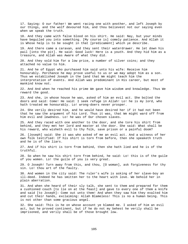17. Saying: O our father! We went racing one with another, and left Joseph by our things, and the wolf devoured him, and thou believest not our saying even when we speak the truth.

18. And they came with false blood on his shirt. He said: Nay, but your minds have beguiled you into something. [My course is] comely patience. And Allah it is Whose help is to be sought in that [predicament] which ye describe.

19. And there came a caravan, and they sent their waterdrawer. He let down his pail [into the pit]. He said: Good luck! Here is a youth. And they hid him as a treasure, and Allah was Aware of what they did.

20. And they sold him for a low price, a number of silver coins; and they attached no value to him.

21. And he of Egypt who purchased him said unto his wife: Receive him honourably. Perchance he may prove useful to us or we may adopt him as a son. Thus we established Joseph in the land that We might teach him the interpretation of events. And Allah was predominant in His career, but most of mankind know not.

22. And And when he reached his prime We gave him wisdom and knowledge. Thus We reward the good.

23. And she, in whose house he was, asked of him an evil act. She bolted the doors and said: Come! He said: I seek refuge in Allah! Lo! he is my lord, who hath treated me honourably. Lo! wrong-doers never prosper.

24. She verily desired him, and he would have desired her if it had not been that he saw the argument of his Lord. Thus it was, that We might ward off from him evil and lewdness. Lo! he was of Our chosen slaves.

25. And they raced with one another to the door, and she tore his shirt from behind, and they met her lord and master at the door. She said: What shall be his reward, who wisheth evil to thy folk, save prison or a painful doom?

26. [Joseph] said: She it was who asked of me an evil act. And a witness of her own folk testified: If his shirt is torn from before, then she speaketh truth and he is of the liars.

27. And if his shirt is torn from behind, then she hath lied and he is of the truthful.

28. So when he saw his shirt torn from behind, he said: Lo! this is of the guile of you women. Lo! the guile of you is very great.

29. O Joseph! Turn away from this, and thou, [O woman], ask forgiveness for thy sin. Lo! thou art of the faulty.

30. And women in the city said: The ruler's wife is asking of her slave-boy an ill-deed. Indeed he has smitten her to the heart with love. We behold her in plain aberration.

31. And when she heard of their sly talk, she sent to them and prepared for them a cushioned couch [to lie on at the feast] and gave to every one of them a knife and said [to Joseph]: Come out unto them! And when they saw him they exalted him and cut their hands, exclaiming: Allah Blameless! This is no a human being. This is not other than some gracious angel.

32. She said: This is he on whose account ye blamed me. I asked of him an evil act, but he proved continent, but if he do not my behest he verily shall be imprisoned, and verily shall be of those brought low.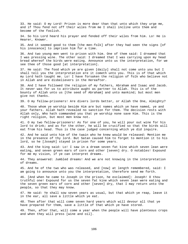33. He said: O my Lord! Prison is more dear than that unto which they urge me, and if Thou fend not off their wiles from me I shall incline unto them and become of the foolish.

34. So his Lord heard his prayer and fended off their wiles from him. Lo! He is Hearer, Knower.

35. And it seemed good to them [the men-folk] after they had seen the signs [of his innocence] to imprison him for a time.

36. And two young men went to prison with him. One of them said: I dreamed that I was pressing wine. The other said: I dreamed that I was carrying upon my head bread whereof the birds were eating. Announce unto us the interpretation, for we see thee of those good [at interpretation].

37. He said: The food which ye are given [daily] shall not come unto you but I shall tell you the interpretation ere it cometh unto you. This is of that which my Lord hath taught me. Lo! I have forsaken the religion of folk who believe not in Allah and are disbelievers in the Hereafter.

38. And I have followed the religion of my fathers, Abraham and Isaac and Jacob. It never was for us to attribute aught as partner to Allah. This is of the bounty of Allah unto us [the seed of Abraham] and unto mankind; but most men give not thanks.

39. O my fellow-prisoners! Are divers lords better, or Allah the One, Almighty?

40. Those whom ye worship beside Him are but names which ye have named, ye and your fathers. Allah hath revealed no sanction for them. The decision rests with Allah only, Who hath commanded you that ye worship none save Him. This is the right religion, but most men know not.

41. O my two fellow-prisoners! As for one of you, he will pour out wine for his lord to drink; and as for the other, he will be crucified so that the birds will eat from his head. Thus is the case judged concerning which ye did inquire.

42. And he said unto him of the twain who he knew would be released: Mention me in the presence of thy lord. But Satan caused him to forget to mention it to his lord, so he [Joseph] stayed in prison for some years.

43. And the king said: Lo! I saw in a dream seven fat kine which seven lean were eating, and seven green ears of corn and other [seven] dry. O notables! Expound for me my vision, if ye can interpret dreams.

44. They answered: Jumbled dreams! And we are not knowing in the interpretation of dreams.

45. And he of the two who was released, and [now] at length remembered, said: I am going to announce unto you the interpretation, therefore send me forth.

46. [And when he came to Joseph in the prison, he exclaimed]: Joseph! O thou truthful one! Expound for us the seven fat kine which seven lean were eating and the seven green ears of corn and other [seven] dry, that I may return unto the people, so that they may know.

47. He said: Ye shall sow seven years as usual, but that which ye reap, leave it in the ear, all save a little which ye eat.

48. Then after that will come seven hard years which will devour all that ye have prepared for them, save a little of that which ye have stored.

49. Then, after that, will come a year when the people will have plenteous crops and when they will press [wine and oil].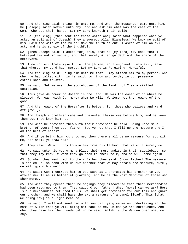50. And the king said: Bring him unto me. And when the messenger came unto him, he [Joseph] said: Return unto thy lord and ask him what was the case of the women who cut their hands. Lo! my Lord knoweth their guile.

51. He [the king] [then sent for those women and] said: What happened when ye asked an evil act of Joseph? They answered: Allah Blameless! We know no evil of him. Said the wife of the ruler: Now the truth is out. I asked of him an evil act, and he is surely of the truthful.

52. [Then Joseph said: I asked for] this, that he [my lord] may know that I betrayed him not in secret, and that surely Allah guideth not the snare of the betrayers.

53. I do not exculpate myself. Lo! the [human] soul enjoineth unto evil, save that whereon my Lord hath mercy. Lo! my Lord is Forgiving, Merciful.

54. And the king said: Bring him unto me that I may attach him to my person. And when he had talked with him he said: Lo! thou art to-day in our presence established and trusted.

55. He said: Set me over the storehouses of the land. Lo! I am a skilled custodian.

56. Thus gave We power to Joseph in the land. He was the owner of it where he pleased. We reach with Our mercy whom We will. We lose not the reward of the good.

57. And the reward of the Hereafter is better, for those who believe and ward off [evil].

58. And Joseph's brethren came and presented themselves before him, and he knew them but they knew him not.

59. And when he provided them with their provision he said: Bring unto me a brother of yours from your father. See ye not that I fill up the measure and I am the best of hosts?

60. And if ye bring him not unto me, then there shall be no measure for you with me, nor shall ye draw near.

61. They said: We will try to win him from his father: that we will surely do.

62. He said unto his young men: Place their merchandise in their saddlebags, so that they may know it when they go back to their folk, and so will come again.

63. So when they went back to their father they said: O our father! The measure is denied us, so send with us our brother that we may obtain the measure, surely we will guard him well.

64. He said: Can I entrust him to you save as I entrusted his brother to you aforetime? Allah is better at guarding, and He is the Most Merciful of those who show mercy.

65. And when they opened their belongings they discovered that their merchandise had been returned to them. They said: O our father! What [more] can we ask? Here is our merchandise returned to us. We shall get provision for our folk and guard our brother, and we shall have the extra measure of a camel [load]. This [that we bring now] is a light measure.

66. He said: I will not send him with you till ye give me an undertaking in the name of Allah that ye will bring him back to me, unless ye are surrounded. And when they gave him their undertaking he said: Allah is the Warden over what we say.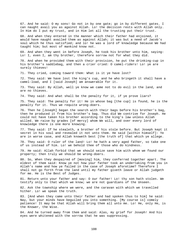67. And he said: O my sons! Go not in by one gate; go in by different gates. I can naught avail you as against Allah. Lo! the decision rests with Allah only. In Him do I put my trust, and in Him let all the trusting put their trust.

68. And when they entered in the manner which their father had enjoined, it would have naught availed them as against Allah; it was but a need of Jacob's soul which he thus satisfied; and lo! he was a lord of knowledge because We had taught him; but most of mankind know not.

69. And when they went in before Joseph, he took his brother unto him, saying: Lo! I, even I, am thy brother, therefore sorrow not for what they did.

70. And when he provided them with their provision, he put the drinking-cup in his brother's saddlebag, and then a crier cried: O camel-riders! Lo! ye are surely thieves!

71. They cried, coming toward them: What is it ye have lost?

72. They said: We have lost the king's cup, and he who bringeth it shall have a camel-load, and I [said Joseph] am answerable for it.

73. They said: By Allah, well ye know we came not to do evil in the land, and are no thieves.

74. They said: And what shall be the penalty for it, if ye prove liars?

75. They said: The penalty for it! He in whose bag [the cup] is found, he is the penalty for it. Thus we requite wrong-doers.

76. Then he [Joseph] began the search with their bags before his brother's bag, then he produced it from his brother's bag. Thus did We contrive for Joseph. He could not have taken his brother according to the king's law unless Allah willed. We raise by grades [of mercy] whom We will, and over every lord of knowledge there is one more knowing.

77. They said: If he stealeth, a brother of his stole before. But Joseph kept it secret in his soul and revealed it not unto them. He said [within himself]: Ye are in worse case, and Allah knoweth best [the truth of] that which ye allege.

78. They said: O ruler of the land! Lo! he hath a very aged father, so take one of us instead of him. Lo! we behold thee of those who do kindness.

79. He said: Allah forbid that we should seize save him with whom we found our property; then truly we should be wrong-doers.

80. So, When they despaired of [moving] him, they conferred together apart. The eldest of them said: Know ye not how your father took an undertaking from you in Allah's name and how ye failed in the case of Joseph aforetime? Therefore I shall not go forth from the land until my father giveth leave or Allah judgeth for me. He is the Best of Judges.

81. Return unto your father and say: O our father! Lo! thy son hath stolen. We testify only to that which we know; we are not guardians of the Unseen.

82. Ask the township where we were, and the caravan with which we travelled hither. Lo! we speak the truth.

83. [And when they came unto their father and had spoken thus to him] he said: Nay, but your minds have beguiled you into something. [My course is] comely patience! It may be that Allah will bring them all unto me. Lo! He, only He, is the Knower, the Wise.

84. And he turned away from them and said: Alas, my grief for Joseph! And his eyes were whitened with the sorrow that he was suppressing.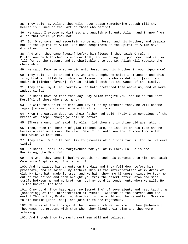85. They said: By Allah, thou wilt never cease remembering Joseph till thy health is ruined or thou art of those who perish! 86. He said: I expose my distress and anguish only unto Allah, and I know from Allah that which ye know not. 87. Go, O my sons, and ascertain concerning Joseph and his brother, and despair not of the Spirit of Allah. Lo! none despaireth of the Spirit of Allah save disbelieving folk. 88. And when they came [again] before him [Joseph] they said: O ruler! Misfortune hath touched us and our folk, and we bring but poor merchandise, so fill for us the measure and be charitable unto us. Lo! Allah will requite the charitable, 89. He said: Know ye what ye did unto Joseph and his brother in your ignorance? 90. They said: Is it indeed thou who art Joseph? He said: I am Joseph and this is my brother. Allah hath shown us favour. Lo! he who wardeth off [evil] and endureth [findeth favour]; for lo! Allah loseth not the wages of the kindly. 91. They said: By Allah, verily Allah hath preferred thee above us, and we were indeed sinful. 92. He said: Have no fear this day! May Allah forgive you, and He is the Most Merciful of those who show mercy. 93. Go with this shirt of mine and lay it on my father's face, he will become [again] a seer; and come to me with all your folk. 94. When the caravan departed their father had said: Truly I am conscious of the breath of Joseph, though ye call me dotard. 95. [Those around him] said: By Allah, lo! thou art in thine old aberration. 96. Then, when the bearer of glad tidings came, he laid it on his face and he became a seer once more. He said: Said I not unto you that I know from Allah that which ye know not? 97. They said: O our father! Ask forgiveness of our sins for us, for lo! we were sinful. 98. He said: I shall ask forgiveness for you of my Lord. Lo! He is the Forgiving, the Merciful. 99. And when they came in before Joseph, he took his parents unto him, and said: Come into Egypt safe, if Allah will! 100. And he placed his parents on the dais and they fell down before him prostrate, and he said: O my father! This is the interpretation of my dream of old. My Lord hath made it true, and He hath shown me kindness, since He took me out of the prison and hath brought you from the desert after Satan had made strife between me and my brethren. Lo! my Lord is tender unto whom He will. He is the Knower, the Wise. 101. O my Lord! Thou hast given me [something] of sovereignty and hast taught me [something] of the interpretation of events - Creator of the heavens and the earth! Thou art my Protecting Guardian in the world and the Hereafter. Make me to die muslim [unto Thee], and join me to the righteous. 102. This is of the tidings of the Unseen which We inspire in thee [Muhammad]. Thou wast not present with them when they fixed their plan and they were scheming. 103. And though thou try much, most men will not believe.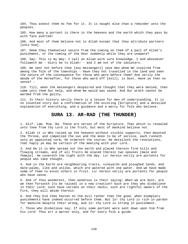104. Thou askest them no fee for it. It is naught else than a reminder unto the peoples. 105. How many a portent is there in the heavens and the earth which they pass by with face averted! 106. And most of them believe not in Allah except that they attribute partners [unto Him]. 107. Deem they themselves secure from the coming on them of a pall of Allah's punishment, or the coming of the Hour suddenly while they are unaware? 108. Say: This is my Way: I call on Allah with sure knowledge. I and whosoever followeth me - Glory be to Allah! - and I am not of the idolaters. 109. We sent not before thee [any messengers] save men whom We inspired from among the folk of the townships - Have they not travelled in the land and seen the nature of the consequence for those who were before them? And verily the abode of the Hereafter, for those who ward off [evil], is best. Have ye then no sense? - 110. Till, when the messengers despaired and thought that they were denied, then came unto them Our help, and whom We would was saved. And Our wrath cannot be warded from the guilty.

111. In their history verily there is a lesson for men of understanding. It is no invented story but a confirmation of the existing [Scripture] and a detailed explanation of everything, and a guidance and a mercy for folk who believe.

#### **SURA 13. AR-RAD (THE THUNDER)**

1. Alif. Lam. Mim. Ra. These are verses of the Scripture. That which is revealed unto thee from thy Lord is the Truth, but most of mankind believe not.

2. Allah it is Who raised up the heavens without visible supports, then mounted the Throne, and compelled the sun and the moon to be of service, each runneth unto an appointed term; He ordereth the course; He detaileth the revelations, that haply ye may be certain of the meeting with your Lord.

3. And He it is Who spread out the earth and placed therein firm hills and flowing streams, and of all fruits He placed therein two spouses [male and female]. He covereth the night with the day. Lo! herein verily are portents for people who take thought.

4. And in the Earth are neighbouring tracts, vineyards and ploughed lands, and date-palms, like and unlike, which are watered with one water. And we have made some of them to excel others in fruit. Lo! herein verily are portents for people who have sense.

5. And if thou wonderest, then wondrous is their saying: When we are dust, are we then forsooth [to be raised] in a new creation? Such are they who disbelieve in their Lord; such have carcans on their necks; such are rightful owners of the Fire, they will abide therein.

6. And they bid thee hasten on the evil rather than the good, when exemplary punishments have indeed occurred before them. But lo! thy Lord is rich in pardon for mankind despite their wrong, and lo! thy Lord is strong in punishment.

7. Those who disbelieve say: If only some portent were sent down upon him from his Lord! Thou art a warner only, and for every folk a guide.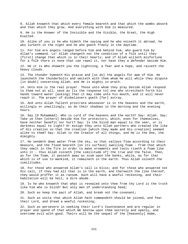8. Allah knoweth that which every female beareth and that which the wombs absorb and that which they grow. And everything with Him is measured. 9. He is the Knower of the Invisible and the Visible, the Great, the High Exalted. 10. Alike of you is he who hideth the saying and he who noiseth it abroad, he who lurketh in the night and he who goeth freely in the daytime. 11. For him are angels ranged before him and behind him, who guard him by Allah's command. Lo! Allah changeth not the condition of a folk until they [first] change that which is in their hearts; and if Allah willeth misfortune for a folk there is none that can repel it, nor have they a defender beside Him. 12. He it is Who showeth you the lightning, a fear and a hope, and raiseth the heavy clouds. 13. The thunder hymneth His praise and [so do] the angels for awe of Him. He launcheth the thunderbolts and smiteth with them whom He will while they dispute [in doubt] concerning Allah, and He is mighty in wrath. 14. Unto Him is the real prayer. Those unto whom they pray beside Allah respond to them not at all, save as [is the response to] one who stretcheth forth his hands toward water [asking] that it may come unto his mouth, and it will never reach it. The prayer of disbelievers goeth [far] astray. 15. And unto Allah falleth prostrate whosoever is in the heavens and the earth, willingly or unwillingly, as do their shadows in the morning and the evening hours. 16. Say [O Muhammad]: Who is Lord of the heavens and the earth? Say: Allah. Say: Take ye then [others] beside Him for protectors, which, even for themselves, have neither benefit nor hurt? Say: Is the blind man equal to the seer, or is darkness equal to light? Or assign they unto Allah partners who created the like of His creation so that the creation [which they made and His creation] seemed alike to them? Say: Allah is the Creator of all things, and He is the One, the Almighty. 17. He sendeth down water from the sky, so that valleys flow according to their measure, and the flood beareth [on its surface] swelling foam - from that which they smelt in the fire in order to make ornaments and tools riseth a foam like unto it - thus Allah coineth [the similitude of] the true and the false. Then, as for the foam, it passeth away as scum upon the banks, while, as for that which is of use to mankind, it remaineth in the earth. Thus Allah coineth the similitudes. 18. For those who answered Allah's call is bliss; and for those who answered not His call, if they had all that is in the earth, and therewith the like thereof, they would proffer it as ransom. Such will have a woeful reckoning, and their habitation will be hell, a dire abode. 19. Is he who knoweth that what is revealed unto thee from thy Lord is the truth like him who is blind? But only men of understanding heed; 20. Such as keep the pact of Allah, and break not the covenant; 21. Such as unite that which Allah hath commandeth should be joined, and fear

their Lord, and dread a woeful reckoning; 22. Such as persevere in seeking their Lord's Countenance and are regular in

prayer and spend of that which We bestow upon them secretly and openly, and overcome evil with good. Theirs will be the sequel of the [heavenly] Home,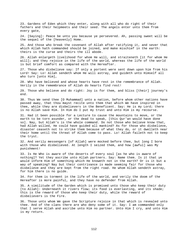23. Gardens of Eden which they enter, along with all who do right of their fathers and their helpmeets and their seed. The angels enter unto them from every gate,

24. [Saying]: Peace be unto you because ye persevered. Ah, passing sweet will be the sequel of the [heavenly] Home.

25. And those who break the covenant of Allah after ratifying it, and sever that which Allah hath commanded should be joined, and make mischief in the earth: theirs is the curse and theirs the ill abode.

26. Allah enlargeth livelihood for whom He will, and straiteneth [it for whom He will]; and they rejoice in the life of the world, whereas the life of the world is but brief comfort as compared with the Hereafter.

27. Those who disbelieve say: If only a portent were sent down upon him from his Lord! Say: Lo! Allah sendeth whom He will astray, and guideth unto Himself all who turn [unto Him],

28. Who have believed and whose hearts have rest in the remembrance of Allah. Verily in the remembrance of Allah do hearts find rest!

29. Those who believe and do right: Joy is for them, and bliss [their] journey's end.

30. Thus We send thee [O Muhammad] unto a nation, before whom other nations have passed away, that thou mayst recite unto them that which We have inspired in thee, while they are disbelievers in the Beneficent. Say: He is my Lord; there is no Allah save Him. In Him do I put my trust and unto Him is my recourse.

31. Had it been possible for a Lecture to cause the mountains to move, or the earth to be torn asunder, or the dead to speak, [this Qur'an would have done so]. Nay, but Allah's is the whole command. Do not those who believe know that, had Allah willed, He could have guided all mankind? As for those who disbelieve, disaster ceaseth not to strike them because of what they do, or it dwelleth near their home until the threat of Allah come to pass. Lo! Allah faileth not to keep the tryst.

32. And verily messengers [of Allah] were mocked before thee, but long I bore with those who disbelieved. At length I seized them, and how [awful] was My punishment!

33. Is He Who is aware of the deserts of every soul [as he who is aware of nothing]? Yet they ascribe unto Allah partners. Say: Name them. Is it that ye would inform Him of something which He knoweth not in the earth? Or is it but a way of speaking? Nay but their contrivance is made seeming fair for those who disbelieve and they are kept from the right road. He whom Allah sendeth astray, for him there is no guide.

34. For them is torment in the life of the world, and verily the doom of the Hereafter is more painful, and they have no defender from Allah.

35. A similitude of the Garden which is promised unto those who keep their duty [to Allah]: Underneath it rivers flow; its food is everlasting, and its shade; this is the reward of those who keep their duty, while the reward of disbelievers is the Fire.

36. Those unto whom We gave the Scripture rejoice in that which is revealed unto thee. And of the clans there are who deny some of it. Say: I am commanded only that I serve Allah and ascribe unto Him no partner. Unto Him I cry, and unto Him is my return.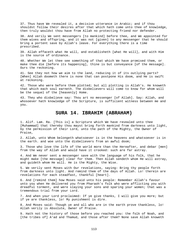37. Thus have We revealed it, a decisive utterance in Arabic; and if thou shouldst follow their desires after that which hath come unto thee of knowledge, then truly wouldst thou have from Allah no protecting friend nor defender.

38. And verily We sent messengers [to mankind] before thee, and We appointed for them wives and offspring, and it was not [given] to any messenger that he should bring a portent save by Allah's leave. For everything there is a time prescribed.

39. Allah effaceth what He will, and establisheth [what He will], and with Him is the source of ordinance.

40. Whether We let thee see something of that which We have promised them, or make thee die [before its happening], thine is but conveyance [of the message]. Ours the reckoning.

41. See they not how we aim to the land, reducing it of its outlying parts? [When] Allah doometh there is none that can postpone His doom, and He is swift at reckoning.

42. Those who were before them plotted; but all plotting is Allah's. He knoweth that which each soul earneth. The disbelievers will come to know for whom will be the sequel of the [heavenly] Home.

43. They who disbelieve say: Thou art no messenger [of Allah]. Say: Allah, and whosoever hath knowledge of the Scripture, is sufficient witness between me and you.

### **SURA 14. IBRAHIM (ABRAHAM)**

1. Alif. Lam. Ra. [This is] a Scripture which We have revealed unto thee [Muhammad] that thereby thou mayst bring forth mankind from darkness unto light, by the permission of their Lord, unto the path of the Mighty, the Owner of Praise,

2. Allah, unto Whom belongeth whatsoever is in the heavens and whatsoever is in the earth. and woe unto the disbelievers from an awful doom;

3. Those who love the life of the world more than the Hereafter, and debar [men] from the way of Allah and would have it crooked: such are far astray.

4. And We never sent a messenger save with the language of his folk, that he might make [the message] clear for them. Then Allah sendeth whom He will astray, and guideth whom He will. He is the Mighty, the Wise.

5. We verily sent Moses with Our revelations, saying: Bring thy people forth from darkness unto light. And remind them of the days of Allah. Lo! therein are revelations for each steadfast, thankful [heart].

6. And [remind them] how Moses said unto his people: Remember Allah's favour unto you when He delivered you from Pharaoh's folk who were afflicting you with dreadful torment, and were slaying your sons and sparing your women; that was a tremendous trial from your Lord.

7. And when your Lord proclaimed: If ye give thanks, I will give you more; but if ye are thankless, lo! My punishment is dire.

8. And Moses said: Though ye and all who are in the earth prove thankless, lo! Allah verily is Absolute, Owner of Praise.

9. Hath not the history of those before you reached you: the folk of Noah, and [the tribes of] A'ad and Thamud, and those after them? None save Allah knoweth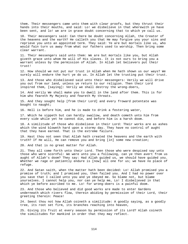them. Their messengers came unto them with clear proofs, but they thrust their hands into their mouths, and said: Lo! we disbelieve in that wherewith ye have been sent, and lo! we are in grave doubt concerning that to which ye call us.

10. Their messengers said: Can there be doubt concerning Allah, the Creator of the heavens and the earth? He calleth you that He may forgive you your sins and reprieve you unto an appointed term. They said: Ye are but mortals like us, who would fain turn us away from what our fathers used to worship. Then bring some clear warrant.

11. Their messengers said unto them: We are but mortals like you, but Allah giveth grace unto whom He will of His slaves. It is not ours to bring you a warrant unless by the permission of Allah. In Allah let believers put their trust!

12. How should we not put our trust in Allah when He hath shown us our ways? We surely will endure the hurt ye do us. In Allah let the trusting put their trust.

13. And those who disbelieved said unto their messengers: Verily we will drive you out from our land, unless ye return to our religion. Then their Lord inspired them, [saying]: Verily we shall destroy the wrong-doers,

14. And verily We shall make you to dwell in the land after them. This is for him who feareth My Majesty and feareth My threats.

15. And they sought help [from their Lord] and every froward potentate was bought to naught;

16. Hell is before him, and he is made to drink a festering water,

17. Which he sippeth but can hardly swallow, and death cometh unto him from every side while yet he cannot die, and before him is a harsh doom.

18. A similitude of those who disbelieve in their Lord: Their works are as ashes which the wind bloweth hard upon a stormy day. They have no control of aught that they have earned. That is the extreme failure.

19. Hast thou not seen that Allah hath created the heavens and the earth with truth? If He will, He can remove you and bring [in] some new creation;

20. And that is no great matter for Allah.

21. They all come forth unto their Lord. Then those who were despised say unto those who were scornful: We were unto you a following, can ye then avert from us aught of Allah's doom? They say: Had Allah guided us, we should have guided you. Whether we rage or patiently endure is [now] all one for us; we have no place of refuge.

22. And Satan saith, when the matter hath been decided: Lo! Allah promised you a promise of truth; and I promised you, then failed you. And I had no power over you save that I called unto you and ye obeyed me. So blame not, but blame yourselves. I cannot help you, nor can ye help me, Lo! I disbelieved in that which ye before ascribed to me. Lo! for wrong-doers is a painful doom.

23. And those who believed and did good works are made to enter Gardens underneath which rivers flow, therein abiding by permission of their Lord, their greeting therein: Peace!

24. Seest thou not how Allah coineth a similitude: A goodly saying, as a goodly tree, its root set firm, its branches reaching into heaven,

25. Giving its fruit at every season by permission of its Lord? Allah coineth the similitudes for mankind in order that they may reflect.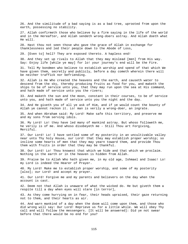26. And the similitude of a bad saying is as a bad tree, uprooted from upon the earth, possessing no stability.

27. Allah confirmeth those who believe by a firm saying in the life of the world and in the Hereafter, and Allah sendeth wrong-doers astray. And Allah doeth what He will.

28. Hast thou not seen those who gave the grace of Allah in exchange for thanklessness and led their people down to the Abode of Loss,

29. [Even to] hell? They are exposed thereto. A hapless end!

30. And they set up rivals to Allah that they may mislead [men] from His way. Say: Enjoy life [while ye may] for lo! your journey's end will be the Fire.

31. Tell My bondmen who believe to establish worship and spend of that which We have given them, secretly and publicly, before a day cometh wherein there will be neither traffick nor befriending.

32. Allah is He Who created the heavens and the earth, and causeth water to descend from the sky, thereby producing fruits as food for you, and maketh the ships to be of service unto you, that they may run upon the sea at His command, and hath made of service unto you the rivers;

33. And maketh the sun and the moon, constant in their courses, to be of service unto you, and hath made of service unto you the night and the day.

34. And He giveth you of all ye ask of Him, and if ye would count the bounty of Allah ye cannot reckon it. Lo! man is verily a wrong-doer, an ingrate.

35. And when Abraham said: My Lord! Make safe this territory, and preserve me and my sons from serving idols.

36. My Lord! Lo! they have led many of mankind astray. But whoso followeth me, he verily is of me. And whoso disobeyeth me - Still Thou art Forgiving, Merciful.

37. Our Lord! Lo! I have settled some of my posterity in an uncultivable valley near unto Thy holy House, our Lord! that they may establish proper worship; so incline some hearts of men that they may yearn toward them, and provide Thou them with fruits in order that they may be thankful.

38. Our Lord! Lo! Thou knowest that which we hide and that which we proclaim. Nothing in the earth or in the heaven is hidden from Allah.

39. Praise be to Allah Who hath given me, in my old age, Ishmael and Isaac! Lo! my Lord is indeed the Hearer of Prayer.

40. My Lord! Make me to establish proper worship, and some of my posterity [also]; our Lord! and accept my prayer.

41. Our Lord! Forgive me and my parents and believers on the day when the account is cast.

42. Deem not that Allah is unaware of what the wicked do. He but giveth them a respite till a day when eyes will stare [in terror],

43. As they come hurrying on in fear, their heads upraised, their gaze returning not to them, and their hearts as air.

44. And warn mankind of a day when the doom will come upon them, and those who did wrong will say: Our Lord! Reprieve us for a little while. We will obey Thy call and will follow the messengers. [It will be answered]: Did ye not swear before that there would be no end for you?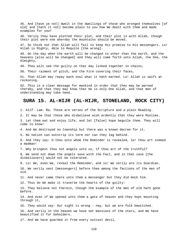45. And [have ye not] dwelt in the dwellings of those who wronged themselves [of old] and [hath it not] become plain to you how We dealt with them and made examples for you?

46. Verily they have plotted their plot, and their plot is with Allah, though their plot were one whereby the mountains should be moved.

47. So think not that Allah will fail to keep His promise to His messengers. Lo! Allah is Mighty, Able to Requite [the wrong].

48. On the day when the earth will be changed to other than the earth, and the heavens [also will be changed] and they will come forth unto Allah, the One, the Almighty,

49. Thou wilt see the guilty on that day linked together in chains,

50. Their raiment of pitch, and the Fire covering their faces,

51. That Allah may repay each soul what it hath earned. Lo! Allah is swift at reckoning.

52. This is a clear message for mankind in order that they may be warned thereby, and that they may know that He is only One Allah, and that men of understanding may take heed.

#### **SURA 15. AL-HIJR (AL-HIJR, STONELAND, ROCK CITY)**

1. Alif. Lam. Ra. These are verses of the Scripture and a plain Reading.

2. It may be that those who disbelieve wish ardently that they were Muslims.

3. Let them eat and enjoy life, and let [false] hope beguile them. They will come to know!

4. And We destroyed no township but there was a known decree for it.

5. No nation can outstrip its term nor can they lag behind.

6. And they say: O thou unto whom the Reminder is revealed, lo! thou art indeed a madman!

7. Why bringest thou not angels unto us, if thou art of the truthful?

8. We send not down the angels save with the Fact, and in that case [the disbelievers] would not be tolerated.

9. Lo! We, even We, reveal the Reminder, and lo! We verily are its Guardian. 10. We verily sent [messengers] before thee among the factions of the men of old.

11. And never came there unto them a messenger but they did mock him.

12. Thus do We make it traverse the hearts of the guilty:

13. They believe not therein, though the example of the men of old hath gone before.

14. And even if We opened unto them a gate of heaven and they kept mounting through it,

15. They would say: Our sight is wrong - nay, but we are folk bewitched.

16. And verily in the heaven we have set mansions of the stars, and We have beautified it for beholders.

17. And We have guarded it from every outcast devil,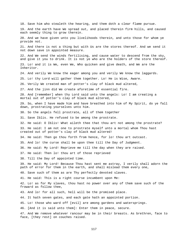18. Save him who stealeth the hearing, and them doth a clear flame pursue. 19. And the earth have We spread out, and placed therein firm hills, and caused each seemly thing to grow therein. 20. And we have given unto you livelihoods therein, and unto those for whom ye provide not. 21. And there is not a thing but with Us are the stores thereof. And we send it not down save in appointed measure. 22. And We send the winds fertilising, and cause water to descend from the sky, and give it you to drink. It is not ye who are the holders of the store thereof. 23. Lo! and it is We, even We, Who quicken and give death, and We are the Inheritor. 24. And verily We know the eager among you and verily We know the laggards. 25. Lo! thy Lord will gather them together. Lo! He is Wise, Aware. 26. Verily We created man of potter's clay of black mud altered, 27. And the jinn did We create aforetime of essential fire. 28. And [remember] when thy Lord said unto the angels: Lo! I am creating a mortal out of potter's clay of black mud altered, 29. So, when I have made him and have breathed into him of My Spirit, do ye fall down, prostrating yourselves unto him. 30. So the angels fell prostrate, all of them together 31. Save Iblis. He refused to be among the prostrate. 32. He said: O Iblis! What aileth thee that thou art not among the prostrate? 33. He said: I am not one to prostrate myself unto a mortal whom Thou hast created out of potter's clay of black mud altered! 34. He said: Then go thou forth from hence, for lo! thou art outcast. 35. And lo! the curse shall be upon thee till the Day of Judgment. 36. He said: My Lord! Reprieve me till the day when they are raised. 37. He said: Then lo! thou art of those reprieved 38. Till the Day of appointed time. 39. He said: My Lord! Because Thou hast sent me astray, I verily shall adorn the path of error for them in the earth, and shall mislead them every one, 40. Save such of them as are Thy perfectly devoted slaves. 41. He said: This is a right course incumbent upon Me: 42. Lo! as for My slaves, thou hast no power over any of them save such of the froward as follow thee, 43. And lo! for all such, hell will be the promised place. 44. It hath seven gates, and each gate hath an appointed portion. 45. Lo! those who ward off [evil] are among gardens and watersprings. 46. [And it is said unto them]: Enter them in peace, secure. 47. And We remove whatever rancour may be in their breasts. As brethren, face to face, [they rest] on couches raised.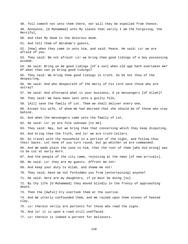48. Toil cometh not unto them there, nor will they be expelled from thence. 49. Announce, [O Muhammad] unto My slaves that verily I am the Forgiving, the Merciful, 50. And that My doom is the dolorous doom. 51. And tell them of Abraham's guests, 52. [How] when they came in unto him, and said: Peace. He said: Lo! we are afraid of you. 53. They said: Be not afraid! Lo! we bring thee good tidings of a boy possessing wisdom. 54. He said: Bring ye me good tidings [of a son] when old age hath overtaken me? Of what then can ye bring good tidings? 55. They said: We bring thee good tidings in truth. So be not thou of the despairing. 56. He said: And who despaireth of the mercy of his Lord save those who are astray? 57. He said: And afterward what is your business, O ye messengers [of Allah]? 58. They said: We have been sent unto a guilty folk, 59. [All] save the family of Lot. Them we shall deliver every one, 60. Except his wife, of whom We had decreed that she should be of those who stay behind. 61. And when the messengers came unto the family of Lot, 62. He said: Lo! ye are folk unknown [to me]. 63. They said: Nay, but we bring thee that concerning which they keep disputing, 64. And bring thee the Truth, and lo! we are truth-tellers. 65. So travel with thy household in a portion of the night, and follow thou their backs. Let none of you turn round, but go whither ye are commanded. 66. And We made plain the case to him, that the root of them [who did wrong] was to be cut at early morn. 67. And the people of the city came, rejoicing at the news [of new arrivals]. 68. He said: Lo! they are my guests. Affront me not! 69. And keep your duty to Allah, and shame me not! 70. They said; Have we not forbidden you from [entertaining] anyone? 71. He said: Here are my daughters, if ye must be doing [so]. 72. By thy life [O Muhammad] they moved blindly in the frenzy of approaching death. 73. Then the [Awful] Cry overtook them at the sunrise. 74. And We utterly confounded them, and We rained upon them stones of heated clay. 75. Lo! therein verily are portents for those who read the signs. 76. And lo! it is upon a road still uneffaced. 77. Lo! therein is indeed a portent for believers.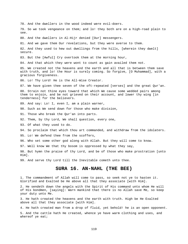78. And the dwellers in the wood indeed were evil-doers. 79. So we took vengeance on them; and lo! they both are on a high-road plain to see. 80. And the dwellers in Al-Hijr denied [Our] messengers. 81. And we gave them Our revelations, but they were averse to them. 82. And they used to hew out dwellings from the hills, [wherein they dwelt] secure. 83. But the [Awful] Cry overtook them at the morning hour, 84. And that which they were wont to count as gain availed them not. 85. We created not the heavens and the earth and all that is between them save with truth, and lo! the Hour is surely coming. So forgive, [O Muhammad], with a gracious forgiveness. 86. Lo! Thy Lord! He is the All-Wise Creator. 87. We have given thee seven of the oft-repeated [verses] and the great Qur'an. 88. Strain not thine eyes toward that which We cause some wedded pairs among them to enjoin, and be not grieved on their account, and lower thy wing [in tenderness] for the believers. 89. And say: Lo! I, even I, am a plain warner, 90. Such as We send down for those who make division, 91. Those who break the Qur'an into parts. 92. Them, by thy Lord, We shall question, every one, 93. Of what they used to do. 94. So proclaim that which thou art commanded, and withdraw from the idolaters. 95. Lo! We defend thee from the scoffers, 96. Who set some other god along with Allah. But they will come to know. 97. Well know We that thy bosom is oppressed by what they say, 98. But hymn the praise of thy Lord, and be of those who make prostration [unto Him]. 99. And serve thy Lord till the Inevitable cometh unto thee. **SURA 16. AN-NAHL (THE BEE)**  1. The commandment of Allah will come to pass, so seek not ye to hasten it. Glorified and Exalted be He above all that they associate [with Him]. 2. He sendeth down the angels with the Spirit of His command unto whom He will

of His bondmen, [saying]: Warn mankind that there is no Allah save Me, so keep your duty unto Me. 3. He hath created the heavens and the earth with truth. High be He Exalted

above all that they associate [with Him].

4. He hath created man from a drop of fluid, yet behold! he is an open opponent.

5. And the cattle hath He created, whence ye have warm clothing and uses, and whereof ye eat;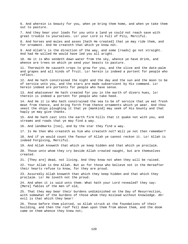6. And wherein is beauty for you, when ye bring them home, and when ye take them out to pasture.

7. And they bear your loads for you unto a land ye could not reach save with great trouble to yourselves. Lo! your Lord is Full of Pity, Merciful.

8. And horses and mules and asses [hath He created] that ye may ride them, and for ornament. And He createth that which ye know not.

9. And Allah's is the direction of the way, and some [roads] go not straight. And had He willed He would have led you all aright.

10. He it is Who sendeth down water from the sky, whence ye have drink, and whence are trees on which ye send your beasts to pasture.

11. Therewith He causeth crops to grow for you, and the olive and the date-palm and grapes and all kinds of fruit. Lo! herein is indeed a portent for people who reflect.

12. And He hath constrained the night and the day and the sun and the moon to be of service unto you, and the stars are made subservient by His command. Lo! herein indeed are portents for people who have sense.

13. And whatsoever He hath created for you in the earth of divers hues, lo! therein is indeed a portent for people who take heed.

14. And He it is Who hath constrained the sea to be of service that ye eat fresh meat from thence, and bring forth from thence ornaments which ye wear. And thou seest the ships ploughing it that ye [mankind] may seek of His bounty and that haply ye may give thanks.

15. And He hath cast into the earth firm hills that it quake not with you, and streams and roads that ye may find a way.

16. And landmarks [too], and by the star they find a way.

17. Is He then Who createth as him who createth not? Will ye not then remember?

18. And if ye would count the favour of Allah ye cannot reckon it. Lo! Allah is indeed Forgiving, Merciful.

19. And Allah knoweth that which ye keep hidden and that which ye proclaim.

20. Those unto whom they cry beside Allah created naught, but are themselves created.

21. [They are] dead, not living. And they know not when they will be raised.

22. Your Allah is One Allah. But as for those who believe not in the Hereafter their hearts refuse to know, for they are proud.

23. Assuredly Allah knoweth that which they keep hidden and that which they proclaim. Lo! He loveth not the proud.

24. And when it is said unto them: What hath your Lord revealed? they say: [Mere] fables of the men of old,

25. That they may bear their burdens undiminished on the Day of Resurrection, with somewhat of the burdens of those whom they mislead without knowledge. Ah! evil is that which they bear!

26. Those before them plotted, so Allah struck at the foundations of their building, and then the roof fell down upon them from above them, and the doom came on them whence they knew not;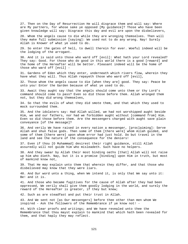27. Then on the Day of Resurrection He will disgrace them and will say: Where are My partners, for whose sake ye opposed [My guidance]? Those who have been given knowledge will say: Disgrace this day and evil are upon the disbelievers,

28. Whom the angels cause to die while they are wronging themselves. Then will they make full submission [saying]: We used not to do any wrong. Nay! Surely Allah is Knower of what ye used to do.

29. So enter the gates of hell, to dwell therein for ever. Woeful indeed will be the lodging of the arrogant.

30. And it is said unto those who ward off [evil]: What hath your Lord revealed? They say: Good. For those who do good in this world there is a good [reward] and the home of the Hereafter will be better. Pleasant indeed will be the home of those who ward off [evil] -

31. Gardens of Eden which they enter, underneath which rivers flow, wherein they have what they will. Thus Allah repayeth those who ward off [evil],

32. Those whom the angels cause to die [when they are] good. They say: Peace be unto you! Enter the Garden because of what ye used to do.

33. Await they aught say that the angels should come unto them or thy Lord's command should come to pass? Even so did those before them. Allah wronged them not, but they did wrong themselves,

34. So that the evils of what they did smote them, and that which they used to mock surrounded them.

35. And the idolaters say: Had Allah willed, we had not worshipped aught beside Him, we and our fathers, nor had we forbidden aught without [command from] Him. Even so did those before them. Are the messengers charged with aught save plain conveyance [of the message]?

36. And verily We have raised in every nation a messenger, [proclaiming]: Serve Allah and shun false gods. Then some of them [there were] whom Allah guided, and some of them [there were] upon whom error had just hold. Do but travel in the land and see the nature of the consequence for the deniers!

37. Even if thou [O Muhammad] desirest their right guidance, still Allah assuredly will not guide him who misleadeth. Such have no helpers.

38. And they swear by Allah their most binding oaths [that] Allah will not raise up him who dieth. Nay, but it is a promise [binding] upon Him in truth, but most of mankind know not,

39. That He may explain unto them that wherein they differ, and that those who disbelieved may know that they were liars.

40. And Our word unto a thing, when We intend it, is only that We say unto it: Be! and it is.

41. And those who became fugitives for the cause of Allah after they had been oppressed, We verily shall give them goodly lodging in the world, and surely the reward of the Hereafter is greater, if they but knew;

42. Such as are steadfast and put their trust in Allah.

43. And We sent not [as Our messengers] before thee other than men whom We inspired - Ask the followers of the Remembrance if ye know not! -

44. With clear proofs and writings; and We have revealed unto thee the Remembrance that thou mayst explain to mankind that which hath been revealed for them, and that haply they may reflect.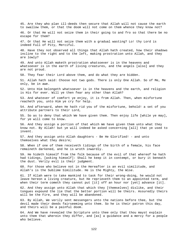45. Are they who plan ill-deeds then secure that Allah will not cause the earth to swallow them, or that the doom will not come on them whence they know not? 46. Or that He will not seize them in their going to and fro so that there be no escape for them? 47. Or that He will not seize them with a gradual wasting? Lo! thy Lord is indeed Full of Pity, Merciful. 48. Have they not observed all things that Allah hath created, how their shadows incline to the right and to the left, making prostration unto Allah, and they are lowly? 49. And unto Allah maketh prostration whatsoever is in the heavens and whatsoever is in the earth of living creatures, and the angels [also] and they are not proud. 50. They fear their Lord above them, and do what they are bidden. 51. Allah hath said: Choose not two gods. There is only One Allah. So of Me, Me only, be in awe. 52. Unto Him belongeth whatsoever is in the heavens and the earth, and religion is His for ever. Will ye then fear any other than Allah? 53. And whatever of comfort ye enjoy, it is from Allah. Then, when misfortune reacheth you, unto Him ye cry for help. 54. And afterward, when He hath rid you of the misfortune, behold! a set of you attribute partners to their Lord, 55. So as to deny that which We have given them. Then enjoy life [while ye may], for ye will come to know. 56. And they assign a portion of that which We have given them unto what they know not. By Allah! but ye will indeed be asked concerning [all] that ye used to invent. 57. And they assign unto Allah daughters - Be He Glorified! - and unto themselves what they desire; 58. When if one of them receiveth tidings of the birth of a female, his face remaineth darkened, and he is wroth inwardly. 59. He hideth himself from the folk because of the evil of that whereof he hath had tidings, [asking himself]: Shall he keep it in contempt, or bury it beneath the dust. Verily evil is their judgment. 60. For those who believe not in the Hereafter is an evil similitude, and Allah's is the Sublime Similitude. He is the Mighty, the Wise. 61. If Allah were to take mankind to task for their wrong-doing, he would not leave hereon a living creature, but He reprieveth them to an appointed term, and when their term cometh they cannot put [it] off an hour nor [yet] advance [it]. 62. And they assign unto Allah that which they [themselves] dislike, and their tongues expound the lie that the better portion will be theirs. Assuredly theirs will be the Fire, and they will be abandoned. 63. By Allah, We verily sent messengers unto the nations before thee, but the devil made their deeds fairseeming unto them. So he is their patron this day, and theirs will be a painful doom. 64. And We have revealed the Scripture unto thee only that thou mayst explain unto them that wherein they differ, and [as] a guidance and a mercy for a people who believe.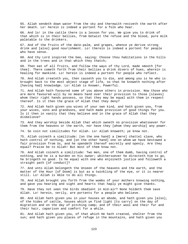65. Allah sendeth down water from the sky and therewith reviveth the earth after her death. Lo! herein is indeed a portent for a folk who hear.

66. And lo! in the cattle there is a lesson for you. We give you to drink of that which is in their bellies, from betwixt the refuse and the blood, pure milk palatable to the drinkers.

67. And of the fruits of the date-palm, and grapes, whence ye derive strong drink and [also] good nourishment. Lo! therein is indeed a portent for people who have sense.

68. And thy Lord inspired the bee, saying: Choose thou habitations in the hills and in the trees and in that which they thatch;

69. Then eat of all fruits, and follow the ways of thy Lord, made smooth [for thee]. There cometh forth from their bellies a drink divers of hues, wherein is healing for mankind. Lo! herein is indeed a portent for people who reflect.

70. And Allah createth you, then causeth you to die, and among you is he who is brought back to the most abject stage of life, so that he knoweth nothing after [having had] knowledge. Lo! Allah is Knower, Powerful.

71. And Allah hath favoured some of you above others in provision. Now those who are more favoured will by no means hand over their provision to those [slaves] whom their right hands possess, so that they may be equal with them in respect thereof. Is it then the grace of Allah that they deny?

72. And Allah hath given you wives of your own kind, and hath given you, from your wives, sons and grandsons, and hath made provision of good things for you. Is it then in vanity that they believe and in the grace of Allah that they disbelieve?

73. And they worship beside Allah that which owneth no provision whatsoever for them from the heavens or the earth, nor have they [whom they worship] any power.

74. So coin not similitudes for Allah. Lo! Allah knoweth; ye know not.

75. Allah coineth a similitude: [on the one hand] a [mere] chattel slave, who hath control of nothing, and [on the other hand] one on whom we have bestowed a fair provision from Us, and he spendeth thereof secretly and openly. Are they equal? Praise be to Allah! But most of them know not.

76. And Allah coineth a similitude: Two men, one of them dumb, having control of nothing, and he is a burden on his owner; whithersoever he directeth him to go, he bringeth no good. Is he equal with one who enjoineth justice and followeth a straight path [of conduct]?

77. And unto Allah belongeth the Unseen of the heavens and the earth, and the matter of the Hour [of Doom] is but as a twinkling of the eye, or it is nearer still. Lo! Allah is Able to do all things.

78. And Allah brought you forth from the wombs of your mothers knowing nothing, and gave you hearing and sight and hearts that haply ye might give thanks.

79. Have they not seen the birds obedient in mid-air? None holdeth them save Allah. Lo! herein, verily, are portents for a people who believe.

80. And Allah hath given you in your houses an abode, and hath given you [also], of the hides of cattle, houses which ye find light [to carry] on the day of migration and on the day of pitching camp; and of their wool and their fur and their hair, caparison and comfort for a while.

81. And Allah hath given you, of that which He hath created, shelter from the sun; and hath given you places of refuge in the mountains, and hath given you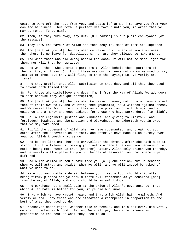coats to ward off the heat from you, and coats [of armour] to save you from your own foolhardiness. Thus doth He perfect His favour unto you, in order that ye may surrender [unto Him].

82. Then, if they turn away, thy duty [O Muhammad] is but plain conveyance [of the message].

83. They know the favour of Allah and then deny it. Most of them are ingrates.

84. And [bethink you of] the day when we raise up of every nation a witness, then there is no leave for disbelievers, nor are they allowed to make amends.

85. And when those who did wrong behold the doom, it will not be made light for them, nor will they be reprieved.

86. And when those who ascribed partners to Allah behold those partners of theirs, they will say: Our Lord! these are our partners unto whom we used to cry instead of Thee. But they will fling to them the saying: Lo! ye verily are liars!

87. And they proffer unto Allah submission on that day, and all that they used to invent hath failed them.

88. For those who disbelieve and debar [men] from the way of Allah, We add doom to doom because they wrought corruption,

89. And [bethink you of] the day when We raise in every nation a witness against them of their own folk, and We bring thee [Muhammad] as a witness against these. And We reveal the Scripture unto thee as an exposition of all things, and a guidance and a mercy and good tidings for those who have surrendered [to Allah].

90. Lo! Allah enjoineth justice and kindness, and giving to kinsfolk, and forbiddeth lewdness and abomination and wickedness. He exhorteth you in order that ye may take heed.

91. Fulfil the covenant of Allah when ye have covenanted, and break not your oaths after the asseveration of them, and after ye have made Allah surety over you. Lo! Allah knoweth what ye do.

92. And be not like unto her who unravelleth the thread, after she hath made it strong, to thin filaments, making your oaths a deceit between you because of a nation being more numerous than [another] nation. Allah only trieth you thereby, and He verily will explain to you on the Day of Resurrection that wherein ye differed.

93. Had Allah willed He could have made you [all] one nation, but He sendeth whom He will astray and guideth whom He will, and ye will indeed be asked of what ye used to do.

94. Make not your oaths a deceit between you, lest a foot should slip after being firmly planted and ye should taste evil forasmuch as ye debarred [men] from the way of Allah, and yours should be an awful doom.

95. And purchase not a small gain at the price of Allah's covenant. Lo! that which Allah hath is better for you, if ye did but know.

96. That which ye have wasteth away, and that which Allah hath remaineth. And verily We shall pay those who are steadfast a recompense in proportion to the best of what they used to do.

97. Whosoever doeth right, whether male or female, and is a believer, him verily we shall quicken with good life, and We shall pay them a recompense in proportion to the best of what they used to do.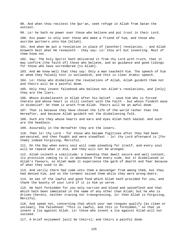98. And when thou recitest the Qur'an, seek refuge in Allah from Satan the outcast.

99. Lo! he hath no power over those who believe and put trust in their Lord.

100. His power is only over those who make a friend of him, and those who ascribe partners unto Him [Allah].

101. And when We put a revelation in place of [another] revelation, - and Allah knoweth best what He revealeth - they say: Lo! thou art but inventing. Most of them know not.

102. Say: The holy Spirit hath delivered it from thy Lord with truth, that it may confirm [the faith of] those who believe, and as guidance and good tidings for those who have surrendered [to Allah].

103. And We know well that they say: Only a man teacheth him. The speech of him at whom they falsely hint is outlandish, and this is clear Arabic speech.

104. Lo! those who disbelieve the revelations of Allah, Allah guideth them not and theirs will be a painful doom.

105. Only they invent falsehood who believe not Allah's revelations, and [only] they are the liars.

106. Whoso disbelieveth in Allah after his belief - save him who is forced thereto and whose heart is still content with the Faith - but whoso findeth ease in disbelief: On them is wrath from Allah. Theirs will be an awful doom.

107. That is because they have chosen the life of the world rather than the Hereafter, and because Allah guideth not the disbelieving folk.

108. Such are they whose hearts and ears and eyes Allah hath sealed. And such are the heedless.

109. Assuredly in the Hereafter they are the losers.

110. Then lo! thy Lord - for those who became fugitives after they had been persecuted, and then fought and were steadfast - lo! thy Lord afterward is [for them] indeed Forgiving, Merciful.

111. On the Day when every soul will come pleading for itself, and every soul will be repaid what it did, and they will not be wronged.

112. Allah coineth a similitude: a township that dwelt secure and well content, its provision coming to it in abundance from every side, but it disbelieved in Allah's favours, so Allah made it experience the garb of dearth and fear because of what they used to do.

113. And verily there had come unto them a messenger from among them, but they had denied him, and so the torment seized them while they were wrong-doers.

114. So eat of the lawful and good food which Allah hath provided for you, and thank the bounty of your Lord if it is Him ye serve.

115. He hath forbidden for you only carrion and blood and swineflesh and that which hath been immolated in the name of any other than Allah; but he who is driven thereto, neither craving nor transgressing, lo! then Allah is Forgiving, Merciful.

116. And speak not, concerning that which your own tongues qualify [as clean or unclean], the falsehood: "This is lawful, and this is forbidden," so that ye invent a lie against Allah. Lo! those who invent a lie against Allah will not succeed.

117. A brief enjoyment [will be theirs]; and theirs a painful doom.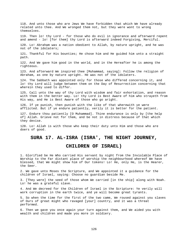118. And unto those who are Jews We have forbidden that which We have already related unto thee. And We wronged them not, but they were wont to wrong themselves. 119. Then lo! thy Lord - for those who do evil in ignorance and afterward repent and amend - lo! [for them] thy Lord is afterward indeed Forgiving, Merciful. 120. Lo! Abraham was a nation obedient to Allah, by nature upright, and he was not of the idolaters; 121. Thankful for His bounties; He chose him and He guided him unto a straight path. 122. And We gave him good in the world, and in the Hereafter he is among the righteous. 123. And afterward We inspired thee [Muhammad, saying]: Follow the religion of Abraham, as one by nature upright. He was not of the idolaters. 124. The Sabbath was appointed only for those who differed concerning it, and lo! thy Lord will judge between them on the Day of Resurrection concerning that wherein they used to differ. 125. Call unto the way of thy Lord with wisdom and fair exhortation, and reason with them in the better way. Lo! thy Lord is Best Aware of him who strayeth from His way, and He is Best Aware of those who go aright. 126. If ye punish, then punish with the like of that wherewith ye were afflicted. But if ye endure patiently, verily it is better for the patient. 127. Endure thou patiently [O Muhammad]. Thine endurance is only by [the help of] Allah. Grieve not for them, and be not in distress because of that which they devise. 128. Lo! Allah is with those who keep their duty unto Him and those who are doers of good. **SURA 17. AL-ISRA (ISRA', THE NIGHT JOURNEY,** 

## **CHILDREN OF ISRAEL)**

1. Glorified be He Who carried His servant by night from the Inviolable Place of Worship to the Far distant place of worship the neighbourhood whereof We have blessed, that We might show him of Our tokens! Lo! He, only He, is the Hearer, the Seer.

2. We gave unto Moses the Scripture, and We appointed it a guidance for the children of Israel, saying: Choose no guardian beside Me.

3. [They were] the seed of those whom We carried [in the ship] along with Noah. Lo! he was a grateful slave.

4. And We decreed for the Children of Israel in the Scripture: Ye verily will work corruption in the earth twice, and ye will become great tyrants.

5. So when the time for the first of the two came, We roused against you slaves of Ours of great might who ravaged [your] country, and it was a threat performed.

6. Then we gave you once again your turn against them, and We aided you with wealth and children and made you more in soldiery.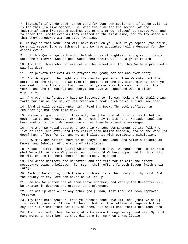7. [Saying]: If ye do good, ye do good for your own souls, and if ye do evil, it is for them [in like manner]. So, when the time for the second [of the judgments] came [We roused against you others of Our slaves] to ravage you, and to enter the Temple even as they entered it the first time, and to lay waste all that they conquered with an utter wasting.

8. It may be that your Lord will have mercy on you, but if ye repeat [the crime] We shall repeat [the punishment], and We have appointed hell a dungeon for the disbelievers.

9. Lo! this Qur'an guideth unto that which is straightest, and giveth tidings unto the believers who do good works that theirs will be a great reward.

10. And that those who believe not in the Hereafter, for them We have prepared a painful doom.

11. Man prayeth for evil as he prayeth for good; for man was ever hasty.

12. And We appoint the night and the day two portents. Then We make dark the portent of the night, and We make the portent of the day sight-giving, that ye may seek bounty from your Lord, and that ye may know the computation of the years, and the reckoning; and everything have We expounded with a clear expounding.

13. And every man's augury have We fastened to his own neck, and We shall bring forth for him on the Day of Resurrection a book which he will find wide open.

14. [And it will be said unto him]: Read thy Book. Thy soul sufficeth as reckoner against thee this day.

15. Whosoever goeth right, it is only for [the good of] his own soul that he goeth right, and whosoever erreth, erreth only to its hurt. No laden soul can bear another's load, We never punish until we have sent a messenger.

16. And when We would destroy a township We send commandment to its folk who live at ease, and afterward they commit abomination therein, and so the Word [of doom] hath effect for it, and we annihilate it with complete annihilation.

17. How many generations have We destroyed since Noah! And Allah sufficeth as Knower and Beholder of the sins of His slaves.

18. Whoso desireth that [life] which hasteneth away, We hasten for him therein what We will for whom We please. And afterward We have appointed for him hell; he will endure the heat thereof, condemned, rejected.

19. And whoso desireth the Hereafter and striveth for it with the effort necessary, being a believer; for such, their effort findeth favour [with their Lord].

20. Each do We supply, both these and those, from the bounty of thy Lord. And the bounty of thy Lord can never be walled up.

21. See how We prefer one of them above another, and verily the Hereafter will be greater in degrees and greater in preferment.

22. Set not up with Allah any other god [O man] lest thou sit down reproved, forsaken.

23. Thy Lord hath decreed, that ye worship none save Him, and [that ye show] kindness to parents. If one of them or both of them attain old age with thee, say not "Fie" unto them nor repulse them, but speak unto them a gracious word.

24. And lower unto them the wing of submission through mercy, and say: My Lord! Have mercy on them both as they did care for me when I was little.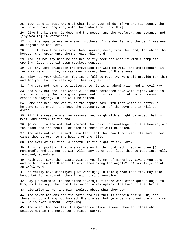25. Your Lord is Best Aware of what is in your minds. If ye are righteous, then lo! He was ever Forgiving unto those who turn [unto Him].

26. Give the kinsman his due, and the needy, and the wayfarer, and squander not [thy wealth] in wantonness.

27. Lo! the squanderers were ever brothers of the devils, and the devil was ever an ingrate to his Lord.

28. But if thou turn away from them, seeking mercy from thy Lord, for which thou hopest, then speak unto them a reasonable word.

29. And let not thy hand be chained to thy neck nor open it with a complete opening, lest thou sit down rebuked, denuded.

30. Lo! thy Lord enlargeth the provision for whom He will, and straiteneth [it for whom He will]. Lo, He was ever Knower, Seer of His slaves.

31. Slay not your children, fearing a fall to poverty, We shall provide for them and for you. Lo! the slaying of them is great sin.

32. And come not near unto adultery. Lo! it is an abomination and an evil way.

33. And slay not the life which Allah hath forbidden save with right. Whoso is slain wrongfully, We have given power unto his heir, but let him not commit excess in slaying. Lo! he will be helped.

34. Come not near the wealth of the orphan save with that which is better till he come to strength; and keep the covenant. Lo! of the covenant it will be asked.

35. Fill the measure when ye measure, and weigh with a right balance; that is meet, and better in the end.

36. [O man], follow not that whereof thou hast no knowledge. Lo! the hearing and the sight and the heart - of each of these it will be asked.

37. And walk not in the earth exultant. Lo! thou canst not rend the earth, nor canst thou stretch to the height of the hills.

38. The evil of all that is hateful in the sight of thy Lord.

39. This is [part] of that wisdom wherewith thy Lord hath inspired thee [O Muhammad]. And set not up with Allah any other god, lest thou be cast into hell, reproved, abandoned.

40. Hath your Lord then distinguished you [O men of Makka] by giving you sons, and hath chosen for Himself females from among the angels? Lo! verily ye speak an awful word!

41. We verily have displayed [Our warnings] in this Qur'an that they may take heed, but it increaseth them in naught save aversion.

42. Say [O Muhammad, to the disbelievers]: If there were other gods along with Him, as they say, then had they sought a way against the Lord of the Throne.

43. Glorified is He, and High Exalted above what they say!

44. The seven heavens and the earth and all that is therein praise Him, and there is not a thing but hymneth His praise; but ye understand not their praise. Lo! He is ever Clement, Forgiving.

45. And when thou recitest the Qur'an we place between thee and those who believe not in the Hereafter a hidden barrier;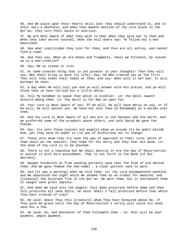46. And We place upon their hearts veils lest they should understand it, and in their ears a deafness; and when thou makest mention of thy Lord alone in the Qur'an, they turn their backs in aversion. 47. We are Best Aware of what they wish to hear when they give ear to thee and when they take secret counsel, when the evil-doers say: Ye follow but a man bewitched. 48. See what similitudes they coin for thee, and thus are all astray, and cannot find a road! 49. And they say: When we are bones and fragments, shall we forsooth, be raised up as a new creation? 50. Say: Be ye stones or iron 51. Or some created thing that is yet greater in your thoughts! Then they will say: Who shall bring us back [to life]. Say: He Who created you at the first. Then will they shake their heads at thee, and say: When will it be? Say: It will perhaps be soon; 52. A day when He will call you and ye will answer with His praise, and ye will think that ye have tarried but a little while. 53. Tell My bondmen to speak that which is kindlier. Lo! the devil soweth discord among them. Lo! the devil is for man an open foe. 54. Your Lord is Best Aware of you. If He will, He will have mercy on you, or if He will, He will punish you. We have not sent thee [O Muhammad] as a warden over them. 55. And thy Lord is Best Aware of all who are in the heavens and the earth. And we preferred some of the prophets above others, and unto David We gave the Psalms. 56. Say: Cry unto those [saints and angels] whom ye assume [to be gods] beside Him, yet they have no power to rid you of misfortune nor to change. 57. Those unto whom they cry seek the way of approach to their Lord, which of them shall be the nearest; they hope for His mercy and they fear His doom. Lo! the doom of thy Lord is to be shunned. 58. There is not a township but We shall destroy it ere the Day of Resurrection, or punish it with dire punishment. That is set forth in the Book [of Our decrees]. 59. Naught hindereth Us from sending portents save that the folk of old denied them. And We gave Thamud the she-camel - a clear portent save to warn. 60. And [it was a warning] when we told thee: Lo! thy Lord encompasseth mankind, and We appointed the sight which We showed thee as an ordeal for mankind, and [likewise] the Accursed Tree in the Qur'an. We warn them, but it increaseth them in naught save gross impiety. 61. And when We said unto the angels: Fall down prostrate before Adam and they fell prostrate all save Iblis, he said: Shall I fall prostrate before that which Thou hast created of clay? 62. He said: Seest Thou this [creature] whom Thou hast honoured above me, if Thou give me grace until the Day of Resurrection I verily will seize his seed, save but a few. 63. He said: Go, and whosoever of them followeth thee - lo! hell will be your payment, ample payment.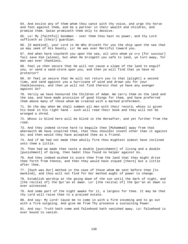64. And excite any of them whom thou canst with thy voice, and urge thy horse and foot against them, and be a partner in their wealth and children, and promise them. Satan promiseth them only to deceive. 65. Lo! My [faithful] bondmen - over them thou hast no power, and thy Lord sufficeth as [their] guardian. 66. [O mankind], your Lord is He Who driveth for you the ship upon the sea that ye may seek of His bounty. Lo! He was ever Merciful toward you. 67. And when harm toucheth you upon the sea, all unto whom ye cry [for succour] fail save Him [alone], but when He bringeth you safe to land, ye turn away, for man was ever thankless. 68. Feel ye then secure that He will not cause a slope of the land to engulf you, or send a sand-storm upon you, and then ye will find that ye have no protector? 69. Or feel ye secure that He will not return you to that [plight] a second time, and send against you a hurricane of wind and drown you for your thanklessness, and then ye will not find therein that ye have any avenger against Us? 70. Verily we have honoured the Children of Adam. We carry them on the land and the sea, and have made provision of good things for them, and have preferred them above many of those whom We created with a marked preferment. 71. On the day when We shall summon all men with their record, whoso is given his book in his right hand - such will read their book and they will not be wronged a shred. 72. Whoso is blind here will be blind in the Hereafter, and yet further from the road. 73. And they indeed strove hard to beguile thee [Muhammad] away from that wherewith We have inspired thee, that thou shouldst invent other than it against Us; and then would they have accepted thee as a friend. 74. And if We had not made thee wholly firm thou mightest almost have inclined unto them a little. 75. Then had we made thee taste a double [punishment] of living and a double [punishment] of dying, then hadst thou found no helper against Us. 76. And they indeed wished to scare thee from the land that they might drive thee forth from thence, and then they would have stayed [there] but a little after thee. 77. [Such was Our] method in the case of those whom We sent before thee [to mankind], and thou wilt not find for Our method aught of power to change. 78. Establish worship at the going down of the sun until the dark of night, and [the recital of] the Qur'an at dawn. Lo! [the recital of] the Qur'an at dawn is ever witnessed. 79. And some part of the night awake for it, a largess for thee. It may be that thy Lord will raise thee to a praised estate. 80. And say: My Lord! Cause me to come in with a firm incoming and to go out with a firm outgoing. And give me from Thy presence a sustaining Power. 81. And say: Truth hath come and falsehood hath vanished away. Lo! falsehood is ever bound to vanish.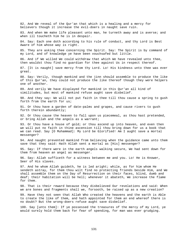82. And We reveal of the Qur'an that which is a healing and a mercy for believers though it increase the evil-doers in naught save ruin. 83. And when We make life pleasant unto man, he turneth away and is averse; and when ill toucheth him he is in despair. 84. Say: Each one doth according to his rule of conduct, and thy Lord is Best Aware of him whose way is right. 85. They are asking thee concerning the Spirit. Say: The Spirit is by command of my Lord, and of knowledge ye have been vouchsafed but little. 86. And if We willed We could withdraw that which We have revealed unto thee, then wouldst thou find no guardian for thee against Us in respect thereof. 87. [It is naught] save mercy from thy Lord. Lo! His kindness unto thee was ever great. 88. Say: Verily, though mankind and the jinn should assemble to produce the like of this Qur'an, they could not produce the like thereof though they were helpers one of another. 89. And verily We have displayed for mankind in this Qur'an all kind of similitudes, but most of mankind refuse aught save disbelief. 90. And they say: We will not put faith in thee till thou cause a spring to gush forth from the earth for us; 91. Or thou have a garden of date-palms and grapes, and cause rivers to gush forth therein abundantly; 92. Or thou cause the heaven to fall upon us piecemeal, as thou hast pretended, or bring Allah and the angels as a warrant; 93. Or thou have a house of gold; or thou ascend up into heaven, and even then we will put no faith in thine ascension till thou bring down for us a book that we can read. Say [O Muhammad]: My Lord be Glorified! Am I aught save a mortal messenger? 94. And naught prevented mankind from believing when the guidance came unto them save that they said: Hath Allah sent a mortal as [His] messenger? 95. Say: If there were in the earth angels walking secure, We had sent down for them from heaven an angel as messenger. 96. Say: Allah sufficeth for a witness between me and you. Lo! He is Knower, Seer of His slaves. 97. And he whom Allah guideth, he is led aright; while, as for him whom He sendeth astray, for them thou wilt find no protecting friends beside Him, and We shall assemble them on the Day of Resurrection on their faces, blind, dumb and deaf; their habitation will be hell; whenever it abateth, We increase the flame for them. 98. That is their reward because they disbelieved Our revelations and said: When we are bones and fragments shall we, forsooth, be raised up as a new creation? 99. Have they not seen that Allah Who created the heavens and the earth is Able to create the like of them, and hath appointed for them an end whereof there is no doubt? But the wrong-doers refuse aught save disbelief. 100. Say [unto them]: If ye possessed the treasures of the mercy of my Lord, ye would surely hold them back for fear of spending, for man was ever grudging.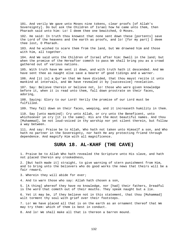101. And verily We gave unto Moses nine tokens, clear proofs [of Allah's Sovereignty]. Do but ask the Children of Israel how he came unto them, then Pharaoh said unto him: Lo! I deem thee one bewitched, O Moses.

102. He said: In truth thou knowest that none sent down these [portents] save the Lord of the heavens and the earth as proofs, and lo! [for my part] I deem thee lost, O Pharaoh.

103. And he wished to scare them from the land, but We drowned him and those with him, all together.

104. And We said unto the Children of Israel after him: Dwell in the land; but when the promise of the Hereafter cometh to pass We shall bring you as a crowd gathered out of various nations.

105. With truth have We sent it down, and with truth hath it descended. And We have sent thee as naught else save a bearer of good tidings and a warner.

106. And [it is] a Qur'an that We have divided, that thou mayst recite it unto mankind at intervals, and We have revealed it by [successive] revelation.

107. Say: Believe therein or believe not, lo! those who were given knowledge before it, when it is read unto them, fall down prostrate on their faces, adoring,

108. Saying: Glory to our Lord! Verily the promise of our Lord must be fulfilled.

109. They fall down on their faces, weeping, and it increaseth humility in them.

110. Say [unto mankind]: Cry unto Allah, or cry unto the Beneficent, unto whichsoever ye cry [it is the same]. His are the most beautiful names. And thou [Muhammad], be not loud-voiced in thy worship nor yet silent therein, but follow a way between.

111. And say: Praise be to Allah, Who hath not taken unto Himself a son, and Who hath no partner in the Sovereignty, nor hath He any protecting friend through dependence. And magnify Him with all magnificence.

## **SURA 18. AL-KAHF (THE CAVE)**

1. Praise be to Allah Who hath revealed the Scripture unto His slave, and hath not placed therein any crookedness,

2. [But hath made it] straight, to give warning of stern punishment from Him, and to bring unto the believers who do good works the news that theirs will be a fair reward,

3. Wherein they will abide for ever;

4. And to warn those who say: Allah hath chosen a son,

5. [A thing] whereof they have no knowledge, nor [had] their fathers, Dreadful is the word that cometh out of their mouths. They speak naught but a lie.

6. Yet it may be, if they believe not in this statement, that thou [Muhammad] wilt torment thy soul with grief over their footsteps.

7. Lo! We have placed all that is on the earth as an ornament thereof that We may try them: which of them is best in conduct.

8. And lo! We shall make all that is thereon a barren mound.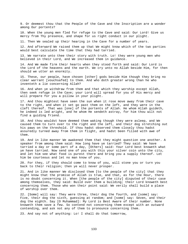9. Or deemest thou that the People of the Cave and the Inscription are a wonder among Our portents?

10. When the young men fled for refuge to the Cave and said: Our Lord! Give us mercy from Thy presence, and shape for us right conduct in our plight.

11. Then We sealed up their hearing in the Cave for a number of years.

12. And afterward We raised them up that We might know which of the two parties would best calculate the time that they had tarried.

13. We narrate unto thee their story with truth. Lo! they were young men who believed in their Lord, and We increased them in guidance.

14. And We made firm their hearts when they stood forth and said: Our Lord is the Lord of the heavens and the earth. We cry unto no Allah beside Him, for then should we utter an enormity.

15. These, our people, have chosen [other] gods beside Him though they bring no clear warrant [vouchsafed] to them. And who doth greater wrong than he who inventeth a lie concerning Allah?

16. And when ye withdraw from them and that which they worship except Allah, then seek refuge in the Cave; your Lord will spread for you of His mercy and will prepare for you a pillow in your plight.

17. And thou mightest have seen the sun when it rose move away from their cave to the right, and when it set go past them on the left, and they were in the cleft thereof. That was [one] of the portents of Allah. He whom Allah guideth, he indeed is led aright, and he whom He sendeth astray, for him thou wilt not find a guiding friend.

18. And thou wouldst have deemed them waking though they were asleep, and We caused them to turn over to the right and the left, and their dog stretching out his paws on the threshold. If thou hadst observed them closely thou hadst assuredly turned away from them in flight, and hadst been filled with awe of them.

19. And in like manner We awakened them that they might question one another. A speaker from among them said: How long have ye tarried? They said: We have tarried a day or some part of a day, [Others] said: Your Lord best knoweth what ye have tarried. Now send one of you with this your silver coin unto the city, and let him see what food is purest there and bring you a supply thereof. Let him be courteous and let no man know of you.

20. For they, if they should come to know of you, will stone you or turn you back to their religion; then ye will never prosper.

21. And in like manner We disclosed them [to the people of the city] that they might know that the promise of Allah is true, and that, as for the Hour, there is no doubt concerning it. When [the people of the city] disputed of their case among themselves, they said: Build over them a building; their Lord knoweth best concerning them. Those who won their point said: We verily shall build a place of worship over them.

22. [Some] will say: They were three, their dog the fourth, and [some] say: Five, their dog the sixth, guessing at random; and [some] say: Seven, and their dog the eighth. Say [O Muhammad]: My Lord is Best Aware of their number. None knoweth them save a few. So contend not concerning them except with an outward contending, and ask not any of them to pronounce concerning them.

23. And say not of anything: Lo! I shall do that tomorrow,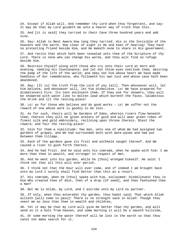24. Except if Allah will. And remember thy Lord when thou forgettest, and say: It may be that my Lord guideth me unto a nearer way of truth than this.

25. And [it is said] they tarried in their Cave three hundred years and add nine.

26. Say: Allah is Best Aware how long they tarried. His is the Invisible of the heavens and the earth. How clear of sight is He and keen of hearing! They have no protecting friend beside Him, and He maketh none to share in His government.

27. And recite that which hath been revealed unto thee of the Scripture of thy Lord. There is none who can change His words, and thou wilt find no refuge beside Him.

28. Restrain thyself along with those who cry unto their Lord at morn and evening, seeking His Countenance; and let not thine eyes overlook them, desiring the pomp of the life of the world; and obey not him whose heart We have made heedless of Our remembrance, who followeth his own lust and whose case hath been abandoned.

29. Say: [It is] the truth from the Lord of you [all]. Then whosoever will, let him believe, and whosoever will, let him disbelieve. Lo! We have prepared for disbelievers Fire. Its tent encloseth them. If they ask for showers, they will be showered with water like to molten lead which burneth the faces. Calamitous the drink and ill the resting-place!

30. Lo! as for those who believe and do good works - Lo! We suffer not the reward of one whose work is goodly to be lost.

31. As for such, theirs will be Gardens of Eden, wherein rivers flow beneath them; therein they will be given armlets of gold and will wear green robes of finest silk and gold embroidery, reclining upon throne therein. Blest the reward, and fair the resting-place!

32. Coin for them a similitude: Two men, unto one of whom We had assigned two gardens of grapes, and We had surrounded both with date-palms and had put between them tillage.

33. Each of the gardens gave its fruit and withheld naught thereof. And We caused a river to gush forth therein.

34. And he had fruit. And he said unto his comrade, when he spake with him: I am more than thee in wealth, and stronger in respect of men.

35. And he went into his garden, while he [thus] wronged himself. He said: I think not that all this will ever perish.

36. I think not that the Hour will ever come, and if indeed I am brought back unto my Lord I surely shall find better than this as a resort.

37. His comrade, when he [thus] spake with him, exclaimed: Disbelievest thou in Him Who created thee of dust, then of a drop [of seed], and then fashioned thee a man?

38. But He is Allah, my Lord, and I ascribe unto my Lord no partner.

39. If only, when thou enteredst thy garden, thou hadst said: That which Allah willeth [will come to pass]! There is no strength save in Allah! Though thou seest me as less than thee in wealth and children,

40. Yet it may be that my Lord will give me better than thy garden, and will send on it a bolt from heaven, and some morning it will be a smooth hillside,

41. Or some morning the water thereof will be lost in the earth so that thou canst not make search for it.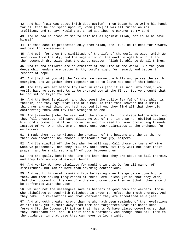42. And his fruit was beset [with destruction]. Then began he to wring his hands for all that he had spent upon it, when [now] it was all ruined on its trellises, and to say: Would that I had ascribed no partner to my Lord! 43. And he had no troop of men to help him as against Allah, nor could he save himself. 44. In this case is protection only from Allah, the True, He is Best for reward, and best for consequence. 45. And coin for them the similitude of the life of the world as water which We send down from the sky, and the vegetation of the earth mingleth with it and then becometh dry twigs that the winds scatter. Allah is able to do all things. 46. Wealth and children are an ornament of the life of the world. But the good deeds which endure are better in thy Lord's sight for reward, and better in respect of hope. 47. And [bethink you of] the Day when we remove the hills and ye see the earth emerging, and We gather them together so as to leave not one of them behind. 48. And they are set before thy Lord in ranks [and it is said unto them]: Now verily have ye come unto Us as We created you at the first. But ye thought that We had set no tryst for you. 49. And the Book is placed, and thou seest the guilty fearful of that which is therein, and they say: What kind of a Book is this that leaveth not a small thing nor a great thing but hath counted it! And they find all that they did confronting them, and thy Lord wrongeth no-one. 50. And [remember] when We said unto the angels: Fall prostrate before Adam, and they fell prostrate, all save Iblis. He was of the jinn, so he rebelled against his Lord's command. Will ye choose him and his seed for your protecting friends instead of Me, when they are an enemy unto you? Calamitous is the exchange for evil-doers. 51. I made them not to witness the creation of the heavens and the earth, nor their own creation; nor choose I misleaders for [My] helpers. 52. And [be mindful of] the Day when He will say: Call those partners of Mine whom ye pretended. Then they will cry unto them, but they will not hear their prayer, and We shall set a gulf of doom between them. 53. And the guilty behold the Fire and know that they are about to fall therein, and they find no way of escape thence. 54. And verily We have displayed for mankind in this Qur'an all manner of similitudes, but man is more than anything contentious. 55. And naught hindereth mankind from believing when the guidance cometh unto them, and from asking forgiveness of their Lord unless [it be that they wish] that the judgment of the men of old should come upon them or [that] they should be confronted with the Doom. 56. We send not the messengers save as bearers of good news and warners. Those who disbelieve contend with falsehood in order to refute the Truth thereby. And they take Our revelations and that wherewith they are threatened as a jest. 57. And who doth greater wrong than he who hath been reminded of the revelations of his Lord, yet turneth away from them and forgetteth what his hands send forward [to the Judgment]? Lo! on their hearts We have placed coverings so that they understand not, and in their ears a deafness. And though thou call them to

the guidance, in that case they can never be led aright.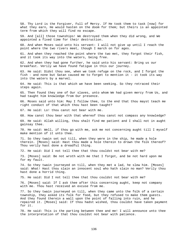58. Thy Lord is the Forgiver, Full of Mercy. If He took them to task [now] for what they earn, He would hasten on the doom for them; but theirs is an appointed term from which they will find no escape.

59. And [all] those townships! We destroyed them when they did wrong, and We appointed a fixed time for their destruction.

60. And when Moses said unto his servant: I will not give up until I reach the point where the two rivers meet, though I march on for ages.

61. And when they reached the point where the two met, they forgot their fish, and it took its way into the waters, being free.

62. And when they had gone further, he said unto his servant: Bring us our breakfast. Verily we have found fatigue in this our journey.

63. He said: Didst thou see, when we took refuge on the rock, and I forgot the fish - and none but Satan caused me to forget to mention it - it took its way into the waters by a marvel.

64. He said: This is that which we have been seeking. So they retraced their steps again.

65. Then found they one of Our slaves, unto whom We had given mercy from Us, and had taught him knowledge from Our presence.

66. Moses said unto him: May I follow thee, to the end that thou mayst teach me right conduct of that which thou hast been taught?

67. He said: Lo! thou canst not bear with me.

68. How canst thou bear with that whereof thou canst not compass any knowledge?

69. He said: Allah willing, thou shalt find me patient and I shall not in aught gainsay thee.

70. He said: Well, if thou go with me, ask me not concerning aught till I myself make mention of it unto thee.

71. So they twain set out till, when they were in the ship, he made a hole therein. [Moses] said: Hast thou made a hole therein to drown the folk thereof? Thou verily hast done a dreadful thing.

72. He said: Did I not tell thee that thou couldst not bear with me?

73. [Moses] said: Be not wroth with me that I forgot, and be not hard upon me for my fault.

74. So they twain journeyed on till, when they met a lad, he slew him. [Moses] said: What! Hast thou slain an innocent soul who hath slain no man? Verily thou hast done a horrid thing.

75. He said: Did I not tell thee that thou couldst not bear with me?

76. [Moses] said: If I ask thee after this concerning aught, keep not company with me. Thou hast received an excuse from me.

77. So they twain journeyed on till, when they came unto the folk of a certain township, they asked its folk for food, but they refused to make them guests. And they found therein a wall upon the point of falling into ruin, and he repaired it. [Moses] said: If thou hadst wished, thou couldst have taken payment for it.

78. He said: This is the parting between thee and me! I will announce unto thee the interpretation of that thou couldst not bear with patience.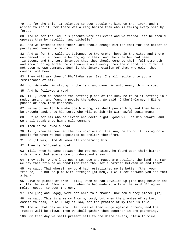79. As for the ship, it belonged to poor people working on the river, and I wished to mar it, for there was a king behind them who is taking every ship by force.

80. And as for the lad, his parents were believers and we feared lest he should oppress them by rebellion and disbelief.

81. And we intended that their Lord should change him for them for one better in purity and nearer to mercy.

82. And as for the wall, it belonged to two orphan boys in the city, and there was beneath it a treasure belonging to them, and their father had been righteous, and thy Lord intended that they should come to their full strength and should bring forth their treasure as a mercy from their Lord; and I did it not upon my own command. Such is the interpretation of that wherewith thou couldst not bear.

83. They will ask thee of Dhu'l-Qarneyn. Say: I shall recite unto you a remembrance of him.

84. Lo! We made him strong in the land and gave him unto every thing a road.

85. And he followed a road

86. Till, when he reached the setting-place of the sun, he found it setting in a muddy spring, and found a people thereabout. We said: O Dhu'l-Qarneyn! Either punish or show them kindness.

87. He said: As for him who doeth wrong, we shall punish him, and then he will be brought back unto his Lord, Who will punish him with awful punishment!

88. But as for him who believeth and doeth right, good will be his reward, and We shall speak unto him a mild command.

89. Then he followed a road

90. Till, when he reached the rising-place of the sun, he found it rising on a people for whom We had appointed no shelter therefrom.

91. So [it was]. And We knew all concerning him.

92. Then he followed a road

93. Till, when he came between the two mountains, he found upon their hither side a folk that scarce could understand a saying.

94. They said: O Dhu'l-Qarneyn! Lo! Gog and Magog are spoiling the land. So may we pay thee tribute on condition that thou set a barrier between us and them?

95. He said: That wherein my Lord hath established me is better [than your tribute]. Do but help me with strength [of men], I will set between you and them a bank.

96. Give me pieces of iron - till, when he had levelled up [the gap] between the cliffs, he said: Blow! - till, when he had made it a fire, he said: Bring me molten copper to pour thereon.

97. And [Gog and Magog] were not able to surmount, nor could they pierce [it].

98. He said: This is a mercy from my Lord; but when the promise of my Lord cometh to pass, He will lay it low, for the promise of my Lord is true.

99. And on that day we shall let some of them surge against others, and the Trumpet will be blown. Then We shall gather them together in one gathering.

100. On that day we shall present hell to the disbelievers, plain to view,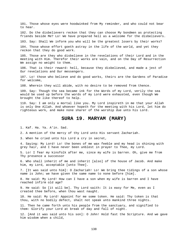101. Those whose eyes were hoodwinked from My reminder, and who could not bear to hear.

102. Do the disbelievers reckon that they can choose My bondmen as protecting friends beside Me? Lo! We have prepared hell as a welcome for the disbelievers.

103. Say: Shall We inform you who will be the greatest losers by their works?

104. Those whose effort goeth astray in the life of the world, and yet they reckon that they do good work.

105. Those are they who disbelieve in the revelations of their Lord and in the meeting with Him. Therefor their works are vain, and on the Day of Resurrection We assign no weight to them.

106. That is their reward: hell, because they disbelieved, and made a jest of Our revelations and Our messengers.

107. Lo! those who believe and do good works, theirs are the Gardens of Paradise for welcome,

108. Wherein they will abide, with no desire to be removed from thence.

109. Say: Though the sea became ink for the Words of my Lord, verily the sea would be used up before the words of my Lord were exhausted, even though We brought the like thereof to help.

110. Say: I am only a mortal like you. My Lord inspireth in me that your Allah is only One Allah. And whoever hopeth for the meeting with his Lord, let him do righteous work, and make none sharer of the worship due unto his Lord.

# **SURA 19. MARYAM (MARY)**

1. Kaf. Ha. Ya. A'in. Sad.

2. A mention of the mercy of thy Lord unto His servant Zachariah.

3. When he cried unto his Lord a cry in secret,

4. Saying: My Lord! Lo! the bones of me wax feeble and my head is shining with grey hair, and I have never been unblest in prayer to Thee, my Lord.

5. Lo! I fear my kinsfolk after me, since my wife is barren. Oh, give me from Thy presence a successor

6. Who shall inherit of me and inherit [also] of the house of Jacob. And make him, my Lord, acceptable [unto Thee].

7. [It was said unto him]: O Zachariah! Lo! We bring thee tidings of a son whose name is John; we have given the same name to none before [him].

8. He said: My Lord! How can I have a son when my wife is barren and I have reached infirm old age?

9. He said: So [it will be]. Thy Lord saith: It is easy for Me, even as I created thee before, when thou wast naught.

10. He said: My Lord! Appoint for me some token. He said: Thy token is that thou, with no bodily defect, shalt not speak unto mankind three nights.

11. Then he came forth unto his people from the sanctuary, and signified to them: Glorify your Lord at break of day and fall of night.

12. [And it was said unto his son]: O John! Hold fast the Scripture. And we gave him wisdom when a child,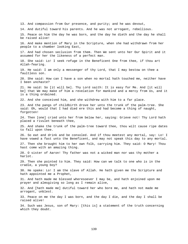13. And compassion from Our presence, and purity; and he was devout, 14. And dutiful toward his parents. And he was not arrogant, rebellious. 15. Peace on him the day he was born, and the day he dieth and the day he shall be raised alive! 16. And make mention of Mary in the Scripture, when she had withdrawn from her people to a chamber looking East, 17. And had chosen seclusion from them. Then We sent unto her Our Spirit and it assumed for her the likeness of a perfect man. 18. She said: Lo! I seek refuge in the Beneficent One from thee, if thou art Allah-fearing. 19. He said: I am only a messenger of thy Lord, that I may bestow on thee a faultless son. 20. She said: How can I have a son when no mortal hath touched me, neither have I been unchaste? 21. He said: So [it will be]. Thy Lord saith: It is easy for Me. And [it will be] that We may make of him a revelation for mankind and a mercy from Us, and it is a thing ordained. 22. And she conceived him, and she withdrew with him to a far place. 23. And the pangs of childbirth drove her unto the trunk of the palm-tree. She said: Oh, would that I had died ere this and had become a thing of naught, forgotten! 24. Then [one] cried unto her from below her, saying: Grieve not! Thy Lord hath placed a rivulet beneath thee, 25. And shake the trunk of the palm-tree toward thee, thou wilt cause ripe dates to fall upon thee. 26. So eat and drink and be consoled. And if thou meetest any mortal, say: Lo! I have vowed a fast unto the Beneficent, and may not speak this day to any mortal. 27. Then she brought him to her own folk, carrying him. They said: O Mary! Thou hast come with an amazing thing. 28. O sister of Aaron! Thy father was not a wicked man nor was thy mother a harlot. 29. Then she pointed to him. They said: How can we talk to one who is in the cradle, a young boy? 30. He spake: Lo! I am the slave of Allah. He hath given me the Scripture and hath appointed me a Prophet, 31. And hath made me blessed wheresoever I may be, and hath enjoined upon me prayer and almsgiving so long as I remain alive, 32. And [hath made me] dutiful toward her who bore me, and hath not made me arrogant, unblest. 33. Peace on me the day I was born, and the day I die, and the day I shall be raised alive! 34. Such was Jesus, son of Mary: [this is] a statement of the truth concerning which they doubt.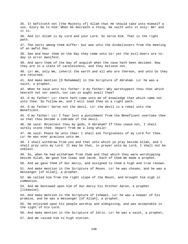35. It befitteth not [the Majesty of] Allah that He should take unto Himself a son. Glory be to Him! When He decreeth a thing, He saith unto it only: Be! and it is. 36. And lo! Allah is my Lord and your Lord. So serve Him. That is the right path. 37. The sects among them differ: but woe unto the disbelievers from the meeting of an awful Day. 38. See and hear them on the Day they come unto Us! yet the evil-doers are today in error manifest. 39. And warn them of the Day of anguish when the case hath been decided. Now they are in a state of carelessness, and they believe not. 40. Lo! We, only We, inherit the earth and all who are thereon, and unto Us they are returned. 41. And make mention [O Muhammad] in the Scripture of Abraham. Lo! he was a saint, a prophet. 42. When he said unto his father: O my father! Why worshippest thou that which heareth not nor seeth, nor can in aught avail thee? 43. O my father! Lo! there hath come unto me of knowledge that which came not unto thee. So follow me, and I will lead thee on a right path. 44. O my father! Serve not the devil. Lo! the devil is a rebel unto the Beneficent. 45. O my father! Lo! I fear lest a punishment from the Beneficent overtake thee so that thou become a comrade of the devil. 46. He said: Rejectest thou my gods, O Abraham? If thou cease not, I shall surely stone thee. Depart from me a long while! 47. He said: Peace be unto thee! I shall ask forgiveness of my Lord for thee. Lo! He was ever gracious unto me. 48. I shall withdraw from you and that unto which ye pray beside Allah, and I shall pray unto my Lord. It may be that, in prayer unto my Lord, I shall not be unblest. 49. So, when he had withdrawn from them and that which they were worshipping beside Allah, We gave him Isaac and Jacob. Each of them We made a prophet. 50. And we gave them of Our mercy, and assigned to them a high and true renown. 51. And make mention in the Scripture of Moses. Lo! he was chosen, and he was a messenger [of Allah], a prophet. 52. We called him from the right slope of the Mount, and brought him nigh in communion. 53. And We bestowed upon him of Our mercy his brother Aaron, a prophet [likewise]. 54. And make mention in the Scripture of Ishmael. Lo! he was a keeper of his promise, and he was a messenger [of Allah], a prophet. 55. He enjoined upon his people worship and almsgiving, and was acceptable in the sight of his Lord. 56. And make mention in the Scripture of Idris. Lo! he was a saint, a prophet; 57. And We raised him to high station.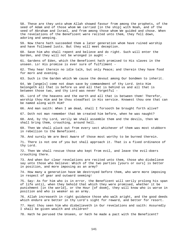58. These are they unto whom Allah showed favour from among the prophets, of the seed of Adam and of those whom We carried [in the ship] with Noah, and of the seed of Abraham and Israel, and from among those whom We guided and chose. When the revelations of the Beneficent were recited unto them, they fell down, adoring and weeping.

59. Now there hath succeeded them a later generation whom have ruined worship and have followed lusts. But they will meet deception.

60. Save him who shall repent and believe and do right. Such will enter the Garden, and they will not be wronged in aught -

61. Gardens of Eden, which the Beneficent hath promised to His slaves in the unseen. Lo! His promise is ever sure of fulfilment -

62. They hear therein no idle talk, but only Peace; and therein they have food for morn and evening.

63. Such is the Garden which We cause the devout among Our bondmen to inherit.

64. We [angels] come not down save by commandment of thy Lord. Unto Him belongeth all that is before us and all that is behind us and all that is between those two, and thy Lord was never forgetful -

65. Lord of the heavens and the earth and all that is between them! Therefor, worship thou Him and be thou steadfast in His service. Knowest thou one that can be named along with Him?

66. And man saith: When I am dead, shall I forsooth be brought forth alive?

67. Doth not man remember that We created him before, when he was naught?

68. And, by thy Lord, verily We shall assemble them and the devils, then We shall bring them, crouching, around hell.

69. Then We shall pluck out from every sect whichever of them was most stubborn in rebellion to the Beneficent.

70. And surely We are Best Aware of those most worthy to be burned therein.

71. There is not one of you but shall approach it. That is a fixed ordinance of thy Lord.

72. Then We shall rescue those who kept from evil, and leave the evil-doers crouching there.

73. And when Our clear revelations are recited unto them, those who disbelieve say unto those who believe: Which of the two parties [yours or ours] is better in position, and more imposing as an army?

74. How many a generation have We destroyed before them, who were more imposing in respect of gear and outward seeming!

75. Say: As for him who is in error, the Beneficent will verily prolong his span of life until, when they behold that which they were promised, whether it be punishment [in the world], or the Hour [of doom], they will know who is worse in position and who is weaker as an army.

76. Allah increaseth in right guidance those who walk aright, and the good deeds which endure are better in thy Lord's sight for reward, and better for resort.

77. Hast thou seen him who disbelieveth in Our revelations and saith: Assuredly I shall be given wealth and children?

78. Hath he perused the Unseen, or hath he made a pact with the Beneficent?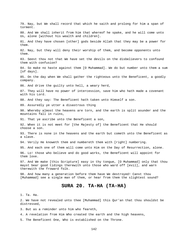79. Nay, but We shall record that which he saith and prolong for him a span of torment. 80. And We shall inherit from him that whereof he spake, and he will come unto Us, alone [without his wealth and children]. 81. And they have chosen [other] gods beside Allah that they may be a power for them. 82. Nay, but they will deny their worship of them, and become opponents unto them. 83. Seest thou not that We have set the devils on the disbelievers to confound them with confusion? 84. So make no haste against them [O Muhammad]. We do but number unto them a sum [of days]. 85. On the day when We shall gather the righteous unto the Beneficent, a goodly company. 86. And drive the guilty unto hell, a weary herd, 87. They will have no power of intercession, save him who hath made a covenant with his Lord. 88. And they say: The Beneficent hath taken unto Himself a son. 89. Assuredly ye utter a disastrous thing 90. Whereby almost the heavens are torn, and the earth is split asunder and the mountains fall in ruins, 91. That ye ascribe unto the Beneficent a son, 92. When it is not meet for [the Majesty of] the Beneficent that He should choose a son. 93. There is none in the heavens and the earth but cometh unto the Beneficent as a slave. 94. Verily He knoweth them and numbereth them with [right] numbering. 95. And each one of them will come unto Him on the Day of Resurrection, alone. 96. Lo! those who believe and do good works, the Beneficent will appoint for them love. 97. And We make [this Scripture] easy in thy tongue, [O Muhammad] only that thou mayst bear good tidings therewith unto those who ward off [evil], and warn therewith the froward folk. 98. And how many a generation before them have We destroyed! Canst thou [Muhammad] see a single man of them, or hear from them the slightest sound? **SURA 20. TA-HA (TA-HA)**  1. Ta. Ha. 2. We have not revealed unto thee [Muhammad] this Qur'an that thou shouldst be distressed,

3. But as a reminder unto him who feareth,

4. A revelation from Him Who created the earth and the high heavens,

5. The Beneficent One, Who is established on the Throne.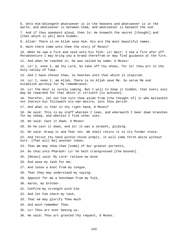6. Unto Him belongeth whatsoever is in the heavens and whatsoever is in the earth, and whatsoever is between them, and whatsoever is beneath the sod. 7. And if thou speakest aloud, then lo! He knoweth the secret [thought] and [that which is yet] more hidden. 8. Allah! There is no Allah save Him. His are the most beautiful names. 9. Hath there come unto thee the story of Moses? 10. When he saw a fire and said unto his folk: Lo! Wait! I see a fire afar off. Peradventure I may bring you a brand therefrom or may find guidance at the fire. 11. And when he reached it, he was called by name: O Moses! 12. Lo! I, even I, am thy Lord, So take off thy shoes, for lo! thou art in the holy valley of Tuwa. 13. And I have chosen thee, so hearken unto that which is inspired. 14. Lo! I, even I, am Allah, There is no Allah save Me. So serve Me and establish worship for My remembrance. 15. Lo! the Hour is surely coming. But I will to keep it hidden, that every soul may be rewarded for that which it striveth [to achieve]. 16. Therefor, let not him turn thee aside from [the thought of] it who believeth not therein but followeth his own desire, lest thou perish. 17. And what is that in thy right hand, O Moses? 18. He said: This is my staff whereon I lean, and wherewith I bear down branches for my sheep, and wherein I find other uses. 19. He said: Cast it down, O Moses! 20. So he cast it down, and lo! it was a serpent, gliding. 21. He said: Grasp it and fear not. We shall return it to its former state. 22. And thrust thy hand within thine armpit, it will come forth white without hurt. [That will be] another token. 23. That We may show thee [some] of Our greater portents, 24. Go thou unto Pharaoh! Lo! he hath transgressed [the bounds]. 25. [Moses] said: My Lord! relieve my mind 26. And ease my task for me; 27. And loose a knot from my tongue, 28. That they may understand my saying. 29. Appoint for me a henchman from my folk, 30. Aaron, my brother. 31. Confirm my strength with him 32. And let him share my task, 33. That we may glorify Thee much 34. And much remember Thee. 35. Lo! Thou art ever Seeing us. 36. He said: Thou art granted thy request, O Moses.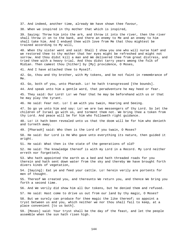37. And indeed, another time, already We have shown thee favour,

38. When we inspired in thy mother that which is inspired,

39. Saying: Throw him into the ark, and throw it into the river, then the river shall throw it on to the bank, and there an enemy to Me and an enemy to him shall take him. And I endued thee with love from Me that thou mightest be trained according to My will,

40. When thy sister went and said: Shall I show you one who will nurse him? and we restored thee to thy mother that her eyes might be refreshed and might not sorrow. And thou didst kill a man and We delivered thee from great distress, and tried thee with a heavy trial. And thou didst tarry years among the folk of Midian. Then camest thou [hither] by [My] providence, O Moses,

41. And I have attached thee to Myself.

42. Go, thou and thy brother, with My tokens, and be not faint in remembrance of Me.

43. Go, both of you, unto Pharaoh. Lo! he hath transgressed [the bounds].

44. And speak unto him a gentle word, that peradventure he may heed or fear.

45. They said: Our Lord! Lo! we fear that he may be beforehand with us or that he may play the tyrant.

46. He said: Fear not. Lo! I am with you twain, Hearing and Seeing.

47. So go ye unto him and say: Lo! we are two messengers of thy Lord. So let the children of Israel go with us, and torment them not. We bring thee a token from thy Lord. And peace will be for him who followeth right guidance.

48. Lo! it hath been revealed unto us that the doom will be for him who denieth and turneth away.

49. [Pharaoh] said: Who then is the Lord of you twain, O Moses?

50. He said: Our Lord is He Who gave unto everything its nature, then guided it aright.

51. He said: What then is the state of the generations of old?

52. He said: The knowledge thereof is with my Lord in a Record. My Lord neither erreth nor forgetteth,

53. Who hath appointed the earth as a bed and hath threaded roads for you therein and hath sent down water from the sky and thereby We have brought forth divers kinds of vegetation,

54. [Saying]: Eat ye and feed your cattle. Lo! herein verily are portents for men of thought.

55. Thereof We created you, and thereunto We return you, and thence We bring you forth a second time.

56. And We verily did show him all Our tokens, but he denied them and refused.

57. He said: Hast come to drive us out from our land by thy magic, O Moses?

58. But we surely can produce for thee magic the like thereof; so appoint a tryst between us and you, which neither we nor thou shall fail to keep, at a place convenient [to us both].

59. [Moses] said: Your tryst shall be the day of the feast, and let the people assemble when the sun hath risen high.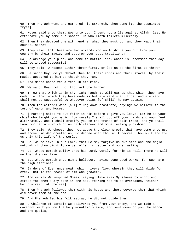tryst]. 61. Moses said unto them: Woe unto you! Invent not a lie against Allah, lest He extirpate you by some punishment. He who lieth faileth miserably. 62. Then they debated one with another what they must do, and they kept their counsel secret. 63. They said: Lo! these are two wizards who would drive you out from your country by their magic, and destroy your best traditions; 64. So arrange your plan, and come in battle line. Whoso is uppermost this day will be indeed successful. 65. They said: O Moses! Either throw first, or let us be the first to throw? 66. He said: Nay, do ye throw! Then lo! their cords and their staves, by their magic, appeared to him as though they ran. 67. And Moses conceived a fear in his mind. 68. We said: Fear not! Lo! thou art the higher. 69. Throw that which is in thy right hand! It will eat up that which they have made. Lo! that which they have made is but a wizard's artifice, and a wizard shall not be successful to whatever point [of skill] he may attain. 70. Then the wizards were [all] flung down prostrate, crying: We believe in the Lord of Aaron and Moses. 71. [Pharaoh] said: Ye put faith in him before I give you leave. Lo! he is your chief who taught you magic. Now surely I shall cut off your hands and your feet alternately, and I shall crucify you on the trunks of palm trees, and ye shall know for certain which of us hath sterner and more lasting punishment. 72. They said: We choose thee not above the clear proofs that have come unto us, and above Him Who created us. So decree what thou wilt decree. Thou wilt end for us only this life of the world. 73. Lo! we believe in our Lord, that He may forgive us our sins and the magic unto which thou didst force us. Allah is better and more lasting. 74. Lo! whoso cometh guilty unto his Lord, verily for him is hell. There he will neither die nor live. 75. But whoso cometh unto Him a believer, having done good works, for such are the high stations; 76. Gardens of Eden underneath which rivers flow, wherein they will abide for ever. That is the reward of him who groweth. 77. And verily We inspired Moses, saying: Take away My slaves by night and strike for them a dry path in the sea, fearing not to be overtaken, neither being afraid [of the sea]. 78. Then Pharaoh followed them with his hosts and there covered them that which did cover them of the sea. 79. And Pharaoh led his folk astray, he did not guide them. 80. O Children of Israel! We delivered you from your enemy, and we made a covenant with you on the holy mountain's side, and sent down on you the manna and the quails,

60. Then Pharaoh went and gathered his strength, then came [to the appointed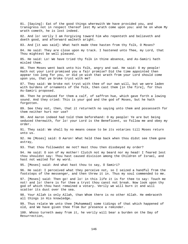81. [Saying]: Eat of the good things wherewith We have provided you, and transgress not in respect thereof lest My wrath come upon you: and he on whom My wrath cometh, he is lost indeed. 82. And lo! verily I am Forgiving toward him who repenteth and believeth and doeth good, and afterward walketh aright. 83. And [it was said]: What hath made thee hasten from thy folk, O Moses? 84. He said: They are close upon my track. I hastened unto Thee, my Lord, that Thou mightest be well pleased. 85. He said: Lo! We have tried thy folk in thine absence, and As-Samiri hath misled them. 86. Then Moses went back unto his folk, angry and sad. He said: O my people! Hath not your Lord promised you a fair promise? Did the time appointed then appear too long for you, or did ye wish that wrath from your Lord should come upon you, that ye broke tryst with me? 87. They said: We broke not tryst with thee of our own will, but we were laden with burdens of ornaments of the folk, then cast them [in the fire], for thus As-Samiri proposed. 88. Then he produced for them a calf, of saffron hue, which gave forth a lowing sound. And they cried: This is your god and the god of Moses, but he hath forgotten. 89. See they not, then, that it returneth no saying unto them and possesseth for them neither hurt nor use? 90. And Aaron indeed had told them beforehand: O my people! Ye are but being seduced therewith, for lo! your Lord is the Beneficent, so follow me and obey my order. 91. They said: We shall by no means cease to be its votaries till Moses return unto us. 92. He [Moses] said: O Aaron! What held thee back when thou didst see them gone astray, 93. That thou followedst me not? Hast thou then disobeyed my order? 94. He said: O son of my mother! Clutch not my beard nor my head! I feared lest thou shouldst say: Thou hast caused division among the Children of Israel, and hast not waited for my word. 95. [Moses] said: And what hast thou to say, O Samiri? 96. He said: I perceived what they perceive not, so I seized a handful from the footsteps of the messenger, and then threw it in. Thus my soul commended to me. 97. [Moses] said: Then go! and lo! in this life it is for thee to say: Touch me not! and lo! there is for thee a tryst thou canst not break. Now look upon thy god of which thou hast remained a votary. Verily we will burn it and will scatter its dust over the sea. 98. Your Allah is only Allah, than Whom there is no other Allah. He embraceth all things in His knowledge. 99. Thus relate We unto thee [Muhammad] some tidings of that which happened of old, and We have given thee from Our presence a reminder. 100. Whoso turneth away from it, he verily will bear a burden on the Day of Resurrection,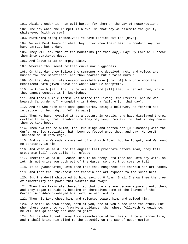101. Abiding under it - an evil burden for them on the Day of Resurrection, 102. The day when the Trumpet is blown. On that day we assemble the guilty white-eyed [with terror], 103. Murmuring among themselves: Ye have tarried but ten [days]. 104. We are Best Aware of what they utter when their best in conduct say: Ye

105. They will ask thee of the mountains [on that day]. Say: My Lord will break them into scattered dust.

106. And leave it as an empty plain,

have tarried but a day.

107. Wherein thou seest neither curve nor ruggedness.

108. On that day they follow the summoner who deceiveth not, and voices are hushed for the Beneficent, and thou hearest but a faint murmur.

109. On that day no intercession availeth save [that of] him unto whom the Beneficent hath given leave and whose word He accepteth.

110. He knoweth [all] that is before them and [all] that is behind them, while they cannot compass it in knowledge.

111. And faces humble themselves before the Living, the Eternal. And he who beareth [a burden of] wrongdoing is indeed a failure [on that day].

112. And he who hath done some good works, being a believer, he feareth not injustice nor begrudging [of his wage].

113. Thus we have revealed it as a Lecture in Arabic, and have displayed therein certain threats, that peradventure they may keep from evil or that it may cause them to take heed.

114. Then exalted be Allah, the True King! And hasten not [O Muhammad] with the Qur'an ere its revelation hath been perfected unto thee, and say: My Lord! Increase me in knowledge.

115. And verily We made a covenant of old with Adam, but he forgot, and We found no constancy in him.

116. And when We said unto the angels: Fall prostrate before Adam, they fell prostrate [all] save Iblis; he refused.

117. Therefor we said: O Adam! This is an enemy unto thee and unto thy wife, so let him not drive you both out of the Garden so that thou come to toil.

118. It is [vouchsafed] unto thee that thou hungerest not therein nor art naked,

119. And that thou thirstest not therein nor art exposed to the sun's heat.

120. But the devil whispered to him, saying: O Adam! Shall I show thee the tree of immortality and power that wasteth not away?

121. Then they twain ate thereof, so that their shame became apparent unto them, and they began to hide by heaping on themselves some of the leaves of the Garden. And Adam disobeyed his Lord, so went astray.

122. Then his Lord chose him, and relented toward him, and guided him.

123. He said: Go down hence, both of you, one of you a foe unto the other. But when there come unto you from Me a guidance, then whoso followeth My guidance, he will not go astray nor come to grief.

124. But he who turneth away from remembrance of Me, his will be a narrow life, and I shall bring him blind to the assembly on the Day of Resurrection.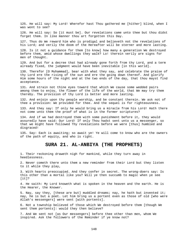125. He will say: My Lord! Wherefor hast Thou gathered me [hither] blind, when I was wont to see?

126. He will say: So [it must be]. Our revelations came unto thee but thou didst forget them. In like manner thou art forgotten this Day.

127. Thus do We reward him who is prodigal and believeth not the revelations of his Lord; and verily the doom of the Hereafter will be sterner and more lasting.

128. Is it not a guidance for them [to know] how many a generation We destroyed before them, amid whose dwellings they walk? Lo! therein verily are signs for men of thought.

129. And but for a decree that had already gone forth from thy Lord, and a term already fixed, the judgment would have been inevitable [in this world].

130. Therefor [O Muhammad], bear with what they say, and celebrate the praise of thy Lord ere the rising of the sun and ere the going down thereof. And glorify Him some hours of the night and at the two ends of the day, that thou mayst find acceptance.

131. And strain not thine eyes toward that which We cause some wedded pairs among them to enjoy, the flower of the life of the world, that We may try them thereby. The provision of thy Lord is better and more lasting.

132. And enjoin upon thy people worship, and be constant therein. We ask not of thee a provision: We provided for thee. And the sequel is for righteousness.

133. And they say: If only he would bring us a miracle from his Lord! Hath there not come unto them the proof of what is in the former scriptures?

134. And if we had destroyed them with some punishment before it, they would assuredly have said: Our Lord! If only Thou hadst sent unto us a messenger, so that we might have followed Thy revelations before we were [thus] humbled and disgraced!

135. Say: Each is awaiting; so await ye! Ye will come to know who are the owners of the path of equity, and who is right.

## **SURA 21. AL-ANBIYA (THE PROPHETS)**

1. Their reckoning draweth nigh for mankind, while they turn away in heedlessness.

2. Never cometh there unto them a new reminder from their Lord but they listen to it while they play,

3. With hearts preoccupied. And they confer in secret. The wrong-doers say: Is this other than a mortal like you? Will ye then succumb to magic when ye see  $[$ it $]$ ?

4. He saith: My Lord knoweth what is spoken in the heaven and the earth. He is the Hearer, the Knower.

5. Nay, say they, [these are but] muddled dreams; nay, he hath but invented it; nay, he is but a poet. Let him bring us a portent even as those of old [who were Allah's messengers] were sent [with portents].

6. Not a township believed of those which We destroyed before them [though We sent them portents]: would they then believe?

7. And We sent not [as Our messengers] before thee other than men, whom We inspired. Ask the followers of the Reminder if ye know not?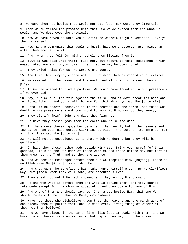8. We gave them not bodies that would not eat food, nor were they immortals. 9. Then we fulfilled the promise unto them. So we delivered them and whom We would, and We destroyed the prodigals. 10. Now We have revealed unto you a Scripture wherein is your Reminder. Have ye then no sense? 11. How many a community that dealt unjustly have We shattered, and raised up after them another folk! 12. And, when they felt Our might, behold them fleeing from it! 13. [But it was said unto them]: Flee not, but return to that [existence] which emasculated you and to your dwellings, that ye may be questioned. 14. They cried: Alas for us! we were wrong-doers. 15. And this their crying ceased not till We made them as reaped corn, extinct. 16. We created not the heaven and the earth and all that is between them in play. 17. If We had wished to find a pastime, We could have found it in Our presence if We ever did. 18. Nay, but We hurl the true against the false, and it doth break its head and lo! it vanisheth. And yours will be woe for that which ye ascribe [unto Him]. 19. Unto Him belongeth whosoever is in the heavens and the earth. And those who dwell in His presence are not too proud to worship Him, nor do they weary; 20. They glorify [Him] night and day; they flag not. 21. Or have they chosen gods from the earth who raise the dead? 22. If there were therein gods beside Allah, then verily both [the heavens and the earth] had been disordered. Glorified be Allah, the Lord of the Throne, from all that they ascribe [unto Him]. 23. He will not be questioned as to that which He doeth, but they will be questioned. 24. Or have they chosen other gods beside Him? say: Bring your proof [of their godhead]. This is the Reminder of those with me and those before me, but most of them know not the Truth and so they are averse. 25. And We sent no messenger before thee but We inspired him, [saying]: There is no Allah save Me [Allah], so worship Me. 26. And they say: The Beneficent hath taken unto Himself a son. Be He Glorified! Nay, but [those whom they call sons] are honoured slaves; 27. They speak not until He hath spoken, and they act by His command. 28. He knoweth what is before them and what is behind them, and they cannot intercede except for him whom He accepteth, and they quake for awe of Him. 29. And one of them who should say: Lo! I am a god beside Him, that one We should repay with hell. Thus We Repay wrong-doers. 30. Have not those who disbelieve known that the heavens and the earth were of one piece, then We parted them, and we made every living thing of water? Will they not then believe? 31. And We have placed in the earth firm hills lest it quake with them, and We have placed therein ravines as roads that haply they may find their way.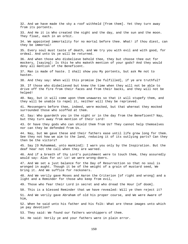32. And we have made the sky a roof withheld [from them]. Yet they turn away from its portents. 33. And He it is Who created the night and the day, and the sun and the moon. They float, each in an orbit. 34. We appointed immortality for no mortal before thee. What! if thou diest, can they be immortal! 35. Every soul must taste of death, and We try you with evil and with good, for ordeal. And unto Us ye will be returned. 36. And when those who disbelieve behold thee, they but choose thee out for mockery, [saying]: Is this he who maketh mention of your gods? And they would deny all mention of the Beneficent. 37. Man is made of haste. I shall show you My portents, but ask Me not to hasten. 38. And they say: When will this promise [be fulfilled], if ye are truthful? 39. If those who disbelieved but knew the time when they will not be able to drive off the fire from their faces and from their backs, and they will not be helped! 40. Nay, but it will come upon them unawares so that it will stupefy them, and they will be unable to repel it, neither will they be reprieved. 41. Messengers before thee, indeed, were mocked, but that whereat they mocked surrounded those who scoffed at them. 42. Say: Who guardeth you in the night or in the day from the Beneficent? Nay, but they turn away from mention of their Lord! 43. Or have they gods who can shield them from Us? They cannot help themselves nor can they be defended from Us. 44. Nay, but We gave these and their fathers ease until life grew long for them. See they not how we aim to the land, reducing it of its outlying parts? Can they then be the victors? 45. Say [O Muhammad, unto mankind]: I warn you only by the Inspiration. But the deaf hear not the call when they are warned. 46. And if a breath of thy Lord's punishment were to touch them, they assuredly would say: Alas for us! Lo! we were wrong-doers. 47. And We set a just balance for the Day of Resurrection so that no soul is wronged in aught. Though it be of the weight of a grain of mustard seed, We bring it. And We suffice for reckoners. 48. And We verily gave Moses and Aaron the Criterion [of right and wrong] and a light and a Reminder for those who keep from evil, 49. Those who fear their Lord in secret and who dread the Hour [of doom]. 50. This is a blessed Reminder that we have revealed: Will ye then reject it? 51. And We verily gave Abraham of old his proper course, and We were Aware of him, 52. When he said unto his father and his folk: What are these images unto which ye pay devotion? 53. They said: We found our fathers worshippers of them. 54. He said: Verily ye and your fathers were in plain error.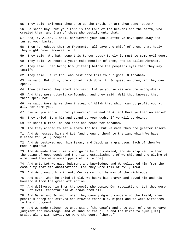55. They said: Bringest thou unto us the truth, or art thou some jester? 56. He said: Nay, but your Lord is the Lord of the heavens and the earth, Who created them; and I am of those who testify unto that. 57. And, by Allah, I shall circumvent your idols after ye have gone away and turned your backs. 58. Then he reduced them to fragments, all save the chief of them, that haply they might have recourse to it. 59. They said: Who hath done this to our gods? Surely it must be some evil-doer. 60. They said: We heard a youth make mention of them, who is called Abraham. 61. They said: Then bring him [hither] before the people's eyes that they may testify. 62. They said: Is it thou who hast done this to our gods, O Abraham? 63. He said: But this, their chief hath done it. So question them, if they can speak. 64. Then gathered they apart and said: Lo! ye yourselves are the wrong-doers. 65. And they were utterly confounded, and they said: Well thou knowest that these speak not. 66. He said: Worship ye then instead of Allah that which cannot profit you at all, nor harm you? 67. Fie on you and all that ye worship instead of Allah! Have ye then no sense? 68. They cried: Burn him and stand by your gods, if ye will be doing. 69. We said: O fire, be coolness and peace for Abraham, 70. And they wished to set a snare for him, but We made them the greater losers. 71. And We rescued him and Lot [and brought them] to the land which We have blessed for [all] peoples. 72. And We bestowed upon him Isaac, and Jacob as a grandson. Each of them We made righteous. 73. And We made them chiefs who guide by Our command, and We inspired in them the doing of good deeds and the right establishment of worship and the giving of alms, and they were worshippers of Us [alone]. 74. And unto Lot we gave judgment and knowledge, and We delivered him from the community that did abominations. Lo! they were folk of evil, lewd. 75. And We brought him in unto Our mercy. Lo! he was of the righteous. 76. And Noah, when he cried of old, We heard his prayer and saved him and his household from the great affliction. 77. And delivered him from the people who denied Our revelations. Lo! they were folk of evil, therefor did We drown them all. 78. And David and Solomon, when they gave judgment concerning the field, when people's sheep had strayed and browsed therein by night; and We were witnesses to their judgment. 79. And We made Solomon to understand [the case]; and unto each of them We gave judgment and knowledge. And we subdued the hills and the birds to hymn [His] praise along with David. We were the doers [thereof].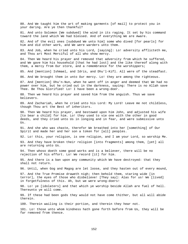80. And We taught him the art of making garments [of mail] to protect you in your daring. Are ye then thankful?

81. And unto Solomon [We subdued] the wind in its raging. It set by his command toward the land which We had blessed. And of everything We are Aware.

82. And of the evil ones [subdued We unto him] some who dived [for pearls] for him and did other work, and We were warders unto them.

83. And Job, when he cried unto his Lord, [saying]: Lo! adversity afflicteth me, and Thou art Most Merciful of all who show mercy.

84. Then We heard his prayer and removed that adversity from which he suffered, and We gave him his household [that he had lost] and the like thereof along with them, a mercy from Our store, and a remembrance for the worshippers;

85. And [mention] Ishmael, and Idris, and Dhu'l-Kifl. All were of the steadfast.

86. And We brought them in unto Our mercy. Lo! they are among the righteous.

87. And [mention] Dhu'n-Nun, when he went off in anger and deemed that We had no power over him, but he cried out in the darkness, saying: There is no Allah save Thee. Be Thou Glorified! Lo! I have been a wrong-doer.

88. Then we heard his prayer and saved him from the anguish. Thus we save believers.

89. And Zachariah, when he cried unto his Lord: My Lord! Leave me not childless, though Thou art the Best of inheritors.

90. Then We heard his prayer, and bestowed upon him John, and adjusted his wife [to bear a child] for him. Lo! they used to vie one with the other in good deeds, and they cried unto Us in longing and in fear, and were submissive unto Us.

91. And she who was chaste, therefor We breathed into her [something] of Our Spirit and made her and her son a token for [all] peoples.

92. Lo! this, your religion, is one religion, and I am your Lord, so worship Me.

93. And they have broken their religion [into fragments] among them, [yet] all are returning unto Us.

94. Then whoso doeth some good works and is a believer, there will be no rejection of his effort. Lo! We record [it] for him.

95. And there is a ban upon any community which We have destroyed: that they shall not return.

96. Until, when Gog and Magog are let loose, and they hasten out of every mound,

97. And the True Promise draweth nigh; then behold them, staring wide [in terror], the eyes of those who disbelieve! [They say]: Alas for us! We [lived] in forgetfulness of this. Ah, but we were wrong-doers!

98. Lo! ye [idolaters] and that which ye worship beside Allah are fuel of hell. Thereunto ye will come.

99. If these had been gods they would not have come thither, but all will abide therein.

100. Therein wailing is their portion, and therein they hear not.

101. Lo! those unto whom kindness hath gone forth before from Us, they will be far removed from thence.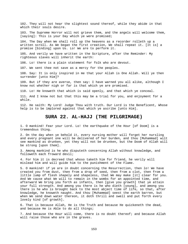102. They will not hear the slightest sound thereof, while they abide in that which their souls desire.

103. The Supreme Horror will not grieve them, and the angels will welcome them, [saying]: This is your Day which ye were promised;

104. The Day when We shall roll up the heavens as a recorder rolleth up a written scroll. As We began the first creation, We shall repeat it. [It is] a promise [binding] upon Us. Lo! We are to perform it.

105. And verily we have written in the Scripture, after the Reminder: My righteous slaves will inherit the earth:

106. Lo! there is a plain statement for folk who are devout.

107. We sent thee not save as a mercy for the peoples.

108. Say: It is only inspired in me that your Allah is One Allah. Will ye then surrender [unto Him]?

109. But if they are averse, then say: I have warned you all alike, although I know not whether nigh or far is that which ye are promised.

110. Lo! He knoweth that which is said openly, and that which ye conceal.

111. And I know not but that this may be a trial for you, and enjoyment for a while.

112. He saith: My Lord! Judge Thou with truth. Our Lord is the Beneficent, Whose help is to be implored against that which ye ascribe [unto Him].

## **SURA 22. AL-HAJJ (THE PILGRIMAGE)**

1. O mankind! Fear your Lord. Lo! the earthquake of the Hour [of Doom] is a tremendous thing.

2. On the day when ye behold it, every nursing mother will forget her nursling and every pregnant one will be delivered of her burden, and thou [Muhammad] wilt see mankind as drunken, yet they will not be drunken, but the Doom of Allah will be strong [upon them].

3. Among mankind is he who disputeth concerning Allah without knowledge, and followeth each froward devil;

4. For him it is decreed that whoso taketh him for friend, he verily will mislead him and will guide him to the punishment of the Flame.

5. O mankind! if ye are in doubt concerning the Resurrection, then lo! We have created you from dust, then from a drop of seed, then from a clot, then from a little lump of flesh shapely and shapeless, that We may make [it] clear for you. And We cause what We will to remain in the wombs for an appointed time, and afterward We bring you forth as infants, then [give you growth] that ye attain your full strength. And among you there is he who dieth [young], and among you there is he who is brought back to the most abject time of life, so that, after knowledge, he knoweth naught. And thou [Muhammad] seest the earth barren, but when We send down water thereon, it doth thrill and swell and put forth every lovely kind [of growth].

6. That is because Allah, He is the Truth and because He quickeneth the dead, and because He is Able to do all things;

7. And because the Hour will come, there is no doubt thereof; and because Allah will raise those who are in the graves.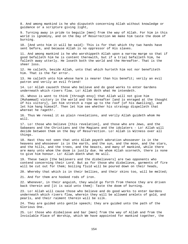8. And among mankind is he who disputeth concerning Allah without knowledge or guidance or a scripture giving light,

9. Turning away in pride to beguile [men] from the way of Allah. For him in this world is ignominy, and on the Day of Resurrection We make him taste the doom of burning.

10. [And unto him it will be said]: This is for that which thy two hands have sent before, and because Allah is no oppressor of His slaves.

11. And among mankind is he who worshippeth Allah upon a narrow marge so that if good befalleth him he is content therewith, but if a trial befalleth him, he falleth away utterly. He loseth both the world and the Hereafter. That is the sheer loss.

12. He calleth, beside Allah, unto that which hurteth him not nor benefiteth him. That is the far error.

13. He calleth unto him whose harm is nearer than his benefit; verily an evil patron and verily an evil friend!

14. Lo! Allah causeth those who believe and do good works to enter Gardens underneath which rivers flow. Lo! Allah doth what He intendeth.

15. Whoso is wont to think [through envy] that Allah will not give him [Muhammad] victory in the world and the Hereafter [and is enraged at the thought of his victory], let him stretch a rope up to the roof [of his dwelling], and let him hang himself. Then let him see whether his strategy dispelleth that whereat he rageth!.

16. Thus We reveal it as plain revelations, and verily Allah guideth whom He will.

17. Lo! those who believe [this revelation], and those who are Jews, and the Sabaeans and the Christians and the Magians and the idolaters - Lo! Allah will decide between them on the Day of Resurrection. Lo! Allah is Witness over all things.

18. Hast thou not seen that unto Allah payeth adoration whosoever is in the heavens and whosoever is in the earth, and the sun, and the moon, and the stars, and the hills, and the trees, and the beasts, and many of mankind, while there are many unto whom the doom is justly due. He whom Allah scorneth, there is none to give him honour. Lo! Allah doeth what He will.

19. These twain [the believers and the disbelievers] are two opponents who contend concerning their Lord. But as for those who disbelieve, garments of fire will be cut out for them; boiling fluid will be poured down on their heads,

20. Whereby that which is in their bellies, and their skins too, will be melted;

21. And for them are hooked rods of iron.

22. Whenever, in their anguish, they would go forth from thence they are driven back therein and [it is said unto them]: Taste the doom of burning.

23. Lo! Allah will cause those who believe and do good works to enter Gardens underneath which rivers flow, wherein they will be allowed armlets of gold, and pearls, and their raiment therein will be silk.

24. They are guided unto gentle speech; they are guided unto the path of the Glorious One.

25. Lo! those who disbelieve and bar [men] from the way of Allah and from the Inviolable Place of Worship, which We have appointed for mankind together, the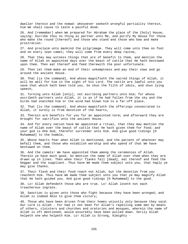dweller therein and the nomad: whosoever seeketh wrongful partiality therein, him We shall cause to taste a painful doom.

26. And [remember] when We prepared for Abraham the place of the [holy] House, saying: Ascribe thou no thing as partner unto Me, and purify My House for those who make the round [thereof] and those who stand and those who bow and make prostration.

27. And proclaim unto mankind the pilgrimage. They will come unto thee on foot and on every lean camel; they will come from every deep ravine,

28. That they may witness things that are of benefit to them, and mention the name of Allah on appointed days over the beast of cattle that He hath bestowed upon them. Then eat thereof and feed therewith the poor unfortunate.

29. Then let them make an end of their unkemptness and pay their vows and go around the ancient House.

30. That [is the command]. And whoso magnifieth the sacred things of Allah, it will be well for him in the sight of his Lord. The cattle are lawful unto you save that which hath been told you. So shun the filth of idols, and shun lying speech,

31. Turning unto Allah [only], not ascribing partners unto Him; for whoso ascribeth partners unto Allah, it is as if he had fallen from the sky and the birds had snatched him or the wind had blown him to a far-off place.

32. That [is the command]. And whoso magnifieth the offerings consecrated to Allah, it surely is from devotion of the hearts,

33. Therein are benefits for you for an appointed term; and afterward they are brought for sacrifice unto the ancient House.

34. And for every nation have We appointed a ritual, that they may mention the name of Allah over the beast of cattle that He hath given them for food; and your god is One God, therefor surrender unto Him. And give good tidings [O Muhammad] to the humble,

35. Whose hearts fear when Allah is mentioned, and the patient of whatever may befall them, and those who establish worship and who spend of that We have bestowed on them.

36. And the camels! We have appointed them among the ceremonies of Allah. Therein ye have much good. So mention the name of Allah over them when they are drawn up in lines. Then when their flanks fall [dead], eat thereof and feed the beggar and the suppliant. Thus have We made them subject unto you, that haply ye may give thanks.

37. Their flesh and their food reach not Allah, but the devotion from you reacheth Him. Thus have We made them subject unto you that ye may magnify Allah that He hath guided you. And give good tidings [O Muhammad] to the good.

38. Lo! Allah defendeth those who are true. Lo! Allah loveth not each treacherous ingrate.

39. Sanction is given unto those who fight because they have been wronged; and Allah is indeed Able to give them victory;

40. Those who have been driven from their homes unjustly only because they said: Our Lord is Allah - For had it not been for Allah's repelling some men by means of others, cloisters and churches and oratories and mosques, wherein the name of Allah is oft mentioned, would assuredly have been pulled down. Verily Allah helpeth one who helpeth Him. Lo! Allah is Strong, Almighty -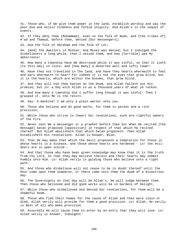41. Those who, if We give them power in the land, establish worship and pay the poor-due and enjoin kindness and forbid iniquity. And Allah's is the sequel of events.

42. If they deny thee [Muhammad], even so the folk of Noah, and [the tribes of] A'ad and Thamud, before thee, denied [Our messengers];

43. And the folk of Abraham and the folk of Lot;

44. [And] the dwellers in Midian. And Moses was denied; but I indulged the disbelievers a long while, then I seized them, and how [terrible] was My abhorrence!

45. How many a township have We destroyed while it was sinful, so that it lieth [to this day] in ruins, and [how many] a deserted well and lofty tower!

46. Have they not travelled in the land, and have they hearts wherewith to feel and ears wherewith to hear? For indeed it is not the eyes that grow blind, but it is the hearts, which are within the bosoms, that grow blind.

47. And they will bid thee hasten on the Doom, and Allah faileth not His promise, but lo! a Day with Allah is as a thousand years of what ye reckon.

48. And how many a township did I suffer long though it was sinful! Then I grasped it. Unto Me is the return.

49. Say: O mankind! I am only a plain warner unto you.

50. Those who believe and do good works, for them is pardon and a rich provision;

51. While those who strive to thwart Our revelations, such are rightful owners of the Fire.

52. Never sent We a messenger or a prophet before thee but when He recited [the message] Satan proposed [opposition] in respect of that which he recited thereof. But Allah abolisheth that which Satan proposeth. Then Allah establisheth His revelations. Allah is Knower, Wise;

53. That He may make that which the devil proposeth a temptation for those in whose hearts is a disease, and those whose hearts are hardened - Lo! the evildoers are in open schism -

54. And that those who have been given knowledge may know that it is the truth from thy Lord, so that they may believe therein and their hearts may submit humbly unto Him. Lo! Allah verily is guiding those who believe unto a right path.

55. And those who disbelieve will not cease to be in doubt thereof until the Hour come upon them unawares, or there come unto them the doom of a disastrous day.

56. The Sovereignty on that day will be Allah's, He will judge between them. Then those who believed and did good works will be in Gardens of Delight,

57. While those who disbelieved and denied Our revelations, for them will be a shameful doom.

58. Those who fled their homes for the cause of Allah and then were slain or died, Allah verily will provide for them a good provision. Lo! Allah, He verily is Best of all who make provision.

59. Assuredly He will cause them to enter by an entry that they will love. Lo! Allah verily is Knower, Indulgent.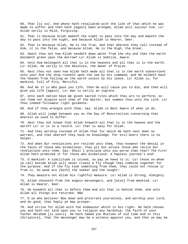60. That [is so]. And whoso hath retaliated with the like of that which he was made to suffer and then hath [again] been wronged, Allah will succour him. Lo! Allah verily is Mild, Forgiving.

61. That is because Allah maketh the night to pass into the day and maketh the day to pass into the night, and because Allah is Hearer, Seer.

62. That is because Allah, He is the True, and that whereon they call instead of Him, it is the false, and because Allah, He is the High, the Great.

63. Seest thou not how Allah sendeth down water from the sky and then the earth becometh green upon the morrow? Lo! Allah is Subtile, Aware.

64. Unto Him belongeth all that is in the heavens and all that is in the earth. Lo! Allah, He verily is the Absolute, the Owner of Praise.

65. Hast thou not seen how Allah hath made all that is in the earth subservient unto you? And the ship runneth upon the sea by His command, and He holdeth back the heaven from falling on the earth unless by His leave. Lo! Allah is, for mankind, Full of Pity, Merciful.

66. And He it is Who gave you life, then He will cause you to die, and then will give you life [again]. Lo! man is verily an ingrate.

67. Unto each nation have We given sacred rites which they are to perform; so let them not dispute with thee of the matter, but summon thou unto thy Lord. Lo! thou indeed followest right guidance.

68. And if they wrangle with thee, say: Allah is Best Aware of what ye do.

69. Allah will judge between you on the Day of Resurrection concerning that wherein ye used to differ.

70. Hast thou not known that Allah knoweth all that is in the heaven and the earth? Lo! it is in a record. Lo! that is easy for Allah.

71. And they worship instead of Allah that for which He hath sent down no warrant, and that whereof they have no knowledge. For evil-doers there is no helper.

72. And when Our revelations are recited unto them, thou knowest the denial in the faces of those who disbelieve; they all but attack those who recite Our revelations unto them. Say: Shall I proclaim unto you worse than that? The Fire! Allah hath promised it for those who disbelieve. A hapless journey's end!

73. O mankind! A similitude is coined, so pay ye heed to it: Lo! those on whom ye call beside Allah will never create a fly though they combine together for the purpose. And if the fly took something from them, they could not rescue it from it. So weak are [both] the seeker and the sought!

74. They measure not Allah His rightful measure. Lo! Allah is Strong, Almighty.

75. Allah chooseth from the angels messengers, and [also] from mankind. Lo! Allah is Hearer, Seer.

76. He knoweth all that is before them and all that is behind them, and unto Allah all things are returned. \$\$A

77. O ye who believe! Bow down and prostrate yourselves, and worship your Lord, and do good, that haply ye may prosper.

78. And strive for Allah with the endeavour which is His right. He hath chosen you and hath not laid upon you in religion any hardship; the faith of your father Abraham [is yours]. He hath named you Muslims of old time and in this [Scripture], that the messenger may be a witness against you, and that ye may be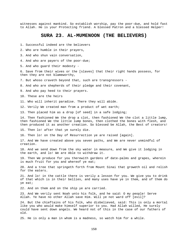witnesses against mankind. So establish worship, pay the poor-due, and hold fast to Allah. He is your Protecting friend. A blessed Patron and a blessed Helper!

#### **SURA 23. AL-MUMENOON (THE BELIEVERS)**

1. Successful indeed are the believers

2. Who are humble in their prayers,

3. And who shun vain conversation,

4. And who are payers of the poor-due;

5. And who guard their modesty -

6. Save from their wives or the [slaves] that their right hands possess, for then they are not blameworthy,

7. But whoso craveth beyond that, such are transgressors -

8. And who are shepherds of their pledge and their covenant,

9. And who pay heed to their prayers.

10. These are the heirs

11. Who will inherit paradise. There they will abide.

12. Verily We created man from a product of wet earth;

13. Then placed him as a drop [of seed] in a safe lodging;

14. Then fashioned We the drop a clot, then fashioned We the clot a little lump, then fashioned We the little lump bones, then clothed the bones with flesh, and then produced it as another creation. So blessed be Allah, the Best of creators!

15. Then lo! after that ye surely die.

16. Then lo! on the Day of Resurrection ye are raised [again].

17. And We have created above you seven paths, and We are never unmindful of creation.

18. And we send down from the sky water in measure, and We give it lodging in the earth, and lo! We are Able to withdraw it.

19. Then We produce for you therewith gardens of date-palms and grapes, wherein is much fruit for you and whereof ye eat;

20. And a tree that springeth forth from Mount Sinai that groweth oil and relish for the eaters.

21. And lo! in the cattle there is verily a lesson for you. We give you to drink of that which is in their bellies, and many uses have ye in them, and of them do ye eat;

22. And on them and on the ship ye are carried.

23. And We verily sent Noah unto his folk, and he said: O my people! Serve Allah. Ye have no other Allah save Him. Will ye not ward off [evil]?

24. But the chieftains of his folk, who disbelieved, said: This is only a mortal like you who would make himself superior to you. Had Allah willed, He surely could have sent down angels. We heard not of this in the case of our fathers of old.

25. He is only a man in whom is a madness, so watch him for a while.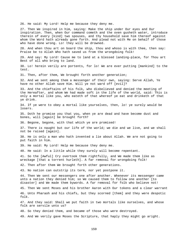26. He said: My Lord! Help me because they deny me.

27. Then We inspired in him, saying: Make the ship under Our eyes and Our inspiration. Then, when Our command cometh and the oven gusheth water, introduce therein of every [kind] two spouses, and thy household save him thereof against whom the Word hath already gone forth. And plead not with Me on behalf of those who have done wrong. Lo! they will be drowned.

28. And when thou art on board the ship, thou and whoso is with thee, then say: Praise be to Allah Who hath saved us from the wrongdoing folk!

29. And say: My Lord! Cause me to land at a blessed landing-place, for Thou art Best of all who bring to land.

30. Lo! herein verily are portents, for lo! We are ever putting [mankind] to the test.

31. Then, after them, We brought forth another generation;

32. And we sent among them a messenger of their own, saying: Serve Allah, Ye have no other Allah save Him. Will ye not ward off [evil]?

33. And the chieftains of his folk, who disbelieved and denied the meeting of the Hereafter, and whom We had made soft in the life of the world, said: This is only a mortal like you, who eateth of that whereof ye eat and drinketh of that ye drink.

34. If ye were to obey a mortal like yourselves, then, lo! ye surely would be losers.

35. Doth he promise you that you, when ye are dead and have become dust and bones, will [again] be brought forth?

36. Begone, begone, with that which ye are promised!

37. There is naught but our life of the world; we die and we live, and we shall not be raised [again].

38. He is only a man who hath invented a lie about Allah. We are not going to put faith in him.

39. He said: My Lord! Help me because they deny me.

40. He said: In a little while they surely will become repentant.

41. So the [Awful] Cry overtook them rightfully, and We made them like as wreckage [that a torrent hurleth]. A far removal for wrongdoing folk!

42. Then after them We brought forth other generations.

43. No nation can outstrip its term, nor yet postpone it.

44. Then We sent our messengers one after another. Whenever its messenger came unto a nation they denied him; so We caused them to follow one another [to disaster] and We made them bywords. A far removal for folk who believe not!

45. Then We sent Moses and his brother Aaron with Our tokens and a clear warrant 46. Unto Pharaoh and his chiefs, but they scorned [them] and they were despotic folk.

47. And they said: Shall we put faith in two mortals like ourselves, and whose folk are servile unto us?

48. So they denied them, and became of those who were destroyed.

49. And We verily gave Moses the Scripture, that haply they might go aright.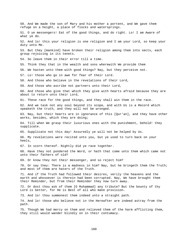50. And We made the son of Mary and his mother a portent, and We gave them refuge on a height, a place of flocks and watersprings. 51. O ye messengers! Eat of the good things, and do right. Lo! I am Aware of what ye do. 52. And lo! this your religion is one religion and I am your Lord, so keep your duty unto Me. 53. But they [mankind] have broken their religion among them into sects, each group rejoicing in its tenets. 54. So leave them in their error till a time. 55. Think they that in the wealth and sons wherewith We provide them 56. We hasten unto them with good things? Nay, but they perceive not. 57. Lo! those who go in awe for fear of their Lord. 58. And those who believe in the revelations of their Lord, 59. And those who ascribe not partners unto their Lord, 60. And those who give that which they give with hearts afraid because they are about to return unto their Lord, 61. These race for the good things, and they shall win them in the race. 62. And we task not any soul beyond its scope, and with Us is a Record which speaketh the truth, and they will not be wronged. 63. Nay, but their hearts are in ignorance of this [Qur'an], and they have other works, besides, which they are doing; 64. Till when We grasp their luxurious ones with the punishment, behold! they supplicate. 65. Supplicate not this day! Assuredly ye will not be helped by Us. 66. My revelations were recited unto you, but ye used to turn back on your heels, 67. In scorn thereof. Nightly did ye rave together. 68. Have they not pondered the Word, or hath that come unto them which came not unto their fathers of old? 69. Or know they not their messenger, and so reject him? 70. Or say they: There is a madness in him? Nay, but he bringeth them the Truth; and most of them are haters of the Truth. 71. And if the Truth had followed their desires, verily the heavens and the earth and whosoever is therein had been corrupted. Nay, We have brought them their Reminder, but from their Reminder they now turn away. 72. Or dost thou ask of them [O Muhammad] any tribute? But the bounty of thy Lord is better, for He is Best of all who make provision. 73. And lo! thou summonest them indeed unto a straight path. 74. And lo! those who believe not in the Hereafter are indeed astray from the path. 75. Though We had mercy on them and relieved them of the harm afflicting them, they still would wander blindly on in their contumacy.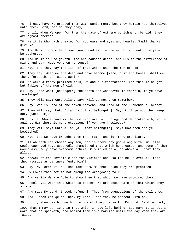76. Already have We grasped them with punishment, but they humble not themselves unto their Lord, nor do they pray, 77. Until, when We open for them the gate of extreme punishment, behold! they are aghast thereat. 78. He it is Who hath created for you ears and eyes and hearts. Small thanks give ye! 79. And He it is Who hath sown you broadcast in the earth, and unto Him ye will be gathered. 80. And He it is Who giveth life and causeth death, and His is the difference of night and day. Have ye then no sense? 81. Nay, but they say the like of that which said the men of old; 82. They say: When we are dead and have become [mere] dust and bones, shall we then, forsooth, be raised again? 83. We were already promised this, we and our forefathers. Lo! this is naught but fables of the men of old. 84. Say: Unto Whom [belongeth] the earth and whosoever is therein, if ye have knowledge? 85. They will say: Unto Allah. Say: Will ye not then remember? 86. Say: Who is Lord of the seven heavens, and Lord of the Tremendous Throne? 87. They will say: Unto Allah [all that belongeth]. Say: Will ye not then keep duty [unto Him]? 88. Say: In Whose hand is the dominion over all things and He protecteth, while against Him there is no protection, if ye have knowledge? 89. They will say: Unto Allah [all that belongeth]. Say: How then are ye bewitched? 90. Nay, but We have brought them the Truth, and lo! they are liars. 91. Allah hath not chosen any son, nor is there any god along with Him; else would each god have assuredly championed that which he created, and some of them would assuredly have overcome others. Glorified be Allah above all that they allege. 92. Knower of the Invisible and the Visible! and Exalted be He over all that they ascribe as partners [unto Him]! 93. Say: My Lord! If Thou shouldst show me that which they are promised. 94. My Lord! then set me not among the wrongdoing folk. 95. And verily We are Able to show thee that which We have promised them. 96. Repel evil with that which is better. We are Best Aware of that which they allege. 97. And say: My Lord! I seek refuge in Thee from suggestions of the evil ones, 98. And I seek refuge in Thee, my Lord, lest they be present with me, 99. Until, when death cometh unto one of them, he saith: My Lord! Send me back, 100. That I may do right in that which I have left behind! But nay! It is but a word that he speaketh; and behind them is a barrier until the day when they are raised.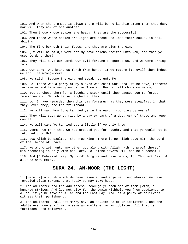101. And when the trumpet is blown there will be no kinship among them that day, nor will they ask of one another. 102. Then those whose scales are heavy, they are the successful. 103. And those whose scales are light are those who lose their souls, in hell abiding. 104. The fire burneth their faces, and they are glum therein. 105. [It will be said]: Were not My revelations recited unto you, and then ye used to deny them? 106. They will say: Our Lord! Our evil fortune conquered us, and we were erring folk. 107. Our Lord! Oh, bring us forth from hence! If we return [to evil] then indeed we shall be wrong-doers. 108. He saith: Begone therein, and speak not unto Me. 109. Lo! there was a party of My slaves who said: Our Lord! We believe, therefor forgive us and have mercy on us for Thou art Best of all who show mercy; 110. But ye chose them for a laughing-stock until they caused you to forget remembrance of Me, while ye laughed at them. 111. Lo! I have rewarded them this day forasmuch as they were steadfast in that they, even they, are the triumphant. 112. He will say: How long tarried ye in the earth, counting by years? 113. They will say: We tarried by a day or part of a day. Ask of those who keep count! 114. He will say: Ye tarried but a little if ye only knew. 115. Deemed ye then that We had created you for naught, and that ye would not be returned unto Us? 116. Now Allah be Exalted, the True King! There is no Allah save Him, the Lord of the Throne of Grace. 117. He who crieth unto any other god along with Allah hath no proof thereof. His reckoning is only with his Lord. Lo! disbelievers will not be successful. 118. And [O Muhammad] say: My Lord! Forgive and have mercy, for Thou art Best of all who show mercy. **SURA 24. AN-NOOR (THE LIGHT)**  1. [Here is] a surah which We have revealed and enjoined, and wherein We have revealed plain tokens, that haply ye may take heed.

2. The adulterer and the adulteress, scourge ye each one of them [with] a hundred stripes. And let not pity for the twain withhold you from obedience to Allah, if ye believe in Allah and the Last Day. And let a party of believers witness their punishment.

3. The adulterer shall not marry save an adulteress or an idolatress, and the adulteress none shall marry save an adulterer or an idolater. All that is forbidden unto believers.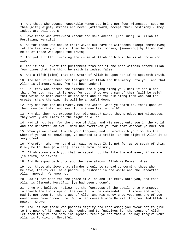4. And those who accuse honourable women but bring not four witnesses, scourge them [with] eighty stripes and never [afterward] accept their testimony - They indeed are evil-doers - 5. Save those who afterward repent and make amends. [For such] lo! Allah is Forgiving, Merciful. 6. As for those who accuse their wives but have no witnesses except themselves; let the testimony of one of them be four testimonies, [swearing] by Allah that he is of those who speak the truth; 7. And yet a fifth, invoking the curse of Allah on him if he is of those who lie. 8. And it shall avert the punishment from her if she bear witness before Allah four times that the thing he saith is indeed false, 9. And a fifth [time] that the wrath of Allah be upon her if he speaketh truth. 10. And had it not been for the grace of Allah and His mercy unto you, and that Allah is Clement, Wise, [ye had been undone]. 11. Lo! they who spread the slander are a gang among you. Deem it not a bad thing for you; nay, it is good for you. Unto every man of them [will be paid] that which he hath earned of the sin; and as for him among them who had the greater share therein, his will be an awful doom. 12. Why did not the believers, men and women, when ye heard it, think good of their own own folk, and say: It is a manifest untruth? 13. Why did they not produce four witnesses? Since they produce not witnesses, they verily are liars in the sight of Allah. 14. Had it not been for the grace of Allah and His mercy unto you in the world and the Hereafter an awful doom had overtaken you for that whereof ye murmured. 15. When ye welcomed it with your tongues, and uttered with your mouths that whereof ye had no knowledge, ye counted it a trifle. In the sight of Allah it is very great. 16. Wherefor, when ye heard it, said ye not: It is not for us to speak of this. Glory be to Thee [O Allah]! This is awful calumny. 17. Allah admonisheth you that ye repeat not the like thereof ever, if ye are [in truth] believers. 18. And He expoundeth unto you the revelations. Allah is Knower, Wise. 19. Lo! those who love that slander should be spread concerning those who believe, theirs will be a painful punishment in the world and the Hereafter. Allah knoweth. Ye know not. 20. Had it not been for the grace of Allah and His mercy unto you, and that Allah is Clement, Merciful, [ye had been undone]. 21. O ye who believe! Follow not the footsteps of the devil. Unto whomsoever followeth the footsteps of the devil, lo! he commandeth filthiness and wrong. Had it not been for the grace of Allah and His mercy unto you, not one of you would ever have grown pure. But Allah causeth whom He will to grow. And Allah is Hearer, Knower. 22. And let not those who possess dignity and ease among you swear not to give to the near of kin and to the needy, and to fugitives for the cause of Allah.

Let them forgive and show indulgence. Yearn ye not that Allah may forgive you? Allah is Forgiving, Merciful.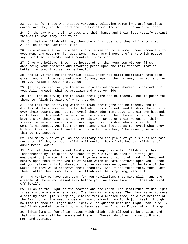23. Lo! as for those who traduce virtuous, believing women [who are] careless, cursed are they in the world and the Hereafter. Theirs will be an awful doom

24. On the day when their tongues and their hands and their feet testify against them as to what they used to do,

25. On that day Allah will pay them their just due, and they will know that Allah, He is the Manifest Truth.

26. Vile women are for vile men, and vile men for vile women. Good women are for good men, and good men for good women; such are innocent of that which people say: For them is pardon and a bountiful provision.

27. O ye who believe! Enter not houses other than your own without first announcing your presence and invoking peace upon the folk thereof. That is better for you, that ye may be heedful.

28. And if ye find no-one therein, still enter not until permission hath been given. And if it be said unto you: Go away again, then go away, for it is purer for you. Allah knoweth what ye do.

29. [It is] no sin for you to enter uninhabited houses wherein is comfort for you. Allah knoweth what ye proclaim and what ye hide.

30. Tell the believing men to lower their gaze and be modest. That is purer for them. Lo! Allah is aware of what they do.

31. And tell the believing women to lower their gaze and be modest, and to display of their adornment only that which is apparent, and to draw their veils over their bosoms, and not to reveal their adornment save to their own husbands or fathers or husbands' fathers, or their sons or their husbands' sons, or their brothers or their brothers' sons or sisters' sons, or their women, or their slaves, or male attendants who lack vigour, or children who know naught of women's nakedness. And let them not stamp their feet so as to reveal what they hide of their adornment. And turn unto Allah together, O believers, in order that ye may succeed.

32. And marry such of you as are solitary and the pious of your slaves and maidservants. If they be poor, Allah will enrich them of His bounty. Allah is of ample means, Aware.

33. And let those who cannot find a match keep chaste till Allah give them independence by His grace. And such of your slaves as seek a writing [of emancipation], write it for them if ye are aware of aught of good in them, and bestow upon them of the wealth of Allah which He hath bestowed upon you. Force not your slave-girls to whoredom that ye may seek enjoyment of the life of the world, if they would preserve their chastity. And if one force them, then [unto them], after their compulsion, lo! Allah will be Forgiving, Merciful.

34. And verily We have sent down for you revelations that make plain, and the example of those who passed away before you. An admonition unto those who ward off [evil].

35. Allah is the Light of the heavens and the earth. The similitude of His light is as a niche wherein is a lamp. The lamp is in a glass. The glass is as it were a shining star. [This lamp is] kindled from a blessed tree, an olive neither of the East nor of the West, whose oil would almost glow forth [of itself] though no fire touched it. Light upon light. Allah guideth unto His light whom He will. And Allah speaketh to mankind in allegories, for Allah is Knower of all things.

36. [This lamp is found] in houses which Allah hath allowed to be exalted and that His name shall be remembered therein. Therein do offer praise to Him at morn and evening.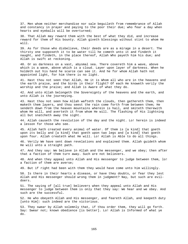37. Men whom neither merchandise nor sale beguileth from remembrance of Allah and constancy in prayer and paying to the poor their due; who fear a day when hearts and eyeballs will be overturned;

38. That Allah may reward them with the best of what they did, and increase reward for them of His bounty. Allah giveth blessings without stint to whom He will.

39. As for those who disbelieve, their deeds are as a mirage in a desert. The thirsty one supposeth it to be water till he cometh unto it and findeth it naught, and findeth, in the place thereof, Allah Who payeth him his due; and Allah is swift at reckoning.

40. Or as darkness on a vast, abysmal sea. There covereth him a wave, above which is a wave, above which is a cloud. Layer upon layer of darkness. When he holdeth out his hand he scarce can see it. And he for whom Allah hath not appointed light, for him there is no light.

41. Hast thou not seen that Allah, He it is Whom all who are in the heavens and the earth praise, and the birds in their flight? Of each He knoweth verily the worship and the praise; and Allah is Aware of what they do.

42. And unto Allah belongeth the Sovereignty of the heavens and the earth, and unto Allah is the journeying.

43. Hast thou not seen how Allah wafteth the clouds, then gathereth them, then maketh them layers, and thou seest the rain come forth from between them; He sendeth down from the heaven mountains wherein is hail, and smiteth therewith whom He will, and averteth it from whom He will. The flashing of His lightning all but snatcheth away the sight.

44. Allah causeth the revolution of the day and the night. Lo! herein is indeed a lesson for those who see.

45. Allah hath created every animal of water. Of them is [a kind] that goeth upon its belly and [a kind] that goeth upon two legs and [a kind] that goeth upon four. Allah createth what He will. Lo! Allah is Able to do all things.

46. Verily We have sent down revelations and explained them. Allah guideth whom He will unto a straight path.

47. And they say: We believe in Allah and the messenger, and we obey; then after that a faction of them turn away. Such are not believers.

48. And when they appeal unto Allah and His messenger to judge between them, lo! a faction of them are averse;

49. But if right had been with them they would have come unto him willingly.

50. Is there in their hearts a disease, or have they doubts, or fear they lest Allah and His messenger should wrong them in judgment? Nay, but such are evildoers.

51. The saying of [all true] believers when they appeal unto Allah and His messenger to judge between them is only that they say: We hear and we obey. And such are the successful.

52. He who obeyeth Allah and His messenger, and feareth Allah, and keepeth duty [unto Him]: such indeed are the victorious.

53. They swear by Allah solemnly that, if thou order them, they will go forth. Say: Swear not; known obedience [is better]. Lo! Allah is Informed of what ye do.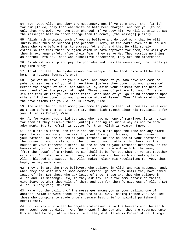54. Say: Obey Allah and obey the messenger. But if ye turn away, then [it is] for him [to do] only that wherewith he hath been charged, and for you [to do] only that wherewith ye have been charged. If ye obey him, ye will go aright. But the messenger hath no other charge than to convey [the message] plainly.

55. Allah hath promised such of you as believe and do good work that He will surely make them to succeed [the present rulers] in the earth even as He caused those who were before them to succeed [others]; and that He will surely establish for them their religion which He hath approved for them, and will give them in exchange safety after their fear. They serve Me. They ascribe no thing as partner unto Me. Those who disbelieve henceforth, they are the miscreants.

56. Establish worship and pay the poor-due and obey the messenger, that haply ye may find mercy.

57. Think not that the disbelievers can escape in the land. Fire will be their home - a hapless journey's end!

58. O ye who believe! Let your slaves, and those of you who have not come to puberty, ask leave of you at three times [before they come into your presence]: Before the prayer of dawn, and when ye lay aside your raiment for the heat of noon, and after the prayer of night. Three times of privacy for you. It is no sin for them or for you at other times, when some of you go round attendant upon others [if they come into your presence without leave]. Thus Allah maketh clear the revelations for you. Allah is Knower, Wise.

59. And when the children among you come to puberty then let them ask leave even as those before them used to ask it. Thus Allah maketh clear His revelations for you. Allah is Knower, Wise.

60. As for women past child-bearing, who have no hope of marriage, it is no sin for them if they discard their [outer] clothing in such a way as not to show adornment. But to refrain is better for them. Allah is Hearer, Knower.

61. No blame is there upon the blind nor any blame upon the lame nor any blame upon the sick nor on yourselves if ye eat from your houses, or the houses of your fathers, or the houses of your mothers, or the houses of your brothers, or the houses of your sisters, or the houses of your fathers' brothers, or the houses of your fathers' sisters, or the houses of your mothers' brothers, or the houses of your mothers' sisters, or [from that] whereof ye hold the keys, or [from the house] of a friend. No sin shall it be for you whether ye eat together or apart. But when ye enter houses, salute one another with a greeting from Allah, blessed and sweet. Thus Allah maketh clear His revelations for you, that haply ye may understand.

62. They only are the true believers who believe in Allah and His messenger and, when they are with him on some common errand, go not away until they have asked leave of him. Lo! those who ask leave of thee, those are they who believe in Allah and His messenger. So, if they ask thy leave for some affair of theirs, give leave to whom thou wilt of them, and ask for them forgiveness of Allah. Lo! Allah is Forgiving, Merciful.

63. Make not the calling of the messenger among you as your calling one of another. Allah knoweth those of you who steal away, hiding themselves. And let those who conspire to evade orders beware lest grief or painful punishment befall them.

64. Lo! verily unto Allah belongeth whatsoever is in the heavens and the earth. He knoweth your condition. And [He knoweth] the Day when they are returned unto Him so that He may inform them of what they did. Allah is Knower of all things.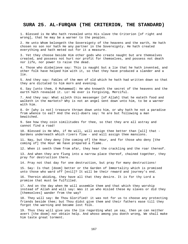### **SURA 25. AL-FURQAN (THE CRITERION, THE STANDARD)**

1. Blessed is He Who hath revealed unto His slave the Criterion [of right and wrong], that he may be a warner to the peoples.

2. He unto Whom belongeth the Sovereignty of the heavens and the earth, He hath chosen no son nor hath He any partner in the Sovereignty. He hath created everything and hath meted out for it a measure.

3. Yet they choose beside Him other gods who create naught but are themselves created, and possess not hurt nor profit for themselves, and possess not death nor life, nor power to raise the dead.

4. Those who disbelieve say: This is naught but a lie that he hath invented, and other folk have helped him with it, so that they have produced a slander and a lie.

5. And they say: Fables of the men of old which he hath had written down so that they are dictated to him morn and evening.

6. Say [unto them, O Muhammad]: He who knoweth the secret of the heavens and the earth hath revealed it. Lo! He ever is Forgiving, Merciful.

7. And they say: What aileth this messenger [of Allah] that he eateth food and walketh in the markets? Why is not an angel sent down unto him, to be a warner with him.

8. Or [why is not] treasure thrown down unto him, or why hath he not a paradise from whence to eat? And the evil-doers say: Ye are but following a man bewitched.

9. See how they coin similitudes for thee, so that they are all astray and cannot find a road!

10. Blessed is He Who, if He will, will assign thee better than [all] that - Gardens underneath which rivers flow - and will assign thee mansions.

11. Nay, but they deny [the coming of] the Hour, and for those who deny [the coming of] the Hour We have prepared a flame.

12. When it seeth them from afar, they hear the crackling and the roar thereof.

13. And when they are flung into a narrow place thereof, chained together, they pray for destruction there.

14. Pray not that day for one destruction, but pray for many destructions!

15. Say: Is that [doom] better or the Garden of Immortality which is promised unto those who ward off [evil]? It will be their reward and journey's end.

16. Therein abiding, they have all that they desire. It is for thy Lord a promise that must be fulfilled.

17. And on the day when He will assemble them and that which they worship instead of Allah and will say: Was it ye who misled these my slaves or did they [themselves] wander from the way?

18. They will say: Be Thou Glorified! it was not for us to choose any protecting friends beside thee; but Thou didst give them and their fathers ease till they forgot the warning and became lost folk.

19. Thus they will give you the lie regarding what ye say, then ye can neither avert [the doom] nor obtain help. And whoso among you doeth wrong, We shall make him taste great torment.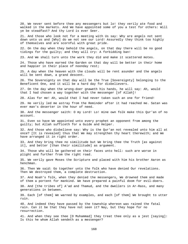20. We never sent before thee any messengers but lo! they verily ate food and walked in the markets. And We have appointed some of you a test for others: Will ye be steadfast? And thy Lord is ever Seer.

21. And those who look not for a meeting with Us say: Why are angels not sent down unto us and [Why] do we not see our Lord! Assuredly they think too highly of themselves and are scornful with great pride.

22. On the day when they behold the angels, on that day there will be no good tidings for the guilty; and they will cry: A forbidding ban!

23. And We shall turn unto the work they did and make it scattered motes.

24. Those who have earned the Garden on that day will be better in their home and happier in their place of noonday rest;

25. A day when the heaven with the clouds will be rent asunder and the angels will be sent down, a grand descent.

26. The Sovereignty on that day will be the True [Sovereignty] belonging to the Beneficent One, and it will be a hard day for disbelievers.

27. On the day when the wrong-doer gnaweth his hands, he will say: Ah, would that I had chosen a way together with the messenger [of Allah]!

28. Alas for me! Ah, would that I had never taken such an one for friend!

29. He verily led me astray from the Reminder after it had reached me. Satan was ever man's deserter in the hour of need.

30. And the messenger saith: O my Lord! Lo! mine own folk make this Qur'an of no account.

31. Even so have We appointed unto every prophet an opponent from among the guilty; but Allah sufficeth for a Guide and Helper.

32. And those who disbelieve say: Why is the Qur'an not revealed unto him all at once? [It is revealed] thus that We may strengthen thy heart therewith; and We have arranged it in right order.

33. And they bring thee no similitude but We bring thee the Truth [as against it], and better [than their similitude] as argument.

34. Those who will be gathered on their faces unto hell: such are worse in plight and further from the right road.

35. We verily gave Moses the Scripture and placed with him his brother Aaron as henchman.

36. Then We said: Go together unto the folk who have denied Our revelations. Then We destroyed them, a complete destruction.

37. And Noah's folk, when they denied the messengers, We drowned them and made of them a portent for mankind. We have prepared a painful doom for evil-doers.

38. And [the tribes of] A'ad and Thamud, and the dwellers in Ar-Rass, and many generations in between.

39. Each [of them] We warned by examples, and each [of them] We brought to utter ruin.

40. And indeed they have passed by the township whereon was rained the fatal rain. Can it be that they have not seen it? Nay, but they hope for no resurrection.

41. And when they see thee [O Muhammad] they treat thee only as a jest [saying]: Is this he whom Allah sendeth as a messenger?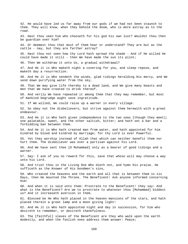42. He would have led us far away from our gods if we had not been staunch to them. They will know, when they behold the doom, who is more astray as to the road. 43. Hast thou seen him who chooseth for his god his own lust? Wouldst thou then be guardian over him? 44. Or deemest thou that most of them hear or understand? They are but as the cattle - nay, but they are farther astray? 45. Hast thou not seen how thy Lord hath spread the shade - And if He willed He could have made it still - then We have made the sun its pilot; 46. Then We withdraw it unto Us, a gradual withdrawal? 47. And He it is Who maketh night a covering for you, and sleep repose, and maketh day a resurrection. 48. And He it is Who sendeth the winds, glad tidings heralding His mercy, and We send down purifying water from the sky, 49. That We may give life thereby to a dead land, and We give many beasts and men that We have created to drink thereof. 50. And verily We have repeated it among them that they may remember, but most of mankind begrudge aught save ingratitude. 51. If We willed, We could raise up a warner in every village. 52. So obey not the disbelievers, but strive against them herewith with a great endeavour. 53. And He it is Who hath given independence to the two seas [though they meet]; one palatable, sweet, and the other saltish, bitter; and hath set a bar and a forbidding ban between them. 54. And He it is Who hath created man from water, and hath appointed for him kindred by blood and kindred by marriage; for thy Lord is ever Powerful. 55. Yet they worship instead of Allah that which can neither benefit them nor hurt them. The disbeliever was ever a partisan against his Lord. 56. And We have sent thee [O Muhammad] only as a bearer of good tidings and a warner. 57. Say: I ask of you no reward for this, save that whoso will may choose a way unto his Lord. 58. And trust thou in the Living One Who dieth not, and hymn His praise. He sufficeth as the Knower of His bondmen's sins, 59. Who created the heavens and the earth and all that is between them in six Days, then He mounted the Throne. The Beneficent! Ask anyone informed concerning Him! 60. And when it is said unto them: Prostrate to the Beneficent! they say: And what is the Beneficent? Are we to prostrate to whatever thou [Muhammad] biddest us? And it increaseth aversion in them. 61. Blessed be He Who hath placed in the heaven mansions of the stars, and hath placed therein a great lamp and a moon giving light! 62. And He it is Who hath appointed night and day in succession, for him who desireth to remember, or desireth thankfulness. 63. The [faithful] slaves of the Beneficent are they who walk upon the earth modestly, and when the foolish ones address them answer: Peace;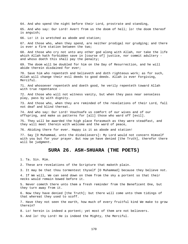64. And who spend the night before their Lord, prostrate and standing,

65. And who say: Our Lord! Avert from us the doom of hell; lo! the doom thereof is anguish;

66. Lo! it is wretched as abode and station;

67. And those who, when they spend, are neither prodigal nor grudging; and there is ever a firm station between the two;

68. And those who cry not unto any other god along with Allah, nor take the life which Allah hath forbidden save in [course of] justice, nor commit adultery and whoso doeth this shall pay the penalty;

69. The doom will be doubled for him on the Day of Resurrection, and he will abide therein disdained for ever;

70. Save him who repenteth and believeth and doth righteous work; as for such, Allah will change their evil deeds to good deeds. Allah is ever Forgiving, Merciful.

71. And whosoever repenteth and doeth good, he verily repenteth toward Allah with true repentance -

72. And those who will not witness vanity, but when they pass near senseless play, pass by with dignity.

73. And those who, when they are reminded of the revelations of their Lord, fall not deaf and blind thereat.

74. And who say: Our Lord! Vouchsafe us comfort of our wives and of our offspring, and make us patterns for [all] those who ward off [evil].

75. They will be awarded the high place forasmuch as they were steadfast, and they will meet therein with welcome and the ward of peace,

76. Abiding there for ever. Happy is it as abode and station!

77. Say [O Muhammad, unto the disbelievers]: My Lord would not concern Himself with you but for your prayer. But now ye have denied [the Truth], therefor there will be judgment.

# **SURA 26. ASH-SHUARA (THE POETS)**

1. Ta. Sin. Mim.

2. These are revelations of the Scripture that maketh plain.

3. It may be that thou tormentest thyself [O Muhammad] because they believe not.

4. If We will, We can send down on them from the sky a portent so that their necks would remain bowed before it.

5. Never cometh there unto them a fresh reminder from the Beneficent One, but they turn away from it.

6. Now they have denied [the Truth]; but there will come unto them tidings of that whereat they used to scoff.

7. Have they not seen the earth, how much of every fruitful kind We make to grow therein?

8. Lo! herein is indeed a portent; yet most of them are not believers.

9. And lo! thy Lord! He is indeed the Mighty, the Merciful.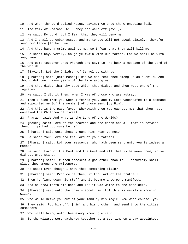10. And when thy Lord called Moses, saying: Go unto the wrongdoing folk, 11. The folk of Pharaoh. Will they not ward off [evil]? 12. He said: My Lord! Lo! I fear that they will deny me, 13. And I shall be embarrassed, and my tongue will not speak plainly, therefor send for Aaron [to help me]. 14. And they have a crime against me, so I fear that they will kill me. 15. He said: Nay, verily. So go ye twain with Our tokens. Lo! We shall be with you, Hearing. 16. And come together unto Pharaoh and say: Lo! we bear a message of the Lord of the Worlds, 17. [Saying]: Let the Children of Israel go with us. 18. [Pharaoh] said [unto Moses]: Did we not rear thee among us as a child? And thou didst dwell many years of thy life among us, 19. And thou didst that thy deed which thou didst, and thou wast one of the ingrates. 20. He said: I did it then, when I was of those who are astray. 21. Then I fled from you when I feared you, and my Lord vouchsafed me a command and appointed me [of the number] of those sent [by Him]. 22. And this is the past favour wherewith thou reproachest me: that thou hast enslaved the Children of Israel. 23. Pharaoh said: And what is the Lord of the Worlds? 24. [Moses] said: Lord of the heavens and the earth and all that is between them, if ye had but sure belief. 25. [Pharaoh] said unto those around him: Hear ye not? 26. He said: Your Lord and the Lord of your fathers. 27. [Pharaoh] said: Lo! your messenger who hath been sent unto you is indeed a madman! 28. He said: Lord of the East and the West and all that is between them, if ye did but understand. 29. [Pharaoh] said: If thou choosest a god other than me, I assuredly shall place thee among the prisoners. 30. He said: Even though I show thee something plain? 31. [Pharaoh] said: Produce it then, if thou art of the truthful! 32. Then he flung down his staff and it became a serpent manifest, 33. And he drew forth his hand and lo! it was white to the beholders. 34. [Pharaoh] said unto the chiefs about him: Lo! this is verily a knowing wizard, 35. Who would drive you out of your land by his magic. Now what counsel ye? 36. They said: Put him off, [him] and his brother, and send into the cities summoners 37. Who shall bring unto thee every knowing wizard. 38. So the wizards were gathered together at a set time on a day appointed.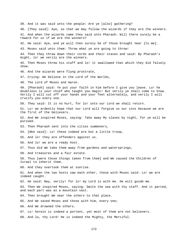39. And it was said unto the people: Are ye [also] gathering? 40. [They said]: Aye, so that we may follow the wizards if they are the winners. 41. And when the wizards came they said unto Pharaoh: Will there surely be a reward for us if we are the winners? 42. He said: Aye, and ye will then surely be of those brought near [to me]. 43. Moses said unto them: Throw what ye are going to throw! 44. Then they threw down their cords and their staves and said: By Pharaoh's might, lo! we verily are the winners. 45. Then Moses threw his staff and lo! it swallowed that which they did falsely show. 46. And the wizards were flung prostrate, 47. Crying: We believe in the Lord of the Worlds, 48. The Lord of Moses and Aaron. 49. [Pharaoh] said: Ye put your faith in him before I give you leave. Lo! he doubtless is your chief who taught you magic! But verily ye shall come to know. Verily I will cut off your hands and your feet alternately, and verily I will crucify you every one. 50. They said: It is no hurt, for lo! unto our Lord we shall return. 51. Lo! we ardently hope that our Lord will forgive us our sins because we are the first of the believers. 52. And We inspired Moses, saying: Take away My slaves by night, for ye will be pursued. 53. Then Pharaoh sent into the cities summoners, 54. [Who said]: Lo! these indeed are but a little troop, 55. And lo! they are offenders against us. 56. And lo! we are a ready host. 57. Thus did We take them away from gardens and watersprings, 58. And treasures and a fair estate. 59. Thus [were those things taken from them] and We caused the Children of Israel to inherit them. 60. And they overtook them at sunrise. 61. And when the two hosts saw each other, those with Moses said: Lo! we are indeed caught. 62. He said: Nay, verily! for lo! my Lord is with me. He will guide me. 63. Then We inspired Moses, saying: Smite the sea with thy staff. And it parted, and each part was as a mountain vast. 64. Then brought We near the others to that place. 65. And We saved Moses and those with him, every one; 66. And We drowned the others. 67. Lo! herein is indeed a portent, yet most of them are not believers. 68. And lo, thy Lord! He is indeed the Mighty, the Merciful.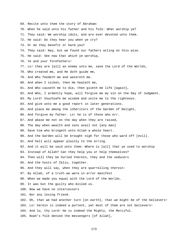- 69. Recite unto them the story of Abraham:
- 70. When he said unto his father and his folk: What worship ye?
- 71. They said: We worship idols, and are ever devoted unto them.
- 72. He said: Do they hear you when ye cry?
- 73. Or do they benefit or harm you?
- 74. They said: Nay, but we found our fathers acting on this wise.
- 75. He said: See now that which ye worship,
- 76. Ye and your forefathers!
- 77. Lo! they are [all] an enemy unto me, save the Lord of the Worlds,
- 78. Who created me, and He doth guide me,
- 79. And Who feedeth me and watereth me.
- 80. And when I sicken, then He healeth me,
- 81. And Who causeth me to die, then giveth me life [again],
- 82. And Who, I ardently hope, will forgive me my sin on the Day of Judgment.
- 83. My Lord! Vouchsafe me wisdom and unite me to the righteous.
- 84. And give unto me a good report in later generations.
- 85. And place me among the inheritors of the Garden of Delight,
- 86. And forgive my father. Lo! he is of those who err.
- 87. And abase me not on the day when they are raised,
- 88. The day when wealth and sons avail not [any man]
- 89. Save him who bringeth unto Allah a whole heart.
- 90. And the Garden will be brought nigh for those who ward off [evil].
- 91. And hell will appear plainly to the erring.
- 92. And it will be said unto them: Where is [all] that ye used to worship
- 93. Instead of Allah? Can they help you or help themselves?
- 94. Then will they be hurled therein, they and the seducers
- 95. And the hosts of Iblis, together.
- 96. And they will say, when they are quarrelling therein:
- 97. By Allah, of a truth we were in error manifest
- 98. When we made you equal with the Lord of the Worlds.
- 99. It was but the guilty who misled us.
- 100. Now we have no intercessors
- 101. Nor any loving friend.
- 102. Oh, that we had another turn [on earth], that we might be of the believers! 103. Lo! herein is indeed a portent, yet most of them are not believers!
- 104. And lo, thy Lord! He is indeed the Mighty, the Merciful.
- 105. Noah's folk denied the messengers [of Allah],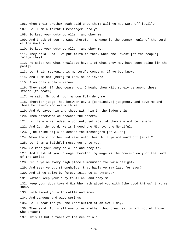106. When their brother Noah said unto them: Will ye not ward off [evil]? 107. Lo! I am a faithful messenger unto you, 108. So keep your duty to Allah, and obey me. 109. And I ask of you no wage therefor; my wage is the concern only of the Lord of the Worlds. 110. So keep your duty to Allah, and obey me. 111. They said: Shall we put faith in thee, when the lowest [of the people] follow thee? 112. He said: And what knowledge have I of what they may have been doing [in the past]? 113. Lo! their reckoning is my Lord's concern, if ye but knew; 114. And I am not [here] to repulse believers. 115. I am only a plain warner. 116. They said: If thou cease not, O Noah, thou wilt surely be among those stoned [to death]. 117. He said: My Lord! Lo! my own folk deny me. 118. Therefor judge Thou between us, a [conclusive] judgment, and save me and those believers who are with me. 119. And We saved him and those with him in the laden ship. 120. Then afterward We drowned the others. 121. Lo! herein is indeed a portent, yet most of them are not believers. 122. And lo, thy Lord, He is indeed the Mighty, the Merciful. 123. [The tribe of] A'ad denied the messengers [of Allah]. 124. When their brother Hud said unto them: Will ye not ward off [evil]? 125. Lo! I am a faithful messenger unto you, 126. So keep your duty to Allah and obey me. 127. And I ask of you no wage therefor; my wage is the concern only of the Lord of the Worlds. 128. Build ye on every high place a monument for vain delight? 129. And seek ye out strongholds, that haply ye may last for ever? 130. And if ye seize by force, seize ye as tyrants? 131. Rather keep your duty to Allah, and obey me. 132. Keep your duty toward Him Who hath aided you with [the good things] that ye know, 133. Hath aided you with cattle and sons. 134. And gardens and watersprings. 135. Lo! I fear for you the retribution of an awful day. 136. They said: It is all one to us whether thou preachest or art not of those who preach; 137. This is but a fable of the men of old,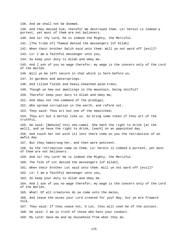138. And we shall not be doomed. 139. And they denied him; therefor We destroyed them. Lo! herein is indeed a portent, yet most of them are not believers. 140. And lo! thy Lord, He is indeed the Mighty, the Merciful. 141. [The tribe of] Thamud denied the messengers [of Allah] 142. When their brother Salih said unto them: Will ye not ward off [evil]? 143. Lo! I am a faithful messenger unto you, 144. So keep your duty to Allah and obey me. 145. And I ask of you no wage therefor; my wage is the concern only of the Lord of the Worlds. 146. Will ye be left secure in that which is here before us, 147. In gardens and watersprings. 148. And tilled fields and heavy-sheathed palm-trees, 149. Though ye hew out dwellings in the mountain, being skilful? 150. Therefor keep your duty to Allah and obey me, 151. And obey not the command of the prodigal, 152. Who spread corruption in the earth, and reform not. 153. They said: Thou art but one of the bewitched; 154. Thou art but a mortal like us. So bring some token if thou art of the truthful. 155. He said: [Behold] this she-camel. She hath the right to drink [at the well], and ye have the right to drink, [each] on an appointed day. 156. And touch her not with ill lest there come on you the retribution of an awful day. 157. But they hamstrung her, and then were penitent. 158. So the retribution came on them. Lo! herein is indeed a portent, yet most of them are not believers. 159. And lo! thy Lord! He is indeed the Mighty, the Merciful. 160. The folk of Lot denied the messengers [of Allah], 161. When their brother Lot said unto them: Will ye not ward off [evil]? 162. Lo! I am a faithful messenger unto you, 163. So keep your duty to Allah and obey me. 164. And I ask of you no wage therefor; my wage is the concern only of the Lord of the Worlds. 165. What! Of all creatures do ye come unto the males, 166. And leave the wives your Lord created for you? Nay, but ye are froward folk. 167. They said: If thou cease not, O Lot, thou wilt soon be of the outcast. 168. He said: I am in truth of those who hate your conduct. 169. My Lord! Save me and my household from what they do.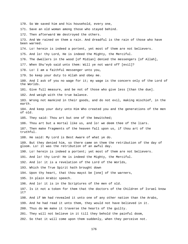170. So We saved him and his household, every one, 171. Save an old woman among those who stayed behind. 172. Then afterward We destroyed the others. 173. And We rained on them a rain. And dreadful is the rain of those who have been warned. 174. Lo! herein is indeed a portent, yet most of them are not believers. 175. And lo! thy Lord, He is indeed the Mighty, the Merciful. 176. The dwellers in the wood [of Midian] denied the messengers [of Allah], 177. When Shu'eyb said unto them: Will ye not ward off [evil]? 178. Lo! I am a faithful messenger unto you, 179. So keep your duty to Allah and obey me. 180. And I ask of you no wage for it; my wage is the concern only of the Lord of the Worlds. 181. Give full measure, and be not of those who give less [than the due]. 182. And weigh with the true balance. 183. Wrong not mankind in their goods, and do not evil, making mischief, in the earth. 184. And keep your duty unto Him Who created you and the generations of the men of old. 185. They said: Thou art but one of the bewitched; 186. Thou art but a mortal like us, and lo! we deem thee of the liars. 187. Then make fragments of the heaven fall upon us, if thou art of the truthful. 188. He said: My Lord is Best Aware of what ye do. 189. But they denied him, so there came on them the retribution of the day of gloom. Lo! it was the retribution of an awful day. 190. Lo! herein is indeed a portent; yet most of them are not believers. 191. And lo! thy Lord! He is indeed the Mighty, the Merciful. 192. And lo! it is a revelation of the Lord of the Worlds, 193. Which the True Spirit hath brought down 194. Upon thy heart, that thou mayst be [one] of the warners, 195. In plain Arabic speech. 196. And lo! it is in the Scriptures of the men of old. 197. Is it not a token for them that the doctors of the Children of Israel know it? 198. And if We had revealed it unto one of any other nation than the Arabs, 199. And he had read it unto them, they would not have believed in it. 200. Thus do We make it traverse the hearts of the guilty. 201. They will not believe in it till they behold the painful doom, 202. So that it will come upon them suddenly, when they perceive not.

176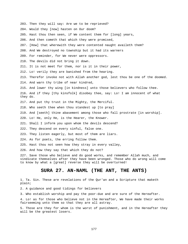203. Then they will say: Are we to be reprieved? 204. Would they [now] hasten on Our doom? 205. Hast thou then seen, if We content them for [long] years, 206. And then cometh that which they were promised, 207. [How] that wherewith they were contented naught availeth them? 208. And We destroyed no township but it had its warners 209. For reminder, for We never were oppressors. 210. The devils did not bring it down. 211. It is not meet for them, nor is it in their power, 212. Lo! verily they are banished from the hearing. 213. Therefor invoke not with Allah another god, lest thou be one of the doomed. 214. And warn thy tribe of near kindred, 215. And lower thy wing [in kindness] unto those believers who follow thee. 216. And if they [thy kinsfolk] disobey thee, say: Lo! I am innocent of what they do. 217. And put thy trust in the Mighty, the Merciful. 218. Who seeth thee when thou standest up [to pray] 219. And [seeth] thine abasement among those who fall prostrate [in worship]. 220. Lo! He, only He, is the Hearer, the Knower. 221. Shall I inform you upon whom the devils descend? 222. They descend on every sinful, false one. 223. They listen eagerly, but most of them are liars. 224. As for poets, the erring follow them. 225. Hast thou not seen how they stray in every valley, 226. And how they say that which they do not? 227. Save those who believe and do good works, and remember Allah much, and vindicate themselves after they have been wronged. Those who do wrong will come to know by what a [great] reverse they will be overturned! **SURA 27. AN-NAML (THE ANT, THE ANTS)** 

1. Ta. Sin. These are revelations of the Qur'an and a Scripture that maketh plain;

2. A guidance and good tidings for believers

3. Who establish worship and pay the poor-due and are sure of the Hereafter.

4. Lo! as for those who believe not in the Hereafter, We have made their works fairseeming unto them so that they are all astray.

5. Those are they for whom is the worst of punishment, and in the Hereafter they will be the greatest losers.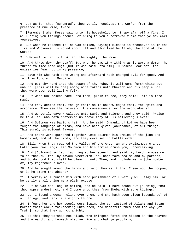6. Lo! as for thee [Muhammad], thou verily receivest the Qur'an from the presence of One Wise, Aware.

7. [Remember] when Moses said unto his household: Lo! I spy afar off a fire; I will bring you tidings thence, or bring to you a borrowed flame that ye may warm yourselves.

8. But when he reached it, he was called, saying: Blessed is Whosoever is in the fire and Whosoever is round about it! And Glorified be Allah, the Lord of the Worlds!

9. O Moses! Lo! it is I, Allah, the Mighty, the Wise.

10. And throw down thy staff! But when he saw it writhing as it were a demon, he turned to flee headlong; [but it was said unto him]: O Moses! Fear not! the emissaries fear not in My presence,

11. Save him who hath done wrong and afterward hath changed evil for good. And lo! I am Forgiving, Merciful.

12. And put thy hand into the bosom of thy robe, it will come forth white but unhurt. [This will be one] among nine tokens unto Pharaoh and his people Lo! they were ever evil-living folk.

13. But when Our tokens came unto them, plain to see, they said: This is mere magic,

14. And they denied them, though their souls acknowledged them, for spite and arrogance. Then see the nature of the consequence for the wrong-doers!

15. And We verily gave knowledge unto David and Solomon, and they said: Praise be to Allah, Who hath preferred us above many of His believing slaves!

16. And Solomon was David's heir. And he said: O mankind! Lo! we have been taught the language of birds, and have been given [abundance] of all things. This surely is evident favour.

17. And there were gathered together unto Solomon his armies of the jinn and humankind, and of the birds, and they were set in battle order;

18. Till, when they reached the Valley of the Ants, an ant exclaimed: O ants! Enter your dwellings lest Solomon and his armies crush you, unperceiving.

19. And [Solomon] smiled, laughing at her speech, and said: My Lord, arouse me to be thankful for Thy favour wherewith Thou hast favoured me and my parents, and to do good that shall be pleasing unto Thee, and include me in [the number of] Thy righteous slaves.

20. And he sought among the birds and said: How is it that I see not the hoopoe, or is he among the absent?

21. I verily will punish him with hard punishment or I verily will slay him, or he verily shall bring me a plain excuse.

22. But he was not long in coming, and he said: I have found out [a thing] that thou apprehendest not, and I come unto thee from Sheba with sure tidings.

23. Lo! I found a woman ruling over them, and she hath been given [abundance] of all things, and hers is a mighty throne.

24. I found her and her people worshipping the sun instead of Allah; and Satan maketh their works fairseeming unto them, and debarreth them from the way [of Truth], so that they go not aright;

25. So that they worship not Allah, Who bringeth forth the hidden in the heavens and the earth, and knoweth what ye hide and what ye proclaim,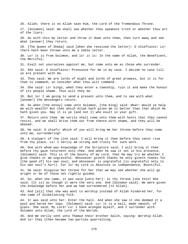26. Allah; there is no Allah save Him, the Lord of the Tremendous Throne. 27. [Solomon] said: We shall see whether thou speakest truth or whether thou art of the liars. 28. Go with this my letter and throw it down unto them; then turn away and see what [answer] they return, 29. [The Queen of Sheba] said [when she received the letter]: O chieftains! Lo! there hath been thrown unto me a noble letter. 30. Lo! it is from Solomon, and lo! it is: In the name of Allah, the Beneficent, the Merciful; 31. Exalt not yourselves against me, but come unto me as those who surrender. 32. She said: O chieftains! Pronounce for me in my case. I decide no case till ye are present with me. 33. They said: We are lords of might and lords of great prowess, but it is for thee to command; so consider what thou wilt command. 34. She said: Lo! kings, when they enter a township, ruin it and make the honour of its people shame. Thus will they do. 35. But lo! I am going to send a present unto them, and to see with what [answer] the messengers return. 36. So when [the envoy] came unto Solomon, [the King] said: What! Would ye help me with wealth? But that which Allah hath given me is better than that which He hath given you. Nay it is ye [and not I] who exult in your gift. 37. Return unto them. We verily shall come unto them with hosts that they cannot resist, and we shall drive them out from thence with shame, and they will be abased. 38. He said: O chiefs! Which of you will bring me her throne before they come unto me, surrendering? 39. A stalwart of the jinn said: I will bring it thee before thou canst rise from thy place. Lo! I verily am strong and trusty for such work. 40. One with whom was knowledge of the Scripture said: I will bring it thee before thy gaze returneth unto thee. And when he saw it set in his presence, [Solomon] said: This is of the bounty of my Lord, that He may try me whether I give thanks or am ungrateful. Whosoever giveth thanks he only giveth thanks for [the good of] his own soul; and whosoever is ungrateful [is ungrateful only to his own soul's hurt]. For lo! my Lord is Absolute in independence, Bountiful. 41. He said: Disguise her throne for her that we may see whether she will go aright or be of those not rightly guided. 42. So, when she came, it was said [unto her]: Is thy throne like this? She said: [It is] as though it were the very one. And [Solomon said]: We were given the knowledge before her and we had surrendered [to Allah]. 43. And [all] that she was wont to worship instead of Allah hindered her, for she came of disbelieving folk. 44. It was said unto her: Enter the hall. And when she saw it she deemed it a pool and bared her legs. [Solomon] said: Lo! it is a hall, made smooth, of glass. She said: My Lord! Lo! I have wronged myself, and I surrender with Solomon unto Allah, the Lord of the Worlds.

45. And We verily sent unto Thamud their brother Salih, saying: Worship Allah. And lo! they [then became two parties quarrelling.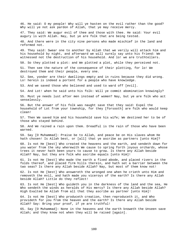46. He said: O my people! Why will ye hasten on the evil rather than the good? Why will ye not ask pardon of Allah, that ye may receive mercy.

47. They said: We augur evil of thee and those with thee. He said: Your evil augury is with Allah. Nay, but ye are folk that are being tested.

48. And there were in the city nine persons who made mischief in the land and reformed not.

49. They said: Swear one to another by Allah that we verily will attack him and his household by night, and afterward we will surely say unto his friend: We witnessed not the destruction of his household. And lo! we are truthtellers.

50. So they plotted a plot: and We plotted a plot, while they perceived not.

51. Then see the nature of the consequence of their plotting, for lo! We destroyed them and their people, every one.

52. See, yonder are their dwellings empty and in ruins because they did wrong. Lo! herein is indeed a portent for a people who have knowledge.

53. And we saved those who believed and used to ward off [evil].

54. And Lot! when he said unto his folk: Will ye commit abomination knowingly?

55. Must ye needs lust after men instead of women? Nay, but ye are folk who act senselessly.

56. But the answer of his folk was naught save that they said: Expel the household of Lot from your township, for they [forsooth] are folk who would keep clean!

57. Then We saved him and his household save his wife; We destined her to be of those who stayed behind.

58. And We rained a rain upon them. Dreadful is the rain of those who have been warned.

59. Say [O Muhammad]: Praise be to Allah, and peace be on His slaves whom He hath chosen! Is Allah best, or [all] that ye ascribe as partners [unto Him]?

60. Is not He [best] Who created the heavens and the earth, and sendeth down for you water from the sky wherewith We cause to spring forth joyous orchards, whose trees it never hath been yours to cause to grow. Is there any Allah beside Allah? Nay, but they are folk who ascribe equals [unto Him]!

61. Is not He [best] Who made the earth a fixed abode, and placed rivers in the folds thereof, and placed firm hills therein, and hath set a barrier between the two seas? Is there any Allah beside Allah? Nay, but most of them know not!

62. Is not He [best] Who answereth the wronged one when he crieth unto Him and removeth the evil, and hath made you viceroys of the earth? Is there any Allah beside Allah? Little do they reflect!

63. Is not He [best] Who guideth you in the darkness of the land and the sea, He Who sendeth the winds as heralds of His mercy? Is there any Allah beside Allah? High Exalted be Allah from all that they ascribe as partner [unto Him]!

64. Is not He [best] Who produceth creation, then reproduceth it, and Who provideth for you from the heaven and the earth? Is there any Allah beside Allah? Say: Bring your proof, if ye are truthful!

65. Say [O Muhammad]: None in the heavens and the earth knoweth the Unseen save Allah; and they know not when they will be raised [again].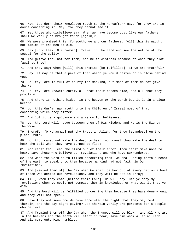66. Nay, but doth their knowledge reach to the Hereafter? Nay, for they are in doubt concerning it. Nay, for they cannot see it. 67. Yet those who disbelieve say: When we have become dust like our fathers, shall we verily be brought forth [again]? 68. We were promised this, forsooth, we and our fathers. [All] this is naught but fables of the men of old. 69. Say [unto them, O Muhammad]: Travel in the land and see the nature of the sequel for the guilty! 70. And grieve thou not for them, nor be in distress because of what they plot [against thee]. 71. And they say: When [will] this promise [be fulfilled], if ye are truthful? 72. Say: It may be that a part of that which ye would hasten on is close behind you. 73. Lo! thy Lord is full of bounty for mankind, but most of them do not give thanks. 74. Lo! thy Lord knoweth surely all that their bosoms hide, and all that they proclaim. 75. And there is nothing hidden in the heaven or the earth but it is in a clear Record. 76. Lo! this Qur'an narrateth unto the Children of Israel most of that concerning which they differ. 77. And lo! it is a guidance and a mercy for believers. 78. Lo! thy Lord will judge between them of His wisdom, and He is the Mighty, the Wise. 79. Therefor [O Muhammad] put thy trust in Allah, for thou [standest] on the plain Truth. 80. Lo! thou canst not make the dead to hear, nor canst thou make the deaf to hear the call when they have turned to flee; 81. Nor canst thou lead the blind out of their error. Thou canst make none to hear, save those who believe Our revelations and who have surrendered. 82. And when the word is fulfilled concerning them, We shall bring forth a beast of the earth to speak unto them because mankind had not faith in Our revelations. 83. And [remind them of] the Day when We shall gather out of every nation a host of those who denied Our revelations, and they will be set in array; 84. Till, when they come [before their Lord], He will say: Did ye deny My revelations when ye could not compass them in knowledge, or what was it that ye did? 85. And the Word will be fulfilled concerning them because they have done wrong, and they will not speak. 86. Have they not seen how We have appointed the night that they may rest therein, and the day sight-giving? Lo! therein verily are portents for a people who believe. 87. And [remind them of] the Day when the Trumpet will be blown, and all who are in the heavens and the earth will start in fear, save him whom Allah willeth. And all come unto Him, humbled.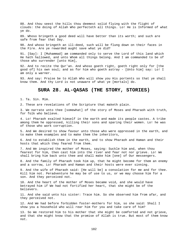88. And thou seest the hills thou deemest solid flying with the flight of clouds: the doing of Allah Who perfecteth all things. Lo! He is Informed of what ye do.

89. Whoso bringeth a good deed will have better than its worth; and such are safe from fear that Day.

90. And whoso bringeth an ill-deed, such will be flung down on their faces in the Fire. Are ye rewarded aught save what ye did?

91. [Say]: I [Muhammad] am commanded only to serve the Lord of this land which He hath hallowed, and unto Whom all things belong. And I am commanded to be of those who surrender [unto Him],

92. And to recite the Qur'an. And whoso goeth right, goeth right only for [the good of] his own soul; and as for him who goeth astray - [Unto him] say: Lo! I am only a warner.

93. And say: Praise be to Allah Who will show you His portents so that ye shall know them. And thy Lord is not unaware of what ye [mortals] do.

# **SURA 28. AL-QASAS (THE STORY, STORIES)**

1. Ta. Sin. Mim.

2. These are revelations of the Scripture that maketh plain.

3. We narrate unto thee [somewhat] of the story of Moses and Pharaoh with truth, for folk who believe.

4. Lo! Pharaoh exalted himself in the earth and made its people castes. A tribe among them he oppressed, killing their sons and sparing their women. Lo! he was of those who work corruption.

5. And We desired to show favour unto those who were oppressed in the earth, and to make them examples and to make them the inheritors,

6. And to establish them in the earth, and to show Pharaoh and Haman and their hosts that which they feared from them.

7. And We inspired the mother of Moses, saying: Suckle him and, when thou fearest for him, then cast him into the river and fear not nor grieve. Lo! We shall bring him back unto thee and shall make him [one] of Our messengers.

8. And the family of Pharaoh took him up, that he might become for them an enemy and a sorrow, Lo! Pharaoh and Haman and their hosts were ever sinning.

9. And the wife of Pharaoh said: [He will be] a consolation for me and for thee. Kill him not. Peradventure he may be of use to us, or we may choose him for a son. And they perceived not.

10. And the heart of the mother of Moses became void, and she would have betrayed him if We had not fortified her heart, that she might be of the believers.

11. And she said unto his sister: Trace him. So she observed him from afar, and they perceived not.

12. And We had before forbidden foster-mothers for him, so she said: Shall I show you a household who will rear him for you and take care of him?

13. So We restored him to his mother that she might be comforted and not grieve, and that she might know that the promise of Allah is true. But most of them know not.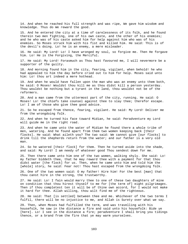14. And when he reached his full strength and was ripe, We gave him wisdom and knowledge. Thus do We reward the good.

15. And he entered the city at a time of carelessness of its folk, and he found therein two men fighting, one of his own caste, and the other of his enemies; and he who was of his caste asked him for help against him who was of his enemies. So Moses struck him with his fist and killed him. He said: This is of the devil's doing. Lo! he is an enemy, a mere misleader.

16. He said: My Lord! Lo! I have wronged my soul, so forgive me. Then He forgave him. Lo! He is the Forgiving, the Merciful.

17. He said: My Lord! Forasmuch as Thou hast favoured me, I will nevermore be a supporter of the guilty.

18. And morning found him in the city, fearing, vigilant, when behold! he who had appealed to him the day before cried out to him for help. Moses said unto him: Lo! thou art indeed a mere hothead.

19. And when he would have fallen upon the man who was an enemy unto them both, he said: O Moses! Wouldst thou kill me as thou didst kill a person yesterday. Thou wouldst be nothing but a tyrant in the land, thou wouldst not be of the reformers.

20. And a man came from the uttermost part of the city, running. He said: O Moses! Lo! the chiefs take counsel against thee to slay thee; therefor escape. Lo! I am of those who give thee good advice.

21. So he escaped from thence, fearing, vigilant. He said: My Lord! Deliver me from the wrongdoing folk.

22. And when he turned his face toward Midian, he said: Peradventure my Lord will guide me in the right road.

23. And when he came unto the water of Midian he found there a whole tribe of men, watering. And he found apart from them two women keeping back [their flocks]. He said: What aileth you? The two said: We cannot give [our flocks] to drink till the shepherds return from the water; and our father is a very old man.

24. So he watered [their flock] for them. Then he turned aside into the shade, and said: My Lord! I am needy of whatever good Thou sendest down for me.

25. Then there came unto him one of the two women, walking shyly. She said: Lo! my father biddeth thee, that he may reward thee with a payment for that thou didst water [the flock] for us. Then, when he came unto him and told him the [whole] story, he said: Fear not! Thou hast escaped from the wrongdoing folk.

26. One of the two women said: O my father! Hire him! For the best [man] that thou canst hire in the strong, the trustworthy.

27. He said: Lo! I fain would marry thee to one of these two daughters of mine on condition that thou hirest thyself to me for [the term of] eight pilgrimages. Then if thou completest ten it will be of thine own accord, for I would not make it hard for thee. Allah willing, thou wilt find me of the righteous.

28. He said: That [is settled] between thee and me. Whichever of the two terms I fulfil, there will be no injustice to me, and Allah is Surety over what we say.

29. Then, when Moses had fulfilled the term, and was travelling with his housefolk, he saw in the distance a fire and said unto his housefolk: Bide ye [here]. Lo! I see in the distance a fire; peradventure I shall bring you tidings thence, or a brand from the fire that ye may warm yourselves.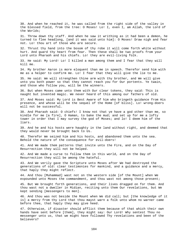30. And when he reached it, he was called from the right side of the valley in the blessed field, from the tree: O Moses! Lo! I, even I, am Allah, the Lord of the Worlds;

31. Throw down thy staff. And when he saw it writhing as it had been a demon, he turned to flee headlong, [and it was said unto him]: O Moses! Draw nigh and fear not. Lo! thou art of those who are secure.

32. Thrust thy hand into the bosom of thy robe it will come forth white without hurt. And guard thy heart from fear. Then these shall be two proofs from your Lord unto Pharaoh and his chiefs. Lo! they are evil-living folk.

33. He said: My Lord! Lo! I killed a man among them and I fear that they will kill me.

34. My brother Aaron is more eloquent than me in speech. Therefor send him with me as a helper to confirm me. Lo! I fear that they will give the lie to me.

35. He said: We will strengthen thine arm with thy brother, and We will give unto you both power so that they cannot reach you for Our portents. Ye twain, and those who follow you, will be the winners.

36. But when Moses came unto them with Our clear tokens, they said: This is naught but invented magic. We never heard of this among our fathers of old.

37. And Moses said: My Lord is Best Aware of him who bringeth guidance from His presence, and whose will be the sequel of the Home [of bliss]. Lo! wrong-doers will not be successful.

38. And Pharaoh said: O chiefs! I know not that ye have a god other than me, so kindle for me [a fire], O Haman, to bake the mud; and set up for me a lofty tower in order that I may survey the god of Moses; and lo! I deem him of the liars.

39. And he and his hosts were haughty in the land without right, and deemed that they would never be brought back to Us.

40. Therefor We seized him and his hosts, and abandoned them unto the sea. Behold the nature of the consequence for evil-doers!

41. And We made them patterns that invite unto the Fire, and on the Day of Resurrection they will not be helped.

42. And We made a curse to follow them in this world, and on the Day of Resurrection they will be among the hateful.

43. And We verily gave the Scripture unto Moses after We had destroyed the generations of old: clear testimonies for mankind, and a guidance and a mercy, that haply they might reflect.

44. And thou [Muhammad] wast not on the western side [of the Mount] when We expounded unto Moses the commandment, and thou wast not among those present;

45. But We brought forth generations, and their lives dragged on for them. And thou wast not a dweller in Midian, reciting unto them Our revelations, but We kept sending [messengers to men].

46. And thou was not beside the Mount when We did call; but [the knowledge of it is] a mercy from thy Lord that thou mayst warn a folk unto whom no warner came before thee, that haply they may give heed.

47. Otherwise, if disaster should afflict them because of that which their own hands have sent before [them], they might say: Our Lord! Why sentest Thou no messenger unto us, that we might have followed Thy revelations and been of the believers?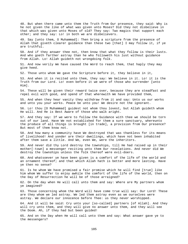48. But when there came unto them the Truth from Our presence, they said: Why is he not given the like of what was given unto Moses? Did they not disbelieve in that which was given unto Moses of old? They say: Two magics that support each other; and they say: Lo! in both we are disbelievers.

49. Say [unto them, O Muhammad]: Then bring a scripture from the presence of Allah that giveth clearer guidance than these two [that] I may follow it, if ye are truthful.

50. And if they answer thee not, then know that what they follow is their lusts. And who goeth farther astray than he who followeth his lust without guidance from Allah. Lo! Allah guideth not wrongdoing folk.

51. And now verily We have caused the Word to reach them, that haply they may give heed.

52. Those unto whom We gave the Scripture before it, they believe in it,

53. And when it is recited unto them, they say: We believe in it. Lo! it is the Truth from our Lord. Lo! even before it we were of those who surrender [unto Him].

54. These will be given their reward twice over, because they are steadfast and repel evil with good, and spend of that wherewith We have provided them,

55. And when they hear vanity they withdraw from it and say: Unto us our works and unto you your works. Peace be unto you! We desire not the ignorant.

56. Lo! thou [O Muhammad] guidest not whom thou lovest, but Allah guideth whom He will. And He is Best Aware of those who walk aright.

57. And they say: If we were to follow the Guidance with thee we should be torn out of our land. Have We not established for them a sure sanctuary, whereunto the produce of all things is brought [in trade], a provision from Our presence? But most of them know not.

58. And how many a community have We destroyed that was thankless for its means of livelihood! And yonder are their dwellings, which have not been inhabited after them save a little. And We, even We, were the inheritors.

59. And never did thy Lord destroy the townships, till He had raised up in their mother[-town] a messenger reciting unto them Our revelations. And never did We destroy the townships unless the folk thereof were evil-doers.

60. And whatsoever ye have been given is a comfort of the life of the world and an ornament thereof; and that which Allah hath is better and more lasting. Have ye then no sense?

61. Is he whom We have promised a fair promise which he will find [true] like him whom We suffer to enjoy awhile the comfort of the life of the world, then on the Day of Resurrection he will be of those arraigned?

62. On the day when He will call unto them and say: Where are My partners whom ye imagined?

63. Those concerning whom the Word will have come true will say: Our Lord! These are they whom we led astray. We led them astray even as we ourselves were astray. We declare our innocence before Thee: us they never worshipped.

64. And it will be said: Cry unto your [so-called] partners [of Allah]. And they will cry unto them, and they will give no answer unto them, and they will see the Doom. Ah, if they had but been guided!

65. And on the Day when He will call unto them and say: What answer gave ye to the messengers?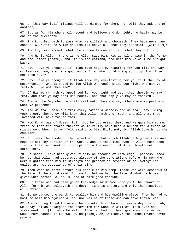66. On that day [all] tidings will be dimmed for them, nor will they ask one of another, 67. But as for him who shall repent and believe and do right, he haply may be one of the successful. 68. Thy Lord bringeth to pass what He willeth and chooseth. They have never any choice. Glorified be Allah and Exalted above all that they associate [with Him]! 69. And thy Lord knoweth what their breasts conceal, and what they publish. 70. And He is Allah; there is no Allah save Him. His is all praise in the former and the latter [state], and His is the command, and unto Him ye will be brought back. 71. Say: Have ye thought, if Allah made night everlasting for you till the Day of Resurrection, who is a god beside Allah who could bring you light? Will ye not then hear? 72. Say: Have ye thought, if Allah made day everlasting for you till the Day of Resurrection, who is a god beside Allah who could bring you night wherein ye rest? Will ye not then see? 73. Of His mercy hath He appointed for you night and day, that therein ye may rest, and that ye may seek His bounty, and that haply ye may be thankful. 74. And on the Day when He shall call unto them and say: Where are My partners whom ye pretended? 75. And We shall take out from every nation a witness and We shall say: Bring your proof. Then they will know that Allah hath the Truth, and all that they invented will have failed them. 76. Now Korah was of Moses' folk, but he oppressed them; and We gave him so much treasure that the stores thereof would verily have been a burden for a troop of mighty men. When his own folk said unto him: Exult not; lo! Allah loveth not the exultant; 77. But seek the abode of the Hereafter in that which Allah hath given thee and neglect not thy portion of the world, and be thou kind even as Allah hath been kind to thee, and seek not corruption in the earth; lo! Allah loveth not corrupters, 78. He said: I have been given it only on account of knowledge I possess. Knew he not that Allah had destroyed already of the generations before him men who were mightier than him in strength and greater in respect of following? The guilty are not questioned of their sins. 79. Then went he forth before his people in his pomp. Those who were desirous of the life of the world said: Ah, would that we had the like of what hath been given unto Korah! Lo! he is lord of rare good fortune. 80. But those who had been given knowledge said: Woe unto you! The reward of Allah for him who believeth and doeth right is better, and only the steadfast will obtain it. 81. So We caused the earth to swallow him and his dwelling-place. Then he had no host to help him against Allah, nor was he of those who can save themselves. 82. And morning found those who had coveted his place but yesterday crying: Ah, welladay! Allah enlargeth the provision for whom He will of His slaves and straiteneth it [for whom He will]. If Allah had not been gracious unto us He would have caused it to swallow us [also]. Ah, welladay! the disbelievers never

prosper.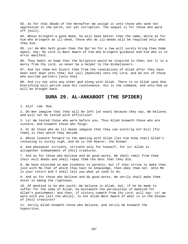83. As for that Abode of the Hereafter We assign it unto those who seek not oppression in the earth, nor yet corruption. The sequel is for those who ward off [evil].

84. Whoso bringeth a good deed, he will have better than the same; while as for him who bringeth an ill-deed, those who do ill-deeds will be requited only what they did.

85. Lo! He Who hath given thee the Qur'an for a law will surely bring thee home again. Say: My Lord is Best Aware of him who bringeth guidance and him who is in error manifest.

86. Thou hadst no hope that the Scripture would be inspired in thee; but it is a mercy from thy Lord, so never be a helper to the disbelievers.

87. And let them not divert thee from the revelations of Allah after they have been sent down unto thee; but call [mankind] unto thy Lord, and be not of those who ascribe partners [unto Him].

88. And cry not unto any other god along with Allah. There is no Allah save Him. Everything will perish save His countenance. His is the command, and unto Him ye will be brought back.

#### **SURA 29. AL-ANKABOOT (THE SPIDER)**

1. Alif. Lam. Mim.

2. Do men imagine that they will be left [at ease] because they say, We believe, and will not be tested with affliction?

3. Lo! We tested those who were before you. Thus Allah knoweth those who are sincere, and knoweth those who feign.

4. Or do those who do ill-deeds imagine that they can outstrip Us? Evil [for them] is that which they decide.

5. Whoso looketh forward to the meeting with Allah [let him know that] Allah's reckoning is surely nigh, and He is the Hearer, the Knower.

6. And whosoever striveth, striveth only for himself, for lo! Allah is altogether Independent of [His] creatures.

7. And as for those who believe and do good works, We shall remit from them their evil deeds and shall repay them the best that they did.

8. We have enjoined on man kindness to parents; but if they strive to make thee join with Me that of which thou hast no knowledge, then obey them not. Unto Me is your return and I shall tell you what ye used to do.

9. And as for those who believe and do good works, We verily shall make them enter in among the righteous.

10. Of mankind is he who saith: We believe in Allah, but, if he be made to suffer for the sake of Allah, he mistaketh the persecution of mankind for Allah's punishment; and then, if victory cometh from thy Lord, will say: Lo! we were with you [all the while]. Is not Allah Best Aware of what is in the bosoms of [His] creatures?

11. Verily Allah knoweth those who believe, and verily He knoweth the hypocrites.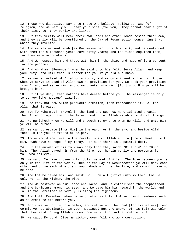12. Those who disbelieve say unto those who believe: Follow our way [of religion] and we verily will bear your sins [for you]. They cannot bear aught of their sins. Lo! they verily are liars.

13. But they verily will bear their own loads and other loads beside their own, and they verily will be questioned on the Day of Resurrection concerning that which they invented.

14. And verily we sent Noah [as Our messenger] unto his folk, and he continued with them for a thousand years save fifty years; and the flood engulfed them, for they were wrong-doers.

15. And We rescued him and those with him in the ship, and made of it a portent for the peoples.

16. And Abraham! [Remember] when he said unto his folk: Serve Allah, and keep your duty unto Him; that is better for you if ye did but know.

17. Ye serve instead of Allah only idols, and ye only invent a lie. Lo! those whom ye serve instead of Allah own no provision for you. So seek your provision from Allah, and serve Him, and give thanks unto Him, [for] unto Him ye will be brought back.

18. But if ye deny, then nations have denied before you. The messenger is only to convey [the message] plainly.

19. See they not how Allah produceth creation, then reproduceth it? Lo! for Allah that is easy.

20. Say [O Muhammad]: Travel in the land and see how He originated creation, then Allah bringeth forth the later growth. Lo! Allah is Able to do all things.

21. He punisheth whom He will and showeth mercy unto whom He will, and unto Him ye will be turned.

22. Ye cannot escape [from Him] in the earth or in the sky, and beside Allah there is for you no friend or helper.

23. Those who disbelieve in the revelations of Allah and in [their] Meeting with Him, such have no hope of My mercy. For such there is a painful doom.

24. But the answer of his folk was only that they said: "Kill him" or "Burn him." Then Allah saved him from the Fire. Lo! herein verily are portents for folk who believe.

25. He said: Ye have chosen only idols instead of Allah. The love between you is only in the life of the world. Then on the Day of Resurrection ye will deny each other and curse each other, and your abode will be the Fire, and ye will have no helpers.

26. And Lot believed him, and said: Lo! I am a fugitive unto my Lord. Lo! He, only He, is the Mighty, the Wise.

27. And We bestowed on him Isaac and Jacob, and We established the prophethood and the Scripture among his seed, and We gave him his reward in the world, and lo! in the Hereafter he verily is among the righteous.

28. And Lot! [Remember] when he said unto his folk: Lo! ye commit lewdness such as no creature did before you.

29. For come ye not in unto males, and cut ye not the road [for travellers], and commit ye not abomination in your meetings? But the answer of his folk was only that they said: Bring Allah's doom upon us if thou art a truthteller!

30. He said: My Lord! Give me victory over folk who work corruption.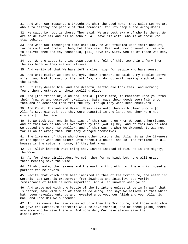31. And when Our messengers brought Abraham the good news, they said: Lo! we are about to destroy the people of that township, for its people are wrong-doers.

32. He said: Lo! Lot is there. They said: We are best aware of who is there. We are to deliver him and his household, all save his wife, who is of those who stay behind.

33. And when Our messengers came unto Lot, he was troubled upon their account, for he could not protect them; but they said: Fear not, nor grieve! Lo! we are to deliver thee and thy household, [all] save thy wife, who is of those who stay behind.

34. Lo! We are about to bring down upon the folk of this township a fury from the sky because they are evil-livers.

35. And verily of that We have left a clear sign for people who have sense.

36. And unto Midian We sent Shu'eyb, their brother. He said: O my people! Serve Allah, and look forward to the Last Day, and do not evil, making mischief, in the earth.

37. But they denied him, and the dreadful earthquake took them, and morning found them prostrate in their dwelling place.

38. And [the tribes of] A'ad and Thamud! [Their fate] is manifest unto you from their [ruined and deserted] dwellings. Satan made their deeds seem fair unto them and so debarred them from the Way, though they were keen observers.

39. And Korah, Pharaoh and Haman! Moses came unto them with clear proofs [of Allah's Sovereignty], but they were boastful in the land. And they were not winners [in the race].

40. So We took each one in his sin; of them was he on whom We sent a hurricane, and of them was he who was overtaken by the [Awful] Cry, and of them was he whom We caused the earth to swallow, and of them was he whom We drowned. It was not for Allah to wrong them, but they wronged themselves.

41. The likeness of those who choose other patrons than Allah is as the likeness of the spider when she taketh unto herself a house, and lo! the frailest of all houses is the spider's house, if they but knew.

42. Lo! Allah knoweth what thing they invoke instead of Him. He is the Mighty, the Wise.

43. As for these similitudes, We coin them for mankind, but none will grasp their meaning save the wise.

44. Allah created the heavens and the earth with truth. Lo! therein is indeed a portent for believers.

45. Recite that which hath been inspired in thee of the Scripture, and establish worship. Lo! worship preserveth from lewdness and iniquity, but verily remembrance of Allah is more important. And Allah knoweth what ye do.

46. And argue not with the People of the Scripture unless it be in [a way] that is better, save with such of them as do wrong; and say: We believe in that which hath been revealed unto us and revealed unto you; our Allah and your Allah is One, and unto Him we surrender.

47. In like manner We have revealed unto thee the Scripture, and those unto whom We gave the Scripture aforetime will believe therein; and of these [also] there are some who believe therein. And none deny Our revelations save the disbelievers.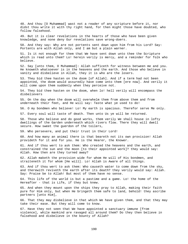48. And thou [O Muhammad] wast not a reader of any scripture before it, nor didst thou write it with thy right hand, for then might those have doubted, who follow falsehood.

49. But it is clear revelations in the hearts of those who have been given knowledge, and none deny Our revelations save wrong-doers.

50. And they say: Why are not portents sent down upon him from his Lord? Say: Portents are with Allah only, and I am but a plain warner.

51. Is it not enough for them that We have sent down unto thee the Scripture which is read unto them? Lo! herein verily is mercy, and a reminder for folk who believe.

52. Say [unto them, O Muhammad]: Allah sufficeth for witness between me and you. He knoweth whatsoever is in the heavens and the earth. And those who believe in vanity and disbelieve in Allah, they it is who are the losers.

53. They bid thee hasten on the doom [of Allah]. And if a term had not been appointed, the doom would assuredly have come unto them [ere now]. And verily it will come upon them suddenly when they perceive not.

54. They bid thee hasten on the doom, when lo! hell verily will encompass the disbelievers

55. On the day when the doom will overwhelm them from above them and from underneath their feet, and He will say: Taste what ye used to do!

56. O my bondmen who believe! Lo! My earth is spacious. Therefor serve Me only.

57. Every soul will taste of death. Then unto Us ye will be returned.

58. Those who believe and do good works, them verily We shall house in lofty dwellings of the Garden underneath which rivers flow. There they will dwell secure. How sweet the guerdon of the toilers,

59. Who persevere, and put their trust in their Lord!

60. And how many an animal there is that beareth not its own provision! Allah provideth for it and for you. He is the Hearer, the Knower.

61. And if thou wert to ask them: Who created the heavens and the earth, and constrained the sun and the moon [to their appointed work]? they would say: Allah. How then are they turned away?

62. Allah maketh the provision wide for whom He will of His bondmen, and straiteneth it for whom [He will]. Lo! Allah is Aware of all things.

63. And if thou wert to ask them: Who causeth water to come down from the sky, and therewith reviveth the earth after its death? they verily would say: Allah. Say: Praise be to Allah! But most of them have no sense.

64. This life of the world is but a pastime and a game. Lo! the home of the Hereafter - that is Life, if they but knew.

65. And when they mount upon the ships they pray to Allah, making their faith pure for Him only, but when He bringeth them safe to land, behold! they ascribe partners [unto Him],

66. That they may disbelieve in that which We have given them, and that they may take their ease. But they will come to know.

67. Have they not seen that We have appointed a sanctuary immune [from violence], while mankind are ravaged all around them? Do they then believe in falsehood and disbelieve in the bounty of Allah?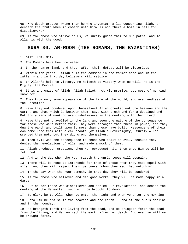68. Who doeth greater wrong than he who inventeth a lie concerning Allah, or denieth the truth when it cometh unto him? Is not there a home in hell for disbelievers?

69. As for those who strive in Us, We surely guide them to Our paths, and lo! Allah is with the good.

# **SURA 30. AR-ROOM (THE ROMANS, THE BYZANTINES)**

1. Alif. Lam. Mim.

2. The Romans have been defeated

3. In the nearer land, and they, after their defeat will be victorious

4. Within ten years - Allah's is the command in the former case and in the latter - and in that day believers will rejoice

5. In Allah's help to victory. He helpeth to victory whom He will. He is the Mighty, the Merciful.

6. It is a promise of Allah. Allah faileth not His promise, but most of mankind know not.

7. They know only some appearance of the life of the world, and are heedless of the Hereafter.

8. Have they not pondered upon themselves? Allah created not the heavens and the earth, and that which is between them, save with truth and for a destined end. But truly many of mankind are disbelievers in the meeting with their Lord.

9. Have they not travelled in the land and seen the nature of the consequence for those who were before them? They were stronger than these in power, and they dug the earth and built upon it more than these have built. Messengers of their own came unto them with clear proofs [of Allah's Sovereignty]. Surely Allah wronged them not, but they did wrong themselves.

10. Then evil was the consequence to those who dealt in evil, because they denied the revelations of Allah and made a mock of them.

11. Allah produceth creation, then He reproduceth it, then unto Him ye will be returned.

12. And in the day when the Hour riseth the unrighteous will despair.

13. There will be none to intercede for them of those whom they made equal with Allah. And they will reject their partners [whom they ascribed unto Him].

14. In the day when the Hour cometh, in that day they will be sundered.

15. As for those who believed and did good works, they will be made happy in a Garden.

16. But as for those who disbelieved and denied Our revelations, and denied the meeting of the Hereafter, such will be brought to doom.

17. So glory be to Allah when ye enter the night and when ye enter the morning -

18. Unto Him be praise in the heavens and the earth! - and at the sun's decline and in the noonday.

19. He bringeth forth the living from the dead, and He bringeth forth the dead from the living, and He reviveth the earth after her death. And even so will ye be brought forth.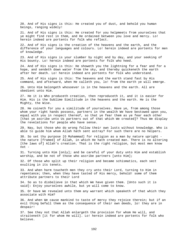20. And of His signs is this: He created you of dust, and behold you human beings, ranging widely!

21. And of His signs is this: He created for you helpmeets from yourselves that ye might find rest in them, and He ordained between you love and mercy. Lo! herein indeed are portents for folk who reflect.

22. And of His signs is the creation of the heavens and the earth, and the difference of your languages and colours. Lo! herein indeed are portents for men of knowledge.

23. And of His signs is your slumber by night and by day, and your seeking of His bounty. Lo! herein indeed are portents for folk who heed.

24. And of His signs is this: He showeth you the lightning for a fear and for a hope, and sendeth down water from the sky, and thereby quickeneth the earth after her death. Lo! herein indeed are portents for folk who understand.

25. And of His signs is this: The heavens and the earth stand fast by His command, and afterward, when He calleth you, lo! from the earth ye will emerge.

26. Unto Him belongeth whosoever is in the heavens and the earth. All are obedient unto Him.

27. He it is Who produceth creation, then reproduceth it, and it is easier for Him. His is the Sublime Similitude in the heavens and the earth. He is the Mighty, the Wise.

28. He coineth for you a similitude of yourselves. Have ye, from among those whom your right hands possess, partners in the wealth We have bestowed upon you, equal with you in respect thereof, so that ye fear them as ye fear each other [that ye ascribe unto Us partners out of that which We created]? Thus We display the revelations for people who have sense.

29. Nay, but those who do wrong follow their own lusts without knowledge. Who is able to guide him whom Allah hath sent astray? For such there are no helpers.

30. So set thy purpose [O Muhammad] for religion as a man by nature upright the nature [framed] of Allah, in which He hath created man. There is no altering [the laws of] Allah's creation. That is the right religion, but most men know  $not -$ 

31. Turning unto Him [only]; and be careful of your duty unto Him and establish worship, and be not of those who ascribe partners [unto Him];

32. Of those who split up their religion and became schismatics, each sect exulting in its tenets.

33. And when harm toucheth men they cry unto their Lord, turning to Him in repentance; then, when they have tasted of His mercy, behold! some of them attribute partners to their Lord

34. So as to disbelieve in that which We have given them. [Unto such it is said]: Enjoy yourselves awhile, but ye will come to know.

35. Or have We revealed unto them any warrant which speaketh of that which they associate with Him?

36. And when We cause mankind to taste of mercy they rejoice therein; but if an evil thing befall them as the consequence of their own deeds, lo! they are in despair!

37. See they not that Allah enlargeth the provision for whom He will, and straiteneth [it for whom He will]. Lo! herein indeed are portents for folk who believe.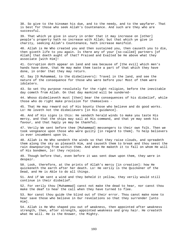38. So give to the kinsman his due, and to the needy, and to the wayfarer. That is best for those who seek Allah's Countenance. And such are they who are successful.

39. That which ye give in usury in order that it may increase on [other] people's property hath no increase with Allah; but that which ye give in charity, seeking Allah's Countenance, hath increase manifold.

40. Allah is He Who created you and then sustained you, then causeth you to die, then giveth life to you again. Is there any of your [so-called] partners [of Allah] that doeth aught of that? Praised and Exalted be He above what they associate [with Him]!

41. Corruption doth appear on land and sea because of [the evil] which men's hands have done, that He may make them taste a part of that which they have done, in order that they may return.

42. Say [O Muhammad, to the disbelievers]: Travel in the land, and see the nature of the consequence for those who were before you! Most of them were idolaters.

43. So set thy purpose resolutely for the right religion, before the inevitable day cometh from Allah. On that day mankind will be sundered-

44. Whoso disbelieveth must [then] bear the consequences of his disbelief, while those who do right make provision for themselves -

45. That He may reward out of His bounty those who believe and do good works. Lo! He loveth not the disbelievers [in His guidance].

46. And of His signs is this: He sendeth herald winds to make you taste His mercy, and that the ships may sail at His command, and that ye may seek his favour, and that haply ye may be thankful.

47. Verily We sent before thee [Muhammad] messengers to their own folk. Then we took vengeance upon those who were guilty [in regard to them]. To help believers is ever incumbent upon Us.

48. Allah is He Who sendeth the winds so that they raise clouds, and spreadeth them along the sky as pleaseth Him, and causeth them to break and thou seest the rain downpouring from within them. And when He maketh it to fall on whom He will of His bondmen, lo! they rejoice;

49. Though before that, even before it was sent down upon them, they were in despair.

50. Look, therefore, at the prints of Allah's mercy [in creation]: how He quickeneth the earth after her death. Lo! He verily is the Quickener of the Dead, and He is Able to do all things.

51. And if We sent a wind and they beheld it yellow, they verily would still continue in their disbelief.

52. For verily thou [Muhammad] canst not make the dead to hear, nor canst thou make the deaf to hear the call when they have turned to flee.

53. Nor canst thou guide the blind out of their error. Thou canst make none to hear save those who believe in Our revelations so that they surrender [unto Him].

54. Allah is He Who shaped you out of weakness, then appointed after weakness strength, then, after strength, appointed weakness and grey hair. He createth what He will. He is the Knower, the Mighty.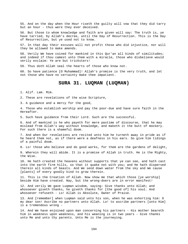55. And on the day when the Hour riseth the guilty will vow that they did tarry but an hour - thus were they ever deceived.

56. But those to whom knowledge and faith are given will say: The truth is, ye have tarried, by Allah's decree, until the Day of Resurrection. This is the Day of Resurrection, but ye used not to know.

57. In that day their excuses will not profit those who did injustice, nor will they be allowed to make amends.

58. Verily We have coined for mankind in this Qur'an all kinds of similitudes; and indeed if thou camest unto them with a miracle, those who disbelieve would verily exclaim: Ye are but tricksters!

59. Thus doth Allah seal the hearts of those who know not.

60. So have patience [O Muhammad]! Allah's promise is the very truth, and let not those who have no certainty make thee impatient.

# **SURA 31. LUQMAN (LUQMAN)**

1. Alif. Lam. Mim.

2. These are revelations of the wise Scripture,

3. A guidance and a mercy for the good,

4. Those who establish worship and pay the poor-due and have sure faith in the Hereafter.

5. Such have guidance from their Lord. Such are the successful.

6. And of mankind is he who payeth for mere pastime of discourse, that he may mislead from Allah's way without knowledge, and maketh it the butt of mockery. For such there is a shameful doom.

7. And when Our revelations are recited unto him he turneth away in pride as if he heard them not, as if there were a deafness in his ears. So give him tidings of a painful doom.

8. Lo! those who believe and do good works, for them are the gardens of delight,

9. Wherein they will abide. It is a promise of Allah in truth. He is the Mighty, the Wise.

10. He hath created the heavens without supports that ye can see, and hath cast into the earth firm hills, so that it quake not with you; and He hath dispersed therein all kinds of beasts. And We send down water from the sky and We cause [plants] of every goodly kind to grow therein.

11. This is the Creation of Allah. Now show me that which those [ye worship] beside Him have created. Nay, but the wrong-doers are in error manifest!

12. And verily We gave Luqman wisdom, saying: Give thanks unto Allah; and whosoever giveth thanks, he giveth thanks for [the good of] his soul. And whosoever refuseth - Lo! Allah is Absolute, Owner of Praise.

13. And [remember] when Luqman said unto his son, when he was exhorting him: O my dear son! Ascribe no partners unto Allah. Lo! to ascribe partners [unto Him] is a tremendous wrong -

14. And We have enjoined upon man concerning his partners - His mother beareth him in weakness upon weakness, and his weaning is in two years - Give thanks unto Me and unto thy parents. Unto Me is the journeying.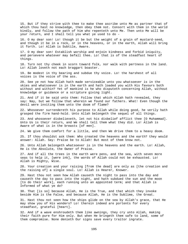15. But if they strive with thee to make thee ascribe unto Me as partner that of which thou hast no knowledge, then obey them not. Consort with them in the world kindly, and follow the path of him who repenteth unto Me. Then unto Me will be your return, and I shall tell you what ye used to do -

16. O my dear son! Lo! though it be but the weight of a grain of mustard-seed, and though it be in a rock, or in the heavens, or in the earth, Allah will bring it forth. Lo! Allah is Subtile, Aware.

17. O my dear son! Establish worship and enjoin kindness and forbid iniquity, and persevere whatever may befall thee. Lo! that is of the steadfast heart of things.

18. Turn not thy cheek in scorn toward folk, nor walk with pertness in the land. Lo! Allah loveth not each braggart boaster.

19. Be modest in thy bearing and subdue thy voice. Lo! the harshest of all voices is the voice of the ass.

20. See ye not how Allah hath made serviceable unto you whatsoever is in the skies and whatsoever is in the earth and hath loaded you with His favours both without and within? Yet of mankind is he who disputeth concerning Allah, without knowledge or guidance or a scripture giving light.

21. And if it be said unto them: Follow that which Allah hath revealed, they say: Nay, but we follow that wherein we found our fathers. What! Even though the devil were inviting them unto the doom of flame?

22. Whosoever surrendereth his purpose to Allah while doing good, he verily hath grasped the firm hand-hold. Unto Allah belongeth the sequel of all things.

23. And whosoever disbelieveth, let not his disbelief afflict thee [O Muhammad]. Unto Us is their return, and We shall tell them what they did. Lo! Allah is Aware of what is in the breasts [of men].

24. We give them comfort for a little, and then We drive them to a heavy doom.

25. If thou shouldst ask them: Who created the heavens and the earth? they would answer: Allah. Say: Praise be to Allah! But most of them know not.

26. Unto Allah belongeth whatsoever is in the heavens and the earth. Lo! Allah, He is the Absolute, the Owner of Praise.

27. And if all the trees in the earth were pens, and the sea, with seven more seas to help it, [were ink], the words of Allah could not be exhausted. Lo! Allah is Mighty, Wise.

28. Your creation and your raising [from the dead] are only as [the creation and the raising of] a single soul. Lo! Allah is Hearer, Knower.

29. Hast thou not seen how Allah causeth the night to pass into the day and causeth the day to pass into the night, and hath subdued the sun and the moon [to do their work], each running unto an appointed term; and that Allah is Informed of what ye do?

30. That [is so] because Allah, He is the True, and that which they invoke beside Him is the False, and because Allah, He is the Sublime, the Great.

31. Hast thou not seen how the ships glide on the sea by Allah's grace, that He may show you of His wonders? Lo! therein indeed are portents for every steadfast, grateful [heart].

32. And if a wave enshroudeth them like awnings, they cry unto Allah, making their faith pure for Him only. But when He bringeth them safe to land, some of them compromise. None denieth Our signs save every traitor ingrate.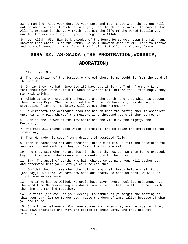33. O mankind! Keep your duty to your Lord and fear a Day when the parent will not be able to avail the child in aught, nor the child to avail the parent. Lo! Allah's promise is the very truth. Let not the life of the world beguile you, nor let the deceiver beguile you, in regard to Allah.

34. Lo! Allah! With Him is knowledge of the Hour. He sendeth down the rain, and knoweth that which is in the wombs. No soul knoweth what it will earn to-morrow, and no soul knoweth in what land it will die. Lo! Allah is Knower, Aware.

# **SURA 32. AS-SAJDA (THE PROSTRATION,WORSHIP,**

# **ADORATION)**

1. Alif. Lam. Mim

2. The revelation of the Scripture whereof there is no doubt is from the Lord of the Worlds.

3. Or say they: He hath invented it? Nay, but it is the Truth from thy Lord, that thou mayst warn a folk to whom no warner came before thee, that haply they may walk aright.

4. Allah it is Who created the heavens and the earth, and that which is between them, in six Days. Then He mounted the Throne. Ye have not, beside Him, a protecting friend or mediator. Will ye not then remember?

5. He directeth the ordinance from the heaven unto the earth; then it ascendeth unto Him in a Day, whereof the measure is a thousand years of that ye reckon.

6. Such is the Knower of the Invisible and the Visible, the Mighty, the Merciful,

7. Who made all things good which He created, and He began the creation of man from clay;

8. Then He made his seed from a draught of despised fluid;

9. Then He fashioned him and breathed into him of His Spirit; and appointed for you hearing and sight and hearts. Small thanks give ye!

10. And they say: When we are lost in the earth, how can we then be re-created? Nay but they are disbelievers in the meeting with their Lord.

11. Say: The angel of death, who hath charge concerning you, will gather you, and afterward unto your Lord ye will be returned.

12. Couldst thou but see when the guilty hang their heads before their Lord, [and say]: Our Lord! We have now seen and heard, so send us back; we will do right, now we are sure.

13. And if We had so willed, We could have given every soul its guidance, but the word from Me concerning evildoers took effect: that I will fill hell with the jinn and mankind together.

14. So taste [the evil of your deeds]. Forasmuch as ye forgot the meeting of this your day, lo! We forget you. Taste the doom of immortality because of what ye used to do.

15. Only those believe in Our revelations who, when they are reminded of them, fall down prostrate and hymn the praise of their Lord, and they are not scornful,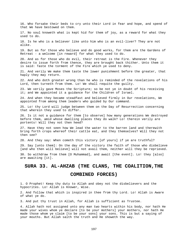16. Who forsake their beds to cry unto their Lord in fear and hope, and spend of that We have bestowed on them. 17. No soul knoweth what is kept hid for them of joy, as a reward for what they used to do. 18. Is he who is a believer like unto him who is an evil-liver? They are not alike. 19. But as for those who believe and do good works, for them are the Gardens of Retreat - a welcome [in reward] for what they used to do. 20. And as for those who do evil, their retreat is the Fire. Whenever they desire to issue forth from thence, they are brought back thither. Unto them it is said: Taste the torment of the Fire which ye used to deny. 21. And verily We make them taste the lower punishment before the greater, that haply they may return. 22. And who doth greater wrong than he who is reminded of the revelations of his Lord, then turneth from them. Lo! We shall requite the guilty. 23. We verily gave Moses the Scripture; so be not ye in doubt of his receiving it; and We appointed it a guidance for the Children of Israel. 24. And when they became steadfast and believed firmly in Our revelations, We appointed from among them leaders who guided by Our command. 25. Lo! thy Lord will judge between them on the Day of Resurrection concerning that wherein they used to differ. 26. Is it not a guidance for them [to observe] how many generations We destroyed before them, amid whose dwelling places they do walk? Lo! therein verily are portents! Will they not then heed? 27. Have they not seen how We lead the water to the barren land and therewith bring forth crops whereof their cattle eat, and they themselves? Will they not then see? 28. And they say: When cometh this victory [of yours] if ye are truthful? 29. Say [unto them]: On the day of the victory the faith of those who disbelieve [and who then will believe] will not avail them, neither will they be reprieved. 30. So withdraw from them [O Muhammad], and await [the event]. Lo! they [also] are awaiting [it]. **SURA 33. AL-AHZAB (THE CLANS, THE COALITION,THE COMBINED FORCES)** 

1. O Prophet! Keep thy duty to Allah and obey not the disbelievers and the hypocrites. Lo! Allah is Knower, Wise.

2. And follow that which is inspired in thee from thy Lord. Lo! Allah is Aware of what ye do.

3. And put thy trust in Allah, for Allah is sufficient as Trustee.

4. Allah hath not assigned unto any man two hearts within his body, nor hath He made your wives whom ye declare [to be your mothers] your mothers, nor hath He made those whom ye claim [to be your sons] your sons. This is but a saying of your mouths. But Allah saith the truth and He showeth the way.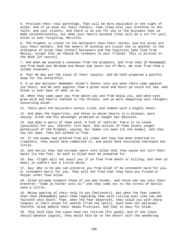5. Proclaim their real parentage. That will be more equitable in the sight of Allah. And if ye know not their fathers, then [they are] your brethren in the faith, and your clients. And there is no sin for you in the mistakes that ye make unintentionally, but what your hearts purpose [that will be a sin for you]. Allah is ever Forgiving, Merciful.

6. The Prophet is closer to the believers than their selves, and his wives are [as] their mothers. And the owners of kinship are closer one to another in the ordinance of Allah than [other] believers and the fugitives [who fled from Mecca], except that ye should do kindness to your friends. This is written in the Book [of nature].

7. And when We exacted a covenant from the prophets, and from thee [O Muhammad] and from Noah and Abraham and Moses and Jesus son of Mary. We took from them a solemn covenant;

8. That He may ask the loyal of their loyalty. And He hath prepared a painful doom for the unfaithful.

9. O ye who believe! Remember Allah's favour unto you when there came against you hosts, and We sent against them a great wind and hosts ye could not see. And Allah is ever Seer of what ye do.

10. When they came upon you from above you and from below you, and when eyes grew wild and hearts reached to the throats, and ye were imagining vain thoughts concerning Allah.

11. There were the believers sorely tried, and shaken with a mighty shock.

12. And when the hypocrites, and those in whose hearts is a disease, were saying: Allah and His messenger promised us naught but delusion.

13. And when a party of them said: O folk of Yathrib! There is no stand [possible] for you, therefor turn back. And certain of them [even] sought permission of the Prophet, saying: Our homes lie open [to the enemy]. And they lay not open. They but wished to flee.

14. If the enemy had entered from all sides and they had been exhorted to treachery, they would have committed it, and would have hesitated thereupon but little.

15. And verily they had already sworn unto Allah that they would not turn their backs [to the foe]. An oath to Allah must be answered for.

16. Say: Flight will not avail you if ye flee from death or killing, and then ye dwell in comfort but a little while.

17. Say: Who is he who can preserve you from Allah if He intendeth harm for you, or intendeth mercy for you. They will not find that they have any friend or helper other than Allah.

18. Allah already knoweth those of you who hinder, and those who say unto their brethren: "Come ye hither unto us!" and they come not to the stress of battle save a little,

19. Being sparing of their help to you [believers]. But when the fear cometh, then thou [Muhammad] seest them regarding thee with rolling eyes like one who fainteth unto death. Then, when the fear departeth, they scald you with sharp tongues in their greed for wealth [from the spoil]. Such have not believed. Therefor Allah maketh their deeds fruitless. And that is easy for Allah.

20. They hold that the clans have not retired [for good]; and if the clans should advance [again], they would fain be in the desert with the wandering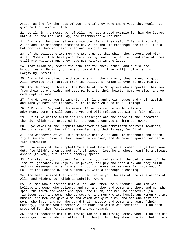Arabs, asking for the news of you; and if they were among you, they would not give battle, save a little.

21. Verily in the messenger of Allah ye have a good example for him who looketh unto Allah and the Last Day, and remembereth Allah much.

22. And when the true believers saw the clans, they said: This is that which Allah and His messenger promised us. Allah and His messenger are true. It did but confirm them in their faith and resignation.

23. Of the believers are men who are true to that which they covenanted with Allah. Some of them have paid their vow by death [in battle], and some of them still are waiting; and they have not altered in the least;

24. That Allah may reward the true men for their truth, and punish the hypocrites if He will, or relent toward them [if He will]. Lo! Allah is Forgiving, Merciful.

25. And Allah repulsed the disbelievers in their wrath; they gained no good. Allah averted their attack from the believers. Allah is ever Strong, Mighty.

26. And He brought those of the People of the Scripture who supported them down from their strongholds, and cast panic into their hearts. Some ye slew, and ye made captive some.

27. And He caused you to inherit their land and their houses and their wealth, and land ye have not trodden. Allah is ever Able to do all things.

28. O Prophet! Say unto thy wives: If ye desire the world's life and its adornment, come! I will content you and will release you with a fair release.

29. But if ye desire Allah and His messenger and the abode of the Hereafter, then lo! Allah hath prepared for the good among you an immense reward.

30. O ye wives of the Prophet! Whosoever of you committeth manifest lewdness, the punishment for her will be doubled, and that is easy for Allah.

31. And whosoever of you is submissive unto Allah and His messenger and doeth right, We shall give her her reward twice over, and We have prepared for her a rich provision.

32. O ye wives of the Prophet! Ye are not like any other women. If ye keep your duty [to Allah], then be not soft of speech, lest he in whose heart is a disease aspire [to you], but utter customary speech.

33. And stay in your houses. Bedizen not yourselves with the bedizenment of the Time of Ignorance. Be regular in prayer, and pay the poor-due, and obey Allah and His messenger. Allah's wish is but to remove uncleanness far from you, O Folk of the Household, and cleanse you with a thorough cleansing.

34. And bear in mind that which is recited in your houses of the revelations of Allah and wisdom. Lo! Allah is Subtile, Aware.

35. Lo! men who surrender unto Allah, and women who surrender, and men who believe and women who believe, and men who obey and women who obey, and men who speak the truth and women who speak the truth, and men who persevere [in righteousness] and women who persevere, and men who are humble and women who are humble, and men who give alms and women who give alms, and men who fast and women who fast, and men who guard their modesty and women who guard [their modesty], and men who remember Allah much and women who remember - Allah hath prepared for them forgiveness and a vast reward.

36. And it becometh not a believing man or a believing woman, when Allah and His messenger have decided an affair [for them], that they should [after that] claim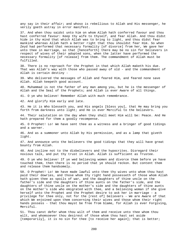any say in their affair; and whoso is rebellious to Allah and His messenger, he verily goeth astray in error manifest.

37. And when thou saidst unto him on whom Allah hath conferred favour and thou hast conferred favour: Keep thy wife to thyself, and fear Allah. And thou didst hide in thy mind that which Allah was to bring to light, and thou didst fear mankind whereas Allah hath a better right that thou shouldst fear Him. So when Zeyd had performed that necessary formality [of divorce] from her, We gave her unto thee in marriage, so that [henceforth] there may be no sin for believers in respect of wives of their adopted sons, when the latter have performed the necessary formality [of release] from them. The commandment of Allah must be fulfilled.

38. There is no reproach for the Prophet in that which Allah maketh his due. That was Allah's way with those who passed away of old - and the commandment of Allah is certain destiny -

39. Who delivered the messages of Allah and feared Him, and feared none save Allah. Allah keepeth good account.

40. Muhammad is not the father of any man among you, but he is the messenger of Allah and the Seal of the Prophets; and Allah is ever Aware of all things.

41. O ye who believe! Remember Allah with much remembrance.

42. And glorify Him early and late.

43. He it is Who blesseth you, and His angels [bless you], that He may bring you forth from darkness unto light; and He is ever Merciful to the believers.

44. Their salutation on the day when they shall meet Him will be: Peace. And He hath prepared for them a goodly recompense.

45. O Prophet! Lo! We have sent thee as a witness and a bringer of good tidings and a warner.

46. And as a summoner unto Allah by His permission, and as a lamp that giveth light.

47. And announce unto the believers the good tidings that they will have great bounty from Allah.

48. And incline not to the disbelievers and the hypocrites. Disregard their noxious talk, and put thy trust in Allah. Allah is sufficient as Trustee.

49. O ye who believe! If ye wed believing women and divorce them before ye have touched them, then there is no period that ye should reckon. But content them and release them handsomely.

50. O Prophet! Lo! We have made lawful unto thee thy wives unto whom thou hast paid their dowries, and those whom thy right hand possesseth of those whom Allah hath given thee as spoils of war, and the daughters of thine uncle on the father's side and the daughters of thine aunts on the father's side, and the daughters of thine uncle on the mother's side and the daughters of thine aunts on the mother's side who emigrated with thee, and a believing woman if she give herself unto the Prophet and the Prophet desire to ask her in marriage - a privilege for thee only, not for the [rest of] believers - We are Aware of that which We enjoined upon them concerning their wives and those whom their right hands possess - that thou mayst be free from blame, for Allah is ever Forgiving, Merciful.

51. Thou canst defer whom thou wilt of them and receive unto thee whom thou wilt, and whomsoever thou desirest of those whom thou hast set aside [temporarily], it is no sin for thee [to receive her again]; that is better;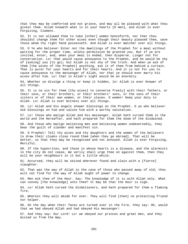that they may be comforted and not grieve, and may all be pleased with what thou givest them. Allah knoweth what is in your hearts [O men], and Allah is ever Forgiving, Clement.

52. It is not allowed thee to take [other] women henceforth, nor that thou shouldst change them for other wives even though their beauty pleased thee, save those whom thy right hand possesseth. And Allah is ever Watcher over all things.

53. O Ye who believe! Enter not the dwellings of the Prophet for a meal without waiting for the proper time, unless permission be granted you. But if ye are invited, enter, and, when your meal is ended, then disperse. Linger not for conversation. Lo! that would cause annoyance to the Prophet, and he would be shy of [asking] you [to go]; but Allah is not shy of the truth. And when ye ask of them [the wives of the Prophet] anything, ask it of them from behind a curtain. That is purer for your hearts and for their hearts. And it is not for you to cause annoyance to the messenger of Allah, nor that ye should ever marry his wives after him. Lo! that in Allah's sight would be an enormity.

54. Whether ye divulge a thing or keep it hidden, lo! Allah is ever Knower of all things.

55. It is no sin for them [thy wives] to converse freely] with their fathers, or their sons, or their brothers, or their brothers' sons, or the sons of their sisters or of their own women, or their slaves. O women! Keep your duty to Allah. Lo! Allah is ever Witness over all things.

56. Lo! Allah and His angels shower blessings on the Prophet. O ye who believe! Ask blessings on him and salute him with a worthy salutation.

57. Lo! those who malign Allah and His messenger, Allah hath cursed them in the world and the Hereafter, and hath prepared for them the doom of the disdained.

58. And those who malign believing men and believing women undeservedly, they bear the guilt of slander and manifest sin.

59. O Prophet! Tell thy wives and thy daughters and the women of the believers to draw their cloaks close round them [when they go abroad]. That will be better, so that they may be recognised and not annoyed. Allah is ever Forgiving, Merciful.

60. If the hypocrites, and those in whose hearts is a disease, and the alarmists in the city do not cease, We verily shall urge thee on against them, then they will be your neighbours in it but a little while.

61. Accursed, they will be seized wherever found and slain with a [fierce] slaughter.

62. That was the way of Allah in the case of those who passed away of old; thou wilt not find for the way of Allah aught of power to change.

63. Men ask thee of the Hour. Say: The knowledge of it is with Allah only. What can convey [the knowledge] unto thee? It may be that the Hour is nigh.

64. Lo! Allah hath cursed the disbelievers, and hath prepared for them a flaming fire,

65. Wherein they will abide for ever. They will find [then] no protecting friend nor helper.

66. On the day when their faces are turned over in the Fire, they say: Oh, would that we had obeyed Allah and had obeyed His messenger!

67. And they say: Our Lord! Lo! we obeyed our princes and great men, and they misled us from the Way.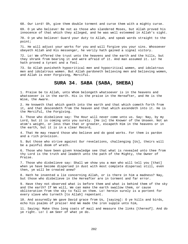68. Our Lord! Oh, give them double torment and curse them with a mighty curse.

69. O ye who believe! Be not as those who slandered Moses, but Allah proved his innocence of that which they alleged, and he was well esteemed in Allah's sight.

70. O ye who believe! Guard your duty to Allah, and speak words straight to the point;

71. He will adjust your works for you and will forgive you your sins. Whosoever obeyeth Allah and His messenger, he verily hath gained a signal victory.

72. Lo! We offered the trust unto the heavens and the earth and the hills, but they shrank from bearing it and were afraid of it. And man assumed it. Lo! he hath proved a tyrant and a fool.

73. So Allah punisheth hypocritical men and hypocritical women, and idolatrous men and idolatrous women. But Allah pardoneth believing men and believing women, and Allah is ever Forgiving, Merciful.

## **SURA 34. SABA (SABA, SHEBA)**

1. Praise be to Allah, unto Whom belongeth whatsoever is in the heavens and whatsoever is in the earth. His is the praise in the Hereafter, and He is the Wise, the Aware.

2. He knoweth that which goeth into the earth and that which cometh forth from it, and that descendeth from the heaven and that which ascendeth into it. He is the Merciful, the Forgiving.

3. Those who disbelieve say: The Hour will never come unto us. Say: Nay, by my Lord, but it is coming unto you surely. [He is] the Knower of the Unseen. Not an atom's weight, or less than that or greater, escapeth Him in the heavens or in the earth, but it is in a clear Record,

4. That He may reward those who believe and do good works. For them is pardon and a rich provision.

5. But those who strive against Our revelations, challenging [Us], theirs will be a painful doom of wrath.

6. Those who have been given knowledge see that what is revealed unto thee from thy Lord is the truth and leadeth unto the path of the Mighty, the Owner of Praise.

7. Those who disbelieve say: Shall we show you a man who will tell you [that] when ye have become dispersed in dust with most complete dispersal still, even then, ye will be created anew?

8. Hath he invented a lie concerning Allah, or is there in him a madness? Nay, but those who disbelieve in the Hereafter are in torment and far error.

9. Have they not observed what is before them and what is behind them of the sky and the earth? If We will, We can make the earth swallow them, or cause obliteration from the sky to fall on them. Lo! herein surely is a portent for every slave who turneth [to Allah] repentant.

10. And assuredly We gave David grace from Us, [saying]: O ye hills and birds, echo his psalms of praise! And We made the iron supple unto him,

11. Saying: Make thou long coats of mail and measure the links [thereof]. And do ye right. Lo! I am Seer of what ye do.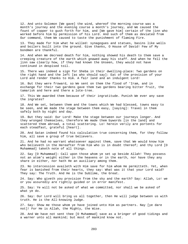12. And unto Solomon [We gave] the wind, whereof the morning course was a month's journey and the evening course a month's journey, and We caused the fount of copper to gush forth for him, and [We gave him] certain of the jinn who worked before him by permission of his Lord. And such of them as deviated from Our command, them We caused to taste the punishment of flaming Fire.

13. They made for him what he willed: synagogues and statues, basins like wells and boilers built into the ground. Give thanks, O House of David! Few of My bondmen are thankful.

14. And when We decreed death for him, nothing showed his death to them save a creeping creature of the earth which gnawed away his staff. And when he fell the jinn saw clearly how, if they had known the Unseen, they would not have continued in despised toil.

15. There was indeed a sign for Sheba in their dwelling-place: Two gardens on the right hand and the left [as who should say]: Eat of the provision of your Lord and render thanks to Him. A fair land and an indulgent Lord!

16. But they were froward, so We sent on them the flood of 'Iram, and in exchange for their two gardens gave them two gardens bearing bitter fruit, the tamarisk and here and there a lote-tree.

17. This We awarded them because of their ingratitude. Punish We ever any save the ingrates?

18. And We set, between them and the towns which We had blessed, towns easy to be seen, and We made the stage between them easy, [saying]: Travel in them safely both by night and day.

19. But they said: Our Lord! Make the stage between our journeys longer. And they wronged themselves, therefore We made them bywords [in the land] and scattered them abroad, a total scattering. Lo! herein verily are portents for each steadfast, grateful [heart].

20. And Satan indeed found his calculation true concerning them, for they follow him, all save a group of true believers.

21. And he had no warrant whatsoever against them, save that We would know him who believeth in the Hereafter from him who is in doubt thereof; and thy Lord [O Muhammad] taketh note of all things.

22. Say [O Muhammad]: Call upon those whom ye set up beside Allah! They possess not an atom's weight either in the heavens or in the earth, nor have they any share in either, nor hath He an auxiliary among them.

23. No intercession availeth with Him save for him whom He permitteth. Yet, when fear is banished from their hearts, they say: What was it that your Lord said? They say: The Truth. And He is the Sublime, the Great.

24. Say: Who giveth you provision from the sky and the earth? Say: Allah, Lo! we or you assuredly are rightly guided or in error manifest.

25. Say: Ye will not be asked of what we committed, nor shall we be asked of what ye do.

26. Say: Our Lord will bring us all together, then He will judge between us with truth. He is the All-knowing Judge.

27. Say: Show me those whom ye have joined unto Him as partners. Nay [ye dare not]! For He is Allah, the Mighty, the Wise.

28. And We have not sent thee [O Muhammad] save as a bringer of good tidings and a warner unto all mankind; but most of mankind know not.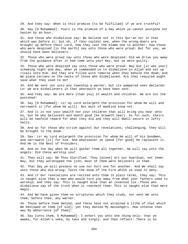29. And they say: When is this promise [to be fulfilled] if ye are truthful? 30. Say [O Muhammad]: Yours is the promise of a Day which ye cannot postpone nor hasten by an hour.

31. And those who disbelieve say: We believe not in this Qur'an nor in that which was before it; but oh, if thou couldst see, when the wrong-doers are brought up before their Lord, how they cast the blame one to another; how those who were despised [in the earth] say unto those who were proud: But for you, we should have been believers.

32. Those who were proud say unto those who were despised: Did we drive you away from the guidance after it had come unto you? Nay, but ye were guilty.

33. Those who were despised say unto those who were proud: Nay but [it was your] scheming night and day, when ye commanded us to disbelieve in Allah and set up rivals unto Him. And they are filled with remorse when they behold the doom; and We place carcans on the necks of those who disbelieved. Are they requited aught save what they used to do?

34. And We sent not unto any township a warner, but its pampered ones declared: Lo! we are disbelievers in that wherewith ye have been sent.

35. And they say: We are more [than you] in wealth and children. We are not the punished!

36. Say [O Muhammad]: Lo! my Lord enlargeth the provision for whom He will and narroweth it [for whom He will]. But most of mankind know not.

37. And it is not your wealth nor your children that will bring you near unto Us, but he who believeth and doeth good [he draweth near]. As for such, theirs will be twofold reward for what they did and they will dwell secure in lofty halls.

38. And as for those who strive against Our revelations, challenging, they will be brought to the doom.

39. Say: Lo! my Lord enlargeth the provision for whom He will of His bondmen, and narroweth [it] for him. And whatsoever ye spend [for good] He replaceth it. And He is the Best of Providers.

40. And on the day when He will gather them all together, He will say unto the angels: Did these worship you?

41. They will say: Be Thou Glorified. Thou [alone] art our Guardian, not them! Nay, but they worshipped the jinn; most of them were believers in them.

42. That day ye will possess no use nor hurt one for another. And We shall say unto those who did wrong: Taste the doom of the Fire which ye used to deny.

43. And if Our revelations are recited unto them in plain terms, they say: This is naught else than a man who would turn you away from what your fathers used to worship; and they say: This is naught else than an invented lie. Those who disbelieve say of the truth when it reacheth them: This is naught else than mere magic.

44. And We have given them no scriptures which they study, nor sent We unto them, before thee, any warner.

45. Those before them denied, and these have not attained a tithe of that which We bestowed on them [of old]; yet they denied My messengers. How intense then was My abhorrence [of them]!

46. Say [unto them, O Muhammad]: I exhort you unto one thing only: that ye awake, for Allah's sake, by twos and singly, and then reflect: There is no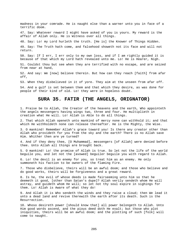madness in your comrade. He is naught else than a warner unto you in face of a terrific doom.

47. Say: Whatever reward I might have asked of you is yours. My reward is the affair of Allah only. He is Witness over all things.

48. Say: Lo! my Lord hurleth the truth. [He is] the Knower of Things Hidden.

49. Say: The Truth hath come, and falsehood showeth not its face and will not return.

50. Say: If I err, I err only to my own loss, and if I am rightly guided it is because of that which my Lord hath revealed unto me. Lo! He is Hearer, Nigh.

51. Couldst thou but see when they are terrified with no escape, and are seized from near at hand,

52. And say: We [now] believe therein. But how can they reach [faith] from afar off,

53. When they disbelieved in it of yore. They aim at the unseen from afar off.

54. And a gulf is set between them and that which they desire, as was done for people of their kind of old. Lo! they were in hopeless doubt.

# **SURA 35. FATIR (THE ANGELS, ORIGNATOR)**

1. Praise be to Allah, the Creator of the heavens and the earth, Who appointeth the angels messengers having wings two, three and four. He multiplieth in creation what He will. Lo! Allah is Able to do all things.

2. That which Allah openeth unto mankind of mercy none can withhold it; and that which He withholdeth none can release thereafter. He is the Mighty, the Wise.

3. O mankind! Remember Allah's grace toward you! Is there any creator other than Allah who provideth for you from the sky and the earth? There is no Allah save Him. Whither then are ye turned?

4. And if they deny thee, [O Muhammad], messengers [of Allah] were denied before thee. Unto Allah all things are brought back.

5. O mankind! Lo! the promise of Allah is true. So let not the life of the world beguile you, and let not the [avowed] beguiler beguile you with regard to Allah.

6. Lo! the devil is an enemy for you, so treat him as an enemy. He only summoneth his faction to be owners of the flaming Fire.

7. Those who disbelieve, theirs will be an awful doom; and those who believe and do good works, theirs will be forgiveness and a great reward.

8. Is he, the evil of whose deeds is made fairseeming unto him so that he deemeth it good, [other than Satan's dupe]? Allah verily sendeth whom He will astray, and guideth whom He will; so let not thy soul expire in sighings for them. Lo! Allah is Aware of what they do!

9. And Allah it is Who sendeth the winds and they raise a cloud; then We lead it unto a dead land and revive therewith the earth after its death. Such is the Resurrection.

10. Whoso desireth power [should know that] all power belongeth to Allah. Unto Him good words ascend, and the pious deed doth He exalt; but those who plot iniquities, theirs will be an awful doom; and the plotting of such [folk] will come to naught.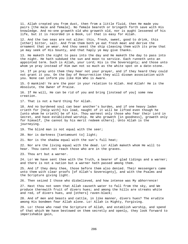11. Allah created you from dust, then from a little fluid, then He made you pairs [the male and female]. No female beareth or bringeth forth save with His knowledge. And no-one groweth old who groweth old, nor is aught lessened of his life, but it is recorded in a Book, Lo! that is easy for Allah.

12. And the two seas are not alike: this, fresh, sweet, good to drink, this [other] bitter, salt. And from them both ye eat fresh meat and derive the ornament that ye wear. And thou seest the ship cleaving them with its prow that ye may seek of His bounty, and that haply ye may give thanks.

13. He maketh the night to pass into the day and He maketh the day to pass into the night. He hath subdued the sun and moon to service. Each runneth unto an appointed term. Such is Allah, your Lord; His is the Sovereignty; and those unto whom ye pray instead of Him own not so much as the white spot on a date-stone.

14. If ye pray unto them they hear not your prayer, and if they heard they could not grant it you. On the Day of Resurrection they will disown association with you. None can inform you like Him Who is Aware.

15. O mankind! Ye are the poor in your relation to Allah. And Allah! He is the Absolute, the Owner of Praise.

16. If He will, He can be rid of you and bring [instead of you] some new creation.

17. That is not a hard thing for Allah.

18. And no burdened soul can bear another's burden, and if one heavy laden crieth for [help with] his load, naught of it will be lifted even though he [unto whom he crieth] be of kin. Thou warnest only those who fear their Lord in secret, and have established worship. He who groweth [in goodness], groweth only for himself, [he cannot by his merit redeem others]. Unto Allah is the journeying.

19. The blind man is not equal with the seer;

20. Nor is darkness [tantamount to] light;

21. Nor is the shadow equal with the sun's full heat;

22. Nor are the living equal with the dead. Lo! Allah maketh whom He will to hear. Thou canst not reach those who are in the graves.

23. Thou art but a warner.

24. Lo! We have sent thee with the Truth, a bearer of glad tidings and a warner; and there is not a nation but a warner hath passed among them.

25. And if they deny thee, those before them also denied. Their messengers came unto them with clear proofs [of Allah's Sovereignty], and with the Psalms and the Scripture giving light.

26. Then seized I those who disbelieved, and how intense was My abhorrence!

27. Hast thou not seen that Allah causeth water to fall from the sky, and We produce therewith fruit of divers hues; and among the hills are streaks white and red, of divers hues, and [others] raven-black;

28. And of men and beasts and cattle, in like manner, divers hues? The erudite among His bondmen fear Allah alone. Lo! Allah is Mighty, Forgiving.

29. Lo! those who read the Scripture of Allah, and establish worship, and spend of that which We have bestowed on them secretly and openly, they look forward to imperishable gain,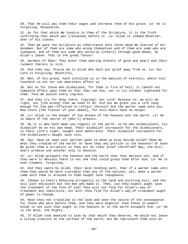30. That He will pay them their wages and increase them of His grace. Lo! He is Forgiving, Responsive.

31. As for that which We inspire in thee of the Scripture, it is the Truth confirming that which was [revealed] before it. Lo! Allah is indeed Observer, Seer of His slaves.

32. Then We gave the Scripture as inheritance unto those whom We elected of Our bondmen. But of them are some who wrong themselves and of them are some who are lukewarm, and of them are some who outstrip [others] through good deeds, by Allah's leave. That is the great favour!

33. Gardens of Eden! They enter them wearing armlets of gold and pearl and their raiment therein is silk.

34. And they say: Praise be to Allah Who hath put grief away from us. Lo! Our Lord is Forgiving, Bountiful,

35. Who, of His grace, hath installed us in the mansion of eternity, where toil toucheth us not nor can weariness affect us.

36. But as for those who disbelieve, for them is fire of hell; it taketh not complete effect upon them so that they can die, nor is its torment lightened for them. Thus We punish every ingrate.

37. And they cry for help there, [saying]: Our Lord! Release us; we will do right, not [the wrong] that we used to do. Did not We grant you a life long enough for him who reflected to reflect therein? And the warner came unto you. Now taste [the flavour of your deeds], for evil-doers have no helper.

38. Lo! Allah is the Knower of the Unseen of the heavens and the earth. Lo! He is Aware of the secret of [men's] breasts.

39. He it is Who hath made you regents in the earth; so he who disbelieveth, his disbelief be on his own head. Their disbelief increaseth for the disbelievers, in their Lord's sight, naught save abhorrence. Their disbelief increaseth for the disbelievers naught save loss.

40. Say: Have ye seen your partner-gods to whom ye pray beside Allah? Show me what they created of the earth! Or have they any portion in the heavens? Or have We given them a scripture so they act on clear proof therefrom? Nay, the evildoers promise one another only to deceive.

41. Lo! Allah graspeth the heavens and the earth that they deviate not, and if they were to deviate there is not one that could grasp them after Him. Lo! He is ever Clement, Forgiving.

42. And they swore by Allah, their most binding oath, that if a warner came unto them they would be more tractable than any of the nations; yet, when a warner came unto them it aroused in them naught save repugnance,

43. [Shown in their] behaving arrogantly in the land and plotting evil; and the evil plot encloseth but the men who make it. Then, can they expect aught save the treatment of the folk of old? Thou wilt not find for Allah's way of treatment any substitute, nor wilt thou find for Allah's way of treatment aught of power to change.

44. Have they not travelled in the land and seen the nature of the consequence for those who were before them, and they were mightier than these in power? Allah is not such that aught in the heavens or in the earth escapeth Him. Lo! He is the Wise, the Mighty.

45. If Allah took mankind to task by that which they deserve, He would not leave a living creature on the surface of the earth; but He reprieveth them unto an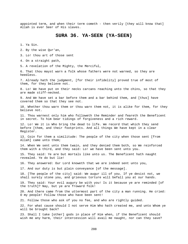appointed term, and when their term cometh - then verily [they will know that] Allah is ever Seer of His slaves.

# **SURA 36. YA-SEEN (YA-SEEN)**

1. Ya Sin.

2. By the wise Qur'an,

3. Lo! thou art of those sent

4. On a straight path,

5. A revelation of the Mighty, the Merciful,

6. That thou mayst warn a folk whose fathers were not warned, so they are heedless.

7. Already hath the judgment, [for their infidelity] proved true of most of them, for they believe not.

8. Lo! We have put on their necks carcans reaching unto the chins, so that they are made stiff-necked.

9. And We have set a bar before them and a bar behind them, and [thus] have covered them so that they see not.

10. Whether thou warn them or thou warn them not, it is alike for them, for they believe not.

11. Thou warnest only him who followeth the Reminder and feareth the Beneficent in secret. To him bear tidings of forgiveness and a rich reward.

12. Lo! We it is Who bring the dead to life. We record that which they send before [them, and their footprints. And all things We have kept in a clear Register.

13. Coin for them a similitude: The people of the city when those sent [from Allah] came unto them;

14. When We sent unto them twain, and they denied them both, so We reinforced them with a third, and they said: Lo! we have been sent unto you.

15. They said: Ye are but mortals like unto us. The Beneficent hath naught revealed. Ye do but lie!

16. They answered: Our Lord knoweth that we are indeed sent unto you,

17. And our duty is but plain conveyance [of the message].

18. [The people of the city] said: We augur ill of you. If ye desist not, we shall surely stone you, and grievous torture will befall you at our hands.

19. They said: Your evil augury be with you! Is it because ye are reminded [of the truth]? Nay, but ye are froward folk!

20. And there came from the uttermost part of the city a man running. He cried: O my people! Follow those who have been sent!

21. Follow those who ask of you no fee, and who are rightly guided.

22. For what cause should I not serve Him Who hath created me, and unto Whom ye will be brought back?

23. Shall I take [other] gods in place of Him when, if the Beneficent should wish me any harm, their intercession will avail me naught, nor can they save?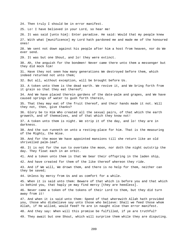24. Then truly I should be in error manifest.

25. Lo! I have believed in your Lord, so hear me!

26. It was said [unto him]: Enter paradise. He said: Would that my people knew 27. With what [munificence] my Lord hath pardoned me and made me of the honoured ones!

28. We sent not down against his people after him a host from heaven, nor do We ever send.

29. It was but one Shout, and lo! they were extinct.

30. Ah, the anguish for the bondmen! Never came there unto them a messenger but they did mock him!

31. Have they not seen how many generations We destroyed before them, which indeed returned not unto them;

32. But all, without exception, will be brought before Us.

33. A token unto them is the dead earth. We revive it, and We bring forth from it grain so that they eat thereof;

34. And We have placed therein gardens of the date-palm and grapes, and We have caused springs of water to gush forth therein,

35. That they may eat of the fruit thereof, and their hands made it not. Will they not, then, give thanks?

36. Glory be to Him Who created all the sexual pairs, of that which the earth groweth, and of themselves, and of that which they know not!

37. A token unto them is night. We strip it of the day, and lo! they are in darkness.

38. And the sun runneth on unto a resting-place for him. That is the measuring of the Mighty, the Wise.

39. And for the moon We have appointed mansions till she return like an old shrivelled palm-leaf.

40. It is not for the sun to overtake the moon, nor doth the night outstrip the day. They float each in an orbit.

41. And a token unto them is that We bear their offspring in the laden ship,

42. And have created for them of the like thereof whereon they ride.

43. And if We will, We drown them, and there is no help for them, neither can they be saved;

44. Unless by mercy from Us and as comfort for a while.

45. When it is said unto them: Beware of that which is before you and that which is behind you, that haply ye may find mercy [they are heedless].

46. Never came a token of the tokens of their Lord to them, but they did turn away from it!

47. And when it is said unto them: Spend of that wherewith Allah hath provided you, those who disbelieve say unto those who believe: Shall we feed those whom Allah, if He willed, would feed? Ye are in naught else than error manifest.

48. And they say: When will this promise be fulfilled, if ye are truthful?

49. They await but one Shout, which will surprise them while they are disputing.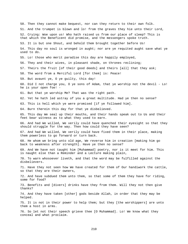50. Then they cannot make bequest, nor can they return to their own folk. 51. And the trumpet is blown and lo! from the graves they hie unto their Lord, 52. Crying: Woe upon us! Who hath raised us from our place of sleep? This is that which the Beneficent did promise, and the messengers spoke truth. 53. It is but one Shout, and behold them brought together before Us! 54. This day no soul is wronged in aught; nor are ye requited aught save what ye used to do. 55. Lo! those who merit paradise this day are happily employed, 56. They and their wives, in pleasant shade, on thrones reclining; 57. Theirs the fruit [of their good deeds] and theirs [all] that they ask; 58. The word from a Merciful Lord [for them] is: Peace! 59. But avaunt ye, O ye guilty, this day! 60. Did I not charge you, O ye sons of Adam, that ye worship not the devil - Lo! he is your open foe! - 61. But that ye worship Me? That was the right path. 62. Yet he hath led astray of you a great multitude. Had ye then no sense? 63. This is hell which ye were promised [if ye followed him]. 64. Burn therein this day for that ye disbelieved. 65. This day We seal up their mouths, and their hands speak out to Us and their feet bear witness as to what they used to earn. 66. And had We willed, We verily could have quenched their eyesight so that they should struggle for the way. Then how could they have seen? 67. And had We willed, We verily could have fixed them in their place, making them powerless to go forward or turn back. 68. He whom we bring unto old age, We reverse him in creation [making him go back to weakness after strength]. Have ye then no sense? 69. And We have not taught him [Muhammad] poetry, nor is it meet for him. This is naught else than a Reminder and a Lecture making plain, 70. To warn whosoever liveth, and that the word may be fulfilled against the disbelievers. 71. Have they not seen how We have created for them of Our handiwork the cattle, so that they are their owners, 72. And have subdued them unto them, so that some of them they have for riding, some for food? 73. Benefits and [divers] drinks have they from them. Will they not then give thanks? 74. And they have taken [other] gods beside Allah, in order that they may be helped. 75. It is not in their power to help them; but they [the worshippers] are unto them a host in arms. 76. So let not their speech grieve thee [O Muhammad]. Lo! We know what they conceal and what proclaim.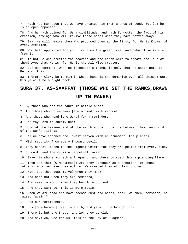77. Hath not man seen that We have created him from a drop of seed? Yet lo! he is an open opponent.

78. And he hath coined for Us a similitude, and hath forgotten the fact of his creation, saying: Who will revive these bones when they have rotted away?

79. Say: He will revive them Who produced them at the first, for He is Knower of every creation,

80. Who hath appointed for you fire from the green tree, and behold! ye kindle from it.

81. Is not He Who created the heavens and the earth Able to create the like of them? Aye, that He is! for He is the All-Wise Creator,

82. But His command, when He intendeth a thing, is only that He saith unto it: Be! and it is.

83. Therefor Glory be to Him in Whose hand is the dominion over all things! Unto Him ye will be brought back.

### **SURA 37. AS-SAAFFAT (THOSE WHO SET THE RANKS,DRAWN**

#### **UP IN RANKS)**

1. By those who set the ranks in battle order

2. And those who drive away [the wicked] with reproof

3. And those who read [the Word] for a reminder,

4. Lo! thy Lord is surely One;

5. Lord of the heavens and of the earth and all that is between them, and Lord of the sun's risings.

6. Lo! We have adorned the lowest heaven with an ornament, the planets;

7. With security from every froward devil.

8. They cannot listen to the Highest Chiefs for they are pelted from every side,

9. Outcast, and theirs is a perpetual torment;

10. Save him who snatcheth a fragment, and there pursueth him a piercing flame.

11. Then ask them [O Muhammad]: Are they stronger as a creation, or those [others] whom we have created? Lo! We created them of plastic clay.

12. Nay, but thou dost marvel when they mock

13. And heed not when they are reminded,

14. And seek to scoff when they behold a portent.

15. And they say: Lo! this is mere magic;

16. When we are dead and have become dust and bones, shall we then, forsooth, be raised [again]?

17. And our forefathers?

18. Say [O Muhammad]: Ye, in truth; and ye will be brought low.

19. There is but one Shout, and lo! they behold,

20. And say: Ah, woe for us! This is the Day of Judgment.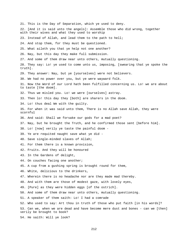21. This is the Day of Separation, which ye used to deny. 22. [And it is said unto the angels]: Assemble those who did wrong, together with their wives and what they used to worship 23. Instead of Allah, and lead them to the path to hell; 24. And stop them, for they must be questioned. 25. What aileth you that ye help not one another? 26. Nay, but this day they make full submission. 27. And some of them draw near unto others, mutually questioning. 28. They say: Lo! ye used to come unto us, imposing, [swearing that ye spoke the truth]. 29. They answer: Nay, but ye [yourselves] were not believers. 30. We had no power over you, but ye were wayward folk. 31. Now the Word of our Lord hath been fulfilled concerning us. Lo! we are about to taste [the doom]. 32. Thus we misled you. Lo! we were [ourselves] astray. 33. Then lo! this day they [both] are sharers in the doom. 34. Lo! thus deal We with the guilty. 35. For when it was said unto them, There is no Allah save Allah, they were scornful 36. And said: Shall we forsake our gods for a mad poet? 37. Nay, but he brought the Truth, and he confirmed those sent [before him]. 38. Lo! [now] verily ye taste the painful doom - 39. Ye are requited naught save what ye did - 40. Save single-minded slaves of Allah; 41. For them there is a known provision, 42. Fruits. And they will be honoured 43. In the Gardens of delight, 44. On couches facing one another; 45. A cup from a gushing spring is brought round for them, 46. White, delicious to the drinkers, 47. Wherein there is no headache nor are they made mad thereby. 48. And with them are those of modest gaze, with lovely eyes, 49. [Pure] as they were hidden eggs [of the ostrich]. 50. And some of them draw near unto others, mutually questioning. 51. A speaker of them saith: Lo! I had a comrade 52. Who used to say: Art thou in truth of those who put faith [in his words]? 53. Can we, when we are dead and have become mere dust and bones - can we [then] verily be brought to book? 54. He saith: Will ye look?

212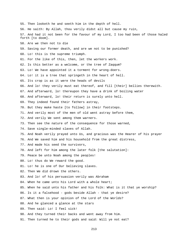55. Then looketh he and seeth him in the depth of hell. 56. He saith: By Allah, thou verily didst all but cause my ruin, 57. And had it not been for the favour of my Lord, I too had been of those haled forth [to doom]. 58. Are we then not to die 59. Saving our former death, and are we not to be punished? 60. Lo! this is the supreme triumph. 61. For the like of this, then, let the workers work. 62. Is this better as a welcome, or the tree of Zaqqum? 63. Lo! We have appointed it a torment for wrong-doers. 64. Lo! it is a tree that springeth in the heart of hell. 65. Its crop is as it were the heads of devils 66. And lo! they verily must eat thereof, and fill [their] bellies therewith. 67. And afterward, lo! thereupon they have a drink of boiling water 68. And afterward, lo! their return is surely unto hell. 69. They indeed found their fathers astray, 70. But they make haste [to follow] in their footsteps. 71. And verily most of the men of old went astray before them, 72. And verily We sent among them warners. 73. Then see the nature of the consequence for those warned, 74. Save single-minded slaves of Allah. 75. And Noah verily prayed unto Us, and gracious was the Hearer of his prayer 76. And We saved him and his household from the great distress, 77. And made his seed the survivors, 78. And left for him among the later folk [the salutation]: 79. Peace be unto Noah among the peoples! 80. Lo! thus do We reward the good. 81. Lo! he is one of Our believing slaves. 82. Then We did drown the others. 83. And lo! of his persuasion verily was Abraham 84. When he came unto his Lord with a whole heart; 85. When he said unto his father and his folk: What is it that ye worship? 86. Is it a falsehood - gods beside Allah - that ye desire? 87. What then is your opinion of the Lord of the Worlds? 88. And he glanced a glance at the stars 89. Then said: Lo! I feel sick! 90. And they turned their backs and went away from him. 91. Then turned he to their gods and said: Will ye not eat?

213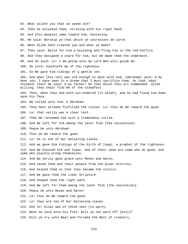- 92. What aileth you that ye speak not?
- 93. Then he attacked them, striking with his right hand.

94. And [his people] came toward him, hastening.

- 95. He said: Worship ye that which ye yourselves do carve
- 96. When Allah hath created you and what ye make?
- 97. They said: Build for him a building and fling him in the red-hotfire.
- 98. And they designed a snare for him, but We made them the undermost.
- 99. And he said: Lo! I am going unto my Lord Who will guide me.
- 100. My Lord! Vouchsafe me of the righteous.
- 101. So We gave him tidings of a gentle son.

102. And when [his son] was old enough to walk with him, [Abraham] said: O my dear son, I have seen in a dream that I must sacrifice thee. So look, what thinkest thou? He said: O my father! Do that which thou art commanded. Allah willing, thou shalt find me of the steadfast.

103. Then, when they had both surrendered [to Allah], and he had flung him down upon his face,

- 104. We called unto him: O Abraham!
- 105. Thou hast already fulfilled the vision. Lo! thus do We reward the good.
- 106. Lo! that verily was a clear test.
- 107. Then We ransomed him with a tremendous victim.
- 108. And We left for him among the later folk [the salutation]:
- 109. Peace be unto Abraham!
- 110. Thus do We reward the good.
- 111. Lo! he is one of Our believing slaves.
- 112. And we gave him tidings of the birth of Isaac, a prophet of the righteous.
- 113. And We blessed him and Isaac. And of their seed are some who do good, and some who plainly wrong themselves.
- 114. And We verily gave grace unto Moses and Aaron,
- 115. And saved them and their people from the great distress,
- 116. And helped them so that they became the victors.
- 117. And We gave them the clear Scripture
- 118. And showed them the right path.
- 119. And We left for them among the later folk [the salutation]:
- 120. Peace be unto Moses and Aaron!
- 121. Lo! thus do We reward the good.
- 122. Lo! they are two of Our believing slaves.
- 123. And lo! Elias was of those sent [to warn],
- 124. When he said unto his folk: Will ye not ward off [evil]?
- 125. Will ye cry unto Baal and forsake the Best of creators,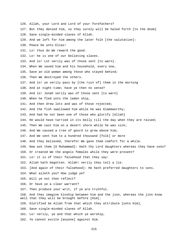126. Allah, your Lord and Lord of your forefathers? 127. But they denied him, so they surely will be haled forth [to the doom] 128. Save single-minded slaves of Allah. 129. And we left for him among the later folk [the salutation]: 130. Peace be unto Elias! 131. Lo! thus do We reward the good. 132. Lo! he is one of our believing slaves. 133. And lo! Lot verily was of those sent [to warn]. 134. When We saved him and his household, every one, 135. Save an old woman among those who stayed behind; 136. Then We destroyed the others. 137. And lo! ye verily pass by [the ruin of] them in the morning 138. And at night-time; have ye then no sense? 139. And lo! Jonah verily was of those sent [to warn] 140. When he fled unto the laden ship, 141. And then drew lots and was of those rejected; 142. And the fish swallowed him while he was blameworthy; 143. And had he not been one of those who glorify [Allah] 144. He would have tarried in its belly till the day when they are raised; 145. Then We cast him on a desert shore while he was sick; 146. And We caused a tree of gourd to grow above him; 147. And We sent him to a hundred thousand [folk] or more 148. And they believed, therefor We gave them comfort for a while. 149. Now ask them [O Muhammad]: Hath thy Lord daughters whereas they have sons? 150. Or created We the angels females while they were present? 151. Lo! it is of their falsehood that they say: 152. Allah hath begotten. Allah! verily they tell a lie. 153. [And again of their falsehood]: He hath preferred daughters to sons. 154. What aileth you? How judge ye? 155. Will ye not then reflect? 156. Or have ye a clear warrant? 157. Then produce your writ, if ye are truthful. 158. And they imagine kinship between him and the jinn, whereas the jinn know well that they will be brought before [Him]. 159. Glorified be Allah from that which they attribute [unto Him], 160. Save single-minded slaves of Allah. 161. Lo! verily, ye and that which ye worship, 162. Ye cannot excite [anyone] against Him.

215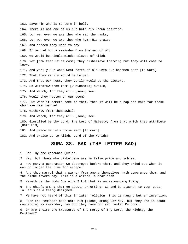163. Save him who is to burn in hell. 164. There is not one of us but hath his known position. 165. Lo! we, even we are they who set the ranks, 166. Lo! we, even we are they who hymn His praise 167. And indeed they used to say: 168. If we had but a reminder from the men of old 169. We would be single-minded slaves of Allah. 170. Yet [now that it is come] they disbelieve therein; but they will come to know. 171. And verily Our word went forth of old unto Our bondmen sent [to warn] 172. That they verily would be helped, 173. And that Our host, they verily would be the victors. 174. So withdraw from them [O Muhammad] awhile, 175. And watch, for they will [soon] see. 176. Would they hasten on Our doom? 177. But when it cometh home to them, then it will be a hapless morn for those who have been warned. 178. Withdraw from them awhile 179. And watch, for they will [soon] see. 180. Glorified be thy Lord, the Lord of Majesty, from that which they attribute [unto Him] 181. And peace be unto those sent [to warn]. 182. And praise be to Allah, Lord of the Worlds!

## **SURA 38. SAD (THE LETTER SAD)**

1. Sad. By the renowned Qur'an,

2. Nay, but those who disbelieve are in false pride and schism.

3. How many a generation We destroyed before them, and they cried out when it was no longer the time for escape!

4. And they marvel that a warner from among themselves hath come unto them, and the disbelievers say: This is a wizard, a charlatan.

5. Maketh he the gods One Allah? Lo! that is an astounding thing.

6. The chiefs among them go about, exhorting: Go and be staunch to your gods! Lo! this is a thing designed.

7. We have not heard of this in later religion. This is naught but an invention.

8. Hath the reminder been unto him [alone] among us? Nay, but they are in doubt concerning My reminder; nay but they have not yet tasted My doom.

9. Or are theirs the treasures of the mercy of thy Lord, the Mighty, the Bestower?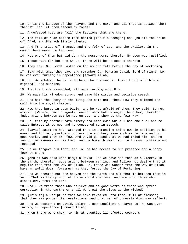10. Or is the kingdom of the heavens and the earth and all that is between them theirs? Then let them ascend by ropes!

11. A defeated host are [all] the factions that are there.

12. The folk of Noah before them denied [their messenger] and [so did the tribe of] A'ad, and Pharaoh firmly planted,

13. And [the tribe of] Thamud, and the folk of Lot, and the dwellers in the wood: these were the factions.

14. Not one of them but did deny the messengers, therefor My doom was justified,

15. These wait for but one Shout, there will be no second thereto.

16. They say: Our Lord! Hasten on for us our fate before the Day of Reckoning.

17. Bear with what they say, and remember Our bondman David, lord of might, Lo! he was ever turning in repentance [toward Allah].

18. Lo! We subdued the hills to hymn the praises [of their Lord] with him at nightfall and sunrise,

19. And the birds assembled; all were turning unto Him.

20. We made his kingdom strong and gave him wisdom and decisive speech.

21. And hath the story of the litigants come unto thee? How they climbed the wall into the royal chamber;

22. How they burst in upon David, and he was afraid of them. They said: Be not afraid! [We are] two litigants, one of whom hath wronged the other, therefor judge aright between us; be not unjust; and show us the fair way.

23. Lo! this my brother hath ninety and nine ewes while I had one ewe; and he said: Entrust it to me, and he conquered me in speech.

24. [David] said: He hath wronged thee in demanding thine ewe in addition to his ewes, and lo! many partners oppress one another, save such as believe and do good works, and they are few. And David guessed that We had tried him, and he sought forgiveness of his Lord, and he bowed himself and fell down prostrate and repented.

25. So We forgave him that; and lo! he had access to Our presence and a happy journey's end.

26. [And it was said unto him]: O David! Lo! We have set thee as a viceroy in the earth; therefor judge aright between mankind, and follow not desire that it beguile thee from the way of Allah. Lo! those who wander from the way of Allah have an awful doom, forasmuch as they forgot the Day of Reckoning.

27. And We created not the heaven and the earth and all that is between them in vain. That is the opinion of those who disbelieve. And woe unto those who disbelieve, from the Fire!

28. Shall We treat those who believe and do good works as those who spread corruption in the earth; or shall We treat the pious as the wicked?

29. [This is] a Scripture that We have revealed unto thee, full of blessing, that they may ponder its revelations, and that men of understanding may reflect.

30. And We bestowed on David, Solomon. How excellent a slave! Lo! he was ever turning in repentance [toward Allah].

31. When there were shown to him at eventide lightfooted coursers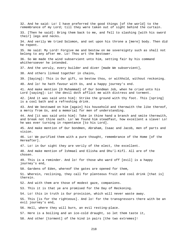32. And he said: Lo! I have preferred the good things [of the world] to the remembrance of my Lord; till they were taken out of sight behind the curtain. 33. [Then he said]: Bring them back to me, and fell to slashing [with his sword their] legs and necks. 34. And verily We tried Solomon, and set upon his throne a [mere] body. Then did he repent. 35. He said: My Lord! Forgive me and bestow on me sovereignty such as shall not belong to any after me. Lo! Thou art the Bestower. 36. So We made the wind subservient unto him, setting fair by his command whithersoever he intended. 37. And the unruly, every builder and diver [made We subservient], 38. And others linked together in chains, 39. [Saying]: This is Our gift, so bestow thou, or withhold, without reckoning. 40. And lo! he hath favour with Us, and a happy journey's end. 41. And make mention [O Muhammad] of Our bondman Job, when he cried unto his Lord [saying]: Lo! the devil doth afflict me with distress and torment. 42. [And it was said unto him]: Strike the ground with thy foot. This [spring] is a cool bath and a refreshing drink. 43. And We bestowed on him [again] his household and therewith the like thereof, a mercy from Us, and a memorial for men of understanding. 44. And [it was said unto him]: Take in thine hand a branch and smite therewith, and break not thine oath. Lo! We found him steadfast, how excellent a slave! Lo! he was ever turning in repentance [to his Lord]. 45. And make mention of Our bondmen, Abraham, Isaac and Jacob, men of parts and vision. 46. Lo! We purified them with a pure thought, remembrance of the Home [of the Hereafter]. 47. Lo! in Our sight they are verily of the elect, the excellent. 48. And make mention of Ishmael and Elisha and Dhu'l-Kifl. All are of the chosen. 49. This is a reminder. And lo! for those who ward off [evil] is a happy journey's end, 50. Gardens of Eden, whereof the gates are opened for them, 51. Wherein, reclining, they call for plenteous fruit and cool drink [that is] therein. 52. And with them are those of modest gaze, companions. 53. This it is that ye are promised for the Day of Reckoning. 54. Lo! this in truth is Our provision, which will never waste away. 55. This [is for the righteous]. And lo! for the transgressors there with be an evil journey's end, 56. Hell, where they will burn, an evil resting-place. 57. Here is a boiling and an ice-cold draught, so let them taste it, 58. And other [torment] of the kind in pairs [the two extremes]!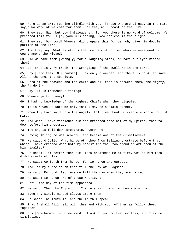59. Here is an army rushing blindly with you. [Those who are already in the Fire say]: No word of welcome for them. Lo! they will roast at the Fire. 60. They say: Nay, but you [misleaders], for you there is no word of welcome. Ye prepared this for us [by your misleading]. Now hapless is the plight. 61. They say: Our Lord! Whoever did prepare this for us, oh, give him double portion of the Fire! 62. And they say: What aileth us that we behold not men whom we were wont to count among the wicked? 63. Did we take them [wrongly] for a laughing-stock, or have our eyes missed them? 64. Lo! that is very truth: the wrangling of the dwellers in the Fire. 65. Say [unto them, O Muhammad]: I am only a warner, and there is no Allah save Allah, the One, the Absolute, 66. Lord of the heavens and the earth and all that is between them, the Mighty, the Pardoning. 67. Say: It is tremendous tidings 68. Whence ye turn away! 69. I had no knowledge of the Highest Chiefs when they disputed; 70. It is revealed unto me only that I may be a plain warner. 71. When thy Lord said unto the angels: Lo! I am about to create a mortal out of mire, 72. And when I have fashioned him and breathed into him of My Spirit, then fall down before him prostrate, 73. The angels fell down prostrate, every one, 74. Saving Iblis; he was scornful and became one of the disbelievers. 75. He said: O Iblis! What hindereth thee from falling prostrate before that which I have created with both My hands? Art thou too proud or art thou of the high exalted? 76. He said: I am better than him. Thou createdst me of fire, whilst him Thou didst create of clay. 77. He said: Go forth from hence, for lo! thou art outcast, 78. And lo! My curse is on thee till the Day of Judgment. 79. He said: My Lord! Reprieve me till the day when they are raised. 80. He said: Lo! thou art of those reprieved 81. Until the day of the time appointed. 82. He said: Then, by Thy might, I surely will beguile them every one, 83. Save Thy single-minded slaves among them. 84. He said: The Truth is, and the Truth I speak, 85. That I shall fill hell with thee and with such of them as follow thee, together. 86. Say [O Muhammad, unto mankind]: I ask of you no fee for this, and I am no simulating.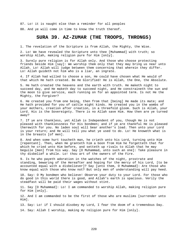87. Lo! it is naught else than a reminder for all peoples 88. And ye will come in time to know the truth thereof.

# **SURA 39. AZ-ZUMAR (THE TROOPS, THRONGS)**

1. The revelation of the Scripture is from Allah, the Mighty, the Wise.

2. Lo! We have revealed the Scripture unto thee [Muhammad] with truth; so worship Allah, making religion pure for Him [only].

3. Surely pure religion is for Allah only. And those who choose protecting friends beside Him [say]: We worship them only that they may bring us near unto Allah. Lo! Allah will judge between them concerning that wherein they differ. Lo! Allah guideth not him who is a liar, an ingrate.

4. If Allah had willed to choose a son, He could have chosen what He would of that which He hath created. Be He Glorified! He is Allah, the One, the Absolute.

5. He hath created the heavens and the earth with truth. He maketh night to succeed day, and He maketh day to succeed night, and He constraineth the sun and the moon to give service, each running on for an appointed term. Is not He the Mighty, the Forgiver?

6. He created you from one being, then from that [being] He made its mate; and He hath provided for you of cattle eight kinds. He created you in the wombs of your mothers, creation after creation, in a threefold gloom. Such is Allah, your Lord. His is the Sovereignty. There is no Allah save Him. How then are ye turned away?

7. If ye are thankless, yet Allah is Independent of you, though He is not pleased with thanklessness for His bondmen; and if ye are thankful He is pleased therewith for you. No laden soul will bear another's load. Then unto your Lord is your return; and He will tell you what ye used to do. Lo! He knoweth what is in the breasts [of men].

8. And when some hurt toucheth man, he crieth unto his Lord, turning unto Him [repentant]. Then, when He granteth him a boon from Him he forgetteth that for which he cried unto Him before, and setteth up rivals to Allah that he may beguile [men] from his way. Say [O Muhammad, unto such an one]: Take pleasure in thy disbelief a while. Lo! thou art of the owners of the Fire.

9. Is he who payeth adoration in the watches of the night, prostrate and standing, bewaring of the Hereafter and hoping for the mercy of his Lord, [to be accounted equal with a disbeliever]? Say [unto them, O Muhammad]: Are those who know equal with those who know not? But only men of understanding will pay heed.

10. Say: O My bondmen who believe! Observe your duty to your Lord. For those who do good in this world there is good, and Allah's earth is spacious. Verily the steadfast will be paid their wages without stint.

11. Say [O Muhammad]: Lo! I am commanded to worship Allah, making religion pure for Him [only].

12. And I am commanded to be the first of those who are muslims [surrender unto Him].

13. Say: Lo! if I should disobey my Lord, I fear the doom of a tremendous Day. 14. Say: Allah I worship, making my religion pure for Him [only].

220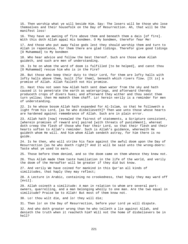15. Then worship what ye will beside Him. Say: The losers will be those who lose themselves and their housefolk on the Day of Resurrection. Ah, that will be the manifest loss!

16. They have an awning of fire above them and beneath them a dais [of fire]. With this doth Allah appal His bondmen. O My bondmen, therefor fear Me!

17. And those who put away false gods lest they should worship them and turn to Allah in repentance, for them there are glad tidings. Therefor give good tidings [O Muhammad] to My bondmen

18. Who hear advice and follow the best thereof. Such are those whom Allah guideth, and such are men of understanding.

19. Is he on whom the word of doom is fulfilled [to be helped], and canst thou [O Muhammad] rescue him who is in the Fire?

20. But those who keep their duty to their Lord, for them are lofty halls with lofty halls above them, built [for them], beneath which rivers flow. [It is] a promise of Allah. Allah faileth not His promise.

21. Hast thou not seen how Allah hath sent down water from the sky and hath caused it to penetrate the earth as watersprings, and afterward thereby produceth crops of divers hues; and afterward they wither and thou seest them turn yellow; then He maketh them chaff. Lo! herein verily is a reminder for men of understanding.

22. Is he whose bosom Allah hath expanded for Al-Islam, so that he followeth a light from his Lord, [as he who disbelieveth]? Then woe unto those whose hearts are hardened against remembrance of Allah. Such are in plain error.

23. Allah hath [now] revealed the fairest of statements, a Scripture consistent, [wherein promises of reward are] paired [with threats of punishment], whereat doth creep the flesh of those who fear their Lord, so that their flesh and their hearts soften to Allah's reminder. Such is Allah's guidance, wherewith He guideth whom He will. And him whom Allah sendeth astray, for him there is no guide.

24. Is he then, who will strike his face against the awful doom upon the Day of Resurrection [as he who doeth right]? And it will be said unto the wrong-doers: Taste what ye used to earn.

25. Those before them denied, and so the doom came on them whence they knew not.

26. Thus Allah made them taste humiliation in the life of the world, and verily the doom of the Hereafter will be greater if they did but know.

27. And verily We have coined for mankind in this Qur'an all kinds of similitudes, that haply they may reflect;

28. A Lecture in Arabic, containing no crookedness, that haply they may ward off [evil].

29. Allah coineth a similitude: A man in relation to whom are several partowners, quarrelling, and a man belonging wholly to one man. Are the two equal in similitude? Praise be to Allah! But most of them know not.

30. Lo! thou wilt die, and lo! they will die;

31. Then lo! on the Day of Resurrection, before your Lord ye will dispute.

32. And who doth greater wrong than he who telleth a lie against Allah, and denieth the truth when it reacheth him? Will not the home of disbelievers be in hell?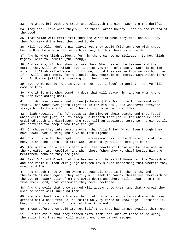33. And whoso bringeth the truth and believeth therein - Such are the dutiful.

34. They shall have what they will of their Lord's bounty. That is the reward of the good:

35. That Allah will remit from them the worst of what they did, and will pay them for reward the best they used to do.

36. Will not Allah defend His slave? Yet they would frighten thee with those beside Him. He whom Allah sendeth astray, for him there is no guide.

37. And he whom Allah guideth, for him there can be no misleader. Is not Allah Mighty, Able to Requite [the wrong]?

38. And verily, if thou shouldst ask them: Who created the heavens and the earth? they will say: Allah. Say: Bethink you then of those ye worship beside Allah, if Allah willed some hurt for me, could they remove from me His hurt; or if He willed some mercy for me, could they restrain His mercy? Say: Allah is my all. In Him do [all] the trusting put their trust.

39. Say: O my people! Act in your manner. Lo! I [too] am acting. Thus ye will come to know

40. Who it is unto whom cometh a doom that will abase him, and on whom there falleth everlasting doom.

41. Lo! We have revealed unto thee [Muhammad] the Scripture for mankind with truth. Then whosoever goeth right it is for his soul, and whosoever strayeth, strayeth only to its hurt. And thou art not a warder over them.

42. Allah receiveth [men's] souls at the time of their death, and that [soul] which dieth not [yet] in its sleep. He keepeth that [soul] for which He hath ordained death and dismisseth the rest till an appointed term. Lo! herein verily are portents for people who take thought.

43. Or choose they intercessors other than Allah? Say: What! Even though they have power over nothing and have no intelligence?

44. Say: Unto Allah belongeth all intercession. His is the Sovereignty of the heavens and the earth. And afterward unto Him ye will be brought back.

45. And when Allah alone is mentioned, the hearts of those who believe not in the Hereafter are repelled, and when those [whom they worship] beside Him are mentioned, behold! they are glad.

46. Say: O Allah! Creator of the heavens and the earth! Knower of the Invisible and the Visible! Thou wilt judge between Thy slaves concerning that wherein they used to differ.

47. And though those who do wrong possess all that is in the earth, and therewith as much again, they verily will seek to ransom themselves therewith on the Day of Resurrection from the awful doom; and there will appear unto them, from their Lord, that wherewith they never reckoned.

48. And the evils that they earned will appear unto them, and that whereat they used to scoff will surround them.

49. Now when hurt toucheth a man he crieth unto Us, and afterward when We have granted him a boon from Us, he saith: Only by force of knowledge I obtained it. Nay, but it is a test. But most of them know not.

50. Those before them said it, yet [all] that they had earned availed them not;

51. But the evils that they earned smote them; and such of these as do wrong, the evils that they earn will smite them; they cannot escape.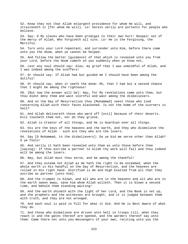52. Know they not that Allah enlargeth providence for whom He will, and straiteneth it [for whom He will]. Lo! herein verily are portents for people who believe. 53. Say: O My slaves who have been prodigal to their own hurt! Despair not of the mercy of Allah, Who forgiveth all sins. Lo! He is the Forgiving, the Merciful. 54. Turn unto your Lord repentant, and surrender unto Him, before there come unto you the doom, when ye cannot be helped. 55. And follow the better [guidance] of that which is revealed unto you from your Lord, before the doom cometh on you suddenly when ye know not, 56. Lest any soul should say: Alas, my grief that I was unmindful of Allah, and I was indeed among the scoffers! 57. Or should say: If Allah had but guided me I should have been among the dutiful! 58. Or should say, when it seeth the doom: Oh, that I had but a second chance that I might be among the righteous! 59. [But now the answer will be]: Nay, for My revelations came unto thee, but thou didst deny them and wast scornful and wast among the disbelievers. 60. And on the Day of Resurrection thou [Muhammad] seest those who lied concerning Allah with their faces blackened. Is not the home of the scorners in hell? 61. And Allah delivereth those who ward off [evil] because of their deserts. Evil toucheth them not, nor do they grieve. 62. Allah is Creator of all things, and He is Guardian over all things. 63. His are the keys of the heavens and the earth, and they who disbelieve the revelations of Allah - such are they who are the losers. 64. Say [O Muhammad, to the disbelievers]: Do ye bid me serve other than Allah? O ye fools! 65. And verily it hath been revealed unto thee as unto those before thee [saying]: If thou ascribe a partner to Allah thy work will fail and thou indeed wilt be among the losers. 66. Nay, but Allah must thou serve, and be among the thankful! 67. And they esteem not Allah as He hath the right to be esteemed, when the whole earth is His handful on the Day of Resurrection, and the heavens are rolled in His right hand. Glorified is He and High Exalted from all that they ascribe as partner [unto Him]. 68. And the trumpet is blown, and all who are in the heavens and all who are in the earth swoon away, save him whom Allah willeth. Then it is blown a second time, and behold them standing waiting! 69. And the earth shineth with the light of her Lord, and the Book is set up, and the prophets and the witnesses are brought, and it is judged between them with truth, and they are not wronged. 70. And each soul is paid in full for what it did. And He is Best Aware of what they do. 71. And those who disbelieve are driven unto hell in troops till, when they reach it and the gates thereof are opened, and the warders thereof say unto them: Came there not unto you messengers of your own, reciting unto you the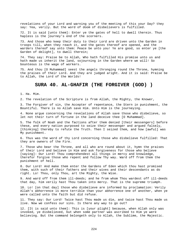revelations of your Lord and warning you of the meeting of this your Day? they say: Yea, verily. But the word of doom of disbelievers is fulfilled.

72. It is said [unto them]: Enter ye the gates of hell to dwell therein. Thus hapless is the journey's end of the scorners.

73. And those who keep their duty to their Lord are driven unto the Garden in troops till, when they reach it, and the gates thereof are opened, and the warders thereof say unto them: Peace be unto you! Ye are good, so enter ye [the Garden of delight], to dwell therein;

74. They say: Praise be to Allah, Who hath fulfilled His promise unto us and hath made us inherit the land, sojourning in the Garden where we will! So bounteous is the wage of workers.

75. And thou [O Muhammad] seest the angels thronging round the Throne, hymning the praises of their Lord. And they are judged aright. And it is said: Praise be to Allah, the Lord of the Worlds!

## **SURA 40. AL-GHAFIR (THE FORGIVER (GOD) )**

1. Ha. Mim.

2. The revelation of the Scripture is from Allah, the Mighty, the Knower,

3. The Forgiver of sin, the Accepter of repentance, the Stern in punishment, the Bountiful. There is no Allah save Him. Unto Him is the journeying.

4. None argue concerning the revelations of Allah save those who disbelieve, so let not their turn of fortune in the land deceive thee [O Muhammad].

5. The folk of Noah and the factions after them denied [their messengers] before these, and every nation purposed to seize their messenger and argued falsely, [thinking] thereby to refute the Truth. Then I seized them, and how [awful] was My punishment.

6. Thus was the word of thy Lord concerning those who disbelieve fulfilled: That they are owners of the Fire.

7. Those who bear the Throne, and all who are round about it, hymn the praises of their Lord and believe in Him and ask forgiveness for those who believe [saying]: Our Lord! Thou comprehendest all things in mercy and knowledge, therefor forgive those who repent and follow Thy way. Ward off from them the punishment of hell.

8. Our Lord! And make them enter the Gardens of Eden which thou hast promised them, with such of their fathers and their wives and their descendants as do right. Lo! Thou, only Thou, art the Mighty, the Wise.

9. And ward off from them ill-deeds; and he from whom Thou wardest off ill-deeds that day, him verily hast Thou taken into mercy. That is the supreme triumph.

10. Lo! [on that day] those who disbelieve are informed by proclamation: Verily Allah's abhorrence is more terrible than your abhorrence one of another, when ye were called unto the faith but did refuse.

11. They say: Our Lord! Twice hast Thou made us die, and twice hast Thou made us live. Now we confess our sins. Is there any way to go out?

12. [It is said unto them]: This is [your plight] because, when Allah only was invoked, ye disbelieved, but when some partner was ascribed to Him ye were believing. But the command belongeth only to Allah, the Sublime, the Majestic.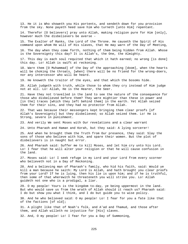13. He it is Who showeth you His portents, and sendeth down for you provision from the sky. None payeth heed save him who turneth [unto Him] repentant.

14. Therefor [O believers] pray unto Allah, making religion pure for Him [only], however much the disbelievers be averse -

15. The Exalter of Ranks, the Lord of the Throne. He causeth the Spirit of His command upon whom He will of His slaves, that He may warn of the Day of Meeting,

16. The day when they come forth, nothing of them being hidden from Allah. Whose is the Sovereignty this day? It is Allah's, the One, the Almighty.

17. This day is each soul requited that which it hath earned; no wrong [is done] this day. Lo! Allah is swift at reckoning.

18. Warn them [O Muhammad] of the Day of the approaching [doom], when the hearts will be choking the throats, [when] there will be no friend for the wrong-doers, nor any intercessor who will be heard.

19. He knoweth the traitor of the eyes, and that which the bosoms hide.

20. Allah judgeth with truth, while those to whom they cry instead of Him judge not at all. Lo! Allah, He is the Hearer, the Seer.

21. Have they not travelled in the land to see the nature of the consequence for those who disbelieved before them? They were mightier than these in power and [in the] traces [which they left behind them] in the earth. Yet Allah seized them for their sins, and they had no protector from Allah.

22. That was because their messengers kept bringing them clear proofs [of Allah's Sovereignty] but they disbelieved; so Allah seized them. Lo! He is Strong, severe in punishment.

23. And verily We sent Moses with Our revelations and a clear warrant

24. Unto Pharaoh and Haman and Korah, but they said: A lying sorcerer!

25. And when he brought them the Truth from Our presence, they said: Slay the sons of those who believe with him, and spare their women. But the plot of disbelievers is in naught but error.

26. And Pharaoh said: Suffer me to kill Moses, and let him cry unto his Lord. Lo! I fear that he will alter your religion or that he will cause confusion in the land.

27. Moses said: Lo! I seek refuge in my Lord and your Lord from every scorner who believeth not in a Day of Reckoning.

28. And a believing man of Pharaoh's family, who hid his faith, said: Would ye kill a man because he saith: My Lord is Allah, and hath brought you clear proofs from your Lord? If he is lying, then his lie is upon him; and if he is truthful, then some of that wherewith he threateneth you will strike you. Lo! Allah guideth not one who is a prodigal, a liar.

29. O my people! Yours is the kingdom to-day, ye being uppermost in the land. But who would save us from the wrath of Allah should it reach us? Pharaoh said: I do but show you what I think, and I do but guide you to wise policy.

30. And he who believed said: O my people! Lo! I fear for you a fate like that of the factions [of old];

31. A plight like that of Noah's folk, and A'ad and Thamud, and those after them, and Allah willeth no injustice for [His] slaves.

32. And, O my people! Lo! I fear for you a Day of Summoning,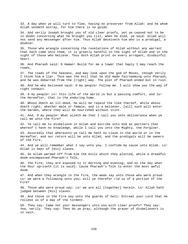33. A day when ye will turn to flee, having no preserver from Allah: and he whom Allah sendeth astray, for him there is no guide.

34. And verily Joseph brought you of old clear proofs, yet ye ceased not to be in doubt concerning what he brought you till, when he died, ye said: Allah will not send any messenger after him. Thus Allah deceiveth him who is a prodigal, a doubter.

35. Those who wrangle concerning the revelations of Allah without any warrant that hath come unto them, it is greatly hateful in the sight of Allah and in the sight of those who believe. Thus doth Allah print on every arrogant, disdainful heart.

36. And Pharaoh said: O Haman! Build for me a tower that haply I may reach the roads,

37. The roads of the heavens, and may look upon the god of Moses, though verily I think him a liar. Thus was the evil that he did made fairseeming unto Pharaoh, and he was debarred from the [right] way. The plot of Pharaoh ended but in ruin.

38. And he who believed said: O my people! Follow me. I will show you the way of right conduct.

39. O my people! Lo! this life of the world is but a passing comfort, and lo! the Hereafter, that is the enduring home.

40. Whoso doeth an ill-deed, he will be repaid the like thereof, while whoso doeth right, whether male or female, and is a believer, [all] such will enter the Garden, where they will be nourished without stint.

41. And, O my people! What aileth me that I call you unto deliverance when ye call me unto the Fire?

42. Ye call me to disbelieve in Allah and ascribe unto Him as partners that whereof I have no knowledge, while I call you unto the Mighty, the Forgiver.

43. Assuredly that whereunto ye call me hath no claim in the world or in the Hereafter, and our return will be unto Allah, and the prodigals will be owners of the Fire.

44. And ye will remember what I say unto you. I confide my cause unto Allah. Lo! Allah is Seer of [His] slaves.

45. So Allah warded off from him the evils which they plotted, while a dreadful doom encompassed Pharaoh's folk,

46. The Fire; they are exposed to it morning and evening; and on the day when the Hour upriseth [it is said]: Cause Pharaoh's folk to enter the most awful doom.

47. And when they wrangle in the Fire, the weak say unto those who were proud: Lo! we were a following unto you; will ye therefor rid us of a portion of the Fire?

48. Those who were proud say: Lo! we are all [together] herein. Lo! Allah hath judged between [His] slaves.

49. And those in the Fire say unto the guards of hell: Entreat your Lord that He relieve us of a day of the torment.

50. They say: Came not your messengers unto you with clear proofs? They say: Yea, verily. They say: Then do ye pray, although the prayer of disbelievers is in vain.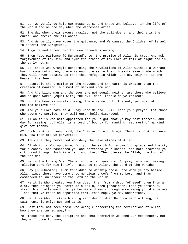51. Lo! We verily do help Our messengers, and those who believe, in the life of the world and on the day when the witnesses arise,

52. The day when their excuse availeth not the evil-doers, and theirs is the curse, and theirs the ill abode.

53. And We verily gave Moses the guidance, and We caused the Children of Israel to inherit the Scripture,

54. A guide and a reminder for men of understanding.

55. Then have patience [O Muhammad]. Lo! the promise of Allah is true. And ask forgiveness of thy sin, and hymn the praise of thy Lord at fall of night and in the early hours.

56. Lo! those who wrangle concerning the revelations of Allah without a warrant having come unto them, there is naught else in their breasts save pride which they will never attain. So take thou refuge in Allah. Lo! He, only He, is the Hearer, the Seer.

57. Assuredly the creation of the heavens and the earth is greater than the creation of mankind; but most of mankind know not.

58. And the blind man and the seer are not equal, neither are those who believe and do good works [equal with] the evil-doer. Little do ye reflect!

59. Lo! the Hour is surely coming, there is no doubt thereof; yet most of mankind believe not.

60. And your Lord hath said: Pray unto Me and I will hear your prayer. Lo! those who scorn My service, they will enter hell, disgraced.

61. Allah it is Who hath appointed for you night that ye may rest therein, and day for seeing. Lo! Allah is a Lord of bounty for mankind, yet most of mankind give not thanks.

62. Such is Allah, your Lord, the Creator of all things, There is no Allah save Him. How then are ye perverted?

63. Thus are they perverted who deny the revelations of Allah.

64. Allah it is Who appointed for you the earth for a dwelling-place and the sky for a canopy, and fashioned you and perfected your shapes, and hath provided you with good things. Such is Allah, your Lord. Then blessed be Allah, the Lord of the Worlds!

65. He is the Living One. There is no Allah save Him. So pray unto Him, making religion pure for Him [only]. Praise be to Allah, the Lord of the Worlds!

66. Say [O Muhammad]: I am forbidden to worship those unto whom ye cry beside Allah since there have come unto me clear proofs from my Lord, and I am commanded to surrender to the Lord of the Worlds.

67. He it is Who created you from dust, then from a drop [of seed] then from a clot, then bringeth you forth as a child, then [ordaineth] that ye attain full strength and afterward that ye become old men - though some among you die before - and that ye reach an appointed term, that haply ye may understand.

68. He it is Who quickeneth and giveth death. When He ordaineth a thing, He saith unto it only: Be! and it is.

69. Hast thou not seen those who wrangle concerning the revelations of Allah, how they are turned away? -

70. Those who deny the Scripture and that wherewith We send Our messengers. But they will come to know,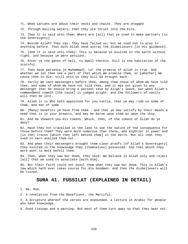71. When carcans are about their necks and chains. They are dragged

72. Through boiling waters; then they are thrust into the Fire.

73. Then it is said unto them: Where are [all] that ye used to make partners [in the Sovereignty]

74. Beside Allah? They say: They have failed us; but we used not to pray to anything before. Thus doth Allah send astray the disbelievers [in His guidance].

75. [And it is said unto them]: This is because ye exulted in the earth without right, and because ye were petulant.

76. Enter ye the gates of hell, to dwell therein. Evil is the habitation of the scornful.

77. Then have patience [O Muhammad]. Lo! the promise of Allah is true. And whether we let thee see a part of that which We promise them, or [whether] We cause thee to die, still unto Us they will be brought back.

78. Verily We sent messengers before thee, among them those of whom We have told thee, and some of whom We have not told thee; and it was not given to any messenger that he should bring a portent save by Allah's leave, but when Allah's commandment cometh [the cause] is judged aright, and the followers of vanity will then be lost.

79. Allah it is Who hath appointed for you cattle, that ye may ride on some of them, and eat of some -

80. [Many] benefits ye have from them - and that ye may satisfy by their means a need that is in your breasts, and may be borne upon them as upon the ship.

81. And He showeth you His tokens. Which, then, of the tokens of Allah do ye deny?

82. Have they not travelled in the land to see the nature of the consequence for those before them? They were more numerous than these, and mightier in power and [in the] traces [which they left behind them] in the earth. But all that they used to earn availed them not.

83. And when their messengers brought them clear proofs [of Allah's Sovereignty] they exulted in the knowledge they [themselves] possessed. And that which they were wont to mock befell them.

84. Then, when they saw Our doom, they said: We believe in Allah only and reject [all] that we used to associate [with Him].

85. But their faith could not avail them when they saw Our doom. This is Allah's law which hath ever taken course for His bondmen. And then the disbelievers will be ruined.

### **SURA 41. FUSSILAT (EXPLAINED IN DETAIL)**

1. Ha. Mim.

2. A revelation from the Beneficent, the Merciful,

3. A Scripture whereof the verses are expounded, a Lecture in Arabic for people who have knowledge,

4. Good tidings and a warning. But most of them turn away so that they hear not.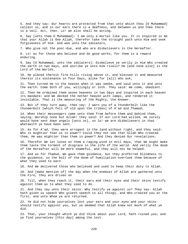5. And they say: Our hearts are protected from that unto which thou [O Muhammad] callest us, and in our ears there is a deafness, and between us and thee there is a veil. Act, then. Lo! we also shall be acting.

6. Say [unto them O Muhammad]: I am only a mortal like you. It is inspired in me that your Allah is One Allah, therefor take the straight path unto Him and seek forgiveness of Him. And woe unto the idolaters,

7. Who give not the poor-due, and who are disbelievers in the Hereafter.

8. Lo! as for those who believe and do good works, for them is a reward enduring.

9. Say [O Muhammad, unto the idolaters]: Disbelieve ye verily in Him Who created the earth in two Days, and ascribe ye unto Him rivals? He [and none else] is the Lord of the Worlds.

10. He placed therein firm hills rising above it, and blessed it and measured therein its sustenance in four Days, alike for [all] who ask;

11. Then turned He to the heaven when it was smoke, and said unto it and unto the earth: Come both of you, willingly or loth. They said: We come, obedient.

12. Then He ordained them seven heavens in two Days and inspired in each heaven its mandate; and We decked the nether heaven with lamps, and rendered it inviolable. That is the measuring of the Mighty, the Knower.

13. But if they turn away, then say: I warn you of a thunderbolt like the thunderbolt [which fell of old upon the tribes] of A'ad and Thamud;

14. When their messengers came unto them from before them and behind them, saying: Worship none but Allah! they said: If our Lord had willed, He surely would have sent down angels [unto us], so lo! we are disbelievers in that wherewith ye have been sent.

15. As for A'ad, they were arrogant in the land without right, and they said: Who is mightier than us in power? Could they not see that Allah Who created them, He was mightier than them in power? And they denied Our revelations.

16. Therefor We let loose on them a raging wind in evil days, that We might make them taste the torment of disgrace in the life of the world. And verily the doom of the Hereafter will be more shameful, and they will not be helped.

17. And as for Thamud, We gave them guidance, but they preferred blindness to the guidance, so the bolt of the doom of humiliation overtook them because of what they used to earn.

18. And We delivered those who believed and used to keep their duty to Allah.

19. And [make mention of] the day when the enemies of Allah are gathered unto the Fire, they are driven on

20. Till, when they reach it, their ears and their eyes and their skins testify against them as to what they used to do.

21. And they say unto their skins: Why testify ye against us? They say: Allah hath given us speech Who giveth speech to all things, and Who created you at the first, and unto Whom ye are returned.

22. Ye did not hide yourselves lest your ears and your eyes and your skins should testify against you, but ye deemed that Allah knew not much of what ye did.

23. That, your thought which ye did think about your Lord, hath ruined you; and ye find yourselves [this day] among the lost.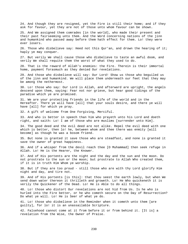24. And though they are resigned, yet the Fire is still their home; and if they ask for favour, yet they are not of those unto whom favour can be shown.

25. And We assigned them comrades [in the world], who made their present and their past fairseeming unto them. And the Word concerning nations of the jinn and humankind who passed away before them hath effect for them. Lo! they were ever losers.

26. Those who disbelieve say: Heed not this Qur'an, and drown the hearing of it; haply ye may conquer.

27. But verily We shall cause those who disbelieve to taste an awful doom, and verily We shall requite them the worst of what they used to do.

28. That is the reward of Allah's enemies: the Fire. Therein is their immortal home, payment forasmuch as they denied Our revelations.

29. And those who disbelieve will say: Our Lord! Show us those who beguiled us of the jinn and humankind. We will place them underneath our feet that they may be among the nethermost.

30. Lo! those who say: Our Lord is Allah, and afterward are upright, the angels descend upon them, saying: Fear not nor grieve, but hear good tidings of the paradise which ye are promised.

31. We are your protecting friends in the life of the world and in the Hereafter. There ye will have [all] that your souls desire, and there ye will have [all] for which ye pray.

32. A gift of welcome from One Forgiving, Merciful.

33. And who is better in speech than him who prayeth unto his Lord and doeth right, and saith: Lo! I am of those who are muslims [surrender unto Him].

34. The good deed and the evil deed are not alike. Repel the evil deed with one which is better, then lo! he, between whom and thee there was enmity [will become] as though he was a bosom friend.

35. But none is granted it save those who are steadfast, and none is granted it save the owner of great happiness.

36. And if a whisper from the devil reach thee [O Muhammad] then seek refuge in Allah. Lo! He is the Hearer, the Knower.

37. And of His portents are the night and the day and the sun and the moon. Do not prostrate to the sun or the moon; but prostrate to Allah Who created them, if it is in truth Him Whom ye worship.

38. But if they are too proud - still those who are with thy Lord glorify Him night and day, and tire not.

39. And of His portents [is this]: that thou seest the earth lowly, but when We send down water thereon it thrilleth and groweth. Lo! He Who quickeneth it is verily the Quickener of the Dead. Lo! He is Able to do all things.

40. Lo! those who distort Our revelations are not hid from Us. Is he who is hurled into the Fire better, or he who cometh secure on the Day of Resurrection? Do what ye will. Lo! He is Seer of what ye do.

41. Lo! those who disbelieve in the Reminder when it cometh unto them [are guilty], for lo! it is an unassailable Scripture.

42. Falsehood cannot come at it from before it or from behind it. [It is] a revelation from the Wise, the Owner of Praise.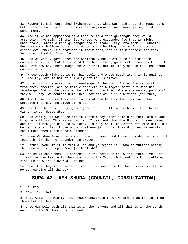43. Naught is said unto thee [Muhammad] save what was said unto the messengers before thee. Lo! thy Lord is owner of forgiveness, and owner [also] of dire punishment.

44. And if We had appointed it a Lecture in a foreign tongue they would assuredly have said: If only its verses were expounded [so that we might understand]? What! A foreign tongue and an Arab? - Say unto them [O Muhammad]: For those who believe it is a guidance and a healing; and as for those who disbelieve, there is a deafness in their ears, and it is blindness for them. Such are called to from afar.

45. And We verily gave Moses the Scripture, but there hath been dispute concerning it; and but for a Word that had already gone forth from thy Lord, it would ere now have been judged between them; but lo! they are in hopeless doubt concerning it.

46. Whoso doeth right it is for his soul, and whoso doeth wrong it is against it. And thy Lord is not at all a tyrant to His slaves.

47. Unto Him is referred [all] knowledge of the Hour. And no fruits burst forth from their sheaths, and no female carrieth or bringeth forth but with His knowledge. And on the day when He calleth unto them: Where are now My partners? they will say: We confess unto Thee, not one of us is a witness [for them].

48. And those to whom they used to cry of old have failed them, and they perceive they have no place of refuge.

49. Man tireth not of praying for good, and if ill toucheth him, then he is disheartened, desperate.

50. And verily, if We cause him to taste mercy after some hurt that hath touched him, he will say: This is my own; and I deem not that the Hour will ever rise, and if I am brought back to my Lord, I surely shall be better off with Him - But We verily shall tell those who disbelieve [all] that they did, and We verily shall make them taste hard punishment.

51. When We show favour unto man, he withdraweth and turneth aside, but when ill toucheth him then he aboundeth in prayer.

52. Bethink you: If it is from Allah and ye reject it - Who is further astray than one who is at open feud [with Allah]?

53. We shall show them Our portents on the horizons and within themselves until it will be manifest unto them that it is the Truth. Doth not thy Lord suffice, since He is Witness over all things?

54. How! Are they still in doubt about the meeting with their Lord? Lo! Is not He surrounding all things?

## **SURA 42. ASH-SHURA (COUNCIL, CONSULTATION)**

1. Ha. Mim.

2. A'in. Sin. Qaf.

3. Thus Allah the Mighty, the Knower inspireth thee [Muhammad] as [He inspired] those before thee.

4. Unto Him belongeth all that is in the heavens and all that is in the earth, and He is the Sublime, the Tremendous.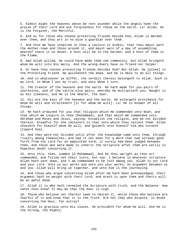5. Almost might the heavens above be rent asunder while the angels hymn the praise of their Lord and ask forgiveness for those on the earth. Lo! Allah, He is the Forgiver, the Merciful.

6. And as for those who choose protecting friends beside Him, Allah is Warden over them, and thou art in no wise a guardian over them.

7. And thus We have inspired in thee a Lecture in Arabic, that thou mayst warn the mother-town and those around it, and mayst warn of a day of assembling whereof there is no doubt. A host will be in the Garden, and a host of them in the Flame.

8. Had Allah willed, He could have made them one community, but Allah bringeth whom He will into His mercy. And the wrong-doers have no friend nor helper.

9. Or have they chosen protecting friends besides Him? But Allah, He [alone] is the Protecting Friend. He quickeneth the dead, and He is Able to do all things.

10. And in whatsoever ye differ, the verdict therein belongeth to Allah. Such is my Lord, in Whom I put my trust, and unto Whom I turn.

11. The Creator of the heavens and the earth. He hath made for you pairs of yourselves, and of the cattle also pairs, whereby He multiplieth you. Naught is as His likeness; and He is the Hearer, the Seer.

12. His are the keys of the heavens and the earth. He enlargeth providence for whom He will and straiteneth [it for whom He will]. Lo! He is Knower of all things.

13. He hath ordained for you that religion which He commended unto Noah, and that which We inspire in thee [Muhammad], and that which We commended unto Abraham and Moses and Jesus, saying: Establish the religion, and be not divided therein. Dreadful for the idolaters is that unto which thou callest them. Allah chooseth for Himself whom He will, and guideth unto Himself him who turneth [toward Him].

14. And they were not divided until after the knowledge came unto them, through rivalry among themselves; and had it not been for a Word that had already gone forth from thy Lord for an appointed term, it surely had been judged between them. And those who were made to inherit the Scripture after them are verily in hopeless doubt concerning it.

15. Unto this, then, summon [O Muhammad]. And be thou upright as thou art commanded, and follow not their lusts, but say: I believe in whatever scripture Allah hath sent down, and I am commanded to be just among you. Allah is our Lord and your Lord. Unto us our works and unto you your works; no argument between us and you. Allah will bring us together, and unto Him is the journeying.

16. And those who argue concerning Allah after He hath been acknowledged, their argument hath no weight with their Lord, and wrath is upon them and theirs will be an awful doom.

17. Allah it is Who hath revealed the Scripture with truth, and the Balance. How canst thou know? It may be that the Hour is nigh.

18. Those who believe not therein seek to hasten it, while those who believe are fearful of it and know that it is the Truth. Are not they who dispute, in doubt concerning the Hour, far astray?

19. Allah is gracious unto His slaves. He provideth for whom He will. And He is the Strong, the Mighty.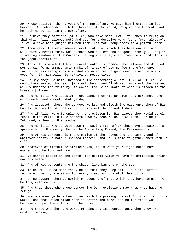20. Whoso desireth the harvest of the Hereafter, We give him increase in its harvest. And whoso desireth the harvest of the world, We give him thereof, and he hath no portion in the Hereafter.

21. Or have they partners [of Allah] who have made lawful for them in religion that which Allah allowed not? And but for a decisive word [gone forth already], it would have been judged between them. Lo! for wrong-doers is a painful doom.

22. Thou seest the wrong-doers fearful of that which they have earned, and it will surely befall them, while those who believe and do good works [will be] in flowering meadows of the Gardens, having what they wish from their Lord. This is the great preferment.

23. This it is which Allah announceth unto His bondmen who believe and do good works. Say [O Muhammad, unto mankind]: I ask of you no fee therefor, save lovingkindness among kinsfolk. And whoso scoreth a good deed We add unto its good for him. Lo! Allah is Forgiving, Responsive.

24. Or say they: He hath invented a lie concerning Allah? If Allah willed, He could have sealed thy heart [against them]. And Allah will wipe out the lie and will vindicate the truth by His words. Lo! He is Aware of what is hidden in the breasts [of men].

25. And He it is Who accepteth repentance from His bondmen, and pardoneth the evil deeds, and knoweth what ye do,

26. And accepteth those who do good works, and giveth increase unto them of His bounty. And as for disbelievers, theirs will be an awful doom.

27. And if Allah were to enlarge the provision for His slaves they would surely rebel in the earth, but He sendeth down by measure as He willeth. Lo! He is Informed, a Seer of His bondmen.

28. And He it is Who sendeth down the saving rain after they have despaired, and spreadeth out His mercy. He is the Protecting Friend, the Praiseworthy.

29. And of His portents is the creation of the heaven and the earth, and of whatever beasts He hath dispersed therein. And He is Able to gather them when He will.

30. Whatever of misfortune striketh you, it is what your right hands have earned. And He forgiveth much.

31. Ye cannot escape in the earth, for beside Allah ye have no protecting friend nor any helper.

32. And of His portents are the ships, like banners on the sea;

33. If He will He calmeth the wind so that they keep still upon its surface - Lo! herein verily are signs for every steadfast grateful [heart]. -

34. Or He causeth them to perish on account of that which they have earned - And He forgiveth much -

35. And that those who argue concerning Our revelations may know they have no refuge.

36. Now whatever ye have been given is but a passing comfort for the life of the world, and that which Allah hath is better and more lasting for those who believe and put their trust in their Lord,

37. And those who shun the worst of sins and indecencies and, when they are wroth, forgive,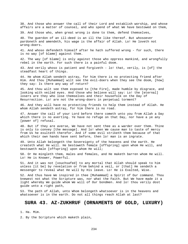38. And those who answer the call of their Lord and establish worship, and whose affairs are a matter of counsel, and who spend of what We have bestowed on them,

39. And those who, when great wrong is done to them, defend themselves,

40. The guerdon of an ill-deed is an ill the like thereof. But whosoever pardoneth and amendeth, his wage is the affair of Allah. Lo! He loveth not wrong-doers.

41. And whoso defendeth himself after he hath suffered wrong - for such, there is no way [of blame] against them.

42. The way [of blame] is only against those who oppress mankind, and wrongfully rebel in the earth. For such there is a painful doom.

43. And verily whoso is patient and forgiveth - lo! that, verily, is [of] the steadfast heart of things.

44. He whom Allah sendeth astray, for him there is no protecting friend after Him. And thou [Muhammad] wilt see the evil-doers when they see the doom, [how] they say: Is there any way of return?

45. And thou wilt see them exposed to [the Fire], made humble by disgrace, and looking with veiled eyes. And those who believe will say: Lo! the [eternal] losers are they who lose themselves and their housefolk on the Day of Resurrection. Lo! are not the wrong-doers in perpetual torment?

46. And they will have no protecting friends to help them instead of Allah. He whom Allah sendeth astray, for him there is no road.

47. Answer the call of your Lord before there cometh unto you from Allah a Day which there is no averting. Ye have no refuge on that Day, nor have a ye any [power of] refusal.

48. But if they are averse, We have not sent thee as a warder over them. Thine is only to convey [the message]. And lo! when We cause man to taste of mercy from Us he exulteth therefor. And if some evil striketh them because of that which their own hands have sent before, then lo! man is an ingrate.

49. Unto Allah belongeth the Sovereignty of the heavens and the earth. He createth what He will. He bestoweth female [offspring] upon whom He will, and bestoweth male [offspring] upon whom He will;

50. Or He mingleth them, males and females, and He maketh barren whom He will. Lo! He is Knower, Powerful.

51. And it was not [vouchsafed] to any mortal that Allah should speak to him unless [it be] by revelation or from behind a veil, or [that] He sendeth a messenger to reveal what He will by His leave. Lo! He is Exalted, Wise.

52. And thus have We inspired in thee [Muhammad] a Spirit of Our command. Thou knewest not what the Scripture was, nor what the Faith. But We have made it a light whereby We guide whom We will of Our bondmen. And lo! thou verily dost guide unto a right path,

53. The path of Allah, unto Whom belongeth whatsoever is in the heavens and whatsoever is in the earth. Do not all things reach Allah at last?

### **SURA 43. AZ-ZUKHRUF (ORNAMENTS OF GOLD, LUXURY)**

1. Ha. Mim.

2. By the Scripture which maketh plain,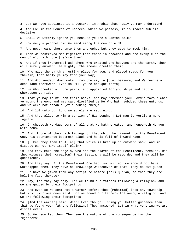3. Lo! We have appointed it a Lecture, in Arabic that haply ye may understand. 4. And Lo! in the Source of Decrees, which We possess, it is indeed sublime, decisive. 5. Shall We utterly ignore you because ye are a wanton folk? 6. How many a prophet did We send among the men of old! 7. And never came there unto them a prophet but they used to mock him. 8. Then We destroyed men mightier than these in prowess; and the example of the men of old hath gone [before them]. 9. And if thou [Muhammad] ask them: Who created the heavens and the earth, they will surely answer: The Mighty, the Knower created them; 10. Who made the earth a resting-place for you, and placed roads for you therein, that haply ye may find your way; 11. And Who sendeth down water from the sky in [due] measure, and We revive a dead land therewith. Even so will ye be brought forth; 12. He Who created all the pairs, and appointed for you ships and cattle whereupon ye ride. 13. That ye may mount upon their backs, and may remember your Lord's favour when ye mount thereon, and may say: Glorified be He Who hath subdued these unto us, and we were not capable [of subduing them]; 14. And lo! unto our Lord we surely are returning. 15. And they allot to Him a portion of His bondmen! Lo! man is verily a mere ingrate. 16. Or chooseth He daughters of all that He hath created, and honoureth He you with sons? 17. And if one of them hath tidings of that which he likeneth to the Beneficent One, his countenance becometh black and he is full of inward rage. 18. [Liken they then to Allah] that which is bred up in outward show, and in dispute cannot make itself plain? 19. And they make the angels, who are the slaves of the Beneficent, females. Did they witness their creation? Their testimony will be recorded and they will be questioned. 20. And they say: If the Beneficent One had [so] willed, we should not have worshipped them. They have no knowledge whatsoever of that. They do but guess. 21. Or have We given them any scripture before [this Qur'an] so that they are holding fast thereto? 22. Nay, for they say only: Lo! we found our fathers following a religion, and we are guided by their footprints. 23. And even so We sent not a warner before thee [Muhammad] into any township but its luxurious ones said: Lo! we found our fathers following a religion, and we are following their footprints. 24. [And the warner] said: What! Even though I bring you better guidance than that ye found your fathers following? They answered: Lo! in what ye bring we are disbelievers. 25. So We requited them. Then see the nature of the consequence for the rejecters!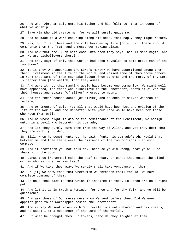26. And when Abraham said unto his father and his folk: Lo! I am innocent of what ye worship 27. Save Him Who did create me, for He will surely guide me. 28. And he made it a word enduring among his seed, that haply they might return. 29. Nay, but I let these and their fathers enjoy life [only] till there should come unto them the Truth and a messenger making plain. 30. And now that the Truth hath come unto them they say: This is mere magic, and lo! we are disbelievers therein. 31. And they say: If only this Qur'an had been revealed to some great man of the two towns? 32. Is it they who apportion thy Lord's mercy? We have apportioned among them their livelihood in the life of the world, and raised some of them above others in rank that some of them may take labour from others; and the mercy of thy Lord is better than [the wealth] that they amass. 33. And were it not that mankind would have become one community, We might well have appointed, for those who disbelieve in the Beneficent, roofs of silver for their houses and stairs [of silver] whereby to mount, 34. And for their houses doors [of silver] and couches of silver whereon to recline, 35. And ornaments of gold. Yet all that would have been but a provision of the life of the world. And the Hereafter with your Lord would have been for those who keep from evil. 36. And he whose sight is dim to the remembrance of the Beneficent, We assign unto him a devil who becometh his comrade; 37. And lo! they surely turn them from the way of Allah, and yet they deem that they are rightly guided; 38. Till, when he cometh unto Us, he saith [unto his comrade]: Ah, would that between me and thee there were the distance of the two horizons - an evil comrade! 39. And it profiteth you not this day, because ye did wrong, that ye will be sharers in the doom. 40. Canst thou [Muhammad] make the deaf to hear, or canst thou guide the blind or him who is in error manifest? 41. And if We take thee away, We surely shall take vengeance on them, 42. Or [if] We show thee that wherewith We threaten them; for lo! We have complete command of them. 43. So hold thou fast to that which is inspired in thee. Lo! thou art on a right path. 44. And lo! it is in truth a Reminder for thee and for thy folk; and ye will be questioned. 45. And ask those of Our messengers whom We sent before thee: Did We ever appoint gods to be worshipped beside the Beneficent? 46. And verily We sent Moses with Our revelations unto Pharaoh and his chiefs, and he said: I am a messenger of the Lord of the Worlds. 47. But when he brought them Our tokens, behold! they laughed at them.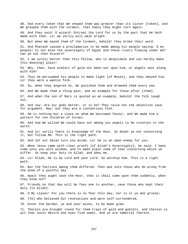48. And every token that We showed them was greater than its sister [token], and We grasped them with the torment, that haply they might turn again. 49. And they said: O wizard! Entreat thy Lord for us by the pact that He hath made with thee. Lo! we verily will walk aright. 50. But when We eased them of the torment, behold! they broke their word. 51. And Pharaoh caused a proclamation to be made among his people saying: O my people! Is not mine the sovereignty of Egypt and these rivers flowing under me? Can ye not then discern? 52. I am surely better than this fellow, who is despicable and can hardly make [his meaning] plain! 53. Why, then, have armlets of gold not been set upon him, or angels sent along with him? 54. Thus he persuaded his people to make light [of Moses], and they obeyed him. Lo! they were a wanton folk. 55. So, when they angered Us, We punished them and drowned them every one. 56. And We made them a thing past, and an example for those after [them]. 57. And when the son of Mary is quoted as an example, behold! the folk laugh out, 58. And say: Are our gods better, or is he? They raise not the objection save for argument. Nay! but they are a contentious folk. 59. He is nothing but a slave on whom We bestowed favour, and We made him a pattern for the Children of Israel. 60. And had We willed We could have set among you angels to be viceroys in the earth. 61. And lo! verily there is knowledge of the Hour. So doubt ye not concerning it, but follow Me. This is the right path. 62. And let not Satan turn you aside. Lo! he is an open enemy for you. 63. When Jesus came with clear proofs [of Allah's Sovereignty], he said: I have come unto you with wisdom, and to make plain some of that concerning which ye differ. So keep your duty to Allah, and obey me. 64. Lo! Allah, He is my Lord and your Lord. So worship Him. This is a right path. 65. But the factions among them differed. Then woe unto those who do wrong from the doom of a painful day. 66. Await they aught save the Hour, that it shall come upon them suddenly, when they know not? 67. Friends on that day will be foes one to another, save those who kept their duty [to Allah]. 68. O My slaves! For you there is no fear this day, nor is it ye who grieve; 69. [Ye] who believed Our revelations and were self-surrendered, 70. Enter the Garden, ye and your wives, to be made glad. 71. Therein are brought round for them trays of gold and goblets, and therein is all that souls desire and eyes find sweet. And ye are immortal therein.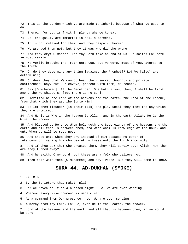72. This is the Garden which ye are made to inherit because of what ye used to do. 73. Therein for you is fruit in plenty whence to eat. 74. Lo! the guilty are immortal in hell's torment. 75. It is not relaxed for them, and they despair therein. 76. We wronged them not, but they it was who did the wrong. 77. And they cry: O master! Let thy Lord make an end of us. He saith: Lo! here ye must remain. 78. We verily brought the Truth unto you, but ye were, most of you, averse to the Truth. 79. Or do they determine any thing [against the Prophet]? Lo! We [also] are determining. 80. Or deem they that We cannot hear their secret thoughts and private confidences? Nay, but Our envoys, present with them, do record. 81. Say [O Muhammad]: If the Beneficent One hath a son, then, I shall be first among the worshippers. [But there is no son]. 82. Glorified be the Lord of the heavens and the earth, the Lord of the Throne, from that which they ascribe [unto Him]! 83. So let them flounder [in their talk] and play until they meet the Day which they are promised. 84. And He it is Who in the heaven is Allah, and in the earth Allah. He is the Wise, the Knower. 85. And blessed be He unto Whom belongeth the Sovereignty of the heavens and the earth and all that is between them, and with Whom is knowledge of the Hour, and unto Whom ye will be returned. 86. And those unto whom they cry instead of Him possess no power of intercession, saving him who beareth witness unto the Truth knowingly. 87. And if thou ask them who created them, they will surely say: Allah. How then are they turned away? 88. And he saith: O my Lord! Lo! these are a folk who believe not. 89. Then bear with them [O Muhammad] and say: Peace. But they will come to know. **SURA 44. AD-DUKHAN (SMOKE)**  1. Ha. Mim. 2. By the Scripture that maketh plain 3. Lo! We revealed it on a blessed night - Lo! We are ever warning - 4. Whereon every wise command is made clear

5. As a command from Our presence - Lo! We are ever sending -

6. A mercy from thy Lord. Lo! He, even He is the Hearer, the Knower,

7. Lord of the heavens and the earth and all that is between them, if ye would be sure.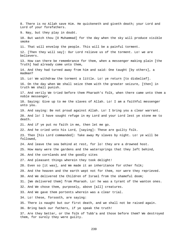8. There is no Allah save Him. He quickeneth and giveth death; your Lord and Lord of your forefathers. 9. Nay, but they play in doubt. 10. But watch thou [O Muhammad] for the day when the sky will produce visible smoke 11. That will envelop the people. This will be a painful torment. 12. [Then they will say]: Our Lord relieve us of the torment. Lo! we are believers. 13. How can there be remembrance for them, when a messenger making plain [the Truth] had already come unto them, 14. And they had turned away from him and said: One taught [by others], a madman? 15. Lo! We withdraw the torment a little. Lo! ye return [to disbelief]. 16. On the day when We shall seize them with the greater seizure, [then] in truth We shall punish. 17. And verily We tried before them Pharaoh's folk, when there came unto them a noble messenger, 18. Saying: Give up to me the slaves of Allah. Lo! I am a faithful messenger unto you. 19. And saying: Be not proud against Allah. Lo! I bring you a clear warrant. 20. And lo! I have sought refuge in my Lord and your Lord lest ye stone me to death. 21. And if ye put no faith in me, then let me go. 22. And he cried unto his Lord, [saying]: These are guilty folk. 23. Then [his Lord commanded]: Take away My slaves by night. Lo! ye will be followed, 24. And leave the sea behind at rest, for lo! they are a drowned host. 25. How many were the gardens and the watersprings that they left behind, 26. And the cornlands and the goodly sites 27. And pleasant things wherein they took delight! 28. Even so [it was], and We made it an inheritance for other folk; 29. And the heaven and the earth wept not for them, nor were they reprieved. 30. And We delivered the Children of Israel from the shameful doom; 31. [We delivered them] from Pharaoh. Lo! he was a tyrant of the wanton ones. 32. And We chose them, purposely, above [all] creatures. 33. And We gave them portents wherein was a clear trial. 34. Lo! these, forsooth, are saying: 35. There is naught but our first death, and we shall not be raised again. 36. Bring back our fathers, if ye speak the truth! 37. Are they better, or the folk of Tubb'a and those before them? We destroyed them, for surely they were guilty.

239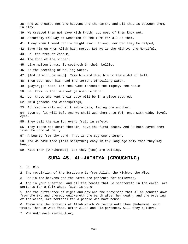38. And We created not the heavens and the earth, and all that is between them, in play. 39. We created them not save with truth; but most of them know not. 40. Assuredly the Day of Decision is the term for all of them, 41. A day when friend can in naught avail friend, nor can they be helped, 42. Save him on whom Allah hath mercy. Lo! He is the Mighty, the Merciful. 43. Lo! the tree of Zaqqum, 44. The food of the sinner! 45. Like molten brass, it seetheth in their bellies 46. As the seething of boiling water. 47. [And it will be said]: Take him and drag him to the midst of hell, 48. Then pour upon his head the torment of boiling water. 49. [Saying]: Taste! Lo! thou wast forsooth the mighty, the noble! 50. Lo! this is that whereof ye used to doubt. 51. Lo! those who kept their duty will be in a place secured. 52. Amid gardens and watersprings, 53. Attired in silk and silk embroidery, facing one another. 54. Even so [it will be]. And We shall wed them unto fair ones with wide, lovely eyes. 55. They call therein for every fruit in safety. 56. They taste not death therein, save the first death. And He hath saved them from the doom of hell, 57. A bounty from thy Lord. That is the supreme triumph. 58. And We have made [this Scripture] easy in thy language only that they may heed. 59. Wait then [O Muhammad]. Lo! they [too] are waiting. **SURA 45. AL-JATHIYA (CROUCHING)** 

1. Ha. Mim.

2. The revelation of the Scripture is from Allah, the Mighty, the Wise.

3. Lo! in the heavens and the earth are portents for believers.

4. And in your creation, and all the beasts that He scattereth in the earth, are portents for a folk whose faith is sure.

5. And the difference of night and day and the provision that Allah sendeth down from the sky and thereby quickeneth the earth after her death, and the ordering of the winds, are portents for a people who have sense.

6. These are the portents of Allah which We recite unto thee [Muhammad] with truth. Then in what fact, after Allah and His portents, will they believe?

7. Woe unto each sinful liar,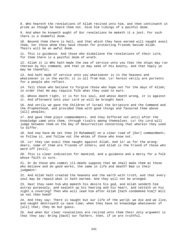8. Who heareth the revelations of Allah recited unto him, and then continueth in pride as though he heard them not. Give him tidings of a painful doom.

9. And when he knoweth aught of Our revelations he maketh it a jest. For such there is a shameful doom.

10. Beyond them there is hell, and that which they have earned will naught avail them, nor those whom they have chosen for protecting friends beside Allah. Theirs will be an awful doom.

11. This is guidance. And those who disbelieve the revelations of their Lord, for them there is a painful doom of wrath.

12. Allah it is Who hath made the sea of service unto you that the ships may run thereon by His command, and that ye may seek of His bounty, and that haply ye may be thankful;

13. And hath made of service unto you whatsoever is in the heavens and whatsoever is in the earth; it is all from Him. Lo! herein verily are portents for a people who reflect.

14. Tell those who believe to forgive those who hope not for the days of Allah; in order that He may requite folk what they used to earn.

15. Whoso doeth right, it is for his soul, and whoso doeth wrong, it is against it. And afterward unto your Lord ye will be brought back.

16. And verily we gave the Children of Israel the Scripture and the Command and the Prophethood, and provided them with good things and favoured them above [all] peoples;

17. And gave them plain commandments. And they differed not until after the knowledge came unto them, through rivalry among themselves. Lo! thy Lord will judge between them on the Day of Resurrection concerning that wherein they used to differ.

18. And now have We set thee [O Muhammad] on a clear road of [Our] commandment; so follow it, and follow not the whims of those who know not.

19. Lo! they can avail thee naught against Allah. And lo! as for the wrongdoers, some of them are friends of others; and Allah is the Friend of those who ward off [evil].

20. This is clear indication for mankind, and a guidance and a mercy for a folk whose faith is sure.

21. Or do those who commit ill-deeds suppose that We shall make them as those who believe and do good works, the same in life and death? Bad is their judgment!

22. And Allah hath created the heavens and the earth with truth, and that every soul may be repaid what it hath earned. And they will not be wronged.

23. Hast thou seen him who maketh his desire his god, and Allah sendeth him astray purposely, and sealeth up his hearing and his heart, and setteth on his sight a covering? Then who will lead him after Allah [hath condemned him]? Will ye not then heed?

24. And they say: There is naught but our life of the world; we die and we live, and naught destroyeth us save time; when they have no knowledge whatsoever of [all] that; they do but guess.

25. And when Our clear revelations are recited unto them their only argument is that they say: Bring [back] our fathers. then, if ye are truthful.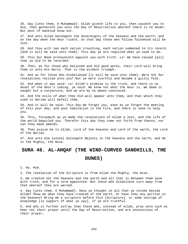26. Say [unto them, O Muhammad]: Allah giveth life to you, then causeth you to die, then gathereth you unto the Day of Resurrection whereof there is no doubt. But most of mankind know not.

27. And unto Allah belongeth the Sovereignty of the heavens and the earth; and on the day when the Hour riseth, on that day those who follow falsehood will be lost.

28. And thou wilt see each nation crouching, each nation summoned to its record. [And it will be said unto them]: This day ye are requited what ye used to do.

29. This Our Book pronounceth against you with truth. Lo! We have caused [all] that ye did to be recorded.

30. Then, as for those who believed and did good works, their Lord will bring them in unto His mercy. That is the evident triumph.

31. And as for those who disbelieved [it will be said unto them]: Were not Our revelations recited unto you? But ye were scornful and became a guilty folk.

32. And when it was said: Lo! Allah's promise is the truth, and there is no doubt of the Hour's coming, ye said: We know not what the Hour is. We deem it naught but a conjecture, and we are by no means convinced.

33. And the evils of what they did will appear unto them, and that which they used to deride will befall them.

34. And it will be said: This day We forget you, even as ye forgot the meeting of this your day; and your habitation is the Fire, and there is none to help you.

35. This, forasmuch as ye made the revelations of Allah a jest, and the life of the world beguiled you. Therefor this day they come not forth from thence, nor can they make amends.

36. Then praise be to Allah, Lord of the heavens and Lord of the earth, the Lord of the Worlds.

37. And unto Him [alone] belongeth Majesty in the heavens and the earth, and He is the Mighty, the Wise.

#### **SURA 46. AL-AHQAF (THE WIND-CURVED SANDHILLS, THE**

#### **DUNES)**

1. Ha. Mim.

2. The revelation of the Scripture is from Allah the Mighty, the Wise.

3. We created not the heavens and the earth and all that is between them save with truth, and for a term appointed. But those who disbelieve turn away from that whereof they are warned.

4. Say [unto them, O Muhammad]: Have ye thought on all that ye invoke beside Allah? Show me what they have created of the earth. Or have they any portion in the heavens? Bring me a scripture before this [Scripture], or some vestige of knowledge [in support of what ye say], if ye are truthful.

5. And who is further astray than those who, instead of Allah, pray unto such as hear not their prayer until the Day of Resurrection, and are unconscious of their prayer,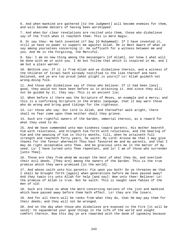6. And when mankind are gathered [to the Judgment] will become enemies for them, and will become deniers of having been worshipped.

7. And when Our clear revelations are recited unto them, those who disbelieve say of the Truth when it reacheth them: This is mere magic.

8. Or say they: He hath invented it? Say [O Muhammad]: If I have invented it, still ye have no power to support me against Allah. He is Best Aware of what ye say among yourselves concerning it. He sufficeth for a witness between me and you. And He is the Forgiving, the Merciful.

9. Say: I am no new thing among the messengers [of Allah], nor know I what will be done with me or with you. I do but follow that which is inspired in me, and I am but a plain warner.

10. Bethink you: If it is from Allah and ye disbelieve therein, and a witness of the Children of Israel hath already testified to the like thereof and hath believed, and ye are too proud [what plight is yours]? Lo! Allah guideth not wrong-doing folk.

11. And those who disbelieve say of those who believe: If it had been [any] good, they would not have been before us in attaining it. And since they will not be guided by it, they say: This is an ancient lie;

12. When before it there was the Scripture of Moses, an example and a mercy; and this is a confirming Scripture in the Arabic language, that it may warn those who do wrong and bring good tidings for the righteous.

13. Lo! those who say: Our Lord is Allah, and thereafter walk aright, there shall no fear come upon them neither shall they grieve.

14. Such are rightful owners of the Garden, immortal therein, as a reward for what they used to do.

15. And We have commended unto man kindness toward parents. His mother beareth him with reluctance, and bringeth him forth with reluctance, and the bearing of him and the weaning of him is thirty months, till, when he attaineth full strength and reacheth forty years, he saith: My Lord! Arouse me that I may give thanks for the favour wherewith Thou hast favoured me and my parents, and that I may do right acceptable unto Thee. And be gracious unto me in the matter of my seed. Lo! I have turned unto Thee repentant, and lo! I am of those who surrender [unto Thee].

16. Those are they from whom We accept the best of what they do, and overlook their evil deeds. [They are] among the owners of the Garden. This is the true promise which they were promised [in the world].

17. And whoso saith unto his parents: Fie upon you both! Do ye threaten me that I shall be brought forth [again] when generations before me have passed away? And they twain cry unto Allah for help [and say]: Woe unto thee! Believe! Lo! the promise of Allah is true. But he saith: This is naught save fables of the men of old:

18. Such are those on whom the Word concerning nations of the jinn and mankind which have passed away before them hath effect. Lo! they are the losers.

19. And for all there will be ranks from what they do, that He may pay them for their deeds; and they will not be wronged.

20. And on the day when those who disbelieve are exposed to the Fire [it will be said]: Ye squandered your good things in the life of the world and sought comfort therein. Now this day ye are rewarded with the doom of ignominy because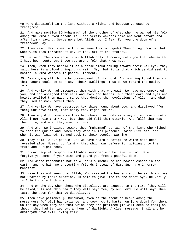ye were disdainful in the land without a right, and because ye used to transgress.

21. And make mention [O Muhammad] of the brother of A'ad when he warned his folk among the wind-curved sandhills - and verily warners came and went before and after him - saying: Serve none but Allah. Lo! I fear for you the doom of a tremendous Day.

22. They said: Hast come to turn us away from our gods? Then bring upon us that wherewith thou threatenest us, if thou art of the truthful.

23. He said: The knowledge is with Allah only. I convey unto you that wherewith I have been sent, but I see you are a folk that know not.

24. Then, when they beheld it as a dense cloud coming toward their valleys, they said: Here is a cloud bringing us rain. Nay, but it is that which ye did seek to hasten, a wind wherein is painful torment,

25. Destroying all things by commandment of its Lord. And morning found them so that naught could be seen save their dwellings. Thus do We reward the guilty folk.

26. And verily We had empowered them with that wherewith We have not empowered you, and had assigned them ears and eyes and hearts; but their ears and eyes and hearts availed them naught since they denied the revelations of Allah; and what they used to mock befell them.

27. And verily We have destroyed townships round about you, and displayed [for them] Our revelation, that haply they might return.

28. Then why did those whom they had chosen for gods as a way of approach [unto Allah] not help them? Nay, but they did fail them utterly. And [all] that was their lie, and what they used to invent.

29. And when We inclined toward thee [Muhammad] certain of the jinn, who wished to hear the Qur'an and, when they were in its presence, said: Give ear! and, when it was finished, turned back to their people, warning.

30. They said: O our people! Lo! we have heard a scripture which hath been revealed after Moses, confirming that which was before it, guiding unto the truth and a right road.

31. O our people! respond to Allah's summoner and believe in Him. He will forgive you some of your sins and guard you from a painful doom.

32. And whoso respondeth not to Allah's summoner he can nowise escape in the earth, and he hath no protecting friends instead of Him. Such are in error manifest.

33. Have they not seen that Allah, Who created the heavens and the earth and was not wearied by their creation, is Able to give life to the dead? Aye, He verily is Able to do all things.

34. And on the day when those who disbelieve are exposed to the Fire [they will be asked]: Is not this real? They will say: Yea, by our Lord. He will say: Then taste the doom for that ye disbelieved.

35. Then have patience [O Muhammad] even as the stout of heart among the messengers [of old] had patience, and seek not to hasten on [the doom] for them. On the day when they see that which they are promised [it will seem to them] as though they had tarried but an hour of daylight. A clear message. Shall any be destroyed save evil-living folk?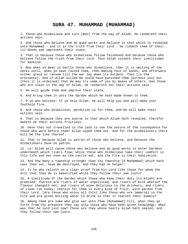#### **SURA 47. MUHAMMAD (MUHAMMAD)**

1. Those who disbelieve and turn [men] from the way of Allah, He rendereth their actions vain.

2. And those who believe and do good works and believe in that which is revealed unto Muhammad - and it is the truth from their Lord - He riddeth them of their ill-deeds and improveth their state.

3. That is because those who disbelieve follow falsehood and because those who believe follow the truth from their Lord. Thus Allah coineth their similitudes for mankind.

4. Now when ye meet in battle those who disbelieve, then it is smiting of the necks until, when ye have routed them, then making fast of bonds; and afterward either grace or ransom till the war lay down its burdens. That [is the ordinance]. And if Allah willed He could have punished them [without you] but [thus it is ordained] that He may try some of you by means of others. And those who are slain in the way of Allah, He rendereth not their actions vain.

5. He will guide them and improve their state,

6. And bring them in unto the Garden which He hath made known to them.

7. O ye who believe! If ye help Allah, He will help you and will make your foothold firm.

8. And those who disbelieve, perdition is for them, and He will make their actions vain.

9. That is because they are averse to that which Allah hath revealed, therefor maketh He their actions fruitless.

10. Have they not travelled in the land to see the nature of the consequence for those who were before them? Allah wiped them out. And for the disbelievers there will be the like thereof.

11. That is because Allah is patron of those who believe, and because the disbelievers have no patron.

12. Lo! Allah will cause those who believe and do good works to enter Gardens underneath which rivers flow; while those who disbelieve take their comfort in this life and eat even as the cattle eat, and the Fire is their habitation.

13. And how many a township stronger than thy township [O Muhammad] which hath cast thee out, have We destroyed, and they had no helper!

14. Is he who relieth on a clear proof from his Lord like those for whom the evil that they do is beautified while they follow their own lusts?

15. A similitude of the Garden which those who keep their duty [to Allah] are promised: Therein are rivers of water unpolluted, and rivers of milk whereof the flavour changeth not, and rivers of wine delicious to the drinkers, and rivers of clear-run honey; therein for them is every kind of fruit, with pardon from their Lord. [Are those who enjoy all this] like those who are immortal in the Fire and are given boiling water to drink so that it teareth their bowels?

16. Among them are some who give ear unto thee [Muhammad] till, when they go forth from thy presence they say unto those who have been given knowledge: What was that he said just now? Those are they whose hearts Allah hath sealed, and they follow their own lusts.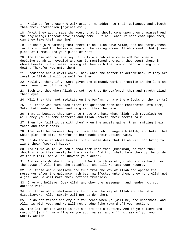17. While as for those who walk aright, He addeth to their guidance, and giveth them their protection [against evil].

18. Await they aught save the Hour, that it should come upon them unawares? And the beginnings thereof have already come. But how, when it hath come upon them, can they take their warning?

19. So know [O Muhammad] that there is no Allah save Allah, and ask forgiveness for thy sin and for believing men and believing women. Allah knoweth [both] your place of turmoil and your place of rest.

20. And those who believe say: If only a surah were revealed! But when a decisive surah is revealed and war is mentioned therein, thou seest those in whose hearts is a disease looking at thee with the look of men fainting unto death. Therefor woe unto them!

21. Obedience and a civil word. Then, when the matter is determined, if they are loyal to Allah it will be well for them.

22. Would ye then, if ye were given the command, work corruption in the land and sever your ties of kinship?

23. Such are they whom Allah curseth so that He deafeneth them and maketh blind their eyes.

24. Will they then not meditate on the Qur'an, or are there locks on the hearts?

25. Lo! those who turn back after the guidance hath been manifested unto them, Satan hath seduced them, and He giveth them the rein.

26. That is because they say unto those who hate what Allah hath revealed: We will obey you in some matters; and Allah knoweth their secret talk.

27. Then how [will it be with them] when the angels gather them, smiting their faces and their backs!

28. That will be because they followed that which angereth Allah, and hated that which pleaseth Him. Therefor He hath made their actions vain.

29. Or do those in whose hearts is a disease deem that Allah will not bring to light their [secret] hates?

30. And if We would, We could show them unto thee [Muhammad] so that thou shouldst know them surely by their marks. And thou shalt know them by the burden of their talk. And Allah knoweth your deeds.

31. And verily We shall try you till We know those of you who strive hard [for the cause of Allah] and the steadfast, and till We test your record.

32. Lo! those who disbelieve and turn from the way of Allah and oppose the messenger after the guidance hath been manifested unto them, they hurt Allah not a jot, and He will make their actions fruitless.

33. O ye who believe! Obey Allah and obey the messenger, and render not your actions vain.

34. Lo! those who disbelieve and turn from the way of Allah and then die disbelievers, Allah surely will not pardon them.

35. So do not falter and cry out for peace when ye [will be] the uppermost, and Allah is with you, and He will not grudge [the reward of] your actions.

36. The life of the world is but a sport and a pastime. And if ye believe and ward off [evil]. He will give you your wages, and will not ask of you your wordly wealth.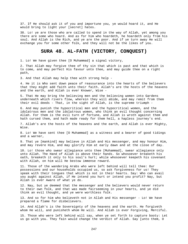37. If He should ask it of you and importune you, ye would hoard it, and He would bring to light your [secret] hates.

38. Lo! ye are those who are called to spend in the way of Allah, yet among you there are some who hoard. And as for him who hoardeth, he hoardeth only from his soul. And Allah is the Rich, and ye are the poor. And if ye turn away He will exchange you for some other folk, and they will not be the likes of you.

### **SURA 48. AL-FATH (VICTORY, CONQUEST)**

1. Lo! We have given thee [O Muhammad] a signal victory,

2. That Allah may forgive thee of thy sin that which is past and that which is to come, and may perfect His favour unto thee, and may guide thee on a right path,

3. And that Allah may help thee with strong help -

4. He it is Who sent down peace of reassurance into the hearts of the believers that they might add faith unto their faith. Allah's are the hosts of the heavens and the earth, and Allah is ever Knower, Wise -

5. That He may bring the believing men and the believing women into Gardens underneath which rivers flow, wherein they will abide, and may remit from them their evil deeds - That, in the sight of Allah, is the supreme triumph -

6. And may punish the hypocritical men and the hypocritical women, and the idolatrous men and the idolatrous women, who think an evil thought concerning Allah. For them is the evil turn of fortune, and Allah is wroth against them and hath cursed them, and hath made ready for them hell, a hapless journey's end.

7. Allah's are the hosts of the heavens and the earth, and Allah is ever Mighty, Wise.

8. Lo! We have sent thee [O Muhammad] as a witness and a bearer of good tidings and a warner,

9. That ye [mankind] may believe in Allah and His messenger, and may honour Him, and may revere Him, and may glorify Him at early dawn and at the close of day.

10. Lo! those who swear allegiance unto thee [Muhammad], swear allegiance only unto Allah. The Hand of Allah is above their hands. So whosoever breaketh his oath, breaketh it only to his soul's hurt; while whosoever keepeth his covenant with Allah, on him will He bestow immense reward.

11. Those of the wandering Arabs who were left behind will tell thee: Our possessions and our households occupied us, so ask forgiveness for us! They speak with their tongues that which is not in their hearts. Say: Who can avail you aught against Allah, if He intend you hurt or intend you profit? Nay, but Allah is ever Aware of what ye do.

12. Nay, but ye deemed that the messenger and the believers would never return to their own folk, and that was made fairseeming in your hearts, and ye did think an evil thought, and ye were worthless folk.

13. And so for him who believeth not in Allah and His messenger - Lo! We have prepared a flame for disbelievers.

14. And Allah's is the Sovereignty of the heavens and the earth. He forgiveth whom He will, and punisheth whom He will. And Allah is ever Forgiving, Merciful.

15. Those who were left behind will say, when ye set forth to capture booty: Let us go with you. They fain would change the verdict of Allah. Say [unto them, O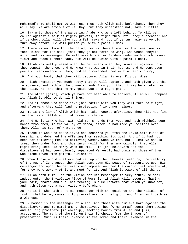Muhammad]: Ye shall not go with us. Thus hath Allah said beforehand. Then they will say: Ye are envious of us. Nay, but they understand not, save a little.

16. Say unto those of the wandering Arabs who were left behind: Ye will be called against a folk of mighty prowess, to fight them until they surrender; and if ye obey, Allah will give you a fair reward; but if ye turn away as ye did turn away before, He will punish you with a painful doom.

17. There is no blame for the blind, nor is there blame for the lame, nor is there blame for the sick [that they go not forth to war]. And whoso obeyeth Allah and His messenger, He will make him enter Gardens underneath which rivers flow; and whoso turneth back, him will He punish with a painful doom.

18. Allah was well pleased with the believers when they swore allegiance unto thee beneath the tree, and He knew what was in their hearts, and He sent down peace of reassurance on them, and hath rewarded them with a near victory;

19. And much booty that they will capture. Allah is ever Mighty, Wise.

20. Allah promiseth you much booty that ye will capture, and hath given you this in advance, and hath withheld men's hands from you, that it may be a token for the believers, and that He may guide you on a right path.

21. And other [gain], which ye have not been able to achieve, Allah will compass it, Allah is Able to do all things.

22. And if those who disbelieve join battle with you they will take to flight, and afterward they will find no protecting friend nor helper.

23. It is the law of Allah which hath taken course aforetime. Thou wilt not find for the law of Allah aught of power to change.

24. And He it is Who hath withheld men's hands from you, and hath withheld your hands from them, in the valley of Mecca, after He had made you victors over them. Allah is Seer of what ye do.

25. These it was who disbelieved and debarred you from the Inviolable Place of Worship, and debarred the offering from reaching its goal. And if it had not been for believing men and believing women, whom ye know not - lest ye should tread them under foot and thus incur guilt for them unknowingly; that Allah might bring into His mercy whom He will - If [the believers and the disbelievers] had been clearly separated We verily had punished those of them who disbelieved with painful punishment.

26. When those who disbelieve had set up in their hearts zealotry, the zealotry of the Age of Ignorance, then Allah sent down His peace of reassurance upon His messenger and upon the believers and imposed on them the word of self-restraint, for they were worthy of it and meet for it. And Allah is Aware of all things.

27. Allah hath fulfilled the vision for His messenger in very truth. Ye shall indeed enter the Inviolable Place of Worship, if Allah will, secure, [having your hair] shaven and cut, not fearing. But He knoweth that which ye know not, and hath given you a near victory beforehand.

28. He it is Who hath sent His messenger with the guidance and the religion of truth, that He may cause it to prevail over all religion. And Allah sufficeth as a Witness.

29. Muhammad is the messenger of Allah. And those with him are hard against the disbelievers and merciful among themselves. Thou [O Muhammad] seest them bowing and falling prostrate [in worship], seeking bounty from Allah and [His] acceptance. The mark of them is on their foreheads from the traces of prostration. Such is their likeness in the Torah and their likeness in the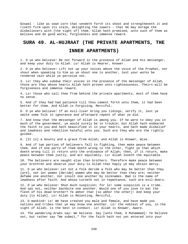Gospel - like as sown corn that sendeth forth its shoot and strengtheneth it and riseth firm upon its stalk, delighting the sowers – that He may enrage the disbelievers with [the sight of] them. Allah hath promised, unto such of them as believe and do good works, forgiveness and immense reward.

# **SURA 49. AL-HUJRAAT (THE PRIVATE APARTMENTS, THE**

#### **INNER APARTMENTS)**

1. O ye who believe! Be not forward in the presence of Allah and His messenger, and keep your duty to Allah. Lo! Allah is Hearer, Knower.

2. O ye who believe! Lift not up your voices above the voice of the Prophet, nor shout when speaking to him as ye shout one to another, lest your works be rendered vain while ye perceive not.

3. Lo! they who subdue their voices in the presence of the messenger of Allah, those are they whose hearts Allah hath proven unto righteousness. Theirs will be forgiveness and immense reward.

4. Lo! those who call thee from behind the private apartments, most of them have no sense.

5. And if they had had patience till thou camest forth unto them, it had been better for them. And Allah is Forgiving, Merciful.

6. O ye who believe! If an evil-liver bring you tidings, verify it, lest ye smite some folk in ignorance and afterward repent of what ye did.

7. And know that the messenger of Allah is among you. If he were to obey you in much of the government, ye would surely be in trouble; but Allah hath endeared the faith to you and hath beautified it in your hearts, and hath made disbelief and lewdness and rebellion hateful unto you. Such are they who are the rightly guided.

8. [It is] a bounty and a grace from Allah; and Allah is Knower, Wise.

9. And if two parties of believers fall to fighting, then make peace between them. And if one party of them doeth wrong to the other, fight ye that which doeth wrong till it return unto the ordinance of Allah; then, if it return, make peace between them justly, and act equitably. Lo! Allah loveth the equitable.

10. The believers are naught else than brothers. Therefore make peace between your brethren and observe your duty to Allah that haply ye may obtain mercy.

11. O ye who believe! Let not a folk deride a folk who may be better than they [are], not let women [deride] women who may be better than they are; neither defame one another, nor insult one another by nicknames. Bad is the name of lewdness after faith. And whoso turneth not in repentance, such are evil-doers.

12. O ye who believe! Shun much suspicion; for lo! some suspicion is a crime. And spy not, neither backbite one another. Would one of you love to eat the flesh of his dead brother? Ye abhor that [so abhor the other]! And keep your duty [to Allah]. Lo! Allah is Relenting, Merciful.

13. O mankind! Lo! We have created you male and female, and have made you nations and tribes that ye may know one another. Lo! the noblest of you, in the sight of Allah, is the best in conduct. Lo! Allah is Knower, Aware.

14. The wandering Arabs say: We believe. Say [unto them, O Muhammad]: Ye believe not, but rather say "We submit," for the faith hath not yet entered into your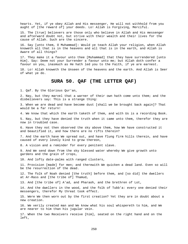hearts. Yet, if ye obey Allah and His messenger, He will not withhold from you aught of [the reward of] your deeds. Lo! Allah is Forgiving, Merciful.

15. The [true] believers are those only who believe in Allah and His messenger and afterward doubt not, but strive with their wealth and their lives for the cause of Allah. Such are the sincere.

16. Say [unto them, O Muhammad]: Would ye teach Allah your religion, when Allah knoweth all that is in the heavens and all that is in the earth, and Allah is Aware of all things?

17. They make it a favour unto thee [Muhammad] that they have surrendered [unto Him]. Say: Deem not your Surrender a favour unto me; but Allah doth confer a favour on you, inasmuch as He hath led you to the Faith, if ye are earnest.

18. Lo! Allah knoweth the Unseen of the heavens and the earth. And Allah is Seer of what ye do.

## **SURA 50. QAF (THE LETTER QAF)**

1. Qaf. By the Glorious Qur'an,

2. Nay, but they marvel that a warner of their own hath come unto them; and the disbelievers say: This is a strange thing:

3. When we are dead and have become dust [shall we be brought back again]? That would be a far return!

4. We know that which the earth taketh of them, and with Us is a recording Book.

5. Nay, but they have denied the truth when it came unto them, therefor they are now in troubled case.

6. Have they not then observed the sky above them, how We have constructed it and beautified it, and how there are no rifts therein?

7. And the earth have We spread out, and have flung firm hills therein, and have caused of every lovely kind to grow thereon,

8. A vision and a reminder for every penitent slave.

9. And We send down from the sky blessed water whereby We give growth unto gardens and the grain of crops,

10. And lofty date-palms with ranged clusters,

11. Provision [made] for men; and therewith We quicken a dead land. Even so will be the resurrection of the dead.

12. The folk of Noah denied [the truth] before them, and [so did] the dwellers at Ar-Rass and [the tribe of] Thamud,

13. And [the tribe of] A'ad, and Pharaoh, and the brethren of Lot,

14. And the dwellers in the wood, and the folk of Tubb'a: every one denied their messengers, therefor My threat took effect.

15. Were We then worn out by the first creation? Yet they are in doubt about a new creation.

16. We verily created man and We know what his soul whispereth to him, and We are nearer to him than his jugular vein.

17. When the two Receivers receive [him], seated on the right hand and on the left,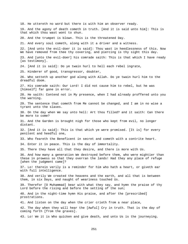18. He uttereth no word but there is with him an observer ready. 19. And the agony of death cometh in truth. [And it is said unto him]: This is that which thou wast wont to shun. 20. And the trumpet is blown. This is the threatened Day. 21. And every soul cometh, along with it a driver and a witness. 22. [And unto the evil-doer it is said]: Thou wast in heedlessness of this. Now We have removed from thee thy covering, and piercing is thy sight this day. 23. And [unto the evil-doer] his comrade saith: This is that which I have ready [as testimony]. 24. [And it is said]: Do ye twain hurl to hell each rebel ingrate, 25. Hinderer of good, transgressor, doubter, 26. Who setteth up another god along with Allah. Do ye twain hurl him to the dreadful doom. 27. His comrade saith: Our Lord! I did not cause him to rebel, but he was [himself] far gone in error. 28. He saith: Contend not in My presence, when I had already proffered unto you the warning. 29. The sentence that cometh from Me cannot be changed, and I am in no wise a tyrant unto the slaves. 30. On the day when We say unto hell: Art thou filled? and it saith: Can there be more to come? 31. And the Garden is brought nigh for those who kept from evil, no longer distant. 32. [And it is said]: This is that which ye were promised. [It is] for every penitent and heedful one, 33. Who feareth the Beneficent in secret and cometh with a contrite heart. 34. Enter it in peace. This is the day of immortality. 35. There they have all that they desire, and there is more with Us. 36. And how many a generation We destroyed before them, who were mightier than these in prowess so that they overran the lands! Had they any place of refuge [when the judgment came]? 37. Lo! therein verily is a reminder for him who hath a heart, or giveth ear with full intelligence. 38. And verily We created the heavens and the earth, and all that is between them, in six Days, and naught of weariness touched Us. 39. Therefor [O Muhammad] bear with what they say, and hymn the praise of thy Lord before the rising and before the setting of the sun; 40. And in the night-time hymn His praise, and after the [prescribed] prostrations. 41. And listen on the day when the crier crieth from a near place, 42. The day when they will hear the [Awful] Cry in truth. That is the day of coming forth [from the graves]. 43. Lo! We it is Who quicken and give death, and unto Us is the journeying.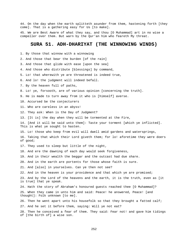44. On the day when the earth splitteth asunder from them, hastening forth [they come]. That is a gathering easy for Us [to make].

45. We are Best Aware of what they say, and thou [O Muhammad] art in no wise a compeller over them. But warn by the Qur'an him who feareth My threat.

### **SURA 51. ADH-DHARIYAT (THE WINNOWING WINDS)**

- 1. By those that winnow with a winnowing
- 2. And those that bear the burden [of the rain]
- 3. And those that glide with ease [upon the sea]
- 4. And those who distribute [blessings] by command,
- 5. Lo! that wherewith ye are threatened is indeed true,
- 6. And lo! the judgment will indeed befall.
- 7. By the heaven full of paths,
- 8. Lo! ye, forsooth, are of various opinion [concerning the truth].
- 9. He is made to turn away from it who is [himself] averse.
- 10. Accursed be the conjecturers
- 11. Who are careless in an abyss!
- 12. They ask: When is the Day of Judgment?
- 13. [It is] the day when they will be tormented at the Fire,
- 14. [And it will be said unto them]: Taste your torment [which ye inflicted]. This is what ye sought to hasten.
- 15. Lo! those who keep from evil will dwell amid gardens and watersprings,
- 16. Taking that which their Lord giveth them; for lo! aforetime they were doers of good;
- 17. They used to sleep but little of the night,
- 18. And ere the dawning of each day would seek forgiveness,
- 19. And in their wealth the beggar and the outcast had due share.
- 20. And in the earth are portents for those whose faith is sure.
- 21. And [also] in yourselves. Can ye then not see?
- 22. And in the heaven is your providence and that which ye are promised;
- 23. And by the Lord of the heavens and the earth, it is the truth, even as [it is true] that ye speak.
- 24. Hath the story of Abraham's honoured guests reached thee [O Muhammad]?
- 25. When they came in unto him and said: Peace! he answered, Peace! [and thought]: Folk unknown [to me].
- 26. Then he went apart unto his housefolk so that they brought a fatted calf;
- 27. And he set it before them, saying: Will ye not eat?
- 28. Then he conceived a fear of them. They said: Fear not! and gave him tidings of [the birth of] a wise son.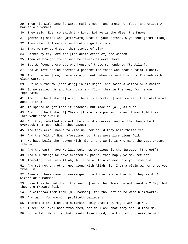29. Then his wife came forward, making moan, and smote her face, and cried: A barren old woman! 30. They said: Even so saith thy Lord. Lo! He is the Wise, the Knower. 31. [Abraham] said: And [afterward] what is your errand, O ye sent [from Allah]? 32. They said: Lo! we are sent unto a guilty folk, 33. That we may send upon them stones of clay, 34. Marked by thy Lord for [the destruction of] the wanton. 35. Then we brought forth such believers as were there. 36. But We found there but one house of those surrendered [to Allah]. 37. And We left behind therein a portent for those who fear a painful doom. 38. And in Moses [too, there is a portent] when We sent him unto Pharaoh with clear warrant, 39. But he withdrew [confiding] in his might, and said: A wizard or a madman. 40. So We seized him and his hosts and flung them in the sea, for he was reprobate. 41. And in [the tribe of] A'ad [there is a portent] when we sent the fatal wind against them. 42. It spared naught that it reached, but made it [all] as dust. 43. And in [the tribe of] Thamud [there is a portent] when it was told them: Take your ease awhile. 44. But they rebelled against their Lord's decree, and so the thunderbolt overtook them even while they gazed; 45. And they were unable to rise up, nor could they help themselves. 46. And the folk of Noah aforetime. Lo! they were licentious folk. 47. We have built the heaven with might, and We it is Who make the vast extent [thereof]. 48. And the earth have We laid out, how gracious is the Spreader [thereof]! 49. And all things We have created by pairs, that haply ye may reflect. 50. Therefor flee unto Allah; lo! I am a plain warner unto you from him. 51. And set not any other god along with Allah; lo! I am a plain warner unto you from Him. 52. Even so there came no messenger unto those before them but they said: A wizard or a madman! 53. Have they handed down [the saying] as an heirloom one unto another? Nay, but they are froward folk. 54. So withdraw from them [O Muhammad], for thou art in no wise blameworthy, 55. And warn, for warning profiteth believers. 56. I created the jinn and humankind only that they might worship Me. 57. I seek no livelihood from them, nor do I ask that they should feed Me. 58. Lo! Allah! He it is that giveth livelihood, the Lord of unbreakable might.

253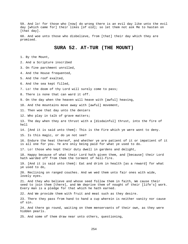59. And lo! for those who [now] do wrong there is an evil day like unto the evil day [which came for] their likes [of old]; so let them not ask Me to hasten on [that day].

60. And woe unto those who disbelieve, from [that] their day which they are promised.

# **SURA 52. AT-TUR (THE MOUNT)**

1. By the Mount,

2. And a Scripture inscribed

3. On fine parchment unrolled,

4. And the House frequented,

5. And the roof exalted,

6. And the sea kept filled,

7. Lo! the doom of thy Lord will surely come to pass;

8. There is none that can ward it off.

9. On the day when the heaven will heave with [awful] heaving,

10. And the mountains move away with [awful] movement,

11. Then woe that day unto the deniers

12. Who play in talk of grave matters;

13. The day when they are thrust with a [disdainful] thrust, into the fire of hell

14. [And it is said unto them]: This is the Fire which ye were wont to deny.

15. Is this magic, or do ye not see?

16. Endure the heat thereof, and whether ye are patient of it or impatient of it is all one for you. Ye are only being paid for what ye used to do.

17. Lo! those who kept their duty dwell in gardens and delight,

18. Happy because of what their Lord hath given them, and [because] their Lord hath warded off from them the torment of hell-fire.

19. [And it is said unto them]: Eat and drink in health [as a reward] for what ye used to do,

20. Reclining on ranged couches. And we wed them unto fair ones with wide, lovely eyes.

21. And they who believe and whose seed follow them in faith, We cause their seed to join them [there], and We deprive them of nought of their [life's] work. Every man is a pledge for that which he hath earned.

22. And We provide them with fruit and meat such as they desire.

23. There they pass from hand to hand a cup wherein is neither vanity nor cause of sin.

24. And there go round, waiting on them menservants of their own, as they were hidden pearls.

25. And some of them draw near unto others, questioning,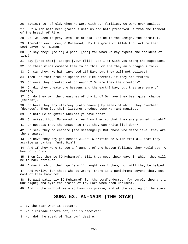26. Saying: Lo! of old, when we were with our families, we were ever anxious; 27. But Allah hath been gracious unto us and hath preserved us from the torment of the breath of Fire. 28. Lo! we used to pray unto Him of old. Lo! He is the Benign, the Merciful. 29. Therefor warn [men, O Muhammad]. By the grace of Allah thou art neither soothsayer nor madman. 30. Or say they: [he is] a poet, [one] for whom we may expect the accident of time? 31. Say [unto them]: Except [your fill]! Lo! I am with you among the expectant. 32. Do their minds command them to do this, or are they an outrageous folk? 33. Or say they: He hath invented it? Nay, but they will not believe! 34. Then let them produce speech the like thereof, if they are truthful. 35. Or were they created out of naught? Or are they the creators? 36. Or did they create the heavens and the earth? Nay, but they are sure of nothing! 37. Or do they own the treasures of thy Lord? Or have they been given charge [thereof]? 38. Or have they any stairway [unto heaven] by means of which they overhear [decrees]. Then let their listener produce some warrant manifest! 39. Or hath He daughters whereas ye have sons? 40. Or askest thou [Muhammad] a fee from them so that they are plunged in debt? 41. Or possess they the Unseen so that they can write [it] down? 42. Or seek they to ensnare [the messenger]? But those who disbelieve, they are the ensnared! 43. Or have they any god beside Allah? Glorified be Allah from all that they ascribe as partner [unto Him]! 44. And if they were to see a fragment of the heaven falling, they would say: A heap of clouds. 45. Then let them be [O Muhammad], till they meet their day, in which they will be thunder-stricken, 46. A day in which their guile will naught avail them, nor will they be helped. 47. And verily, for those who do wrong, there is a punishment beyond that. But most of them know not. 48. So wait patiently [O Muhammad] for thy Lord's decree, for surely thou art in Our sight; and hymn the praise of thy Lord when thou uprisest, 49. And in the night-time also hymn His praise, and at the setting of the stars. **SURA 53. AN-NAJM (THE STAR)**  1. By the Star when it setteth,

2. Your comrade erreth not, nor is deceived;

3. Nor doth he speak of [his own] desire.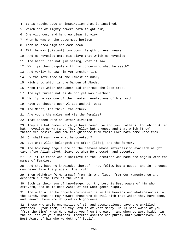- 4. It is naught save an inspiration that is inspired,
- 5. Which one of mighty powers hath taught him,
- 6. One vigorous; and he grew clear to view
- 7. When he was on the uppermost horizon.
- 8. Then he drew nigh and came down
- 9. Till he was [distant] two bows' length or even nearer,

10. And He revealed unto His slave that which He revealed.

11. The heart lied not [in seeing] what it saw.

12. Will ye then dispute with him concerning what he seeth?

13. And verily he saw him yet another time

- 14. By the lote-tree of the utmost boundary,
- 15. Nigh unto which is the Garden of Abode.
- 16. When that which shroudeth did enshroud the lote-tree,
- 17. The eye turned not aside nor yet was overbold.
- 18. Verily he saw one of the greater revelations of his Lord.
- 19. Have ye thought upon Al-Lat and Al-'Uzza
- 20. And Manat, the third, the other?
- 21. Are yours the males and His the females?
- 22. That indeed were an unfair division!

23. They are but names which ye have named, ye and your fathers, for which Allah hath revealed no warrant. They follow but a guess and that which [they] themselves desire. And now the guidance from their Lord hath come unto them.

24. Or shall man have what he coveteth?

25. But unto Allah belongeth the after [life], and the former.

26. And how many angels are in the heavens whose intercession availeth naught save after Allah giveth leave to whom He chooseth and accepteth.

27. Lo! it is those who disbelieve in the Hereafter who name the angels with the names of females.

28. And they have no knowledge thereof. They follow but a guess, and lo! a guess can never take the place of the truth.

29. Then withdraw [O Muhammad] from him who fleeth from Our remembrance and desireth but the life of the world.

30. Such is their sum of knowledge. Lo! thy Lord is Best Aware of him who strayeth, and He is Best Aware of him whom goeth right.

31. And unto Allah belongeth whatsoever is in the heavens and whatsoever is in the earth, that He may reward those who do evil with that which they have done, and reward those who do good with goodness.

32. Those who avoid enormities of sin and abominations, save the unwilled offences - [for them] lo! thy Lord is of vast mercy. He is Best Aware of you [from the time] when He created you from the earth, and when ye were hidden in the bellies of your mothers. Therefor ascribe not purity unto yourselves. He is Best Aware of him who wardeth off [evil].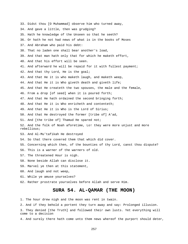33. Didst thou [O Muhammad] observe him who turned away, 34. And gave a little, then was grudging? 35. Hath he knowledge of the Unseen so that he seeth? 36. Or hath he not had news of what is in the books of Moses 37. And Abraham who paid his debt: 38. That no laden one shall bear another's load, 39. And that man hath only that for which he maketh effort, 40. And that his effort will be seen. 41. And afterward he will be repaid for it with fullest payment; 42. And that thy Lord, He is the goal; 43. And that He it is who maketh laugh, and maketh weep, 44. And that He it is Who giveth death and giveth life; 45. And that He createth the two spouses, the male and the female, 46. From a drop [of seed] when it is poured forth; 47. And that He hath ordained the second bringing forth; 48. And that He it is Who enricheth and contenteth; 49. And that He it is Who is the Lord of Sirius; 50. And that He destroyed the former [tribe of] A'ad, 51. And [the tribe of] Thamud He spared not; 52. And the folk of Noah aforetime, Lo! they were more unjust and more rebellious; 53. And Al-Mu'tafikah He destroyed 54. So that there covered them that which did cover. 55. Concerning which then, of the bounties of thy Lord, canst thou dispute? 56. This is a warner of the warners of old. 57. The threatened Hour is nigh. 58. None beside Allah can disclose it. 59. Marvel ye then at this statement, 60. And laugh and not weep, 61. While ye amuse yourselves? 62. Rather prostrate yourselves before Allah and serve Him. **SURA 54. AL-QAMAR (THE MOON)** 

1. The hour drew nigh and the moon was rent in twain.

2. And if they behold a portent they turn away and say: Prolonged illusion.

3. They denied [the Truth] and followed their own lusts. Yet everything will come to a decision

4. And surely there hath come unto them news whereof the purport should deter,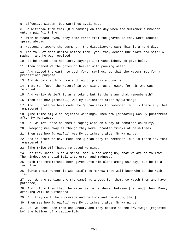5. Effective wisdom; but warnings avail not. 6. So withdraw from them [O Muhammad] on the day when the Summoner summoneth unto a painful thing. 7. With downcast eyes, they come forth from the graves as they were locusts spread abroad, 8. Hastening toward the summoner; the disbelievers say: This is a hard day. 9. The folk of Noah denied before them, yea, they denied Our slave and said: A madman; and he was repulsed. 10. So he cried unto his Lord, saying: I am vanquished, so give help. 11. Then opened We the gates of heaven with pouring water 12. And caused the earth to gush forth springs, so that the waters met for a predestined purpose. 13. And We carried him upon a thing of planks and nails, 14. That ran [upon the waters] in Our sight, as a reward for him who was rejected. 15. And verily We left it as a token; but is there any that remembereth? 16. Then see how [dreadful] was My punishment after My warnings! 17. And in truth We have made the Qur'an easy to remember; but is there any that remembereth? 18. [The tribe of] A'ad rejected warnings. Then how [dreadful] was My punishment after My warnings. 19. Lo! We let loose on them a raging wind on a day of constant calamity, 20. Sweeping men away as though they were uprooted trunks of palm-trees. 21. Then see how [dreadful] was My punishment after My warnings! 22. And in truth We have made the Qur'an easy to remember; but is there any that remembereth? 23. [The tribe of] Thamud rejected warnings 24. For they said; Is it a mortal man, alone among us, that we are to follow? Then indeed we should fall into error and madness. 25. Hath the remembrance been given unto him alone among us? Nay, but he is a rash liar. 26. [Unto their warner it was said]: To-morrow they will know who is the rash liar. 27. Lo! We are sending the she-camel as a test for them; so watch them and have patience; 28. And inform them that the water is to be shared between [her and] them. Every drinking will be witnessed. 29. But they call their comrade and he took and hamstrung [her]. 30. Then see how [dreadful] was My punishment after My warnings! 31. Lo! We sent upon them one Shout, and they became as the dry twigs [rejected by] the builder of a cattle-fold.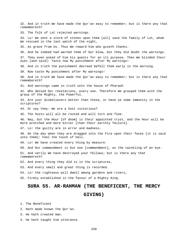32. And in truth We have made the Qur'an easy to remember; but is there any that remembereth? 33. The folk of Lot rejected warnings. 34. Lo! We sent a storm of stones upon them [all] save the family of Lot, whom We rescued in the last watch of the night, 35. As grace from Us. Thus We reward him who giveth thanks. 36. And he indeed had warned them of Our blow, but they did doubt the warnings. 37. They even asked of him his guests for an ill purpose. Then We blinded their eyes [and said]: Taste now My punishment after My warnings! 38. And in truth the punishment decreed befell them early in the morning. 39. Now taste My punishment after My warnings! 40. And in truth We have made the Qur'an easy to remember; but is there any that remembereth? 41. And warnings came in truth unto the house of Pharaoh 42. Who denied Our revelations, every one. Therefore We grasped them with the grasp of the Mighty, the Powerful. 43. Are your disbelievers better than those, or have ye some immunity in the scriptures? 44. Or say they: We are a host victorious? 45. The hosts will all be routed and will turn and flee. 46. Nay, but the Hour [of doom] is their appointed tryst, and the Hour will be more wretched and more bitter [than their earthly failure]. 47. Lo! the guilty are in error and madness. 48. On the day when they are dragged into the Fire upon their faces [it is said unto them]: Feel the touch of hell. 49. Lo! We have created every thing by measure. 50. And Our commandment is but one [commandment], as the twinkling of an eye. 51. And verily We have destroyed your fellows; but is there any that remembereth? 52. And every thing they did is in the scriptures, 53. And every small and great thing is recorded. 54. Lo! the righteous will dwell among gardens and rivers, 55. Firmly established in the favour of a Mighty King. **SURA 55. AR-RAHMAN (THE BENEFICENT, THE MERCY GIVING)**  1. The Beneficent

2. Hath made known the Qur'an.

3. He hath created man.

4. He hath taught him utterance.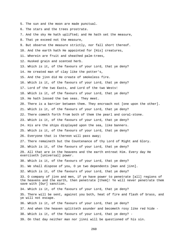5. The sun and the moon are made punctual. 6. The stars and the trees prostrate. 7. And the sky He hath uplifted; and He hath set the measure, 8. That ye exceed not the measure, 9. But observe the measure strictly, nor fall short thereof. 10. And the earth hath He appointed for [His] creatures, 11. Wherein are fruit and sheathed palm-trees, 12. Husked grain and scented herb. 13. Which is it, of the favours of your Lord, that ye deny? 14. He created man of clay like the potter's, 15. And the jinn did He create of smokeless fire. 16. Which is it, of the favours of your Lord, that ye deny? 17. Lord of the two Easts, and Lord of the two Wests! 18. Which is it, of the favours of your Lord, that ye deny? 19. He hath loosed the two seas. They meet. 20. There is a barrier between them. They encroach not [one upon the other]. 21. Which is it, of the favours of your Lord, that ye deny? 22. There cometh forth from both of them the pearl and coral-stone. 23. Which is it, of the favours of your Lord, that ye deny? 24. His are the ships displayed upon the sea, like banners. 25. Which is it, of the favours of your Lord, that ye deny? 26. Everyone that is thereon will pass away; 27. There remaineth but the Countenance of thy Lord of Might and Glory. 28. Which is it, of the favours of your Lord, that ye deny? 29. All that are in the heavens and the earth entreat Him. Every day He exerciseth [universal] power. 30. Which is it, of the favours of your Lord, that ye deny? 31. We shall dispose of you, O ye two dependents [man and jinn]. 32. Which is it, of the favours of your Lord, that ye deny? 33. O company of jinn and men, if ye have power to penetrate [all] regions of the heavens and the earth, then penetrate [them]! Ye will never penetrate them save with [Our] sanction. 34. Which is it, of the favours of your Lord, that ye deny? 35. There will be sent, against you both, heat of fire and flash of brass, and ye will not escape. 36. Which is it, of the favours of your Lord, that ye deny? 37. And when the heaven splitteth asunder and becometh rosy like red hide - 38. Which is it, of the favours of your Lord, that ye deny? - 39. On that day neither man nor jinni will be questioned of his sin.

260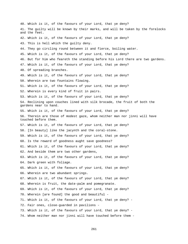40. Which is it, of the favours of your Lord, that ye deny? 41. The guilty will be known by their marks, and will be taken by the forelocks and the feet. 42. Which is it, of the favours of your Lord, that ye deny? 43. This is hell which the guilty deny. 44. They go circling round between it and fierce, boiling water. 45. Which is it, of the favours of your Lord, that ye deny? 46. But for him who feareth the standing before his Lord there are two gardens. 47. Which is it, of the favours of your Lord, that ye deny? 48. Of spreading branches. 49. Which is it, of the favours of your Lord, that ye deny? 50. Wherein are two fountains flowing. 51. Which is it, of the favours of your Lord, that ye deny? 52. Wherein is every kind of fruit in pairs. 53. Which is it, of the favours of your Lord, that ye deny? 54. Reclining upon couches lined with silk brocade, the fruit of both the gardens near to hand. 55. Which is it, of the favours of your Lord, that ye deny? 56. Therein are those of modest gaze, whom neither man nor jinni will have touched before them. 57. Which is it, of the favours of your Lord, that ye deny? 58. [In beauty] like the jacynth and the coral-stone. 59. Which is it, of the favours of your Lord, that ye deny? 60. Is the reward of goodness aught save goodness? 61. Which is it, of the favours of your Lord, that ye deny? 62. And beside them are two other gardens, 63. Which is it, of the favours of your Lord, that ye deny? 64. Dark green with foliage. 65. Which is it, of the favours of your Lord, that ye deny? 66. Wherein are two abundant springs. 67. Which is it, of the favours of your Lord, that ye deny? 68. Wherein is fruit, the date-palm and pomegranate. 69. Which is it, of the favours of your Lord, that ye deny? 70. Wherein [are found] the good and beautiful - 71. Which is it, of the favours of your Lord, that ye deny? - 72. Fair ones, close-guarded in pavilions - 73. Which is it, of the favours of your Lord, that ye deny? - 74. Whom neither man nor jinni will have touched before them -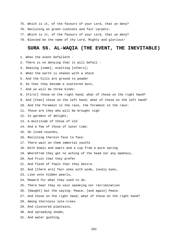- 75. Which is it, of the favours of your Lord, that ye deny? 76. Reclining on green cushions and fair carpets. 77. Which is it, of the favours of your Lord, that ye deny?
- 
- 78. Blessed be the name of thy Lord, Mighty and glorious!

## **SURA 56. AL-WAQIA (THE EVENT, THE INEVITABLE)**

- 1. When the event befalleth -
- 2. There is no denying that it will befall -
- 3. Abasing [some], exalting [others];
- 4. When the earth is shaken with a shock
- 5. And the hills are ground to powder
- 6. So that they become a scattered dust,
- 7. And ye will be three kinds:
- 8. [First] those on the right hand; what of those on the right hand?
- 9. And [then] those on the left hand; what of those on the left hand?
- 10. And the foremost in the race, the foremost in the race:
- 11. Those are they who will be brought nigh
- 12. In gardens of delight;
- 13. A multitude of those of old
- 14. And a few of those of later time.
- 15. On lined couches,
- 16. Reclining therein face to face.
- 17. There wait on them immortal youths
- 18. With bowls and ewers and a cup from a pure spring
- 19. Wherefrom they get no aching of the head nor any madness,
- 20. And fruit that they prefer
- 21. And flesh of fowls that they desire.
- 22. And [there are] fair ones with wide, lovely eyes,
- 23. Like unto hidden pearls,
- 24. Reward for what they used to do.
- 25. There hear they no vain speaking nor recrimination
- 26. [Naught] but the saying: Peace, [and again] Peace.
- 27. And those on the right hand; what of those on the right hand?
- 28. Among thornless lote-trees
- 29. And clustered plantains,
- 30. And spreading shade,
- 31. And water gushing,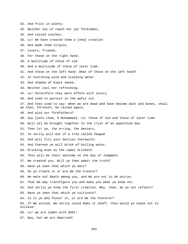- 32. And fruit in plenty
- 33. Neither out of reach nor yet forbidden,
- 34. And raised couches;
- 35. Lo! We have created them a [new] creation
- 36. And made them virgins,
- 37. Lovers, friends,
- 38. For those on the right hand;
- 39. A multitude of those of old
- 40. And a multitude of those of later time.
- 41. And those on the left hand: What of those on the left hand?
- 42. In scorching wind and scalding water
- 43. And shadow of black smoke,
- 44. Neither cool nor refreshing.
- 45. Lo! heretofore they were effete with luxury
- 46. And used to persist in the awful sin.
- 47. And they used to say: When we are dead and have become dust and bones, shall we then, forsooth, be raised again,
- 48. And also our forefathers?
- 49. Say [unto them, O Muhammad]: Lo! those of old and those of later time
- 50. Will all be brought together to the tryst of an appointed day.
- 51. Then lo! ye, the erring, the deniers,
- 52. Ye verily will eat of a tree called Zaqqum
- 53. And will fill your bellies therewith;
- 54. And thereon ye will drink of boiling water,
- 55. Drinking even as the camel drinketh.
- 56. This will be their welcome on the Day of Judgment.
- 57. We created you. Will ye then admit the truth?
- 58. Have ye seen that which ye emit?
- 59. Do ye create it or are We the Creator?
- 60. We mete out death among you, and We are not to be outrun,
- 61. That We may transfigure you and make you what ye know not.
- 62. And verily ye know the first creation. Why, then, do ye not reflect?
- 63. Have ye seen that which ye cultivate?
- 64. Is it ye who foster it, or are We the Fosterer?
- 65. If We willed, We verily could make it chaff, then would ye cease not to exclaim:
- 66. Lo! we are laden with debt!
- 67. Nay, but we are deprived!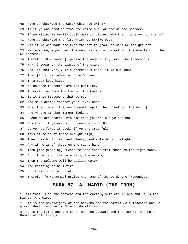68. Have ye observed the water which ye drink? 69. Is it ye who shed it from the raincloud, or are We the Shedder? 70. If We willed We verily could make it bitter. Why then, give ye not thanks? 71. Have ye observed the fire which ye strike out; 72. Was it ye who made the tree thereof to grow, or were We the grower? 73. We, even We, appointed it a memorial and a comfort for the dwellers in the wilderness. 74. Therefor [O Muhammad], praise the name of thy Lord, the Tremendous. 75. Nay, I swear by the places of the stars - 76. And lo! that verily is a tremendous oath, if ye but knew - 77. That [this] is indeed a noble Qur'an 78. In a Book kept hidden 79. Which none toucheth save the purified, 80. A revelation from the Lord of the Worlds. 81. Is it this Statement that ye scorn, 82. And make denial thereof your livelihood? 83. Why, then, when [the soul] cometh up to the throat [of the dying] 84. And ye are at that moment looking 85. - And We are nearer unto him than ye are, but ye see not - 86. Why then, if ye are not in bondage [unto Us], 87. Do ye not force it back, if ye are truthful? 88. Thus if he is of those brought nigh, 89. Then breath of life, and plenty, and a Garden of delight. 90. And if he is of those on the right hand, 91. Then [the greeting] "Peace be unto thee" from those on the right hand. 92. But if he is of the rejecters, the erring, 93. Then the welcome will be boiling water 94. And roasting at hell-fire. 95. Lo! this is certain truth. 96. Therefor [O Muhammad] praise the name of thy Lord, the Tremendous. **SURA 57. AL-HADID (THE IRON)** 

1. All that is in the heavens and the earth glorifieth Allah; and He is the Mighty, the Wise.

2. His is the Sovereignty of the heavens and the earth; He quickeneth and He giveth death; and He is Able to do all things.

3. He is the First and the Last, and the Outward and the Inward; and He is Knower of all things.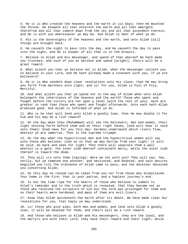4. He it is Who created the heavens and the earth in six Days; then He mounted the Throne. He knoweth all that entereth the earth and all that emergeth therefrom and all that cometh down from the sky and all that ascendeth therein; and He is with you wheresoever ye may be. And Allah is Seer of what ye do.

5. His is the Sovereignty of the heavens and the earth, and unto Allah [all] things are brought back.

6. He causeth the night to pass into the day, and He causeth the day to pass into the night, and He is knower of all that is in the breasts.

7. Believe in Allah and His messenger, and spend of that whereof He hath made you trustees; and such of you as believe and spend [aright], theirs will be a great reward.

8. What aileth you that ye believe not in Allah, when the messenger calleth you to believe in your Lord, and He hath already made a covenant with you, if ye are believers?

9. He it is Who sendeth down clear revelations unto His slave, that He may bring you forth from darkness unto light; and lo! for you, Allah is Full of Pity, Merciful.

10. And what aileth you that ye spend not in the way of Allah when unto Allah belongeth the inheritance of the heavens and the earth? Those who spent and fought before the victory are not upon a level [with the rest of you]. Such are greater in rank than those who spent and fought afterwards. Unto each hath Allah promised good. And Allah is Informed of what ye do.

11. Who is he that will lend unto Allah a goodly loan, that He may double it for him and his may be a rich reward?

12. On the day when thou [Muhammad] wilt see the believers, men and women, their light shining forth before them and on their right hands, [and wilt hear it said unto them]: Glad news for you this day: Gardens underneath which rivers flow, wherein ye are immortal. That is the supreme triumph.

13. On the day when the hypocritical men and the hypocritical women will say unto those who believe: Look on us that we may borrow from your light! it will be said: Go back and seek for light! Then there will separate them a wall wherein is a gate, the inner side whereof containeth mercy, while the outer side thereof is toward the doom.

14. They will cry unto them [saying]: Were we not with you? They will say: Yea, verily; but ye tempted one another, and hesitated, and doubted, and vain desires beguiled you till the ordinance of Allah came to pass; and the deceiver deceived you concerning Allah;

15. So this day no ransom can be taken from you nor from those who disbelieved. Your home is the Fire; that is your patron, and a hapless journey's end.

16. Is not the time ripe for the hearts of those who believe to submit to Allah's reminder and to the truth which is revealed, that they become not as those who received the scripture of old but the term was prolonged for them and so their hearts were hardened, and many of them are evil-livers.

17. Know that Allah quickeneth the earth after its death. We have made clear Our revelations for you, that haply ye may understand.

18. Lo! those who give alms, both men and women, and lend unto Allah a goodly loan, it will be doubled for them, and theirs will be a rich reward.

19. And those who believe in Allah and His messengers, they are the loyal, and the martyrs are with their Lord; they have their reward and their light; while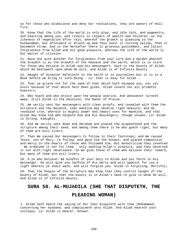as for those who disbelieve and deny Our revelations, they are owners of hellfire.

20. Know that the life of the world is only play, and idle talk, and pageantry, and boasting among you, and rivalry in respect of wealth and children; as the likeness of vegetation after rain, whereof the growth is pleasing to the husbandman, but afterward it drieth up and thou seest it turning yellow, then it becometh straw. And in the Hereafter there is grievous punishment, and [also] forgiveness from Allah and His good pleasure, whereas the life of the world is but matter of illusion.

21. Race one with another for forgiveness from your Lord and a Garden whereof the breadth is as the breadth of the heavens and the earth, which is in store for those who believe in Allah and His messengers. Such is the bounty of Allah, which He bestoweth upon whom He will, and Allah is of Infinite Bounty.

22. Naught of disaster befalleth in the earth or in yourselves but it is in a Book before we bring it into being - Lo! that is easy for Allah -

23. That ye grieve not for the sake of that which hath escaped you, nor yet exult because of that which hath been given. Allah loveth not all prideful boasters,

24. Who hoard and who enjoin upon the people avarice. And whosoever turneth away, still Allah is the Absolute, the Owner of Praise.

25. We verily sent Our messengers with clear proofs, and revealed with them the Scripture and the Balance, that mankind may observe right measure; and He revealed iron, wherein is mighty power and [many] uses for mankind, and that Allah may know him who helpeth Him and His messengers, though unseen. Lo! Allah is Strong, Almighty.

26. And We verily sent Noah and Abraham and placed the prophethood and the scripture among their seed, and among them there is he who goeth right, but many of them are evil-livers.

27. Then We caused Our messengers to follow in their footsteps; and We caused Jesus, son of Mary, to follow, and gave him the Gospel, and placed compassion and mercy in the hearts of those who followed him. But monasticism they invented - We ordained it not for them - only seeking Allah's pleasure, and they observed it not with right observance. So We give those of them who believe their reward, but many of them are evil-livers.

28. O ye who believe! Be mindful of your duty to Allah and put faith in His messenger. He will give you twofold of His mercy and will appoint for you a light wherein ye shall walk, and will forgive you. Allah is Forgiving, Merciful;

29. That the People of the Scripture may know that they control naught of the bounty of Allah, but that the bounty is in Allah's hand to give to whom He will. And Allah is of Infinite Bounty.

#### **SURA 58. AL-MUJADILA (SHE THAT DISPUTETH, THE**

## **PLEADING WOMAN)**

1. Allah hath heard the saying of her that disputeth with thee [Muhammad] concerning her husband, and complaineth unto Allah. And Allah heareth your colloquy. Lo! Allah is Hearer, Knower.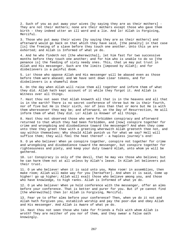2. Such of you as put away your wives [by saying they are as their mothers] - They are not their mothers; none are their mothers except those who gave them birth - they indeed utter an ill word and a lie. And lo! Allah is Forgiving, Merciful.

3. Those who put away their wives [by saying they are as their mothers] and afterward would go back on that which they have said, [the penalty] in that case [is] the freeing of a slave before they touch one another. Unto this ye are exhorted; and Allah is Informed of what ye do.

4. And he who findeth not [the wherewithal], let him fast for two successive months before they touch one another; and for him who is unable to do so [the penance is] the feeding of sixty needy ones. This, that ye may put trust in Allah and His messenger. Such are the limits [imposed by Allah]; and for disbelievers is a painful doom.

5. Lo! those who oppose Allah and His messenger will be abased even as those before them were abased; and We have sent down clear tokens, and for disbelievers is a shameful doom

6. On the day when Allah will raise them all together and inform them of what they did. Allah hath kept account of it while they forgot it. And Allah is Witness over all things.

7. Hast thou not seen that Allah knoweth all that is in the heavens and all that is in the earth? There is no secret conference of three but He is their fourth, nor of five but He is their sixth, nor of less than that or more but He is with them wheresoever they may be; and afterward, on the Day of Resurrection, He will inform them of what they did. Lo! Allah is Knower of all things.

8. Hast thou not observed those who were forbidden conspiracy and afterward returned to that which they had been forbidden, and [now] conspire together for crime and wrongdoing and disobedience toward the messenger? And when they come unto thee they greet thee with a greeting wherewith Allah greeteth thee not, and say within themselves: Why should Allah punish us for what we say? Hell will suffice them; they will feel the heat thereof - a hapless journey's end!

9. O ye who believe! When ye conspire together, conspire not together for crime and wrongdoing and disobedience toward the messenger, but conspire together for righteousness and piety, and keep your duty toward Allah, unto whom ye will be gathered.

10. Lo! Conspiracy is only of the devil, that he may vex those who believe; but he can harm them not at all unless by Allah's leave. In Allah let believers put their trust.

11. O ye who believe! when it is said unto you, Make room! in assemblies, then make room; Allah will make way for you [hereafter]. And when it is said, Come up higher! go up higher; Allah will exalt those who believe among you, and those who have knowledge, to high ranks. Allah is Informed of what ye do.

12. O ye who believe! When ye hold conference with the messenger, offer an alms before your conference. That is better and purer for you. But if ye cannot find [the wherewithal] then lo! Allah is Forgiving, Merciful.

13. Fear ye to offer alms before your conference? Then, when ye do it not and Allah hath forgiven you, establish worship and pay the poor-due and obey Allah and His messenger. And Allah is Aware of what ye do.

14. Hast thou not seen those who take for friends a folk with whom Allah is wroth? They are neither of you nor of them, and they swear a false oath knowingly.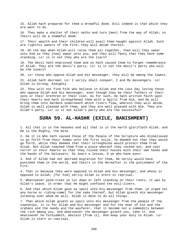15. Allah hath prepared for them a dreadful doom. Evil indeed is that which they are wont to do.

16. They make a shelter of their oaths and turn [men] from the way of Allah; so theirs will be a shameful doom.

17. Their wealth and their children will avail them naught against Allah. Such are rightful owners of the Fire; they will abide therein.

18. On the day when Allah will raise them all together, then will they swear unto Him as they [now] swear unto you, and they will fancy that they have some standing. Lo! is it not they who are the liars?

19. The devil hath engrossed them and so hath caused them to forget remembrance of Allah. They are the devil's party. Lo! is it not the devil's party who will be the losers?

20. Lo! those who oppose Allah and His messenger, they will be among the lowest.

21. Allah hath decreed: Lo! I verily shall conquer, I and My messengers. Lo! Allah is Strong, Almighty.

22. Thou wilt not find folk who believe in Allah and the Last Day loving those who oppose Allah and His messenger, even though they be their fathers or their sons or their brethren or their clan. As for such, He hath written faith upon their hearts and hath strengthened them with a Spirit from Him, and He will bring them into Gardens underneath which rivers flow, wherein they will abide. Allah is well pleased with them, and they are well pleased with Him. They are Allah's party. Lo! is it not Allah's party who are the successful?

### **SURA 59. AL-HASHR (EXILE, BANISHMENT)**

1. All that is in the heavens and all that is in the earth glorifieth Allah, and He is the Mighty, the Wise.

2. He it is Who hath caused those of the People of the Scripture who disbelieved to go forth from their homes unto the first exile. Ye deemed not that they would go forth, while they deemed that their strongholds would protect them from Allah. But Allah reached them from a place whereof they recked not, and cast terror in their hearts so that they ruined their houses with their own hands and the hands of the believers. So learn a lesson, O ye who have eyes!

3. And if Allah had not decreed migration for them, He verily would have punished them in the world, and theirs in the Hereafter is the punishment of the Fire.

4. That is because they were opposed to Allah and His messenger; and whoso is opposed to Allah, [for him] verily Allah is stern in reprisal.

5. Whatsoever palm-trees ye cut down or left standing on their roots, it was by Allah's leave, in order that He might confound the evil-livers.

6. And that which Allah gave as spoil unto His messenger from them, ye urged not any horse or riding-camel for the sake thereof, but Allah giveth His messenger lordship over whom He will. Allah is Able to do all things.

7. That which Allah giveth as spoil unto His messenger from the people of the townships, it is for Allah and His messenger and for the near of kin and the orphans and the needy and the wayfarer, that it become not a commodity between the rich among you. And whatsoever the messenger giveth you, take it. And whatsoever he forbiddeth, abstain [from it]. And keep your duty to Allah. Lo! Allah is stern in reprisal.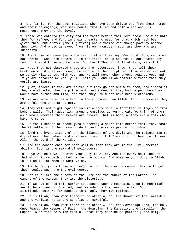8. And [it is] for the poor fugitives who have been driven out from their homes and their belongings, who seek bounty from Allah and help Allah and His messenger. They are the loyal.

9. Those who entered the city and the faith before them love those who flee unto them for refuge, and find in their breasts no need for that which hath been given them, but prefer [the fugitives] above themselves though poverty become their lot. And whoso is saved from his own avarice - such are they who are successful.

10. And those who came [into the faith] after them say: Our Lord! Forgive us and our brethren who were before us in the faith, and place not in our hearts any rancour toward those who believe. Our Lord! Thou art Full of Pity, Merciful.

11. Hast thou not observed those who are hypocrites, [how] they tell their brethren who disbelieve among the People of the Scripture: If ye are driven out, we surely will go out with you, and we will never obey anyone against you, and if ye are attacked we verily will help you. And Allah beareth witness that they verily are liars.

12. [For] indeed if they are driven out they go not out with them, and indeed if they are attacked they help them not, and indeed if they had helped them they would have turned and fled, and then they would not have been victorious.

13. Ye are more awful as a fear in their bosoms than Allah. That is because they are a folk who understand not.

14. They will not fight against you in a body save in fortified villages or from behind walls. Their adversity among themselves is very great. Ye think of them as a whole whereas their hearts are divers. That is because they are a folk who have no sense.

15. On the likeness of those [who suffered] a short time before them, they taste the ill-effects of their own conduct, and theirs is painful punishment.

16. [And the hypocrites are] on the likeness of the devil when he telleth man to disbelieve, then, when he disbelieveth saith: Lo! I am quit of thee. Lo! I fear Allah, the Lord of the Worlds.

17. And the consequence for both will be that they are in the Fire, therein abiding. Such is the reward of evil-doers.

18. O ye who believe! Observe your duty to Allah. And let every soul look to that which it sendeth on before for the morrow. And observe your duty to Allah. Lo! Allah is Informed of what ye do.

19. And be not ye as those who forgot Allah, therefor He caused them to forget their souls. Such are the evil-doers.

20. Not equal are the owners of the Fire and the owners of the Garden. The owners of the Garden, they are the victorious.

21. If We had caused this Qur'an to descend upon a mountain, thou [O Muhammad] verily hadst seen it humbled, rent asunder by the fear of Allah. Such similitudes coin We for mankind that haply they may reflect.

22. He is Allah, than Whom there is no other Allah, the Knower of the Invisible and the Visible. He is the Beneficent, Merciful.

23. He is Allah, than Whom there is no other Allah, the Sovereign Lord, the Holy One, Peace, the Keeper of Faith, the Guardian, the Majestic, the Compeller, the Superb. Glorified be Allah from all that they ascribe as partner [unto Him].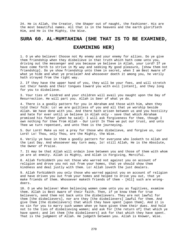24. He is Allah, the Creator, the Shaper out of naught, the Fashioner. His are the most beautiful names. All that is in the heavens and the earth glorifieth Him, and He is the Mighty, the Wise.

### **SURA 60. AL-MUMTAHINA (SHE THAT IS TO BE EXAMINED,**

# **EXAMINING HER)**

1. O ye who believe! Choose not My enemy and your enemy for allies. Do ye give them friendship when they disbelieve in that truth which hath come unto you, driving out the messenger and you because ye believe in Allah, your Lord? If ye have come forth to strive in My way and seeking My good pleasure, [show them not friendship]. Do ye show friendship unto them in secret, when I am Best Aware of what ye hide and what ye proclaim? And whosoever doeth it among you, he verily hath strayed from the right way.

2. If they have the upper hand of you, they will be your foes, and will stretch out their hands and their tongues toward you with evil [intent], and they long for you to disbelieve.

3. Your ties of kindred and your children will avail you naught upon the Day of Resurrection. He will part you. Allah is Seer of what ye do.

4. There is a goodly pattern for you in Abraham and those with him, when they told their folk: Lo! we are guiltless of you and all that ye worship beside Allah. We have done with you. And there hath arisen between us and you hostility and hate for ever until ye believe in Allah only - save that which Abraham promised his father [when he said]: I will ask forgiveness for thee, though I own nothing for thee from Allah - Our Lord! In Thee we put our trust, and unto Thee we turn repentant, and unto Thee is the journeying.

5. Our Lord! Make us not a prey for those who disbelieve, and forgive us, our Lord! Lo! Thou, only Thou, are the Mighty, the Wise.

6. Verily ye have in them a goodly pattern for everyone who looketh to Allah and the Last Day. And whosoever may turn away, lo! still Allah, He is the Absolute, the Owner of Praise.

7. It may be that Allah will ordain love between you and those of them with whom ye are at enmity. Allah is Mighty, and Allah is Forgiving, Merciful.

8. Allah forbiddeth you not those who warred not against you on account of religion and drove you not out from your homes, that ye should show them kindness and deal justly with them. Lo! Allah loveth the just dealers.

9. Allah forbiddeth you only those who warred against you on account of religion and have driven you out from your homes and helped to drive you out, that ye make friends of them. Whosoever maketh friends of them - [All] such are wrongdoers.

10. O ye who believe! When believing women come unto you as fugitives, examine them. Allah is Best Aware of their faith. Then, if ye know them for true believers, send them not back unto the disbelievers. They are not lawful for them [the disbelievers], nor are they [the disbelievers] lawful for them. And give them [the disbelievers] that which they have spent [upon them]. And it is no sin for you to marry such women when ye have given them their dues. And hold not to the ties of disbelieving women; and ask for [the return of] that which ye have spent; and let them [the disbelievers] ask for that which they have spent. That is the judgment of Allah. He judgeth between you. Allah is Knower, Wise.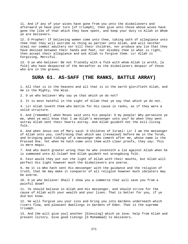11. And if any of your wives have gone from you unto the disbelievers and afterward ye have your turn [of triumph], then give unto those whose wives have gone the like of that which they have spent, and keep your duty to Allah in Whom ye are believers.

12. O Prophet! If believing women come unto thee, taking oath of allegiance unto thee that they will ascribe no thing as partner unto Allah, and will neither steal nor commit adultery nor kill their children, nor produce any lie that they have devised between their hands and feet, nor disobey thee in what is right, then accept their allegiance and ask Allah to forgive them. Lo! Allah is Forgiving, Merciful.

13. O ye who believe! Be not friendly with a folk with whom Allah is wroth, [a folk] who have despaired of the Hereafter as the disbelievers despair of those who are in the graves.

#### **SURA 61. AS-SAFF (THE RANKS, BATTLE ARRAY)**

1. All that is in the heavens and all that is in the earth glorifieth Allah, and He is the Mighty, the Wise.

2. O ye who believe! Why say ye that which ye do not?

3. It is most hateful in the sight of Allah that ye say that which ye do not.

4. Lo! Allah loveth them who battle for His cause in ranks, as if they were a solid structure.

5. And [remember] when Moses said unto his people: O my people! Why persecute ye me, when ye well know that I am Allah's messenger unto you? So when they went astray Allah sent their hearts astray. And Allah guideth not the evil-living folk.

6. And when Jesus son of Mary said: O Children of Israel! Lo! I am the messenger of Allah unto you, confirming that which was [revealed] before me in the Torah, and bringing good tidings of a messenger who cometh after me, whose name is the Praised One. Yet when he hath come unto them with clear proofs, they say: This is mere magic.

7. And who doeth greater wrong than he who inventeth a lie against Allah when he is summoned unto Al-Islam? And Allah guideth not wrongdoing folk.

8. Fain would they put out the light of Allah with their mouths, but Allah will perfect His light however much the disbelievers are averse.

9. He it is Who hath sent His messenger with the guidance and the religion of truth, that He may make it conqueror of all religion however much idolaters may be averse.

10. O ye who believe! Shall I show you a commerce that will save you from a painful doom?

11. Ye should believe in Allah and His messenger, and should strive for the cause of Allah with your wealth and your lives. That is better for you, if ye did but know.

12. He will forgive you your sins and bring you into Gardens underneath which rivers flow, and pleasant dwellings in Gardens of Eden. That is the supreme triumph.

13. And [He will give you] another [blessing] which ye love: help from Allah and present victory. Give good tidings [O Muhammad] to believers.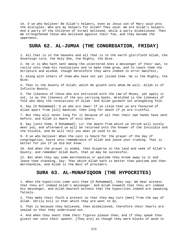14. O ye who believe! Be Allah's helpers, even as Jesus son of Mary said unto the disciples: Who are my helpers for Allah? They said: We are Allah's helpers. And a party of the Children of Israel believed, while a party disbelieved. Then We strengthened those who believed against their foe, and they became the uppermost.

## **SURA 62. AL-JUMUA (THE CONGREGATION, FRIDAY)**

1. All that is in the heavens and all that is in the earth glorifieth Allah, the Sovereign Lord, the Holy One, the Mighty, the Wise.

2. He it is Who hath sent among the unlettered ones a messenger of their own, to recite unto them His revelations and to make them grow, and to teach them the Scripture and wisdom, though heretofore they were indeed in error manifest,

3. Along with others of them who have not yet joined them. He is the Mighty, the Wise.

4. That is the bounty of Allah; which He giveth unto whom He will. Allah is of Infinite Bounty.

5. The likeness of those who are entrusted with the Law of Moses, yet apply it not, is as the likeness of the ass carrying books. Wretched is the likeness of folk who deny the revelations of Allah. And Allah guideth not wrongdoing folk.

6. Say [O Muhammad]: O ye who are Jews! If ye claim that ye are favoured of Allah apart from [all] mankind, then long for death if ye are truthful.

7. But they will never long for it because of all that their own hands have sent before, and Allah is Aware of evil-doers.

8. Say [unto them, O Muhammad]: Lo! the death from which ye shrink will surely meet you, and afterward ye will be returned unto the Knower of the Invisible and the Visible, and He will tell you what ye used to do.

9. O ye who believe! When the call is heard for the prayer of the day of congregation, haste unto remembrance of Allah and leave your trading. That is better for you if ye did but know.

10. And when the prayer is ended, then disperse in the land and seek of Allah's bounty, and remember Allah much, that ye may be successful.

11. But when they spy some merchandise or pastime they break away to it and leave thee standing. Say: That which Allah hath is better than pastime and than merchandise, and Allah is the Best of providers.

## **SURA 63. AL-MUNAFIQOON (THE HYPOCRITES)**

1. When the hypocrites come unto thee [O Muhammad], they say: We bear witness that thou art indeed Allah's messenger. And Allah knoweth that thou art indeed His messenger, and Allah beareth witness that the hypocrites indeed are speaking falsely.

2. They make their faith a pretext so that they may turn [men] from the way of Allah. Verily evil is that which they are wont to do,

3. That is because they believed, then disbelieved, therefore their hearts are sealed so that they understand not.

4. And when thou seest them their figures please thee; and if they speak thou givest ear unto their speech. [They are] as though they were blocks of wood in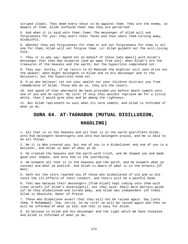striped cloaks. They deem every shout to be against them. They are the enemy, so beware of them. Allah confound them! How they are perverted!

5. And when it is said unto them: Come! The messenger of Allah will ask forgiveness for you! they avert their faces and thou seest them turning away, disdainful.

6. Whether thou ask forgiveness for them or ask not forgiveness for them is all one for them; Allah will not forgive them. Lo! Allah guideth not the evil-living folk.

7. They it is who say: Spend not on behalf of those [who dwell] with Allah's messenger that they may disperse [and go away from you]; when Allah's are the treasures of the heavens and the earth; but the hypocrites comprehend not.

8. They say: Surely, if we return to Al-Madinah the mightier will soon drive out the weaker; when might belongeth to Allah and to His messenger and to the believers; but the hypocrites know not.

9. O ye who believe! Let not your wealth nor your children distract you from remembrance of Allah. Those who do so, they are the losers.

10. And spend of that wherewith We have provided you before death cometh unto one of you and he saith: My Lord! If only thou wouldst reprieve me for a little while, then I would give alms and be among the righteous.

11. But Allah reprieveth no soul when its term cometh, and Allah is Informed of what ye do.

### **SURA 64. AT-TAGHABUN (MUTUAL DISILLUSION,**

### **HAGGLING)**

1. All that is in the heavens and all that is in the earth glorifieth Allah; unto Him belongeth Sovereignty and unto Him belongeth praise, and He is Able to do all things.

2. He it is Who created you, but one of you is a disbeliever and one of you is a believer, and Allah is Seer of what ye do.

3. He created the heavens and the earth with truth, and He shaped you and made good your shapes, and unto Him is the journeying.

4. He knoweth all that is in the heavens and the earth, and He knoweth what ye conceal and what ye publish. And Allah is Aware of what is in the breasts [of men].

5. Hath not the story reached you of those who disbelieved of old and so did taste the ill-effects of their conduct, and theirs will be a painful doom.

6. That was because their messengers [from Allah] kept coming unto them with clear proofs [of Allah's Sovereignty], but they said: Shall mere mortals guide us? So they disbelieved and turned away, and Allah was independent [of them]. Allah is Absolute, Owner of Praise.

7. Those who disbelieve assert that they will not be raised again. Say [unto them, O Muhammad]: Yea, verily, by my Lord! ye will be raised again and then ye will be informed of what ye did; and that is easy for Allah.

8. So believe in Allah and His messenger and the light which We have revealed. And Allah is Informed of what ye do.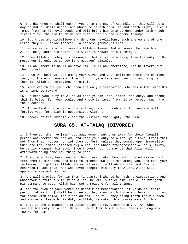9. The day when He shall gather you unto the Day of Assembling, that will be a day of mutual disillusion. And whoso believeth in Allah and doeth right, He will remit from him his evil deeds and will bring him unto Gardens underneath which rivers flow, therein to abide for ever. That is the supreme triumph.

10. But those who disbelieve and deny Our revelations, such are owners of the Fire; they will abide therein - a hapless journey's end!

11. No calamity befalleth save by Allah's leave. And whosoever believeth in Allah, He guideth his heart. And Allah is Knower of all things.

12. Obey Allah and obey His messenger; but if ye turn away, then the duty of Our messenger is only to convey [the message] plainly.

13. Allah! There is no Allah save Him. In Allah, therefore, let believers put their trust.

14. O ye who believe! Lo! among your wives and your children there are enemies for you, therefor beware of them. And if ye efface and overlook and forgive, then lo! Allah is Forgiving, Merciful.

15. Your wealth and your children are only a temptation, whereas Allah! with Him is an immense reward.

16. So keep your duty to Allah as best ye can, and listen, and obey, and spend; that is better for your souls. And whoso is saved from his own greed, such are the successful.

17. If ye lend unto Allah a goodly loan, He will double it for you and will forgive you, for Allah is Responsive, Clement,

18. Knower of the Invisible and the Visible, the Mighty, the Wise.

# **SURA 65. AT-TALAQ (DIVORCE)**

1. O Prophet! When ye [men] put away women, put them away for their [legal] period and reckon the period, and keep your duty to Allah, your Lord. Expel them not from their houses nor let them go forth unless they commit open immorality. Such are the limits [imposed by] Allah; and whoso transgresseth Allah's limits, he verily wrongeth his soul. Thou knowest not: it may be that Allah will afterward bring some new thing to pass.

2. Then, when they have reached their term, take them back in kindness or part from them in kindness, and call to witness two just men among you, and keep your testimony upright for Allah. Whoso believeth in Allah and the Last Day is exhorted to act thus. And whosoever keepeth his duty to Allah, Allah will appoint a way out for him,

3. And will provide for him from [a quarter] whence he hath no expectation. And whosoever putteth his trust in Allah, He will suffice him. Lo! Allah bringeth His command to pass. Allah hath set a measure for all things.

4. And for such of your women as despair of menstruation, if ye doubt, their period [of waiting] shall be three months, along with those who have it not. And for those with child, their period shall be till they bring forth their burden. And whosoever keepeth his duty to Allah, He maketh his course easy for him.

5. That is the commandment of Allah which He revealeth unto you. And whoso keepeth his duty to Allah, He will remit from him his evil deeds and magnify reward for him.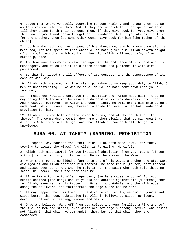6. Lodge them where ye dwell, according to your wealth, and harass them not so as to straiten life for them. And if they are with child, then spend for them till they bring forth their burden. Then, if they give suck for you, give them their due payment and consult together in kindness; but if ye make difficulties for one another, then let some other woman give suck for him [the father of the child].

7. Let him who hath abundance spend of his abundance, and he whose provision is measured, let him spend of that which Allah hath given him. Allah asketh naught of any soul save that which He hath given it. Allah will vouchsafe, after hardship, ease.

8. And how many a community revolted against the ordinance of its Lord and His messengers, and We called it to a stern account and punished it with dire punishment,

9. So that it tasted the ill-effects of its conduct, and the consequence of its conduct was loss.

10. Allah hath prepared for them stern punishment; so keep your duty to Allah, O men of understanding! O ye who believe! Now Allah hath sent down unto you a reminder,

11. A messenger reciting unto you the revelations of Allah made plain, that He may bring forth those who believe and do good works from darkness unto light. And whosoever believeth in Allah and doeth right, He will bring him into Gardens underneath which rivers flow, therein to abide for ever. Allah hath made good provision for him.

12. Allah it is who hath created seven heavens, and of the earth the like thereof. The commandment cometh down among them slowly, that ye may know that Allah is Able to do all things, and that Allah surroundeth all things in knowledge.

### **SURA 66. AT-TAHRIM (BANNING, PROHIBITION)**

1. O Prophet! Why bannest thou that which Allah hath made lawful for thee, seeking to please thy wives? And Allah is Forgiving, Merciful.

2. Allah hath made lawful for you [Muslims] absolution from your oaths [of such a kind], and Allah is your Protector. He is the Knower, the Wise.

3. When the Prophet confided a fact unto one of his wives and when she afterward divulged it and Allah apprised him thereof, he made known [to her] part thereof and passed over part. And when he told it her she said: Who hath told thee? He said: The Knower, the Aware hath told me.

4. If ye twain turn unto Allah repentant, [ye have cause to do so] for your hearts desired [the ban]; and if ye aid one another against him [Muhammad] then lo! Allah, even He, is his Protecting Friend, and Gabriel and the righteous among the believers; and furthermore the angels are his helpers.

5. It may happen that his Lord, if he divorce you, will give him in your stead wives better than you, submissive [to Allah], believing, pious, penitent, devout, inclined to fasting, widows and maids.

6. O ye who believe! Ward off from yourselves and your families a Fire whereof the fuel is men and stones, over which are set angels strong, severe, who resist not Allah in that which He commandeth them, but do that which they are commanded.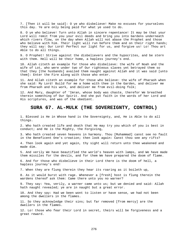7. [Then it will be said]: O ye who disbelieve! Make no excuses for yourselves this day. Ye are only being paid for what ye used to do.

8. O ye who believe! Turn unto Allah in sincere repentance! It may be that your Lord will remit from you your evil deeds and bring you into Gardens underneath which rivers flow, on the day when Allah will not abase the Prophet and those who believe with him. Their light will run before them and on their right hands; they will say: Our Lord! Perfect our light for us, and forgive us! Lo! Thou art Able to do all things.

9. O Prophet! Strive against the disbelievers and the hypocrites, and be stern with them. Hell will be their home, a hapless journey's end.

10. Allah citeth an example for those who disbelieve: the wife of Noah and the wife of Lot, who were under two of Our righteous slaves yet betrayed them so that they [the husbands] availed them naught against Allah and it was said [unto them]: Enter the Fire along with those who enter.

11. And Allah citeth an example for those who believe: the wife of Pharaoh when she said: My Lord! Build for me a home with thee in the Garden, and deliver me from Pharaoh and his work, and deliver me from evil-doing folk;

12. And Mary, daughter of 'Imran, whose body was chaste, therefor We breathed therein something of Our Spirit. And she put faith in the words of her Lord and His scriptures, and was of the obedient.

#### **SURA 67. AL-MULK (THE SOVEREIGNTY, CONTROL)**

1. Blessed is He in Whose hand is the Sovereignty, and, He is Able to do all things.

2. Who hath created life and death that He may try you which of you is best in conduct; and He is the Mighty, the Forgiving,

3. Who hath created seven heavens in harmony. Thou [Muhammad] canst see no fault in the Beneficent One's creation; then look again: Canst thou see any rifts?

4. Then look again and yet again, thy sight will return unto thee weakened and made dim.

5. And verily We have beautified the world's heaven with lamps, and We have made them missiles for the devils, and for them We have prepared the doom of flame.

6. And for those who disbelieve in their Lord there is the doom of hell, a hapless journey's end!

7. When they are flung therein they hear its roaring as it boileth up,

8. As it would burst with rage. Whenever a [fresh] host is flung therein the wardens thereof ask them: Came there unto you no warner?

9. They say: Yea, verily, a warner came unto us; but we denied and said: Allah hath naught revealed; ye are in naught but a great error.

10. And they say: Had we been wont to listen or have sense, we had not been among the dwellers in the flames.

11. So they acknowledge their sins; but far removed [from mercy] are the dwellers in the flames.

12. Lo! those who fear their Lord in secret, theirs will be forgiveness and a great reward.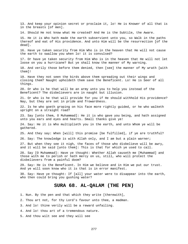13. And keep your opinion secret or proclaim it, lo! He is Knower of all that is in the breasts [of men].

14. Should He not know what He created? And He is the Subtile, the Aware.

15. He it is Who hath made the earth subservient unto you, so Walk in the paths thereof and eat of His providence. And unto Him will be the resurrection [of the dead].

16. Have ye taken security from Him Who is in the heaven that He will not cause the earth to swallow you when lo! it is convulsed?

17. Or have ye taken security from Him Who is in the heaven that He will not let loose on you a hurricane? But ye shall know the manner of My warning.

18. And verily those before them denied, then [see] the manner of My wrath [with them]!

19. Have they not seen the birds above them spreading out their wings and closing them? Naught upholdeth them save the Beneficent. Lo! He is Seer of all things.

20. Or who is he that will be an army unto you to help you instead of the Beneficent? The disbelievers are in naught but illusion.

21. Or who is he that will provide for you if He should withhold His providence? Nay, but they are set in pride and frowardness.

22. Is he who goeth groping on his face more rightly guided, or he who walketh upright on a straight road?

23. Say [unto them, O Muhammad]: He it is who gave you being, and hath assigned unto you ears and eyes and hearts. Small thanks give ye!

24. Say: He it is Who multiplieth you in the earth, and unto Whom ye will be gathered.

25. And they say: When [will] this promise [be fulfilled], if ye are truthful?

26. Say: The knowledge is with Allah only, and I am but a plain warner;

27. But when they see it nigh, the faces of those who disbelieve will be awry, and it will be said [unto them]: This is that for which ye used to call.

28. Say [O Muhammad]: Have ye thought: Whether Allah causeth me [Muhammad] and those with me to perish or hath mercy on us, still, who will protect the disbelievers from a painful doom?

29. Say: He is the Beneficent. In Him we believe and in Him we put our trust. And ye will soon know who it is that is in error manifest.

30. Say: Have ye thought: If [all] your water were to disappear into the earth, who then could bring you gushing water?

### **SURA 68. AL-QALAM (THE PEN)**

- 1. Nun. By the pen and that which they write [therewith],
- 2. Thou art not, for thy Lord's favour unto thee, a madman.
- 3. And lo! thine verily will be a reward unfailing.
- 4. And lo! thou art of a tremendous nature.
- 5. And thou wilt see and they will see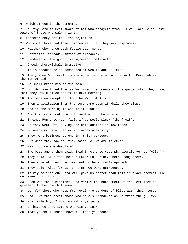6. Which of you is the demented. 7. Lo! thy Lord is Best Aware of him who strayeth from His way, and He is Best Aware of those who walk aright. 8. Therefor obey not thou the rejecters 9. Who would have had thee compromise, that they may compromise. 10. Neither obey thou each feeble oath-monger, 11. Detracter, spreader abroad of slanders, 12. Hinderer of the good, transgressor, malefactor 13. Greedy therewithal, intrusive. 14. It is because he is possessed of wealth and children 15. That, when Our revelations are recited unto him, he saith: Mere fables of the men of old. 16. We shall brand him on the nose. 17. Lo! We have tried them as We tried the owners of the garden when they vowed that they would pluck its fruit next morning, 18. And made no exception [for the Will of Allah]; 19. Then a visitation from thy Lord came upon it while they slept 20. And in the morning it was as if plucked. 21. And they cried out one unto another in the morning, 22. Saying: Run unto your field if ye would pluck [the fruit]. 23. So they went off, saying one unto another in low tones: 24. No needy man shall enter it to-day against you. 25. They went betimes, strong in [this] purpose. 26. But when they saw it, they said: Lo! we are in error! 27. Nay, but we are desolate! 28. The best among them said: Said I not unto you: Why glorify ye not [Allah]? 29. They said: Glorified be our Lord! Lo! we have been wrong-doers. 30. Then some of them drew near unto others, self-reproaching. 31. They said: Alas for us! In truth we were outrageous. 32. It may be that our Lord will give us better than this in place thereof. Lo! we beseech our Lord. 33. Such was the punishment. And verily the punishment of the Hereafter is greater if they did but know. 34. Lo! for those who keep from evil are gardens of bliss with their Lord. 35. Shall We then treat those who have surrendered as We treat the guilty? 36. What aileth you? How foolishly ye judge! 37. Or have ye a scripture wherein ye learn 38. That ye shall indeed have all that ye choose?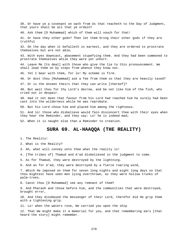39. Or have ye a covenant on oath from Us that reacheth to the Day of Judgment, that yours shall be all that ye ordain?

40. Ask them [O Muhammad] which of them will vouch for that!

41. Or have they other gods? Then let them bring their other gods if they are truthful

42. On the day when it befalleth in earnest, and they are ordered to prostrate themselves but are not able,

43. With eyes downcast, abasement stupefying them. And they had been summoned to prostrate themselves while they were yet unhurt.

44. Leave Me [to deal] with those who give the lie to this pronouncement. We shall lead them on by steps from whence they know not.

45. Yet I bear with them, for lo! My scheme is firm.

46. Or dost thou [Muhammad] ask a fee from them so that they are heavily taxed?

47. Or is the Unseen theirs that they can write [thereof]?

48. But wait thou for thy Lord's decree, and be not like him of the fish, who cried out in despair.

49. Had it not been that favour from his Lord had reached him he surely had been cast into the wilderness while he was reprobate.

50. But his Lord chose him and placed him among the righteous.

51. And lo! those who disbelieve would fain disconcert thee with their eyes when they hear the Reminder, and they say: Lo! he is indeed mad;

52. When it is naught else than a Reminder to creation.

### **SURA 69. AL-HAAQQA (THE REALITY)**

1. The Reality!

2. What is the Reality?

3. Ah, what will convey unto thee what the reality is!

4. [The tribes of] Thamud and A'ad disbelieved in the judgment to come.

5. As for Thamud, they were destroyed by the lightning.

6. And as for A'ad, they were destroyed by a fierce roaring wind,

7. Which He imposed on them for seven long nights and eight long days so that thou mightest have seen men lying overthrown, as they were hollow trunks of palm-trees.

8. Canst thou [O Muhammad] see any remnant of them?

9. And Pharaoh and those before him, and the communities that were destroyed, brought error,

10. And they disobeyed the messenger of their Lord, therefor did He grip them with a tightening grip.

11. Lo! when the waters rose, We carried you upon the ship

12. That We might make it a memorial for you, and that remembering ears [that heard the story] might remember.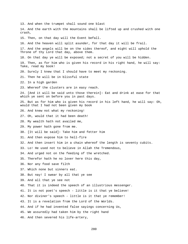13. And when the trumpet shall sound one blast 14. And the earth with the mountains shall be lifted up and crushed with one crash, 15. Then, on that day will the Event befall. 16. And the heaven will split asunder, for that day it will be frail. 17. And the angels will be on the sides thereof, and eight will uphold the Throne of thy Lord that day, above them. 18. On that day ye will be exposed; not a secret of you will be hidden. 19. Then, as for him who is given his record in his right hand, he will say: Take, read my book! 20. Surely I knew that I should have to meet my reckoning. 21. Then he will be in blissful state 22. In a high garden 23. Whereof the clusters are in easy reach. 24. [And it will be said unto those therein]: Eat and drink at ease for that which ye sent on before you in past days. 25. But as for him who is given his record in his left hand, he will say: Oh, would that I had not been given my book 26. And knew not what my reckoning! 27. Oh, would that it had been death! 28. My wealth hath not availed me, 29. My power hath gone from me. 30. [It will be said]: Take him and fetter him 31. And then expose him to hell-fire 32. And then insert him in a chain whereof the length is seventy cubits. 33. Lo! He used not to believe in Allah the Tremendous, 34. And urged not on the feeding of the wretched. 35. Therefor hath he no lover here this day, 36. Nor any food save filth 37. Which none but sinners eat. 38. But nay! I swear by all that ye see 39. And all that ye see not 40. That it is indeed the speech of an illustrious messenger. 41. It is not poet's speech - little is it that ye believe! 42. Nor diviner's speech - little is it that ye remember! 43. It is a revelation from the Lord of the Worlds. 44. And if he had invented false sayings concerning Us, 45. We assuredly had taken him by the right hand 46. And then severed his life-artery,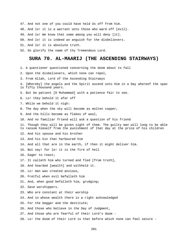47. And not one of you could have held Us off from him.

48. And lo! it is a warrant unto those who ward off [evil].

49. And lo! We know that some among you will deny [it].

50. And lo! it is indeed an anguish for the disbelievers.

51. And lo! it is absolute truth.

52. So glorify the name of thy Tremendous Lord.

#### **SURA 70. AL-MAARIJ (THE ASCENDING STAIRWAYS)**

1. A questioner questioned concerning the doom about to fall

- 2. Upon the disbelievers, which none can repel,
- 3. From Allah, Lord of the Ascending Stairways
- 4. [Whereby] the angels and the Spirit ascend unto Him in a Day whereof the span is fifty thousand years.
- 5. But be patient [O Muhammad] with a patience fair to see.
- 6. Lo! they behold it afar off
- 7. While we behold it nigh:
- 8. The day when the sky will become as molten copper,
- 9. And the hills become as flakes of wool,
- 10. And no familiar friend will ask a question of his friend

11. Though they will be given sight of them. The guilty man will long to be able to ransom himself from the punishment of that day at the price of his children

12. And his spouse and his brother

- 13. And his kin that harboured him
- 14. And all that are in the earth, if then it might deliver him.

15. But nay! for lo! it is the fire of hell

- 16. Eager to roast;
- 17. It calleth him who turned and fled [from truth],
- 18. And hoarded [wealth] and withheld it.
- 19. Lo! man was created anxious,
- 20. Fretful when evil befalleth him
- 21. And, when good befalleth him, grudging;

22. Save worshippers.

- 23. Who are constant at their worship
- 24. And in whose wealth there is a right acknowledged
- 25. For the beggar and the destitute;
- 26. And those who believe in the Day of Judgment,
- 27. And those who are fearful of their Lord's doom -
- 28. Lo! the doom of their Lord is that before which none can feel secure -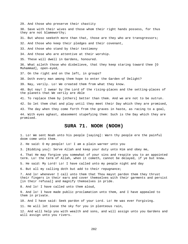29. And those who preserve their chastity

30. Save with their wives and those whom their right hands possess, for thus they are not blameworthy;

31. But whoso seeketh more than that, those are they who are transgressors;

32. And those who keep their pledges and their covenant,

33. And those who stand by their testimony

34. And those who are attentive at their worship.

35. These will dwell in Gardens, honoured.

36. What aileth those who disbelieve, that they keep staring toward thee [O Muhammad], open-eyed,

37. On the right and on the left, in groups?

38. Doth every man among them hope to enter the Garden of Delight?

39. Nay, verily. Lo! We created them from what they know.

40. But nay! I swear by the Lord of the rising-places and the setting-places of the planets that We verily are Able

41. To replace them by [others] better than them. And we are not to be outrun.

42. So let them chat and play until they meet their Day which they are promised,

43. The day when they come forth from the graves in haste, as racing to a goal,

44. With eyes aghast, abasement stupefying them: Such is the Day which they are promised.

## **SURA 71. NOOH (NOOH)**

1. Lo! We sent Noah unto his people [saying]: Warn thy people ere the painful doom come unto them.

2. He said: O my people! Lo! I am a plain warner unto you

3. [Bidding you]: Serve Allah and keep your duty unto Him and obey me,

4. That He may forgive you somewhat of your sins and respite you to an appointed term. Lo! the term of Allah, when it cometh, cannot be delayed, if ye but knew.

5. He said: My Lord! Lo! I have called unto my people night and day

6. But all my calling doth but add to their repugnance;

7. And lo! whenever I call unto them that Thou mayst pardon them they thrust their fingers in their ears and cover themselves with their garments and persist [in their refusal] and magnify themselves in pride.

8. And lo! I have called unto them aloud,

9. And lo! I have made public proclamation unto them, and I have appealed to them in private.

10. And I have said: Seek pardon of your Lord. Lo! He was ever Forgiving.

11. He will let loose the sky for you in plenteous rain,

12. And will help you with wealth and sons, and will assign unto you Gardens and will assign unto you rivers.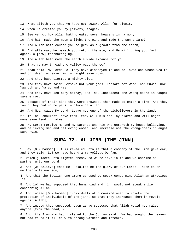13. What aileth you that ye hope not toward Allah for dignity

14. When He created you by [divers] stages?

15. See ye not how Allah hath created seven heavens in harmony,

16. And hath made the moon a light therein, and made the sun a lamp?

17. And Allah hath caused you to grow as a growth from the earth,

18. And afterward He maketh you return thereto, and He will bring you forth again, a [new] forthbringing.

19. And Allah hath made the earth a wide expanse for you

20. That ye may thread the valley-ways thereof.

21. Noah said: My Lord! Lo! they have disobeyed me and followed one whose wealth and children increase him in naught save ruin;

22. And they have plotted a mighty plot,

23. And they have said: Forsake not your gods. Forsake not Wadd, nor Suwa', nor Yaghuth and Ya'uq and Nasr.

24. And they have led many astray, and Thou increasest the wrong-doers in naught save error.

25. Because of their sins they were drowned, then made to enter a Fire. And they found they had no helpers in place of Allah.

26. And Noah said: My Lord! Leave not one of the disbelievers in the land.

27. If Thou shouldst leave them, they will mislead Thy slaves and will beget none save lewd ingrates.

28. My Lord! Forgive me and my parents and him who entereth my house believing, and believing men and believing women, and increase not the wrong-doers in aught save ruin.

#### **SURA 72. AL-JINN (THE JINN)**

1. Say [O Muhammad]: It is revealed unto me that a company of the Jinn gave ear, and they said: Lo! we have heard a marvellous Qur'an,

2. Which guideth unto righteousness, so we believe in it and we ascribe no partner unto our Lord.

3. And [we believe] that He - exalted be the glory of our Lord! - hath taken neither wife nor son,

4. And that the foolish one among us used to speak concerning Allah an atrocious lie.

5. And lo! we had supposed that humankind and jinn would not speak a lie concerning Allah -

6. And indeed [O Muhammad] individuals of humankind used to invoke the protection of individuals of the jinn, so that they increased them in revolt against Allah];

7. And indeed they supposed, even as ye suppose, that Allah would not raise anyone [from the dead] -

8. And [the Jinn who had listened to the Qur'an said]: We had sought the heaven but had found it filled with strong warders and meteors.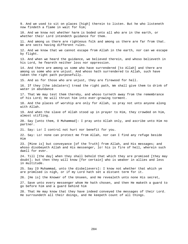9. And we used to sit on places [high] therein to listen. But he who listeneth now findeth a flame in wait for him; 10. And we know not whether harm is boded unto all who are in the earth, or whether their Lord intendeth guidance for them. 11. And among us there are righteous folk and among us there are far from that. We are sects having different rules. 12. And we know that we cannot escape from Allah in the earth, nor can we escape by flight. 13. And when we heard the guidance, we believed therein, and whoso believeth in his Lord, he feareth neither loss nor oppression. 14. And there are among us some who have surrendered [to Allah] and there are among us some who are unjust. And whoso hath surrendered to Allah, such have taken the right path purposefully. 15. And as for those who are unjust, they are firewood for hell. 16. If they [the idolaters] tread the right path, We shall give them to drink of water in abundance 17. That We may test them thereby, and whoso turneth away from the remembrance of his Lord; He will thrust him into ever-growing torment. 18. And the places of worship are only for Allah, so pray not unto anyone along with Allah. 19. And when the slave of Allah stood up in prayer to Him, they crowded on him, almost stifling. 20. Say [unto them, O Muhammad]: I pray unto Allah only, and ascribe unto Him no partner. 21. Say: Lo! I control not hurt nor benefit for you. 22. Say: Lo! none can protect me from Allah, nor can I find any refuge beside Him 23. [Mine is] but conveyance [of the Truth] from Allah, and His messages; and whoso disobeyeth Allah and His messenger, lo! his is fire of hell, wherein such dwell for ever. 24. Till [the day] when they shall behold that which they are promised [they may doubt]; but then they will know [for certain] who is weaker in allies and less in multitude. 25. Say [O Muhammad, unto the disbelievers]: I know not whether that which ye are promised is nigh, or if my Lord hath set a distant term for it. 26. [He is] the Knower of the Unseen, and He revealeth unto none His secret, 27. Save unto every messenger whom He hath chosen, and then He maketh a guard to go before him and a guard behind him 28. That He may know that they have indeed conveyed the messages of their Lord. He surroundeth all their doings, and He keepeth count of all things.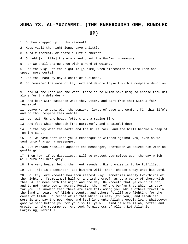## **SURA 73. AL-MUZZAMMIL (THE ENSHROUDED ONE, BUNDLED UP)**

1. O thou wrapped up in thy raiment!

2. Keep vigil the night long, save a little -

3. A half thereof, or abate a little thereof

4. Or add [a little] thereto - and chant the Qur'an in measure,

5. For we shall charge thee with a word of weight.

6. Lo! the vigil of the night is [a time] when impression is more keen and speech more certain.

7. Lo! thou hast by day a chain of business.

8. So remember the name of thy Lord and devote thyself with a complete devotion -

9. Lord of the East and the West; there is no Allah save Him; so choose thou Him alone for thy defender -

10. And bear with patience what they utter, and part from them with a fair leave-taking.

11. Leave Me to deal with the deniers, lords of ease and comfort [in this life]; and do thou respite them awhile.

12. Lo! with Us are heavy fetters and a raging fire,

13. And food which choketh [the partaker], and a painful doom

14. On the day when the earth and the hills rock, and the hills become a heap of running sand.

15. Lo! We have sent unto you a messenger as witness against you, even as We sent unto Pharaoh a messenger.

16. But Pharaoh rebelled against the messenger, whereupon We seized him with no gentle grip.

17. Then how, if ye disbelieve, will ye protect yourselves upon the day which will turn children grey,

18. The very heaven being then rent asunder. His promise is to be fulfilled.

19. Lo! This is a Reminder. Let him who will, then, choose a way unto his Lord.

20. Lo! thy Lord knoweth how thou keepest vigil sometimes nearly two-thirds of the night, or [sometimes] half or a third thereof, as do a party of those with thee. Allah measureth the night and the day. He knoweth that ye count it not, and turneth unto you in mercy. Recite, then, of the Qur'an that which is easy for you. He knoweth that there are sick folk among you, while others travel in the land in search of Allah's bounty, and others [still] are fighting for the cause of Allah. So recite of it that which is easy [for you], and establish worship and pay the poor-due, and [so] lend unto Allah a goodly loan. Whatsoever good ye send before you for your souls, ye will find it with Allah, better and greater in the recompense. And seek forgiveness of Allah. Lo! Allah is Forgiving, Merciful.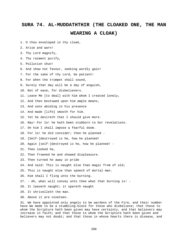### **SURA 74. AL-MUDDATHTHIR (THE CLOAKED ONE, THE MAN WEARING A CLOAK)**

- 1. O thou enveloped in thy cloak,
- 2. Arise and warn!
- 3. Thy Lord magnify,
- 4. Thy raiment purify,
- 5. Pollution shun!
- 6. And show not favour, seeking wordly gain!
- 7. For the sake of thy Lord, be patient!
- 8. For when the trumpet shall sound,
- 9. Surely that day will be a day of anguish,
- 10. Not of ease, for disbelievers.
- 11. Leave Me [to deal] with him whom I created lonely,
- 12. And then bestowed upon him ample means,
- 13. And sons abiding in his presence
- 14. And made [life] smooth for him.
- 15. Yet he desireth that I should give more.
- 16. Nay! For lo! he hath been stubborn to Our revelations.
- 17. On him I shall impose a fearful doom.
- 18. For lo! he did consider; then he planned -
- 19. [Self-]destroyed is he, how he planned!
- 20. Again [self-]destroyed is he, how he planned! -
- 21. Then looked he,
- 22. Then frowned he and showed displeasure.
- 23. Then turned he away in pride
- 24. And said: This is naught else than magic from of old;
- 25. This is naught else than speech of mortal man.
- 26. Him shall I fling unto the burning.
- 27. Ah, what will convey unto thee what that burning is! -
- 28. It leaveth naught; it spareth naught
- 29. It shrivelleth the man.
- 30. Above it are nineteen.

31. We have appointed only angels to be wardens of the Fire, and their number have We made to be a stumbling-block for those who disbelieve; that those to whom the Scripture hath been given may have certainty, and that believers may increase in faith; and that those to whom the Scripture hath been given and believers may not doubt; and that those in whose hearts there is disease, and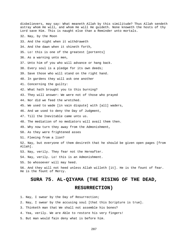disbelievers, may say: What meaneth Allah by this similitude? Thus Allah sendeth astray whom He will, and whom He will He guideth. None knoweth the hosts of thy Lord save Him. This is naught else than a Reminder unto mortals. 32. Nay, by the Moon 33. And the night when it withdraweth 34. And the dawn when it shineth forth, 35. Lo! this is one of the greatest [portents] 36. As a warning unto men, 37. Unto him of you who will advance or hang back. 38. Every soul is a pledge for its own deeds; 39. Save those who will stand on the right hand. 40. In gardens they will ask one another 41. Concerning the guilty: 42. What hath brought you to this burning? 43. They will answer: We were not of those who prayed 44. Nor did we feed the wretched. 45. We used to wade [in vain dispute] with [all] waders, 46. And we used to deny the Day of Judgment, 47. Till the Inevitable came unto us. 48. The mediation of no mediators will avail them then. 49. Why now turn they away from the Admonishment, 50. As they were frightened asses 51. Fleeing from a lion? 52. Nay, but everyone of them desireth that he should be given open pages [from Allah]. 53. Nay, verily. They fear not the Hereafter. 54. Nay, verily. Lo! this is an Admonishment. 55. So whosoever will may heed. 56. And they will not heed unless Allah willeth [it]. He is the fount of fear. He is the fount of Mercy.

### **SURA 75. AL-QIYAMA (THE RISING OF THE DEAD,**

#### **RESURRECTION)**

1. Nay, I swear by the Day of Resurrection;

2. Nay, I swear by the accusing soul [that this Scripture is true].

- 3. Thinketh man that We shall not assemble his bones?
- 4. Yea, verily. We are Able to restore his very fingers!
- 5. But man would fain deny what is before him.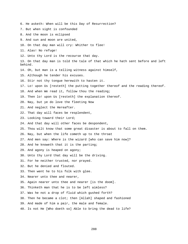6. He asketh: When will be this Day of Resurrection? 7. But when sight is confounded 8. And the moon is eclipsed 9. And sun and moon are united, 10. On that day man will cry: Whither to flee! 11. Alas! No refuge! 12. Unto thy Lord is the recourse that day. 13. On that day man is told the tale of that which he hath sent before and left behind. 14. Oh, but man is a telling witness against himself, 15. Although he tender his excuses. 16. Stir not thy tongue herewith to hasten it. 17. Lo! upon Us [resteth] the putting together thereof and the reading thereof. 18. And when We read it, follow thou the reading; 19. Then lo! upon Us [resteth] the explanation thereof. 20. Nay, but ye do love the fleeting Now 21. And neglect the Hereafter. 22. That day will faces be resplendent, 23. Looking toward their Lord; 24. And that day will other faces be despondent, 25. Thou wilt know that some great disaster is about to fall on them. 26. Nay, but when the life cometh up to the throat 27. And men say: Where is the wizard [who can save him now]? 28. And he knoweth that it is the parting; 29. And agony is heaped on agony; 30. Unto thy Lord that day will be the driving. 31. For he neither trusted, nor prayed. 32. But he denied and flouted. 33. Then went he to his folk with glee. 34. Nearer unto thee and nearer, 35. Again nearer unto thee and nearer [is the doom]. 36. Thinketh man that he is to be left aimless? 37. Was he not a drop of fluid which gushed forth? 38. Then he became a clot; then [Allah] shaped and fashioned 39. And made of him a pair, the male and female. 40. Is not He [Who doeth so] Able to bring the dead to life?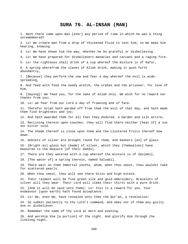#### **SURA 76. AL-INSAN (MAN)**

1. Hath there come upon man [ever] any period of time in which he was a thing unremembered? 2. Lo! We create man from a drop of thickened fluid to test him; so We make him hearing, knowing. 3. Lo! We have shown him the way, whether he be grateful or disbelieving. 4. Lo! We have prepared for disbelievers manacles and carcans and a raging fire. 5. Lo! the righteous shall drink of a cup whereof the mixture is of Kafur, 6. A spring wherefrom the slaves of Allah drink, making it gush forth abundantly, 7. [Because] they perform the vow and fear a day whereof the evil is widespreading, 8. And feed with food the needy wretch, the orphan and the prisoner, for love of Him, 9. [Saying]: We feed you, for the sake of Allah only. We wish for no reward nor thanks from you; 10. Lo! we fear from our Lord a day of frowning and of fate. 11. Therefor Allah hath warded off from them the evil of that day, and hath made them find brightness and joy; 12. And hath awarded them for all that they endured, a Garden and silk attire; 13. Reclining therein upon couches, they will find there neither [heat of] a sun nor bitter cold. 14. The shade thereof is close upon them and the clustered fruits thereof bow down. 15. Goblets of silver are brought round for them, and beakers [as] of glass 16. [Bright as] glass but [made] of silver, which they [themselves] have measured to the measure [of their deeds]. 17. There are they watered with a cup whereof the mixture is of Zanjabil, 18. [The water of] a spring therein, named Salsabil. 19. There wait on them immortal youths, whom, when thou seest, thou wouldst take for scattered pearls. 20. When thou seest, thou wilt see there bliss and high estate. 21. Their raiment will be fine green silk and gold embroidery. Bracelets of silver will they wear. Their Lord will slake their thirst with a pure drink. 22. [And it will be said unto them]: Lo! this is a reward for you. Your endeavour [upon earth] hath found acceptance. 23. Lo! We, even We, have revealed unto thee the Qur'an, a revelation; 24. So submit patiently to thy Lord's command, and obey not of them any guilty one or disbeliever. 25. Remember the name of thy Lord at morn and evening. 26. And worship Him [a portion] of the night. And glorify Him through the livelong night.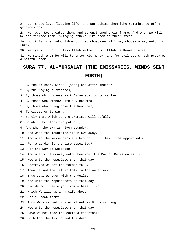27. Lo! these love fleeting life, and put behind them [the remembrance of] a grievous day.

28. We, even We, created them, and strengthened their frame. And when We will, We can replace them, bringing others like them in their stead.

29. Lo! this is an Admonishment, that whosoever will may choose a way unto his Lord.

30. Yet ye will not, unless Allah willeth. Lo! Allah is Knower, Wise.

31. He maketh whom He will to enter His mercy, and for evil-doers hath prepared a painful doom.

### **SURA 77. AL-MURSALAT (THE EMISSARIES, WINDS SENT FORTH)**

1. By the emissary winds, [sent] one after another

2. By the raging hurricanes,

- 3. By those which cause earth's vegetation to revive;
- 4. By those who winnow with a winnowing,
- 5. By those who bring down the Reminder,

6. To excuse or to warn,

- 7. Surely that which ye are promised will befall.
- 8. So when the stars are put out,
- 9. And when the sky is riven asunder,
- 10. And when the mountains are blown away,
- 11. And when the messengers are brought unto their time appointed -
- 12. For what day is the time appointed?
- 13. For the Day of Decision.
- 14. And what will convey unto thee what the Day of Decision is! -
- 15. Woe unto the repudiators on that day!
- 16. Destroyed We not the former folk,
- 17. Then caused the latter folk to follow after?
- 18. Thus deal We ever with the guilty.
- 19. Woe unto the repudiators on that day!
- 20. Did We not create you from a base fluid
- 21. Which We laid up in a safe abode
- 22. For a known term?
- 23. Thus We arranged. How excellent is Our arranging!
- 24. Woe unto the repudiators on that day!
- 25. Have We not made the earth a receptacle
- 26. Both for the living and the dead,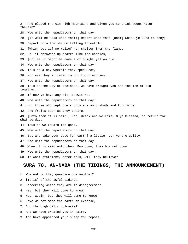27. And placed therein high mountains and given you to drink sweet water therein? 28. Woe unto the repudiators on that day! 29. [It will be said unto them:] Depart unto that [doom] which ye used to deny; 30. Depart unto the shadow falling threefold, 31. [Which yet is] no relief nor shelter from the flame. 32. Lo! it throweth up sparks like the castles, 33. [Or] as it might be camels of bright yellow hue. 34. Woe unto the repudiators on that day! 35. This is a day wherein they speak not, 36. Nor are they suffered to put forth excuses. 37. Woe unto the repudiators on that day! 38. This is the Day of Decision, We have brought you and the men of old together. 39. If now ye have any wit, outwit Me. 40. Woe unto the repudiators on that day! 41. Lo! those who kept their duty are amid shade and fountains, 42. And fruits such as they desire. 43. [Unto them it is said:] Eat, drink and welcome, O ye blessed, in return for what ye did. 44. Thus do We reward the good. 45. Woe unto the repudiators on that day! 46. Eat and take your ease [on earth] a little. Lo! ye are guilty. 47. Woe unto the repudiators on that day! 48. When it is said unto them: Bow down, they bow not down! 49. Woe unto the repudiators on that day! 50. In what statement, after this, will they believe?

#### **SURA 78. AN-NABA (THE TIDINGS, THE ANNOUNCEMENT)**

- 1. Whereof do they question one another?
- 2. [It is] of the awful tidings,
- 3. Concerning which they are in disagreement.
- 4. Nay, but they will come to know!
- 5. Nay, again, but they will come to know!
- 6. Have We not made the earth an expanse,
- 7. And the high hills bulwarks?
- 8. And We have created you in pairs,
- 9. And have appointed your sleep for repose,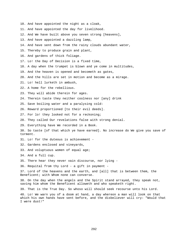- 10. And have appointed the night as a cloak,
- 11. And have appointed the day for livelihood.
- 12. And We have built above you seven strong [heavens],
- 13. And have appointed a dazzling lamp,
- 14. And have sent down from the rainy clouds abundant water,
- 15. Thereby to produce grain and plant,
- 16. And gardens of thick foliage.
- 17. Lo! the Day of Decision is a fixed time,
- 18. A day when the trumpet is blown and ye come in multitudes,
- 19. And the heaven is opened and becometh as gates,
- 20. And the hills are set in motion and become as a mirage.
- 21. Lo! hell lurketh in ambush,
- 22. A home for the rebellious.
- 23. They will abide therein for ages.
- 24. Therein taste they neither coolness nor [any] drink
- 25. Save boiling water and a paralysing cold:
- 26. Reward proportioned [to their evil deeds].
- 27. For lo! they looked not for a reckoning;
- 28. They called Our revelations false with strong denial.
- 29. Everything have We recorded in a Book.

30. So taste [of that which ye have earned]. No increase do We give you save of torment.

- 31. Lo! for the duteous is achievement -
- 32. Gardens enclosed and vineyards,
- 33. And voluptuous women of equal age;

34. And a full cup.

- 35. There hear they never vain discourse, nor lying -
- 36. Requital from thy Lord a gift in payment -

37. Lord of the heavens and the earth, and [all] that is between them, the Beneficent; with Whom none can converse.

38. On the day when the angels and the Spirit stand arrayed, they speak not, saving him whom the Beneficent alloweth and who speaketh right.

39. That is the True Day. So whoso will should seek recourse unto his Lord.

40. Lo! We warn you of a doom at hand, a day whereon a man will look on that which his own hands have sent before, and the disbeliever will cry: "Would that I were dust!"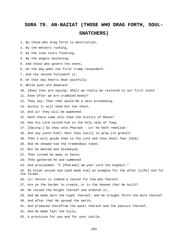## **SURA 79. AN-NAZIAT (THOSE WHO DRAG FORTH, SOUL-SNATCHERS)**

- 1. By those who drag forth to destruction,
- 2. By the meteors rushing,
- 3. By the lone stars floating,
- 4. By the angels hastening,
- 5. And those who govern the event,
- 6. On the day when the first trump resoundeth.
- 7. And the second followeth it,
- 8. On that day hearts beat painfully
- 9. While eyes are downcast
- 10. [Now] they are saying: Shall we really be restored to our first state
- 11. Even after we are crumbled bones?
- 12. They say: Then that would be a vain proceeding.
- 13. Surely it will need but one shout,
- 14. And lo! they will be awakened.
- 15. Hath there come unto thee the history of Moses?
- 16. How his Lord called him in the holy vale of Tuwa,
- 17. [Saying:] Go thou unto Pharaoh Lo! he hath rebelled -
- 18. And say [unto him]: Hast thou [will] to grow [in grace]?
- 19. Then I will guide thee to thy Lord and thou shalt fear [Him].
- 20. And he showed him the tremendous token.
- 21. But he denied and disobeyed,
- 22. Then turned he away in haste,
- 23. Then gathered he and summoned
- 24. And proclaimed: "I [Pharaoh] am your Lord the Highest."
- 25. So Allah seized him [and made him] an example for the after [life] and for the former.
- 26. Lo! herein is indeed a lesson for him who feareth.
- 27. Are ye the harder to create, or is the heaven that He built?
- 28. He raised the height thereof and ordered it;
- 29. And He made dark the night thereof, and He brought forth the morn thereof.
- 30. And after that He spread the earth,
- 31. And produced therefrom the water thereof and the pasture thereof,
- 32. And He made fast the hills,
- 33. A provision for you and for your cattle.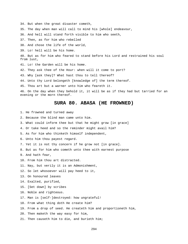34. But when the great disaster cometh, 35. The day when man will call to mind his [whole] endeavour, 36. And hell will stand forth visible to him who seeth, 37. Then, as for him who rebelled 38. And chose the life of the world, 39. Lo! hell will be his home. 40. But as for him who feared to stand before his Lord and restrained his soul from lust, 41. Lo! the Garden will be his home. 42. They ask thee of the Hour: when will it come to port? 43. Why [ask they]? What hast thou to tell thereof? 44. Unto thy Lord belongeth [knowledge of] the term thereof. 45. Thou art but a warner unto him who feareth it. 46. On the day when they behold it, it will be as if they had but tarried for an evening or the morn thereof.

### **SURA 80. ABASA (HE FROWNED)**

- 1. He frowned and turned away
- 2. Because the blind man came unto him.
- 3. What could inform thee but that he might grow [in grace]
- 4. Or take heed and so the reminder might avail him?
- 5. As for him who thinketh himself independent,
- 6. Unto him thou payest regard.
- 7. Yet it is not thy concern if he grow not [in grace].
- 8. But as for him who cometh unto thee with earnest purpose
- 9. And hath fear,
- 10. From him thou art distracted.
- 11. Nay, but verily it is an Admonishment,
- 12. So let whosoever will pay heed to it,
- 13. On honoured leaves
- 14. Exalted, purified,
- 15. [Set down] by scribes
- 16. Noble and righteous.
- 17. Man is [self-]destroyed: how ungrateful!
- 18. From what thing doth He create him?
- 19. From a drop of seed. He createth him and proportioneth him,
- 20. Then maketh the way easy for him,
- 21. Then causeth him to die, and burieth him;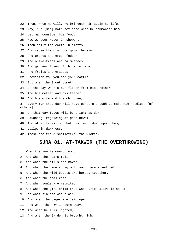22. Then, when He will, He bringeth him again to life. 23. Nay, but [man] hath not done what He commanded him. 24. Let man consider his food: 25. How We pour water in showers 26. Then split the earth in clefts 27. And cause the grain to grow therein 28. And grapes and green fodder 29. And olive-trees and palm-trees 30. And garden-closes of thick foliage 31. And fruits and grasses: 32. Provision for you and your cattle. 33. But when the Shout cometh 34. On the day when a man fleeth from his brother 35. And his mother and his father 36. And his wife and his children, 37. Every man that day will have concern enough to make him heedless [of others]. 38. On that day faces will be bright as dawn, 39. Laughing, rejoicing at good news; 40. And other faces, on that day, with dust upon them, 41. Veiled in darkness, 42. Those are the disbelievers, the wicked.

**SURA 81. AT-TAKWIR (THE OVERTHROWING)** 

2. And when the stars fall, 3. And when the hills are moved,

1. When the sun is overthrown,

- 4. And when the camels big with young are abandoned,
- 5. And when the wild beasts are herded together,
- 6. And when the seas rise,
- 7. And when souls are reunited,
- 8. And when the girl-child that was buried alive is asked
- 9. For what sin she was slain,
- 10. And when the pages are laid open,
- 11. And when the sky is torn away,
- 12. And when hell is lighted,
- 13. And when the Garden is brought nigh,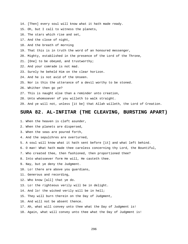- 14. [Then] every soul will know what it hath made ready.
- 15. Oh, but I call to witness the planets,
- 16. The stars which rise and set,
- 17. And the close of night,
- 18. And the breath of morning
- 19. That this is in truth the word of an honoured messenger,
- 20. Mighty, established in the presence of the Lord of the Throne,
- 21. [One] to be obeyed, and trustworthy;
- 22. And your comrade is not mad.
- 23. Surely he beheld Him on the clear horizon.
- 24. And he is not avid of the Unseen.
- 25. Nor is this the utterance of a devil worthy to be stoned.
- 26. Whither then go ye?
- 27. This is naught else than a reminder unto creation,
- 28. Unto whomsoever of you willeth to walk straight.
- 29. And ye will not, unless [it be] that Allah willeth, the Lord of Creation.

#### **SURA 82. AL-INFITAR (THE CLEAVING, BURSTING APART)**

- 1. When the heaven is cleft asunder,
- 2. When the planets are dispersed,
- 3. When the seas are poured forth,
- 4. And the sepulchres are overturned,
- 5. A soul will know what it hath sent before [it] and what left behind.
- 6. O man! What hath made thee careless concerning thy Lord, the Bountiful,
- 7. Who created thee, then fashioned, then proportioned thee?
- 8. Into whatsoever form He will, He casteth thee.
- 9. Nay, but ye deny the Judgment.
- 10. Lo! there are above you guardians,
- 11. Generous and recording,
- 12. Who know [all] that ye do.
- 13. Lo! the righteous verily will be in delight.
- 14. And lo! the wicked verily will be in hell;
- 15. They will burn therein on the Day of Judgment,
- 16. And will not be absent thence.
- 17. Ah, what will convey unto thee what the Day of Judgment is!
- 18. Again, what will convey unto thee what the Day of Judgment is!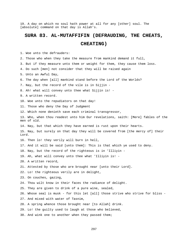19. A day on which no soul hath power at all for any [other] soul. The [absolute] command on that day is Allah's.

#### **SURA 83. AL-MUTAFFIFIN (DEFRAUDING, THE CHEATS,**

#### **CHEATING)**

1. Woe unto the defrauders:

- 2. Those who when they take the measure from mankind demand it full,
- 3. But if they measure unto them or weight for them, they cause them loss.

4. Do such [men] not consider that they will be raised again

- 5. Unto an Awful Day,
- 6. The day when [all] mankind stand before the Lord of the Worlds?
- 7. Nay, but the record of the vile is in Sijjin -
- 8. Ah! what will convey unto thee what Sijjin is! -
- 9. A written record.
- 10. Woe unto the repudiators on that day!
- 11. Those who deny the Day of Judgment
- 12. Which none denieth save each criminal transgressor,
- 13. Who, when thou readest unto him Our revelations, saith: [Mere] fables of the men of old.
- 14. Nay, but that which they have earned is rust upon their hearts.

15. Nay, but surely on that day they will be covered from [the mercy of] their Lord.

- 16. Then lo! they verily will burn in hell,
- 17. And it will be said [unto them]: This is that which ye used to deny.
- 18. Nay, but the record of the righteous is in 'Illiyin -
- 19. Ah, what will convey unto thee what 'Illiyin is! -
- 20. A written record,
- 21. Attested by those who are brought near [unto their Lord].
- 22. Lo! the righteous verily are in delight,
- 23. On couches, gazing,
- 24. Thou wilt know in their faces the radiance of delight.
- 25. They are given to drink of a pure wine, sealed,
- 26. Whose seal is musk for this let [all] those strive who strive for bliss -
- 27. And mixed with water of Tasnim,
- 28. A spring whence those brought near [to Allah] drink.
- 29. Lo! the guilty used to laugh at those who believed,
- 30. And wink one to another when they passed them;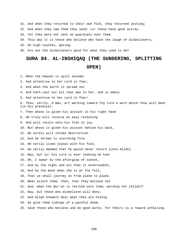31. And when they returned to their own folk, they returned jesting;

32. And when they saw them they said: Lo! these have gone astray.

33. Yet they were not sent as guardians over them.

34. This day it is those who believe who have the laugh of disbelievers,

35. On high couches, gazing.

36. Are not the disbelievers paid for what they used to do?

# **SURA 84. AL-INSHIQAQ (THE SUNDERING, SPLITTING**

#### **OPEN)**

- 1. When the heaven is split asunder
- 2. And attentive to her Lord in fear,
- 3. And when the earth is spread out
- 4. And hath cast out all that was in her, and is empty
- 5. And attentive to her Lord in fear!

6. Thou, verily, O man, art working toward thy Lord a work which thou wilt meet [in His presence].

7. Then whoso is given his account in his right hand

8. He truly will receive an easy reckoning

9. And will return unto his folk in joy.

10. But whoso is given his account behind his back,

11. He surely will invoke destruction

12. And be thrown to scorching fire.

- 13. He verily lived joyous with his folk,
- 14. He verily deemed that he would never return [unto Allah].

15. Nay, but lo! his Lord is ever looking on him!

16. Oh, I swear by the afterglow of sunset,

17. And by the night and all that it enshroudeth,

18. And by the moon when she is at the full,

19. That ye shall journey on from plane to plane.

- 20. What aileth them, then, that they believe not
- 21. And, when the Qur'an is recited unto them, worship not [Allah]?
- 22. Nay, but those who disbelieve will deny;
- 23. And Allah knoweth best what they are hiding.
- 24. So give them tidings of a painful doom,
- 25. Save those who believe and do good works, for theirs is a reward unfailing.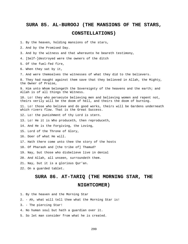### **SURA 85. AL-BUROOJ (THE MANSIONS OF THE STARS, CONSTELLATIONS)**

1. By the heaven, holding mansions of the stars,

2. And by the Promised Day.

- 3. And by the witness and that whereunto he beareth testimony,
- 4. [Self-]destroyed were the owners of the ditch

5. Of the fuel-fed fire,

- 6. When they sat by it,
- 7. And were themselves the witnesses of what they did to the believers.

8. They had naught against them save that they believed in Allah, the Mighty, the Owner of Praise,

9. Him unto Whom belongeth the Sovereignty of the heavens and the earth; and Allah is of all things the Witness.

10. Lo! they who persecute believing men and believing women and repent not, theirs verily will be the doom of hell, and theirs the doom of burning.

11. Lo! those who believe and do good works, theirs will be Gardens underneath which rivers flow. That is the Great Success.

- 12. Lo! the punishment of thy Lord is stern.
- 13. Lo! He it is Who produceth, then reproduceth,

14. And He is the Forgiving, the Loving,

15. Lord of the Throne of Glory,

16. Doer of what He will.

- 17. Hath there come unto thee the story of the hosts
- 18. Of Pharaoh and [the tribe of] Thamud?

19. Nay, but those who disbelieve live in denial

20. And Allah, all unseen, surroundeth them.

- 21. Nay, but it is a glorious Qur'an.
- 22. On a guarded tablet.

#### **SURA 86. AT-TARIQ (THE MORNING STAR, THE**

#### **NIGHTCOMER)**

- 1. By the heaven and the Morning Star
- 2. Ah, what will tell thee what the Morning Star is!
- 3. The piercing Star!
- 4. No human soul but hath a guardian over it.
- 5. So let man consider from what he is created.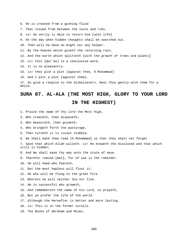6. He is created from a gushing fluid 7. That issued from between the loins and ribs. 8. Lo! He verily is Able to return him [unto life] 9. On the day when hidden thoughts shall be searched out. 10. Then will he have no might nor any helper. 11. By the heaven which giveth the returning rain, 12. And the earth which splitteth [with the growth of trees and plants] 13. Lo! this [Qur'an] is a conclusive word, 14. It is no pleasantry. 15. Lo! they plot a plot [against thee, O Muhammad] 16. And I plot a plot [against them]. 17. So give a respite to the disbelievers. Deal thou gently with them for a while.

#### **SURA 87. AL-ALA (THE MOST HIGH, GLORY TO YOUR LORD**

#### **IN THE HIGHEST)**

- 1. Praise the name of thy Lord the Most High,
- 2. Who createth, then disposeth;
- 3. Who measureth, then guideth;
- 4. Who bringeth forth the pasturage,
- 5. Then turneth it to russet stubble.
- 6. We shall make thee read [O Muhammad] so that thou shalt not forget

7. Save that which Allah willeth. Lo! He knoweth the disclosed and that which still is hidden;

8. And We shall ease thy way unto the state of ease.

9. Therefor remind [men], for of use is the reminder.

- 10. He will heed who feareth,
- 11. But the most hapless will flout it,
- 12. He who will be flung to the great Fire
- 13. Wherein he will neither die nor live.
- 14. He is successful who groweth,
- 15. And remembereth the name of his Lord, so prayeth,
- 16. But ye prefer the life of the world
- 17. Although the Hereafter is better and more lasting.
- 18. Lo! This is in the former scrolls.
- 19. The Books of Abraham and Moses.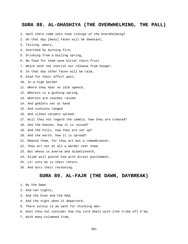#### **SURA 88. AL-GHASHIYA (THE OVERWHELMING, THE PALL)**

1. Hath there come unto thee tidings of the Overwhelming?

2. On that day [many] faces will be downcast,

- 3. Toiling, weary,
- 4. Scorched by burning fire,
- 5. Drinking from a boiling spring,
- 6. No food for them save bitter thorn-fruit
- 7. Which doth not nourish nor release from hunger.
- 8. In that day other faces will be calm,
- 9. Glad for their effort past,
- 10. In a high Garden
- 11. Where they hear no idle speech,
- 12. Wherein is a gushing spring,
- 13. Wherein are couches raised
- 14. And goblets set at hand
- 15. And cushions ranged
- 16. And silken carpets spread.
- 17. Will they not regard the camels, how they are created?
- 18. And the heaven, how it is raised?
- 19. And the hills, how they are set up?
- 20. And the earth, how it is spread?
- 21. Remind them, for thou art but a remembrancer,
- 22. Thou art not at all a warder over them.
- 23. But whoso is averse and disbelieveth,
- 24. Allah will punish him with direst punishment.
- 25. Lo! unto Us is their return
- 26. And Ours their reckoning.

#### **SURA 89. AL-FAJR (THE DAWN, DAYBREAK)**

- 1. By the Dawn
- 2. And ten nights,
- 3. And the Even and the Odd,
- 4. And the night when it departeth,
- 5. There surely is an oath for thinking man.
- 6. Dost thou not consider how thy Lord dealt with [the tribe of] A'ad,
- 7. With many-columned Iram,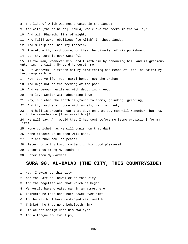8. The like of which was not created in the lands;

9. And with [the tribe of] Thamud, who clove the rocks in the valley;

10. And with Pharaoh, firm of might,

11. Who [all] were rebellious [to Allah] in these lands,

12. And multiplied iniquity therein?

13. Therefore thy Lord poured on them the disaster of His punishment.

14. Lo! thy Lord is ever watchful.

15. As for man, whenever his Lord trieth him by honouring him, and is gracious unto him, he saith: My Lord honoureth me.

16. But whenever He trieth him by straitening his means of life, he saith: My Lord despiseth me.

17. Nay, but ye [for your part] honour not the orphan

18. And urge not on the feeding of the poor.

19. And ye devour heritages with devouring greed.

20. And love wealth with abounding love.

21. Nay, but when the earth is ground to atoms, grinding, grinding,

22. And thy Lord shall come with angels, rank on rank,

23. And hell is brought near that day; on that day man will remember, but how will the remembrance [then avail him]?

24. He will say: Ah, would that I had sent before me [some provision] for my life!

25. None punisheth as He will punish on that day!

26. None bindeth as He then will bind.

27. But ah! thou soul at peace!

28. Return unto thy Lord, content in His good pleasure!

29. Enter thou among My bondmen!

30. Enter thou My Garden!

#### **SURA 90. AL-BALAD (THE CITY, THIS COUNTRYSIDE)**

1. Nay, I swear by this city -

2. And thou art an indweller of this city -

3. And the begetter and that which he begat,

4. We verily have created man in an atmosphere:

5. Thinketh he that none hath power over him?

6. And he saith: I have destroyed vast wealth:

7. Thinketh he that none beholdeth him?

8. Did We not assign unto him two eyes

9. And a tongue and two lips,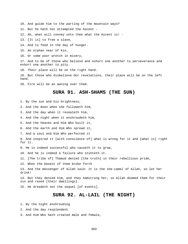10. And guide him to the parting of the mountain ways?

11. But he hath not attempted the Ascent -

12. Ah, what will convey unto thee what the Ascent is! -

13. [It is] to free a slave,

14. And to feed in the day of hunger.

15. An orphan near of kin,

16. Or some poor wretch in misery,

17. And to be of those who believe and exhort one another to perseverance and exhort one another to pity.

18. Their place will be on the right hand.

19. But those who disbelieve Our revelations, their place will be on the left hand.

20. Fire will be an awning over them.

#### **SURA 91. ASH-SHAMS (THE SUN)**

1. By the sun and his brightness,

2. And the moon when she followeth him,

3. And the day when it revealeth him,

4. And the night when it enshroudeth him,

5. And the heaven and Him Who built it,

6. And the earth and Him Who spread it,

7. And a soul and Him Who perfected it

8. And inspired it [with conscience of] what is wrong for it and [what is] right for it.

9. He is indeed successful who causeth it to grow,

10. And he is indeed a failure who stunteth it.

11. [The tribe of] Thamud denied [the truth] in their rebellious pride,

12. When the basest of them broke forth

13. And the messenger of Allah said: It is the she-camel of Allah, so let her drink!

14. But they denied him, and they hamstrung her, so Allah doomed them for their sin and rased [their dwellings].

15. He dreadeth not the sequel [of events].

#### **SURA 92. AL-LAIL (THE NIGHT)**

1. By the night enshrouding

2. And the day resplendent

3. And Him Who hath created male and female,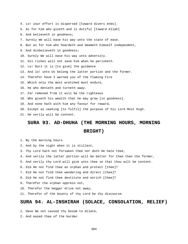4. Lo! your effort is dispersed [toward divers ends]. 5. As for him who giveth and is dutiful [toward Allah] 6. And believeth in goodness; 7. Surely We will ease his way unto the state of ease. 8. But as for him who hoardeth and deemeth himself independent, 9. And disbelieveth in goodness; 10. Surely We will ease his way unto adversity. 11. His riches will not save him when he perisheth. 12. Lo! Ours it is [to give] the guidance 13. And lo! unto Us belong the latter portion and the former. 14. Therefor have I warned you of the flaming Fire 15. Which only the most wretched must endure, 16. He who denieth and turneth away. 17. Far removed from it will be the righteous 18. Who giveth his wealth that he may grow [in goodness]. 19. And none hath with him any favour for reward, 20. Except as seeking [to fulfil] the purpose of his Lord Most High. 21. He verily will be content.

### **SURA 93. AD-DHUHA (THE MORNING HOURS, MORNING BRIGHT)**

1. By the morning hours

- 2. And by the night when it is stillest,
- 3. Thy Lord hath not forsaken thee nor doth He hate thee,
- 4. And verily the latter portion will be better for thee than the former,
- 5. And verily thy Lord will give unto thee so that thou wilt be content.
- 6. Did He not find thee an orphan and protect [thee]?
- 7. Did He not find thee wandering and direct [thee]?
- 8. Did He not find thee destitute and enrich [thee]?
- 9. Therefor the orphan oppress not,
- 10. Therefor the beggar drive not away,
- 11. Therefor of the bounty of thy Lord be thy discourse.

#### **SURA 94. AL-INSHIRAH (SOLACE, CONSOLATION, RELIEF)**

1. Have We not caused thy bosom to dilate,

2. And eased thee of the burden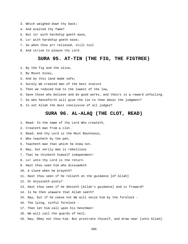- 3. Which weighed down thy back;
- 4. And exalted thy fame?
- 5. But lo! with hardship goeth ease,
- 6. Lo! with hardship goeth ease;
- 7. So when thou art relieved, still toil
- 8. And strive to please thy Lord.

#### **SURA 95. AT-TIN (THE FIG, THE FIGTREE)**

- 1. By the fig and the olive,
- 2. By Mount Sinai,
- 3. And by this land made safe;
- 4. Surely We created man of the best stature
- 5. Then we reduced him to the lowest of the low,
- 6. Save those who believe and do good works, and theirs is a reward unfailing.
- 7. So who henceforth will give the lie to thee about the judgment?
- 8. Is not Allah the most conclusive of all judges?

#### **SURA 96. AL-ALAQ (THE CLOT, READ)**

- 1. Read: In the name of thy Lord Who createth,
- 2. Createth man from a clot.
- 3. Read: And thy Lord is the Most Bounteous,
- 4. Who teacheth by the pen,
- 5. Teacheth man that which he knew not.
- 6. Nay, but verily man is rebellious
- 7. That he thinketh himself independent!
- 8. Lo! unto thy Lord is the return.
- 9. Hast thou seen him who dissuadeth
- 10. A slave when he prayeth?
- 11. Hast thou seen if he relieth on the guidance [of Allah]
- 12. Or enjoineth piety?
- 13. Hast thou seen if he denieth [Allah's guidance] and is froward?
- 14. Is he then unaware that Allah seeth?
- 15. Nay, but if he cease not We will seize him by the forelock -
- 16. The lying, sinful forelock -
- 17. Then let him call upon his henchmen!
- 18. We will call the guards of hell.
- 19. Nay, Obey not thou him. But prostrate thyself, and draw near [unto Allah].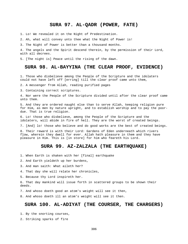#### **SURA 97. AL-QADR (POWER, FATE)**

1. Lo! We revealed it on the Night of Predestination.

2. Ah, what will convey unto thee what the Night of Power is!

3. The Night of Power is better than a thousand months.

4. The angels and the Spirit descend therein, by the permission of their Lord, with all decrees.

5. [The night is] Peace until the rising of the dawn.

#### **SURA 98. AL-BAYYINA (THE CLEAR PROOF, EVIDENCE)**

1. Those who disbelieve among the People of the Scripture and the idolaters could not have left off [erring] till the clear proof came unto them,

2. A messenger from Allah, reading purified pages

3. Containing correct scriptures.

4. Nor were the People of the Scripture divided until after the clear proof came unto them.

5. And they are ordered naught else than to serve Allah, keeping religion pure for Him, as men by nature upright, and to establish worship and to pay the poordue. That is true religion.

6. Lo! those who disbelieve, among the People of the Scripture and the idolaters, will abide in fire of hell. They are the worst of created beings.

7. [And] lo! those who believe and do good works are the best of created beings.

8. Their reward is with their Lord: Gardens of Eden underneath which rivers flow, wherein they dwell for ever. Allah hath pleasure in them and they have pleasure in Him. This is [in store] for him who feareth his Lord.

#### **SURA 99. AZ-ZALZALA (THE EARTHQUAKE)**

1. When Earth is shaken with her [final] earthquake

2. And Earth yieldeth up her burdens,

- 3. And man saith: What aileth her?
- 4. That day she will relate her chronicles,
- 5. Because thy Lord inspireth her.

6. That day mankind will issue forth in scattered groups to be shown their deeds.

7. And whoso doeth good an atom's weight will see it then,

8. And whoso doeth ill an atom's weight will see it then.

#### **SURA 100. AL-ADIYAT (THE COURSER, THE CHARGERS)**

1. By the snorting courses,

2. Striking sparks of fire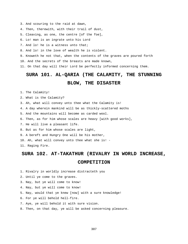- 3. And scouring to the raid at dawn,
- 4. Then, therewith, with their trail of dust,
- 5. Cleaving, as one, the centre [of the foe],
- 6. Lo! man is an ingrate unto his Lord
- 7. And lo! he is a witness unto that;
- 8. And lo! in the love of wealth he is violent.

9. Knoweth he not that, when the contents of the graves are poured forth

10. And the secrets of the breasts are made known,

11. On that day will their Lord be perfectly informed concerning them.

### **SURA 101. AL-QARIA (THE CALAMITY, THE STUNNING**

#### **BLOW, THE DISASTER**

1. The Calamity!

2. What is the Calamity?

3. Ah, what will convey unto thee what the Calamity is!

4. A day wherein mankind will be as thickly-scattered moths

5. And the mountains will become as carded wool.

6. Then, as for him whose scales are heavy [with good works],

7. He will live a pleasant life.

8. But as for him whose scales are light,

9. A bereft and Hungry One will be his mother,

10. Ah, what will convey unto thee what she is! -

11. Raging Fire.

#### **SURA 102. AT-TAKATHUR (RIVALRY IN WORLD INCREASE,**

#### **COMPETITION**

1. Rivalry in worldly increase distracteth you

2. Until ye come to the graves.

- 3. Nay, but ye will come to know!
- 4. Nay, but ye will come to know!
- 5. Nay, would that ye knew [now] with a sure knowledge!
- 6. For ye will behold hell-fire.
- 7. Aye, ye will behold it with sure vision.
- 8. Then, on that day, ye will be asked concerning pleasure.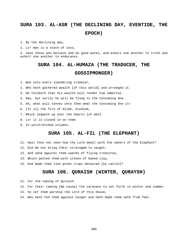### **SURA 103. AL-ASR (THE DECLINING DAY, EVENTIDE, THE EPOCH)**

1. By the declining day,

2. Lo! man is a state of loss,

3. Save those who believe and do good works, and exhort one another to truth and exhort one another to endurance.

### **SURA 104. AL-HUMAZA (THE TRADUCER, THE**

#### **GOSSIPMONGER)**

1. Woe unto every slandering traducer,

2. Who hath gathered wealth [of this world] and arranged it.

3. He thinketh that his wealth will render him immortal.

4. Nay, but verily he will be flung to the Consuming One.

5. Ah, what will convey unto thee what the Consuming One is!

6. [It is] the fire of Allah, kindled,

- 7. Which leapeth up over the hearts [of men].
- 8. Lo! it is closed in on them
- 9. In outstretched columns.

#### **SURA 105. AL-FIL (THE ELEPHANT)**

- 11. Hast thou not seen how thy Lord dealt with the owners of the Elephant?
- 12. Did He not bring their stratagem to naught,
- 13. And send against them swarms of flying creatures,
- 14. Which pelted them with stones of baked clay,
- 15. And made them like green crops devoured [by cattle]?

#### **SURA 106. QURAISH (WINTER, QURAYSH)**

- 11. For the taming of Qureysh.
- 12. For their taming [We cause] the caravans to set forth in winter and summer.
- 13. So let them worship the Lord of this House,
- 14. Who hath fed them against hunger and hath made them safe from fear.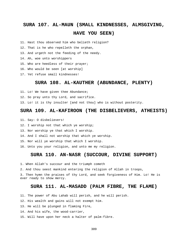### **SURA 107. AL-MAUN (SMALL KINDNESSES, ALMSGIVING, HAVE YOU SEEN)**

11. Hast thou observed him who belieth religion?

12. That is he who repelleth the orphan,

13. And urgeth not the feeding of the needy.

- 14. Ah, woe unto worshippers
- 15. Who are heedless of their prayer;
- 16. Who would be seen [at worship]
- 17. Yet refuse small kindnesses!

#### **SURA 108. AL-KAUTHER (ABUNDANCE, PLENTY)**

- 11. Lo! We have given thee Abundance;
- 12. So pray unto thy Lord, and sacrifice.

13. Lo! it is thy insulter [and not thou] who is without posterity.

#### **SURA 109. AL-KAFIROON (THE DISBELIEVERS, ATHEISTS)**

- 11. Say: O disbelievers!
- 12. I worship not that which ye worship;
- 13. Nor worship ye that which I worship.
- 14. And I shall not worship that which ye worship.
- 15. Nor will ye worship that which I worship.
- 16. Unto you your religion, and unto me my religion.

#### **SURA 110. AN-NASR (SUCCOUR, DIVINE SUPPORT)**

- 1. When Allah's succour and the triumph cometh
- 2. And thou seest mankind entering the religion of Allah in troops,

3. Then hymn the praises of thy Lord, and seek forgiveness of Him. Lo! He is ever ready to show mercy.

#### **SURA 111. AL-MASADD (PALM FIBRE, THE FLAME)**

- 11. The power of Abu Lahab will perish, and he will perish.
- 12. His wealth and gains will not exempt him.
- 13. He will be plunged in flaming Fire,
- 14. And his wife, the wood-carrier,
- 15. Will have upon her neck a halter of palm-fibre.